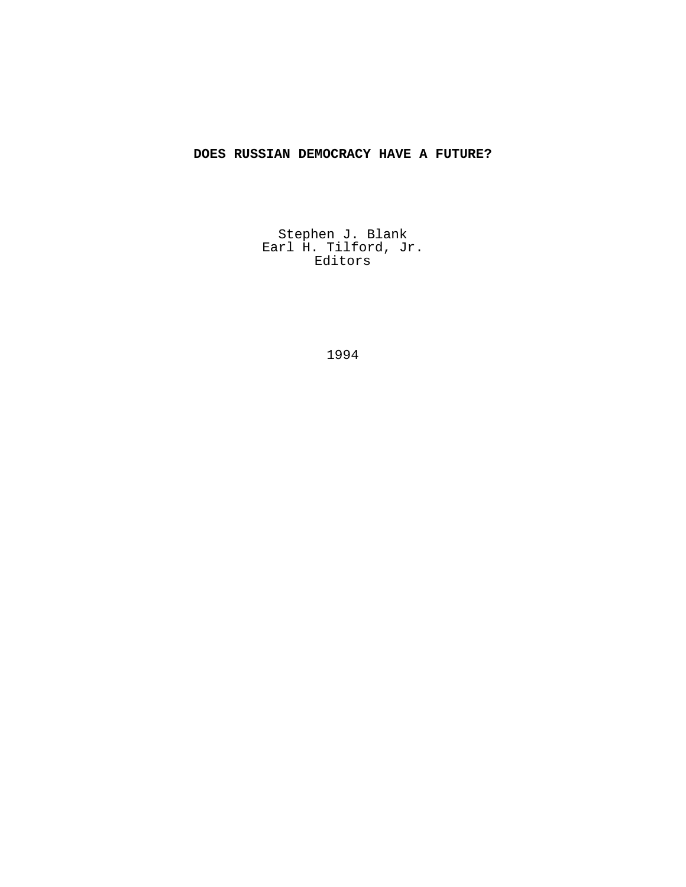# **DOES RUSSIAN DEMOCRACY HAVE A FUTURE?**

Stephen J. Blank Earl H. Tilford, Jr. Editors

1994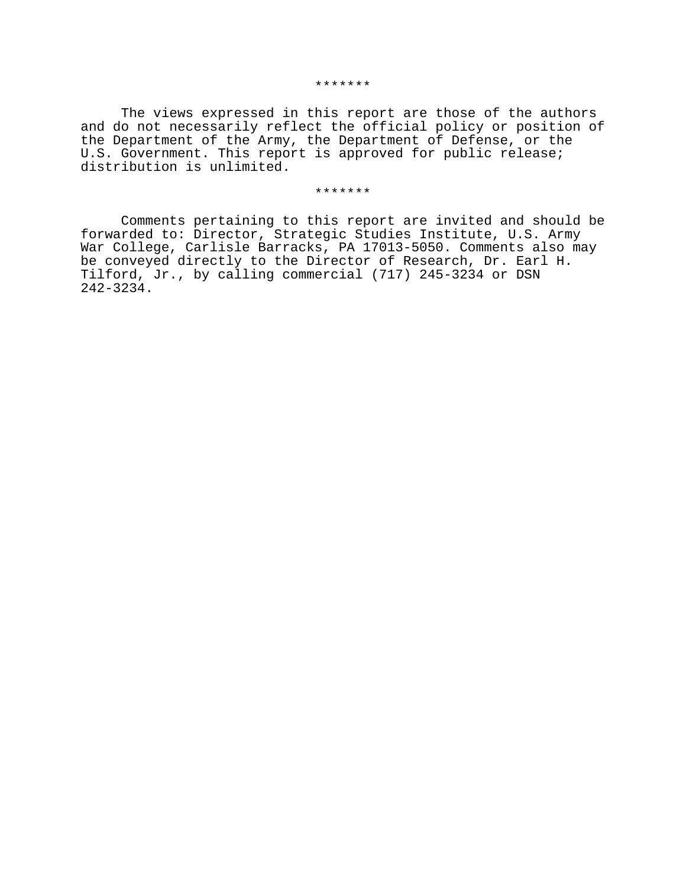The views expressed in this report are those of the authors and do not necessarily reflect the official policy or position of the Department of the Army, the Department of Defense, or the U.S. Government. This report is approved for public release; distribution is unlimited.

#### \*\*\*\*\*\*\*

Comments pertaining to this report are invited and should be forwarded to: Director, Strategic Studies Institute, U.S. Army War College, Carlisle Barracks, PA 17013-5050. Comments also may be conveyed directly to the Director of Research, Dr. Earl H. Tilford, Jr., by calling commercial (717) 245-3234 or DSN 242-3234.

#### \*\*\*\*\*\*\*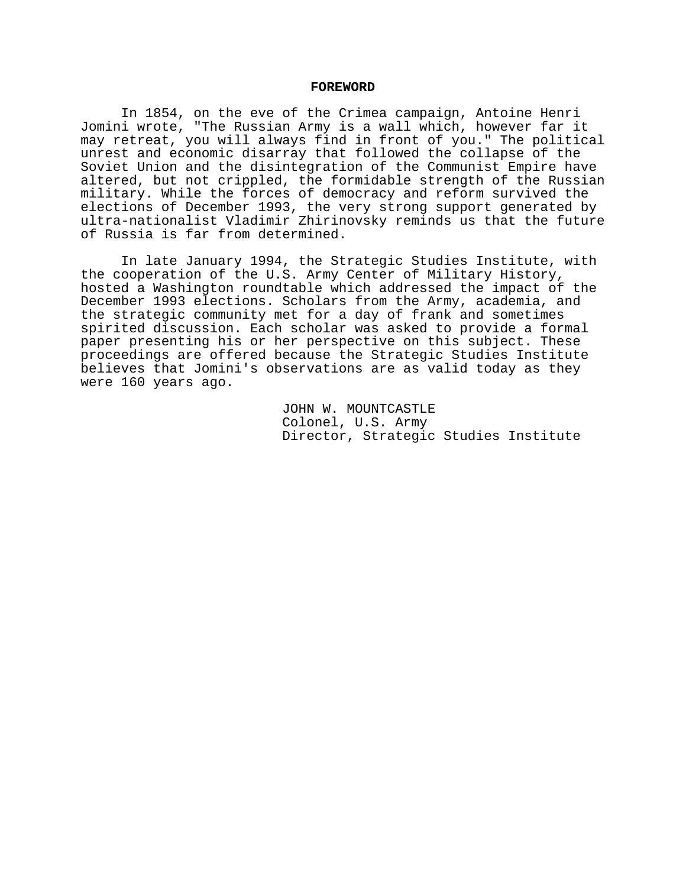## **FOREWORD**

In 1854, on the eve of the Crimea campaign, Antoine Henri Jomini wrote, "The Russian Army is a wall which, however far it may retreat, you will always find in front of you." The political unrest and economic disarray that followed the collapse of the Soviet Union and the disintegration of the Communist Empire have altered, but not crippled, the formidable strength of the Russian military. While the forces of democracy and reform survived the elections of December 1993, the very strong support generated by ultra-nationalist Vladimir Zhirinovsky reminds us that the future of Russia is far from determined.

In late January 1994, the Strategic Studies Institute, with the cooperation of the U.S. Army Center of Military History, hosted a Washington roundtable which addressed the impact of the December 1993 elections. Scholars from the Army, academia, and the strategic community met for a day of frank and sometimes spirited discussion. Each scholar was asked to provide a formal paper presenting his or her perspective on this subject. These proceedings are offered because the Strategic Studies Institute believes that Jomini's observations are as valid today as they were 160 years ago.

> JOHN W. MOUNTCASTLE Colonel, U.S. Army Director, Strategic Studies Institute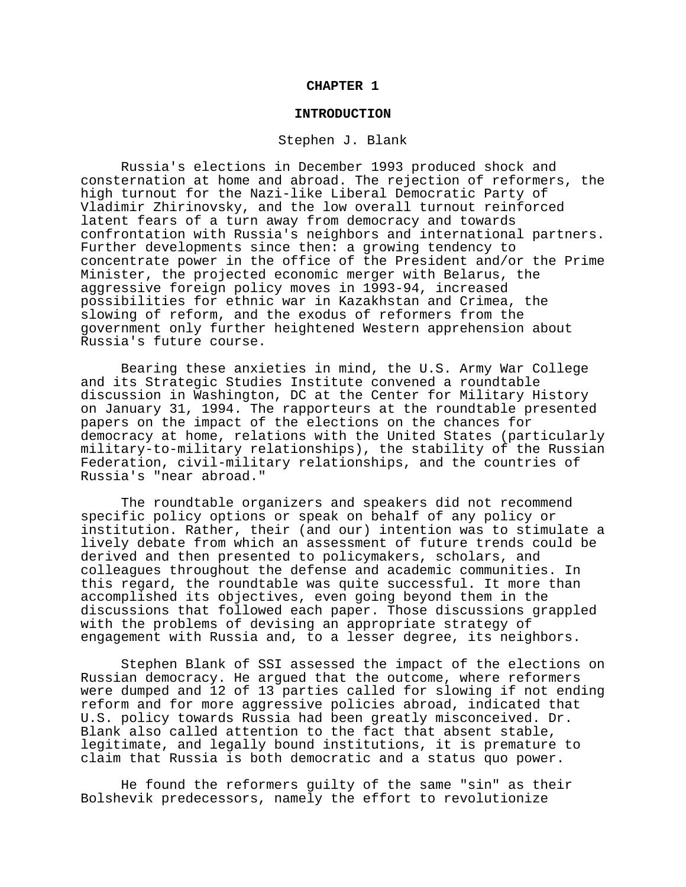## **CHAPTER 1**

## **INTRODUCTION**

#### Stephen J. Blank

Russia's elections in December 1993 produced shock and consternation at home and abroad. The rejection of reformers, the high turnout for the Nazi-like Liberal Democratic Party of Vladimir Zhirinovsky, and the low overall turnout reinforced latent fears of a turn away from democracy and towards confrontation with Russia's neighbors and international partners. Further developments since then: a growing tendency to concentrate power in the office of the President and/or the Prime Minister, the projected economic merger with Belarus, the aggressive foreign policy moves in 1993-94, increased possibilities for ethnic war in Kazakhstan and Crimea, the slowing of reform, and the exodus of reformers from the government only further heightened Western apprehension about Russia's future course.

Bearing these anxieties in mind, the U.S. Army War College and its Strategic Studies Institute convened a roundtable discussion in Washington, DC at the Center for Military History on January 31, 1994. The rapporteurs at the roundtable presented papers on the impact of the elections on the chances for democracy at home, relations with the United States (particularly military-to-military relationships), the stability of the Russian Federation, civil-military relationships, and the countries of Russia's "near abroad."

The roundtable organizers and speakers did not recommend specific policy options or speak on behalf of any policy or institution. Rather, their (and our) intention was to stimulate a lively debate from which an assessment of future trends could be derived and then presented to policymakers, scholars, and colleagues throughout the defense and academic communities. In this regard, the roundtable was quite successful. It more than accomplished its objectives, even going beyond them in the discussions that followed each paper. Those discussions grappled with the problems of devising an appropriate strategy of engagement with Russia and, to a lesser degree, its neighbors.

Stephen Blank of SSI assessed the impact of the elections on Russian democracy. He argued that the outcome, where reformers were dumped and 12 of 13 parties called for slowing if not ending reform and for more aggressive policies abroad, indicated that U.S. policy towards Russia had been greatly misconceived. Dr. Blank also called attention to the fact that absent stable, legitimate, and legally bound institutions, it is premature to claim that Russia is both democratic and a status quo power.

He found the reformers guilty of the same "sin" as their Bolshevik predecessors, namely the effort to revolutionize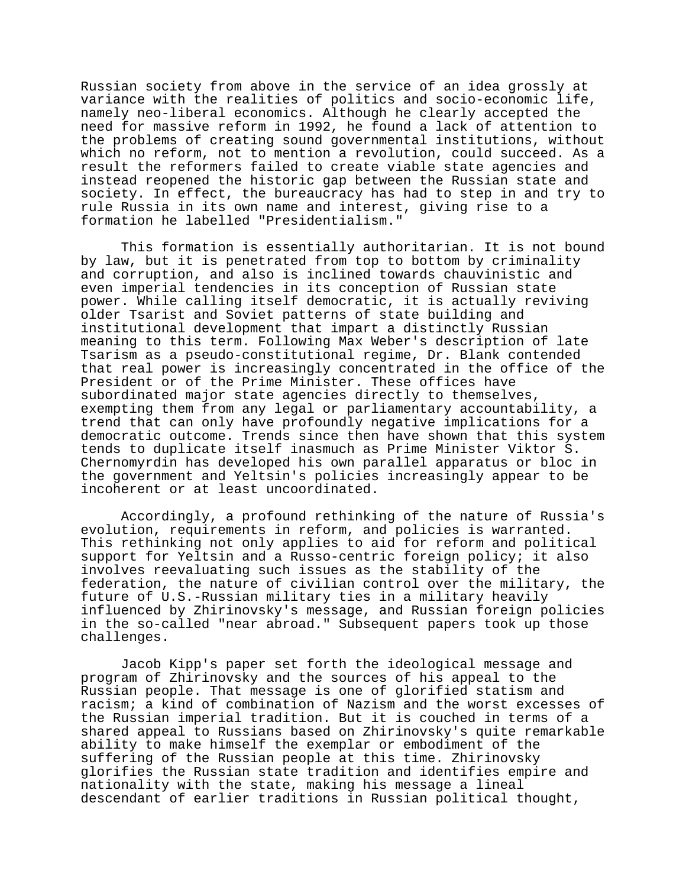Russian society from above in the service of an idea grossly at variance with the realities of politics and socio-economic life, namely neo-liberal economics. Although he clearly accepted the need for massive reform in 1992, he found a lack of attention to the problems of creating sound governmental institutions, without which no reform, not to mention a revolution, could succeed. As a result the reformers failed to create viable state agencies and instead reopened the historic gap between the Russian state and society. In effect, the bureaucracy has had to step in and try to rule Russia in its own name and interest, giving rise to a formation he labelled "Presidentialism."

This formation is essentially authoritarian. It is not bound by law, but it is penetrated from top to bottom by criminality and corruption, and also is inclined towards chauvinistic and even imperial tendencies in its conception of Russian state power. While calling itself democratic, it is actually reviving older Tsarist and Soviet patterns of state building and institutional development that impart a distinctly Russian meaning to this term. Following Max Weber's description of late Tsarism as a pseudo-constitutional regime, Dr. Blank contended that real power is increasingly concentrated in the office of the President or of the Prime Minister. These offices have subordinated major state agencies directly to themselves, exempting them from any legal or parliamentary accountability, a trend that can only have profoundly negative implications for a democratic outcome. Trends since then have shown that this system tends to duplicate itself inasmuch as Prime Minister Viktor S. Chernomyrdin has developed his own parallel apparatus or bloc in the government and Yeltsin's policies increasingly appear to be incoherent or at least uncoordinated.

Accordingly, a profound rethinking of the nature of Russia's evolution, requirements in reform, and policies is warranted. This rethinking not only applies to aid for reform and political support for Yeltsin and a Russo-centric foreign policy; it also involves reevaluating such issues as the stability of the federation, the nature of civilian control over the military, the future of U.S.-Russian military ties in a military heavily influenced by Zhirinovsky's message, and Russian foreign policies in the so-called "near abroad." Subsequent papers took up those challenges.

Jacob Kipp's paper set forth the ideological message and program of Zhirinovsky and the sources of his appeal to the Russian people. That message is one of glorified statism and racism; a kind of combination of Nazism and the worst excesses of the Russian imperial tradition. But it is couched in terms of a shared appeal to Russians based on Zhirinovsky's quite remarkable ability to make himself the exemplar or embodiment of the suffering of the Russian people at this time. Zhirinovsky glorifies the Russian state tradition and identifies empire and nationality with the state, making his message a lineal descendant of earlier traditions in Russian political thought,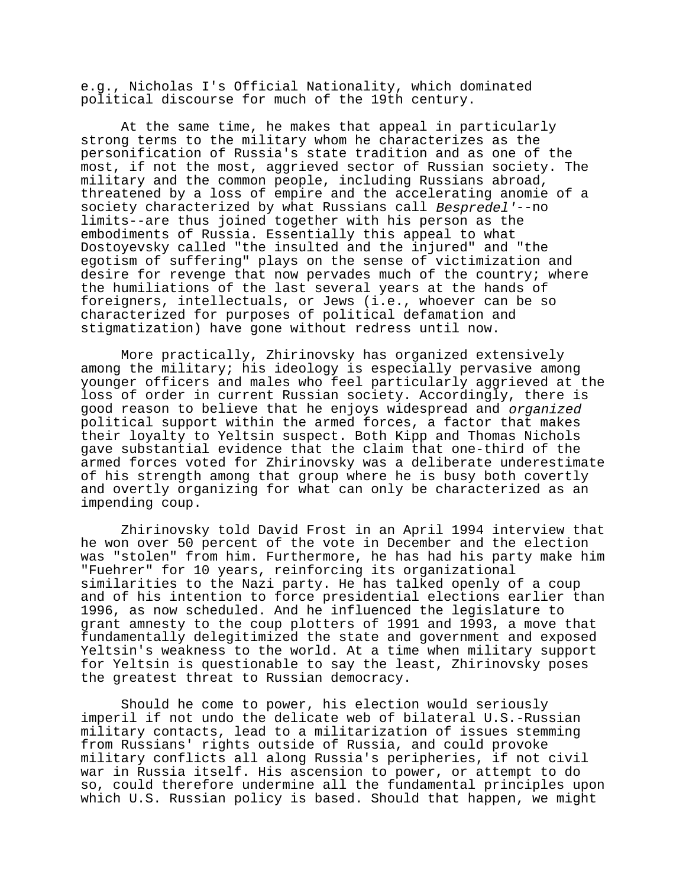e.g., Nicholas I's Official Nationality, which dominated political discourse for much of the 19th century.

At the same time, he makes that appeal in particularly strong terms to the military whom he characterizes as the personification of Russia's state tradition and as one of the most, if not the most, aggrieved sector of Russian society. The military and the common people, including Russians abroad, threatened by a loss of empire and the accelerating anomie of a society characterized by what Russians call Bespredel'--no limits--are thus joined together with his person as the embodiments of Russia. Essentially this appeal to what Dostoyevsky called "the insulted and the injured" and "the egotism of suffering" plays on the sense of victimization and desire for revenge that now pervades much of the country; where the humiliations of the last several years at the hands of foreigners, intellectuals, or Jews (i.e., whoever can be so characterized for purposes of political defamation and stigmatization) have gone without redress until now.

More practically, Zhirinovsky has organized extensively among the military; his ideology is especially pervasive among younger officers and males who feel particularly aggrieved at the loss of order in current Russian society. Accordingly, there is good reason to believe that he enjoys widespread and organized political support within the armed forces, a factor that makes their loyalty to Yeltsin suspect. Both Kipp and Thomas Nichols gave substantial evidence that the claim that one-third of the armed forces voted for Zhirinovsky was a deliberate underestimate of his strength among that group where he is busy both covertly and overtly organizing for what can only be characterized as an impending coup.

Zhirinovsky told David Frost in an April 1994 interview that he won over 50 percent of the vote in December and the election was "stolen" from him. Furthermore, he has had his party make him "Fuehrer" for 10 years, reinforcing its organizational similarities to the Nazi party. He has talked openly of a coup and of his intention to force presidential elections earlier than 1996, as now scheduled. And he influenced the legislature to grant amnesty to the coup plotters of 1991 and 1993, a move that fundamentally delegitimized the state and government and exposed Yeltsin's weakness to the world. At a time when military support for Yeltsin is questionable to say the least, Zhirinovsky poses the greatest threat to Russian democracy.

Should he come to power, his election would seriously imperil if not undo the delicate web of bilateral U.S.-Russian military contacts, lead to a militarization of issues stemming from Russians' rights outside of Russia, and could provoke military conflicts all along Russia's peripheries, if not civil war in Russia itself. His ascension to power, or attempt to do so, could therefore undermine all the fundamental principles upon which U.S. Russian policy is based. Should that happen, we might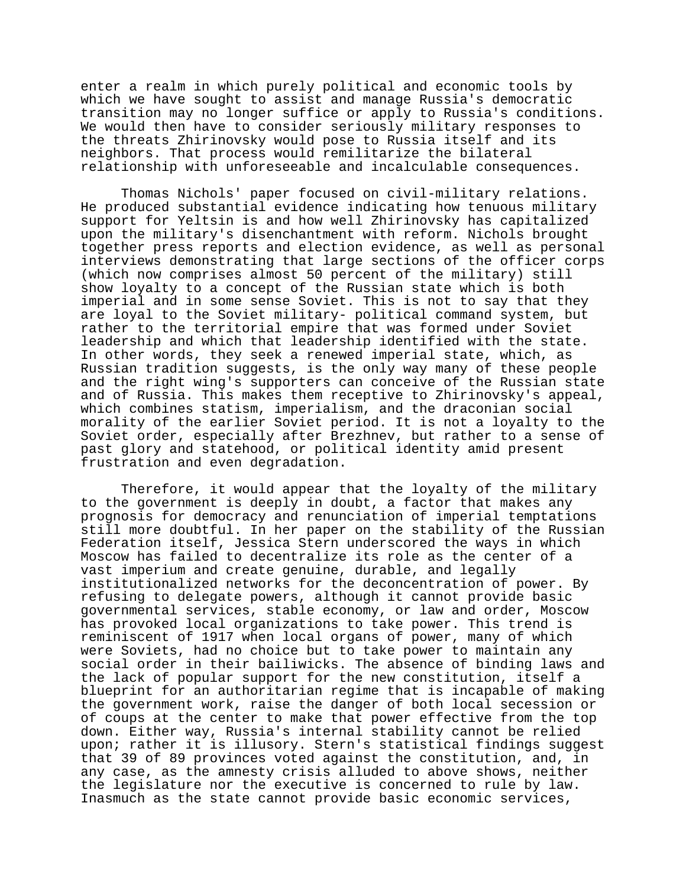enter a realm in which purely political and economic tools by which we have sought to assist and manage Russia's democratic transition may no longer suffice or apply to Russia's conditions. We would then have to consider seriously military responses to the threats Zhirinovsky would pose to Russia itself and its neighbors. That process would remilitarize the bilateral relationship with unforeseeable and incalculable consequences.

Thomas Nichols' paper focused on civil-military relations. He produced substantial evidence indicating how tenuous military support for Yeltsin is and how well Zhirinovsky has capitalized upon the military's disenchantment with reform. Nichols brought together press reports and election evidence, as well as personal interviews demonstrating that large sections of the officer corps (which now comprises almost 50 percent of the military) still show loyalty to a concept of the Russian state which is both imperial and in some sense Soviet. This is not to say that they are loyal to the Soviet military- political command system, but rather to the territorial empire that was formed under Soviet leadership and which that leadership identified with the state. In other words, they seek a renewed imperial state, which, as Russian tradition suggests, is the only way many of these people and the right wing's supporters can conceive of the Russian state and of Russia. This makes them receptive to Zhirinovsky's appeal, which combines statism, imperialism, and the draconian social morality of the earlier Soviet period. It is not a loyalty to the Soviet order, especially after Brezhnev, but rather to a sense of past glory and statehood, or political identity amid present frustration and even degradation.

Therefore, it would appear that the loyalty of the military to the government is deeply in doubt, a factor that makes any prognosis for democracy and renunciation of imperial temptations still more doubtful. In her paper on the stability of the Russian Federation itself, Jessica Stern underscored the ways in which Moscow has failed to decentralize its role as the center of a vast imperium and create genuine, durable, and legally institutionalized networks for the deconcentration of power. By refusing to delegate powers, although it cannot provide basic governmental services, stable economy, or law and order, Moscow has provoked local organizations to take power. This trend is reminiscent of 1917 when local organs of power, many of which were Soviets, had no choice but to take power to maintain any social order in their bailiwicks. The absence of binding laws and the lack of popular support for the new constitution, itself a blueprint for an authoritarian regime that is incapable of making the government work, raise the danger of both local secession or of coups at the center to make that power effective from the top down. Either way, Russia's internal stability cannot be relied upon; rather it is illusory. Stern's statistical findings suggest that 39 of 89 provinces voted against the constitution, and, in any case, as the amnesty crisis alluded to above shows, neither the legislature nor the executive is concerned to rule by law. Inasmuch as the state cannot provide basic economic services,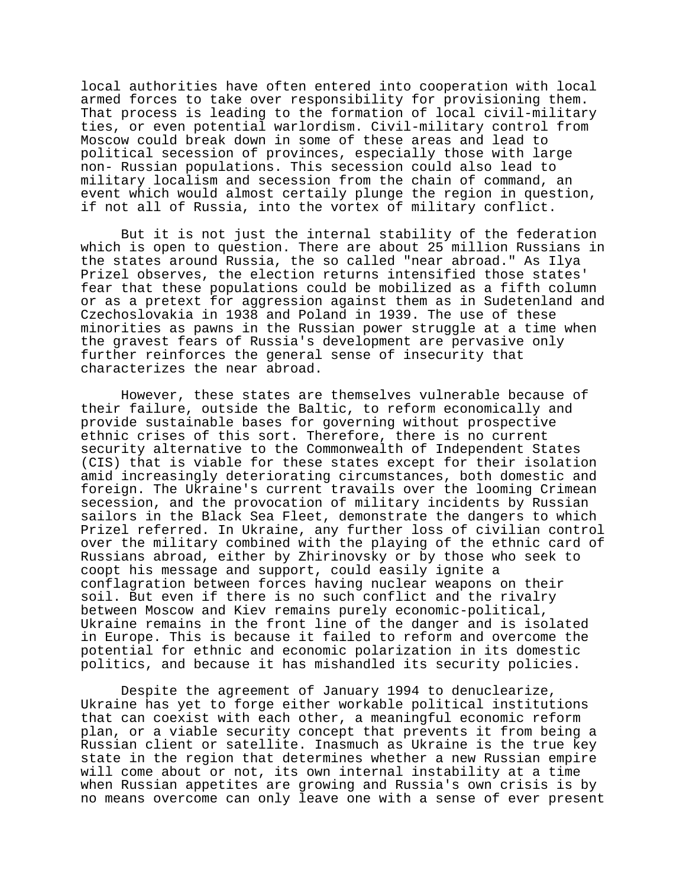local authorities have often entered into cooperation with local armed forces to take over responsibility for provisioning them. That process is leading to the formation of local civil-military ties, or even potential warlordism. Civil-military control from Moscow could break down in some of these areas and lead to political secession of provinces, especially those with large non- Russian populations. This secession could also lead to military localism and secession from the chain of command, an event which would almost certaily plunge the region in question, if not all of Russia, into the vortex of military conflict.

But it is not just the internal stability of the federation which is open to question. There are about 25 million Russians in the states around Russia, the so called "near abroad." As Ilya Prizel observes, the election returns intensified those states' fear that these populations could be mobilized as a fifth column or as a pretext for aggression against them as in Sudetenland and Czechoslovakia in 1938 and Poland in 1939. The use of these minorities as pawns in the Russian power struggle at a time when the gravest fears of Russia's development are pervasive only further reinforces the general sense of insecurity that characterizes the near abroad.

However, these states are themselves vulnerable because of their failure, outside the Baltic, to reform economically and provide sustainable bases for governing without prospective ethnic crises of this sort. Therefore, there is no current security alternative to the Commonwealth of Independent States (CIS) that is viable for these states except for their isolation amid increasingly deteriorating circumstances, both domestic and foreign. The Ukraine's current travails over the looming Crimean secession, and the provocation of military incidents by Russian sailors in the Black Sea Fleet, demonstrate the dangers to which Prizel referred. In Ukraine, any further loss of civilian control over the military combined with the playing of the ethnic card of Russians abroad, either by Zhirinovsky or by those who seek to coopt his message and support, could easily ignite a conflagration between forces having nuclear weapons on their soil. But even if there is no such conflict and the rivalry between Moscow and Kiev remains purely economic-political, Ukraine remains in the front line of the danger and is isolated in Europe. This is because it failed to reform and overcome the potential for ethnic and economic polarization in its domestic politics, and because it has mishandled its security policies.

Despite the agreement of January 1994 to denuclearize, Ukraine has yet to forge either workable political institutions that can coexist with each other, a meaningful economic reform plan, or a viable security concept that prevents it from being a Russian client or satellite. Inasmuch as Ukraine is the true key state in the region that determines whether a new Russian empire will come about or not, its own internal instability at a time when Russian appetites are growing and Russia's own crisis is by no means overcome can only leave one with a sense of ever present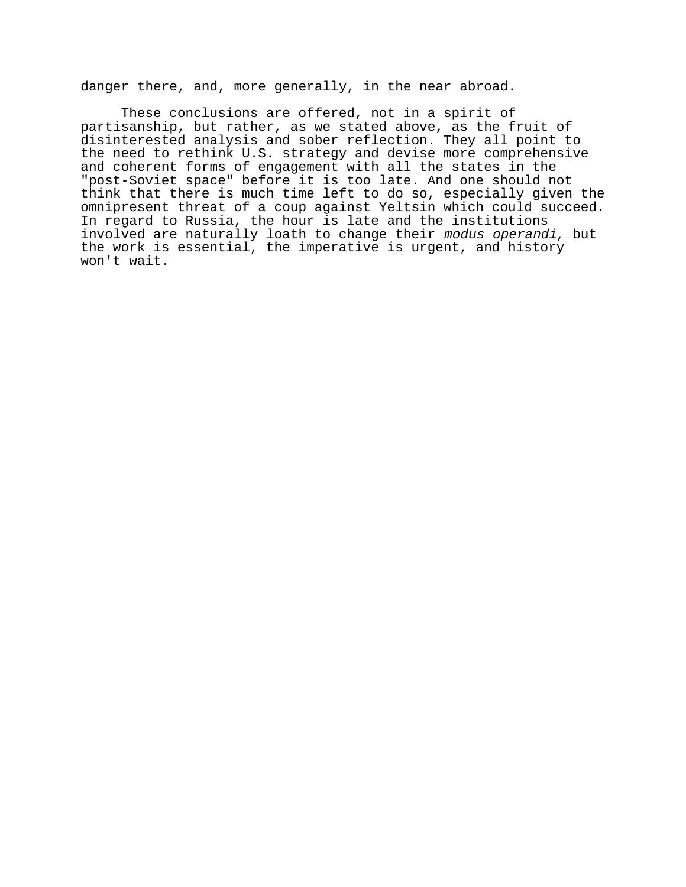danger there, and, more generally, in the near abroad.

These conclusions are offered, not in a spirit of partisanship, but rather, as we stated above, as the fruit of disinterested analysis and sober reflection. They all point to the need to rethink U.S. strategy and devise more comprehensive and coherent forms of engagement with all the states in the "post-Soviet space" before it is too late. And one should not think that there is much time left to do so, especially given the omnipresent threat of a coup against Yeltsin which could succeed. In regard to Russia, the hour is late and the institutions involved are naturally loath to change their modus operandi, but the work is essential, the imperative is urgent, and history won't wait.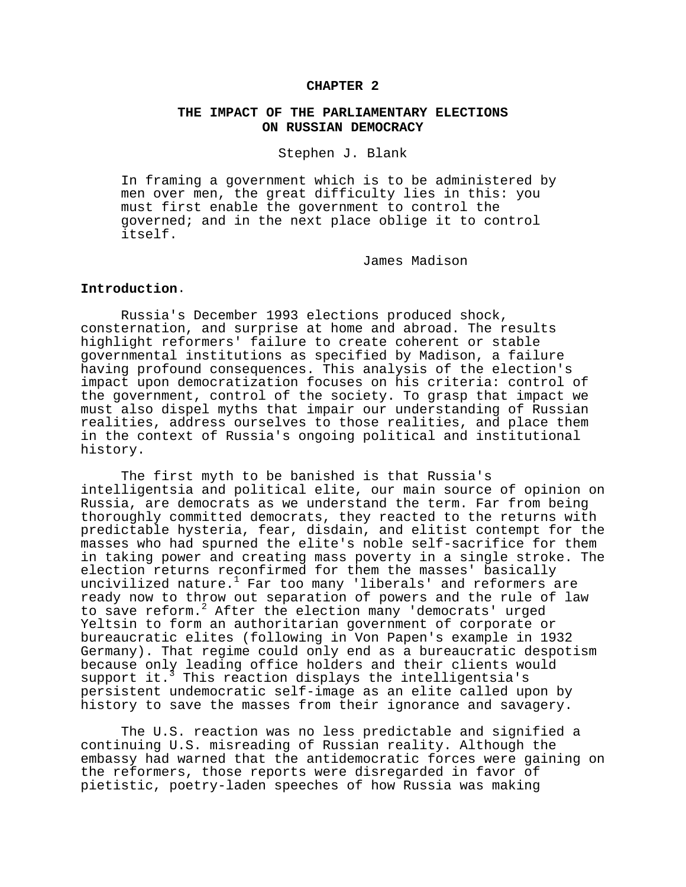## **CHAPTER 2**

# **THE IMPACT OF THE PARLIAMENTARY ELECTIONS ON RUSSIAN DEMOCRACY**

## Stephen J. Blank

In framing a government which is to be administered by men over men, the great difficulty lies in this: you must first enable the government to control the governed; and in the next place oblige it to control itself.

James Madison

# **Introduction**.

Russia's December 1993 elections produced shock, consternation, and surprise at home and abroad. The results highlight reformers' failure to create coherent or stable governmental institutions as specified by Madison, a failure having profound consequences. This analysis of the election's impact upon democratization focuses on his criteria: control of the government, control of the society. To grasp that impact we must also dispel myths that impair our understanding of Russian realities, address ourselves to those realities, and place them in the context of Russia's ongoing political and institutional history.

The first myth to be banished is that Russia's intelligentsia and political elite, our main source of opinion on Russia, are democrats as we understand the term. Far from being thoroughly committed democrats, they reacted to the returns with predictable hysteria, fear, disdain, and elitist contempt for the masses who had spurned the elite's noble self-sacrifice for them in taking power and creating mass poverty in a single stroke. The election returns reconfirmed for them the masses' basically uncivilized nature.<sup>1</sup> Far too many 'liberals' and reformers are ready now to throw out separation of powers and the rule of law to save reform.2 After the election many 'democrats' urged Yeltsin to form an authoritarian government of corporate or bureaucratic elites (following in Von Papen's example in 1932 Germany). That regime could only end as a bureaucratic despotism because only leading office holders and their clients would support it.<sup>3</sup> This reaction displays the intelligentsia's persistent undemocratic self-image as an elite called upon by history to save the masses from their ignorance and savagery.

The U.S. reaction was no less predictable and signified a continuing U.S. misreading of Russian reality. Although the embassy had warned that the antidemocratic forces were gaining on the reformers, those reports were disregarded in favor of pietistic, poetry-laden speeches of how Russia was making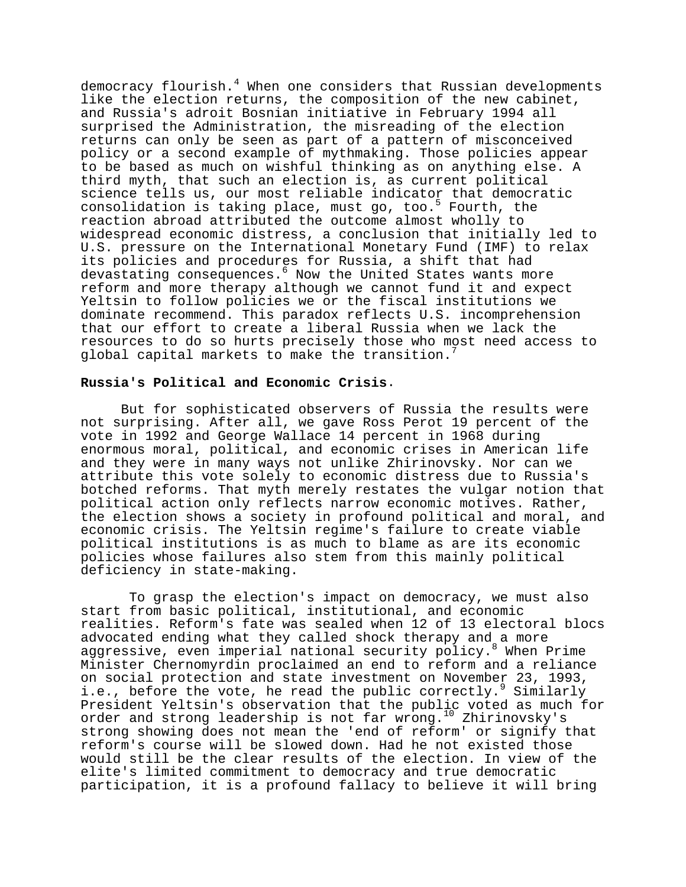democracy flourish.<sup>4</sup> When one considers that Russian developments like the election returns, the composition of the new cabinet, and Russia's adroit Bosnian initiative in February 1994 all surprised the Administration, the misreading of the election returns can only be seen as part of a pattern of misconceived policy or a second example of mythmaking. Those policies appear to be based as much on wishful thinking as on anything else. A third myth, that such an election is, as current political science tells us, our most reliable indicator that democratic consolidation is taking place, must go, too.<sup>5</sup> Fourth, the reaction abroad attributed the outcome almost wholly to widespread economic distress, a conclusion that initially led to U.S. pressure on the International Monetary Fund (IMF) to relax its policies and procedures for Russia, a shift that had devastating consequences.6 Now the United States wants more reform and more therapy although we cannot fund it and expect Yeltsin to follow policies we or the fiscal institutions we dominate recommend. This paradox reflects U.S. incomprehension that our effort to create a liberal Russia when we lack the resources to do so hurts precisely those who most need access to global capital markets to make the transition.

## **Russia's Political and Economic Crisis**.

But for sophisticated observers of Russia the results were not surprising. After all, we gave Ross Perot 19 percent of the vote in 1992 and George Wallace 14 percent in 1968 during enormous moral, political, and economic crises in American life and they were in many ways not unlike Zhirinovsky. Nor can we attribute this vote solely to economic distress due to Russia's botched reforms. That myth merely restates the vulgar notion that political action only reflects narrow economic motives. Rather, the election shows a society in profound political and moral, and economic crisis. The Yeltsin regime's failure to create viable political institutions is as much to blame as are its economic policies whose failures also stem from this mainly political deficiency in state-making.

 To grasp the election's impact on democracy, we must also start from basic political, institutional, and economic realities. Reform's fate was sealed when 12 of 13 electoral blocs advocated ending what they called shock therapy and a more aggressive, even imperial national security policy.<sup>8</sup> When Prime Minister Chernomyrdin proclaimed an end to reform and a reliance on social protection and state investment on November 23, 1993, i.e., before the vote, he read the public correctly.<sup>9</sup> Similarly President Yeltsin's observation that the public voted as much for order and strong leadership is not far wrong.10 Zhirinovsky's strong showing does not mean the 'end of reform' or signify that reform's course will be slowed down. Had he not existed those would still be the clear results of the election. In view of the elite's limited commitment to democracy and true democratic participation, it is a profound fallacy to believe it will bring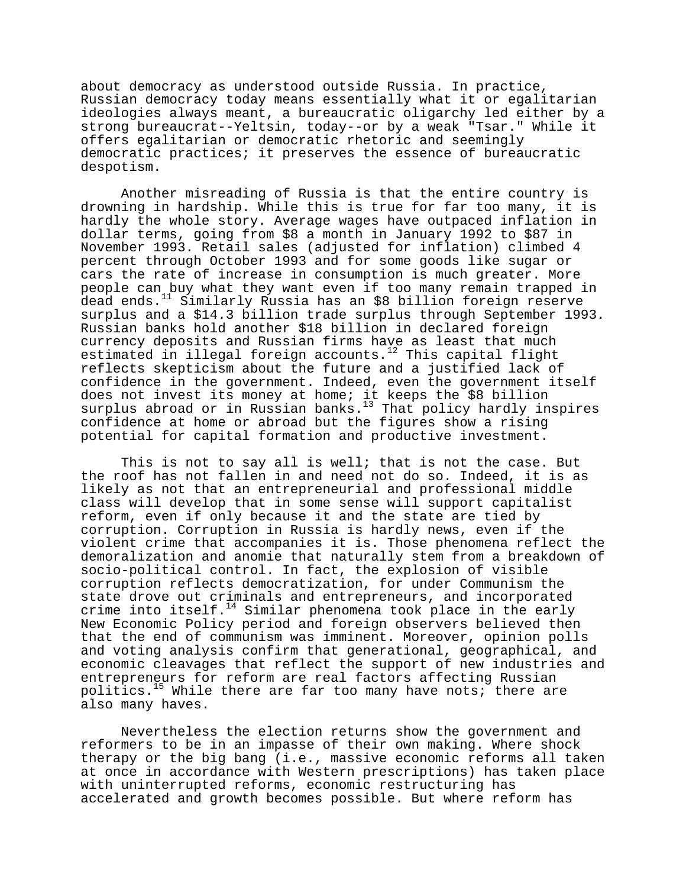about democracy as understood outside Russia. In practice, Russian democracy today means essentially what it or egalitarian ideologies always meant, a bureaucratic oligarchy led either by a strong bureaucrat--Yeltsin, today--or by a weak "Tsar." While it offers egalitarian or democratic rhetoric and seemingly democratic practices; it preserves the essence of bureaucratic despotism.

Another misreading of Russia is that the entire country is drowning in hardship. While this is true for far too many, it is hardly the whole story. Average wages have outpaced inflation in dollar terms, going from \$8 a month in January 1992 to \$87 in November 1993. Retail sales (adjusted for inflation) climbed 4 percent through October 1993 and for some goods like sugar or cars the rate of increase in consumption is much greater. More people can buy what they want even if too many remain trapped in dead ends.<sup>11</sup> Similarly Russia has an \$8 billion foreign reserve surplus and a \$14.3 billion trade surplus through September 1993. Russian banks hold another \$18 billion in declared foreign currency deposits and Russian firms have as least that much estimated in illegal foreign accounts.<sup>12</sup> This capital flight reflects skepticism about the future and a justified lack of confidence in the government. Indeed, even the government itself does not invest its money at home; it keeps the \$8 billion surplus abroad or in Russian banks.<sup>13</sup> That policy hardly inspires confidence at home or abroad but the figures show a rising potential for capital formation and productive investment.

This is not to say all is well; that is not the case. But the roof has not fallen in and need not do so. Indeed, it is as likely as not that an entrepreneurial and professional middle class will develop that in some sense will support capitalist reform, even if only because it and the state are tied by corruption. Corruption in Russia is hardly news, even if the violent crime that accompanies it is. Those phenomena reflect the demoralization and anomie that naturally stem from a breakdown of socio-political control. In fact, the explosion of visible corruption reflects democratization, for under Communism the state drove out criminals and entrepreneurs, and incorporated crime into itself.<sup>14</sup> Similar phenomena took place in the early New Economic Policy period and foreign observers believed then that the end of communism was imminent. Moreover, opinion polls and voting analysis confirm that generational, geographical, and economic cleavages that reflect the support of new industries and entrepreneurs for reform are real factors affecting Russian politics.<sup>15</sup> While there are far too many have nots; there are also many haves.

Nevertheless the election returns show the government and reformers to be in an impasse of their own making. Where shock therapy or the big bang (i.e., massive economic reforms all taken at once in accordance with Western prescriptions) has taken place with uninterrupted reforms, economic restructuring has accelerated and growth becomes possible. But where reform has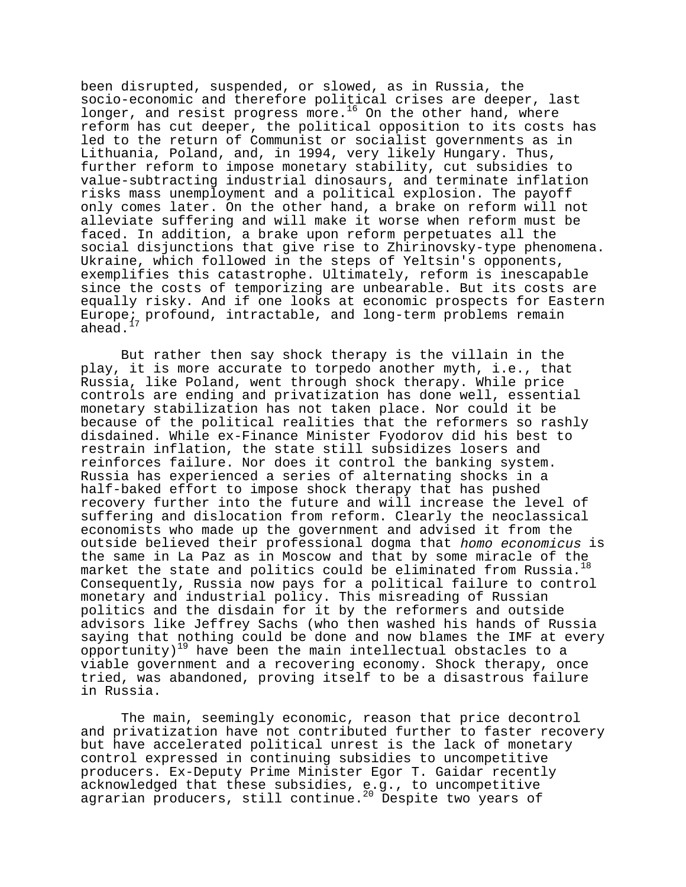been disrupted, suspended, or slowed, as in Russia, the socio-economic and therefore political crises are deeper, last longer, and resist progress more.<sup>16</sup> On the other hand, where reform has cut deeper, the political opposition to its costs has led to the return of Communist or socialist governments as in Lithuania, Poland, and, in 1994, very likely Hungary. Thus, further reform to impose monetary stability, cut subsidies to value-subtracting industrial dinosaurs, and terminate inflation risks mass unemployment and a political explosion. The payoff only comes later. On the other hand, a brake on reform will not alleviate suffering and will make it worse when reform must be faced. In addition, a brake upon reform perpetuates all the social disjunctions that give rise to Zhirinovsky-type phenomena. Ukraine, which followed in the steps of Yeltsin's opponents, exemplifies this catastrophe. Ultimately, reform is inescapable since the costs of temporizing are unbearable. But its costs are equally risky. And if one looks at economic prospects for Eastern Europe; profound, intractable, and long-term problems remain ahead. $17$ 

But rather then say shock therapy is the villain in the play, it is more accurate to torpedo another myth, i.e., that Russia, like Poland, went through shock therapy. While price controls are ending and privatization has done well, essential monetary stabilization has not taken place. Nor could it be because of the political realities that the reformers so rashly disdained. While ex-Finance Minister Fyodorov did his best to restrain inflation, the state still subsidizes losers and reinforces failure. Nor does it control the banking system. Russia has experienced a series of alternating shocks in a half-baked effort to impose shock therapy that has pushed recovery further into the future and will increase the level of suffering and dislocation from reform. Clearly the neoclassical economists who made up the government and advised it from the outside believed their professional dogma that homo economicus is the same in La Paz as in Moscow and that by some miracle of the market the state and politics could be eliminated from Russia.<sup>18</sup> Consequently, Russia now pays for a political failure to control monetary and industrial policy. This misreading of Russian politics and the disdain for it by the reformers and outside advisors like Jeffrey Sachs (who then washed his hands of Russia saying that nothing could be done and now blames the IMF at every  $\sigma$ opportunity)<sup>19</sup> have been the main intellectual obstacles to a viable government and a recovering economy. Shock therapy, once tried, was abandoned, proving itself to be a disastrous failure in Russia.

The main, seemingly economic, reason that price decontrol and privatization have not contributed further to faster recovery but have accelerated political unrest is the lack of monetary control expressed in continuing subsidies to uncompetitive producers. Ex-Deputy Prime Minister Egor T. Gaidar recently acknowledged that these subsidies, e.g., to uncompetitive agrarian producers, still continue.<sup>20</sup> Despite two years of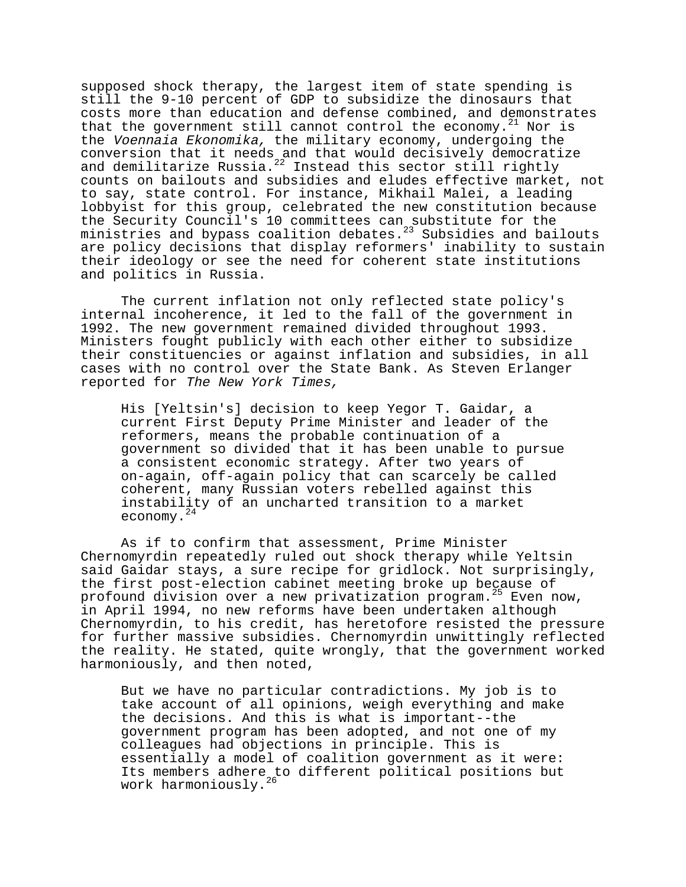supposed shock therapy, the largest item of state spending is still the 9-10 percent of GDP to subsidize the dinosaurs that costs more than education and defense combined, and demonstrates that the government still cannot control the economy.<sup>21</sup> Nor is the Voennaia Ekonomika, the military economy, undergoing the conversion that it needs and that would decisively democratize and demilitarize Russia. $^{22}$  Instead this sector still rightly counts on bailouts and subsidies and eludes effective market, not to say, state control. For instance, Mikhail Malei, a leading lobbyist for this group, celebrated the new constitution because the Security Council's 10 committees can substitute for the ministries and bypass coalition debates.<sup>23</sup> Subsidies and bailouts are policy decisions that display reformers' inability to sustain their ideology or see the need for coherent state institutions and politics in Russia.

The current inflation not only reflected state policy's internal incoherence, it led to the fall of the government in 1992. The new government remained divided throughout 1993. Ministers fought publicly with each other either to subsidize their constituencies or against inflation and subsidies, in all cases with no control over the State Bank. As Steven Erlanger reported for The New York Times,

His [Yeltsin's] decision to keep Yegor T. Gaidar, a current First Deputy Prime Minister and leader of the reformers, means the probable continuation of a government so divided that it has been unable to pursue a consistent economic strategy. After two years of on-again, off-again policy that can scarcely be called coherent, many Russian voters rebelled against this instability of an uncharted transition to a market economy.<sup>24</sup>

As if to confirm that assessment, Prime Minister Chernomyrdin repeatedly ruled out shock therapy while Yeltsin said Gaidar stays, a sure recipe for gridlock. Not surprisingly, the first post-election cabinet meeting broke up because of profound division over a new privatization program.<sup>25</sup> Even now, in April 1994, no new reforms have been undertaken although Chernomyrdin, to his credit, has heretofore resisted the pressure for further massive subsidies. Chernomyrdin unwittingly reflected the reality. He stated, quite wrongly, that the government worked harmoniously, and then noted,

But we have no particular contradictions. My job is to take account of all opinions, weigh everything and make the decisions. And this is what is important--the government program has been adopted, and not one of my colleagues had objections in principle. This is essentially a model of coalition government as it were: Its members adhere to different political positions but work harmoniously. $^{26}$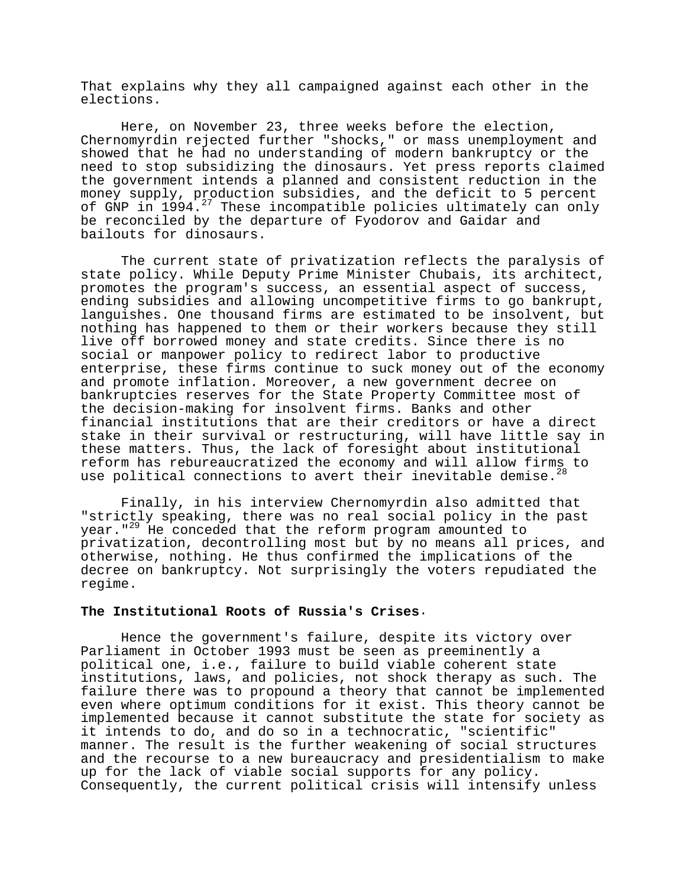That explains why they all campaigned against each other in the elections.

Here, on November 23, three weeks before the election, Chernomyrdin rejected further "shocks," or mass unemployment and showed that he had no understanding of modern bankruptcy or the need to stop subsidizing the dinosaurs. Yet press reports claimed the government intends a planned and consistent reduction in the money supply, production subsidies, and the deficit to 5 percent of GNP in 1994.27 These incompatible policies ultimately can only be reconciled by the departure of Fyodorov and Gaidar and bailouts for dinosaurs.

The current state of privatization reflects the paralysis of state policy. While Deputy Prime Minister Chubais, its architect, promotes the program's success, an essential aspect of success, ending subsidies and allowing uncompetitive firms to go bankrupt, languishes. One thousand firms are estimated to be insolvent, but nothing has happened to them or their workers because they still live off borrowed money and state credits. Since there is no social or manpower policy to redirect labor to productive enterprise, these firms continue to suck money out of the economy and promote inflation. Moreover, a new government decree on bankruptcies reserves for the State Property Committee most of the decision-making for insolvent firms. Banks and other financial institutions that are their creditors or have a direct stake in their survival or restructuring, will have little say in these matters. Thus, the lack of foresight about institutional reform has rebureaucratized the economy and will allow firms to use political connections to avert their inevitable demise.<sup>28</sup>

Finally, in his interview Chernomyrdin also admitted that "strictly speaking, there was no real social policy in the past year."<sup>29</sup> He conceded that the reform program amounted to privatization, decontrolling most but by no means all prices, and otherwise, nothing. He thus confirmed the implications of the decree on bankruptcy. Not surprisingly the voters repudiated the regime.

# **The Institutional Roots of Russia's Crises**.

Hence the government's failure, despite its victory over Parliament in October 1993 must be seen as preeminently a political one, i.e., failure to build viable coherent state institutions, laws, and policies, not shock therapy as such. The failure there was to propound a theory that cannot be implemented even where optimum conditions for it exist. This theory cannot be implemented because it cannot substitute the state for society as it intends to do, and do so in a technocratic, "scientific" manner. The result is the further weakening of social structures and the recourse to a new bureaucracy and presidentialism to make up for the lack of viable social supports for any policy. Consequently, the current political crisis will intensify unless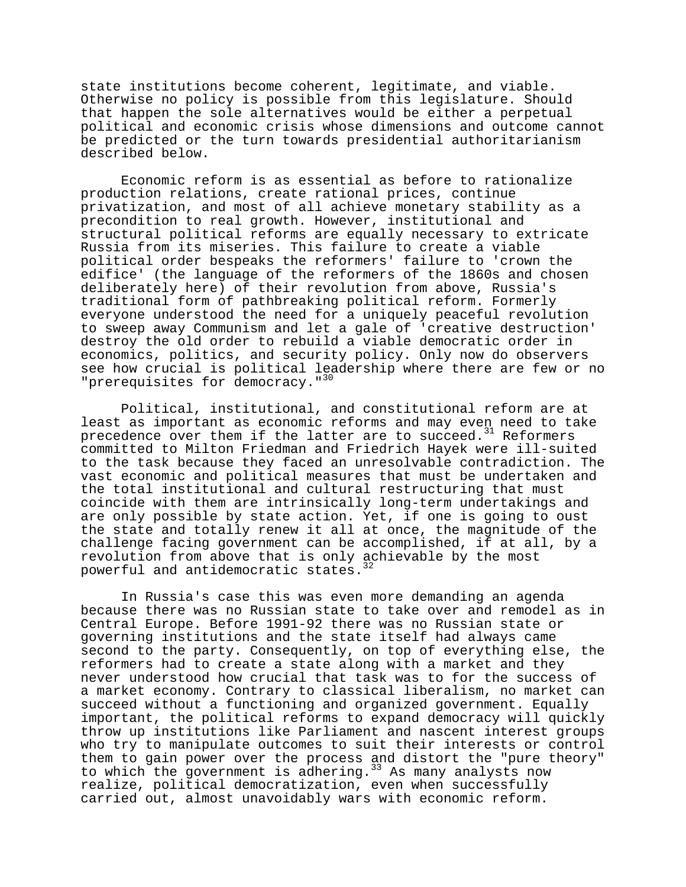state institutions become coherent, legitimate, and viable. Otherwise no policy is possible from this legislature. Should that happen the sole alternatives would be either a perpetual political and economic crisis whose dimensions and outcome cannot be predicted or the turn towards presidential authoritarianism described below.

Economic reform is as essential as before to rationalize production relations, create rational prices, continue privatization, and most of all achieve monetary stability as a precondition to real growth. However, institutional and structural political reforms are equally necessary to extricate Russia from its miseries. This failure to create a viable political order bespeaks the reformers' failure to 'crown the edifice' (the language of the reformers of the 1860s and chosen deliberately here) of their revolution from above, Russia's traditional form of pathbreaking political reform. Formerly everyone understood the need for a uniquely peaceful revolution to sweep away Communism and let a gale of 'creative destruction' destroy the old order to rebuild a viable democratic order in economics, politics, and security policy. Only now do observers see how crucial is political leadership where there are few or no "prerequisites for democracy."<sup>30</sup>

Political, institutional, and constitutional reform are at least as important as economic reforms and may even need to take precedence over them if the latter are to succeed. $31$  Reformers committed to Milton Friedman and Friedrich Hayek were ill-suited to the task because they faced an unresolvable contradiction. The vast economic and political measures that must be undertaken and the total institutional and cultural restructuring that must coincide with them are intrinsically long-term undertakings and are only possible by state action. Yet, if one is going to oust the state and totally renew it all at once, the magnitude of the challenge facing government can be accomplished, if at all, by a revolution from above that is only achievable by the most powerful and antidemocratic states.

In Russia's case this was even more demanding an agenda because there was no Russian state to take over and remodel as in Central Europe. Before 1991-92 there was no Russian state or governing institutions and the state itself had always came second to the party. Consequently, on top of everything else, the reformers had to create a state along with a market and they never understood how crucial that task was to for the success of a market economy. Contrary to classical liberalism, no market can succeed without a functioning and organized government. Equally important, the political reforms to expand democracy will quickly throw up institutions like Parliament and nascent interest groups who try to manipulate outcomes to suit their interests or control them to gain power over the process and distort the "pure theory" to which the government is adhering.<sup>33</sup> As many analysts now realize, political democratization, even when successfully carried out, almost unavoidably wars with economic reform.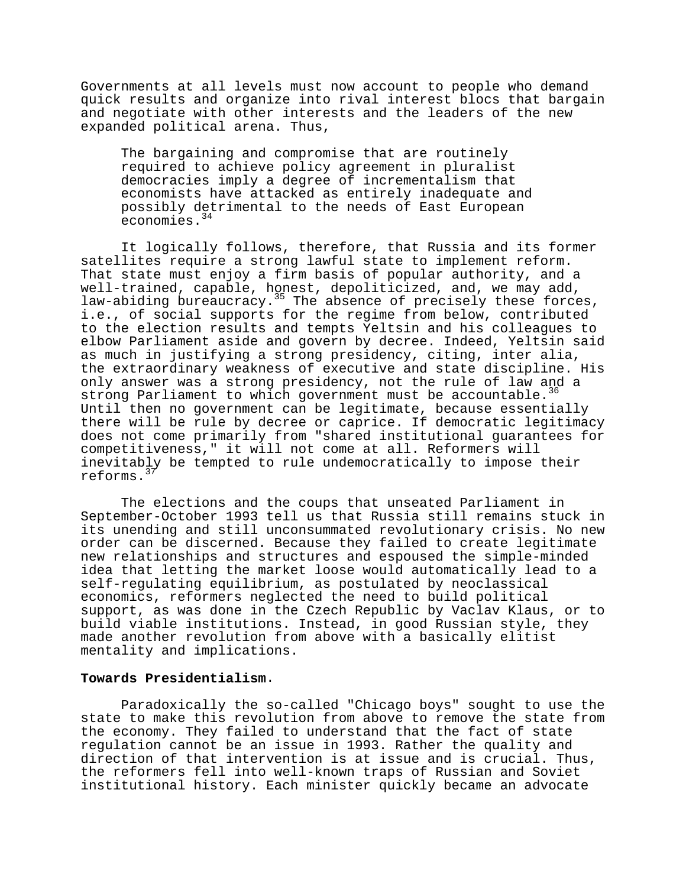Governments at all levels must now account to people who demand quick results and organize into rival interest blocs that bargain and negotiate with other interests and the leaders of the new expanded political arena. Thus,

The bargaining and compromise that are routinely required to achieve policy agreement in pluralist democracies imply a degree of incrementalism that economists have attacked as entirely inadequate and possibly detrimental to the needs of East European economies.<sup>34</sup>

It logically follows, therefore, that Russia and its former satellites require a strong lawful state to implement reform. That state must enjoy a firm basis of popular authority, and a well-trained, capable, honest, depoliticized, and, we may add, law-abiding bureaucracy.<sup>35</sup> The absence of precisely these forces, i.e., of social supports for the regime from below, contributed to the election results and tempts Yeltsin and his colleagues to elbow Parliament aside and govern by decree. Indeed, Yeltsin said as much in justifying a strong presidency, citing, inter alia, the extraordinary weakness of executive and state discipline. His only answer was a strong presidency, not the rule of law and a strong Parliament to which government must be accountable.<sup>36</sup> Until then no government can be legitimate, because essentially there will be rule by decree or caprice. If democratic legitimacy does not come primarily from "shared institutional guarantees for competitiveness," it will not come at all. Reformers will inevitably be tempted to rule undemocratically to impose their reforms.<sup>3</sup>

The elections and the coups that unseated Parliament in September-October 1993 tell us that Russia still remains stuck in its unending and still unconsummated revolutionary crisis. No new order can be discerned. Because they failed to create legitimate new relationships and structures and espoused the simple-minded idea that letting the market loose would automatically lead to a self-regulating equilibrium, as postulated by neoclassical economics, reformers neglected the need to build political support, as was done in the Czech Republic by Vaclav Klaus, or to build viable institutions. Instead, in good Russian style, they made another revolution from above with a basically elitist mentality and implications.

# **Towards Presidentialism**.

Paradoxically the so-called "Chicago boys" sought to use the state to make this revolution from above to remove the state from the economy. They failed to understand that the fact of state regulation cannot be an issue in 1993. Rather the quality and direction of that intervention is at issue and is crucial. Thus, the reformers fell into well-known traps of Russian and Soviet institutional history. Each minister quickly became an advocate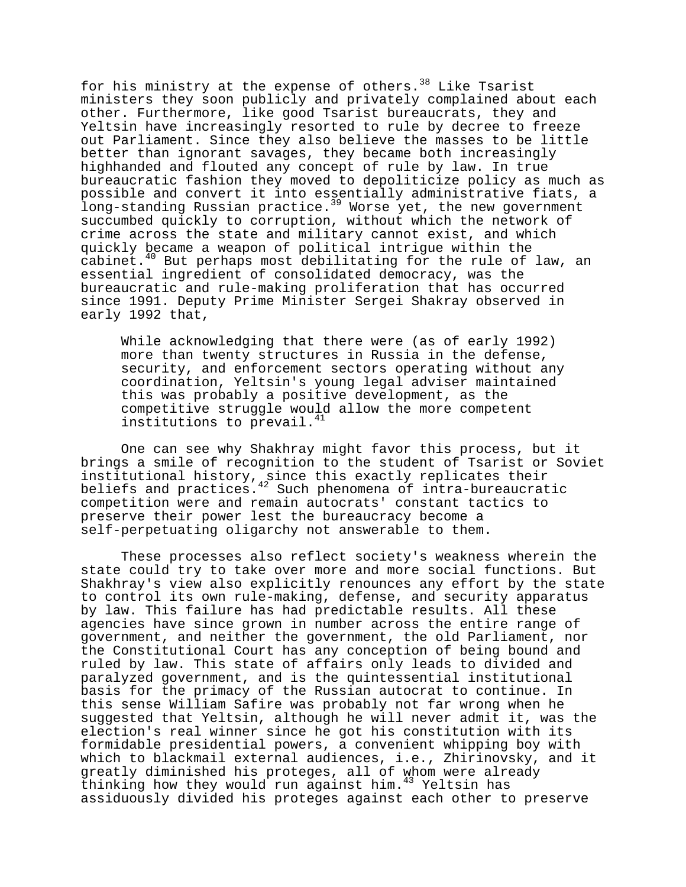for his ministry at the expense of others.<sup>38</sup> Like Tsarist ministers they soon publicly and privately complained about each other. Furthermore, like good Tsarist bureaucrats, they and Yeltsin have increasingly resorted to rule by decree to freeze out Parliament. Since they also believe the masses to be little better than ignorant savages, they became both increasingly highhanded and flouted any concept of rule by law. In true bureaucratic fashion they moved to depoliticize policy as much as possible and convert it into essentially administrative fiats, a long-standing Russian practice.<sup>39</sup> Worse yet, the new government succumbed quickly to corruption, without which the network of crime across the state and military cannot exist, and which quickly became a weapon of political intrigue within the cabinet.<sup>40</sup> But perhaps most debilitating for the rule of law, an essential ingredient of consolidated democracy, was the bureaucratic and rule-making proliferation that has occurred since 1991. Deputy Prime Minister Sergei Shakray observed in early 1992 that,

While acknowledging that there were (as of early 1992) more than twenty structures in Russia in the defense, security, and enforcement sectors operating without any coordination, Yeltsin's young legal adviser maintained this was probably a positive development, as the competitive struggle would allow the more competent institutions to prevail.<sup>41</sup>

One can see why Shakhray might favor this process, but it brings a smile of recognition to the student of Tsarist or Soviet institutional history, since this exactly replicates their beliefs and practices.<sup>42</sup> Such phenomena of intra-bureaucratic competition were and remain autocrats' constant tactics to preserve their power lest the bureaucracy become a self-perpetuating oligarchy not answerable to them.

These processes also reflect society's weakness wherein the state could try to take over more and more social functions. But Shakhray's view also explicitly renounces any effort by the state to control its own rule-making, defense, and security apparatus by law. This failure has had predictable results. All these agencies have since grown in number across the entire range of government, and neither the government, the old Parliament, nor the Constitutional Court has any conception of being bound and ruled by law. This state of affairs only leads to divided and paralyzed government, and is the quintessential institutional basis for the primacy of the Russian autocrat to continue. In this sense William Safire was probably not far wrong when he suggested that Yeltsin, although he will never admit it, was the election's real winner since he got his constitution with its formidable presidential powers, a convenient whipping boy with which to blackmail external audiences, i.e., Zhirinovsky, and it greatly diminished his proteges, all of whom were already thinking how they would run against him. $43$  Yeltsin has assiduously divided his proteges against each other to preserve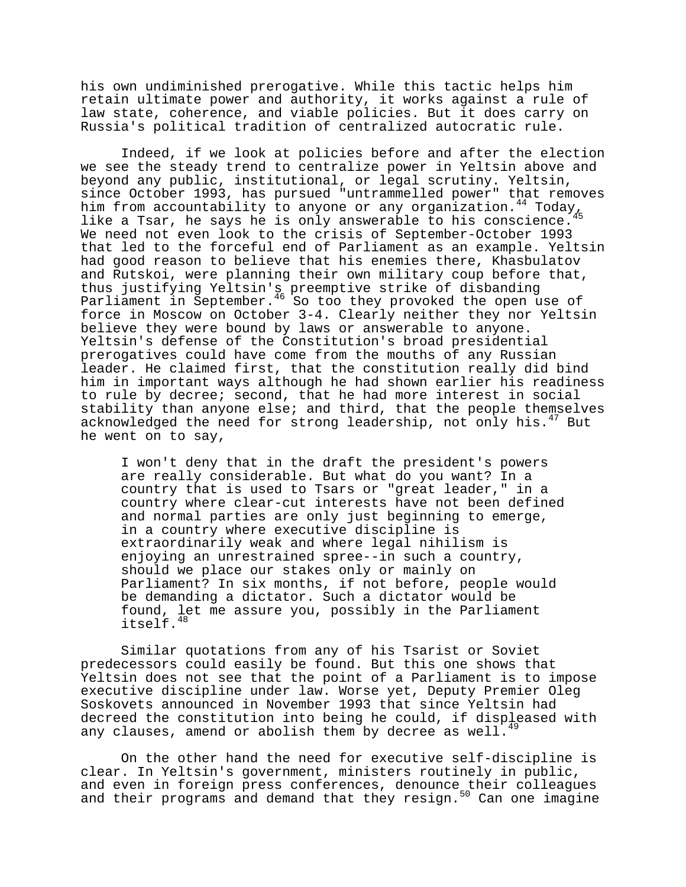his own undiminished prerogative. While this tactic helps him retain ultimate power and authority, it works against a rule of law state, coherence, and viable policies. But it does carry on Russia's political tradition of centralized autocratic rule.

Indeed, if we look at policies before and after the election we see the steady trend to centralize power in Yeltsin above and beyond any public, institutional, or legal scrutiny. Yeltsin, since October 1993, has pursued "untrammelled power" that removes him from accountability to anyone or any organization.<sup>44</sup> Today<sub>46</sub> like a Tsar, he says he is only answerable to his conscience. We need not even look to the crisis of September-October 1993 that led to the forceful end of Parliament as an example. Yeltsin had good reason to believe that his enemies there, Khasbulatov and Rutskoi, were planning their own military coup before that, thus justifying Yeltsin's preemptive strike of disbanding Parliament in September.<sup>46</sup> So too they provoked the open use of force in Moscow on October 3-4. Clearly neither they nor Yeltsin believe they were bound by laws or answerable to anyone. Yeltsin's defense of the Constitution's broad presidential prerogatives could have come from the mouths of any Russian leader. He claimed first, that the constitution really did bind him in important ways although he had shown earlier his readiness to rule by decree; second, that he had more interest in social stability than anyone else; and third, that the people themselves acknowledged the need for strong leadership, not only his.<sup>47</sup> But he went on to say,

I won't deny that in the draft the president's powers are really considerable. But what do you want? In a country that is used to Tsars or "great leader," in a country where clear-cut interests have not been defined and normal parties are only just beginning to emerge, in a country where executive discipline is extraordinarily weak and where legal nihilism is enjoying an unrestrained spree--in such a country, should we place our stakes only or mainly on Parliament? In six months, if not before, people would be demanding a dictator. Such a dictator would be found, let me assure you, possibly in the Parliament itself.48

Similar quotations from any of his Tsarist or Soviet predecessors could easily be found. But this one shows that Yeltsin does not see that the point of a Parliament is to impose executive discipline under law. Worse yet, Deputy Premier Oleg Soskovets announced in November 1993 that since Yeltsin had decreed the constitution into being he could, if displeased with any clauses, amend or abolish them by decree as well.<sup>45</sup>

On the other hand the need for executive self-discipline is clear. In Yeltsin's government, ministers routinely in public, and even in foreign press conferences, denounce their colleagues and their programs and demand that they resign.<sup>50</sup> Can one imagine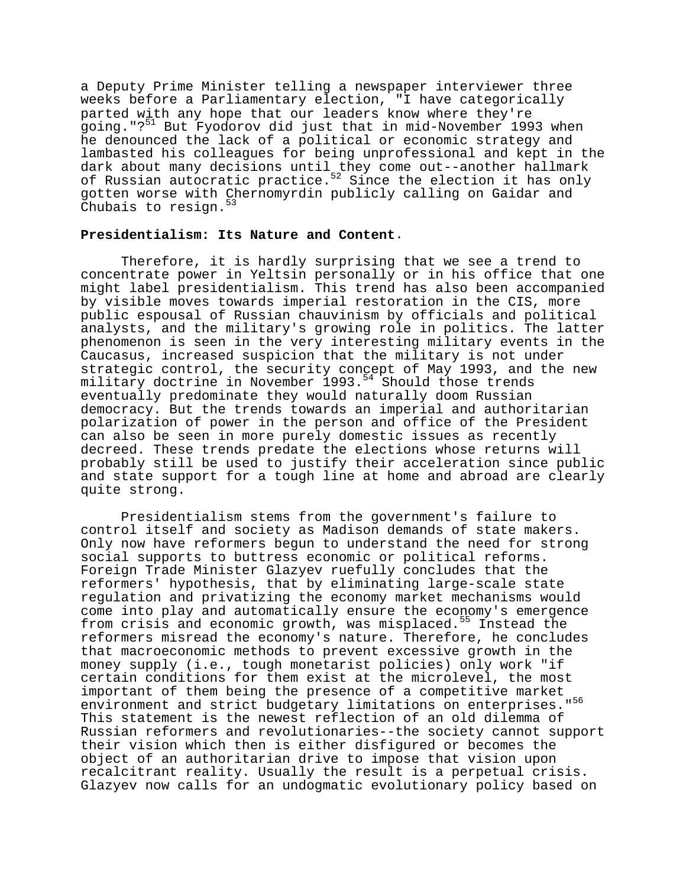a Deputy Prime Minister telling a newspaper interviewer three weeks before a Parliamentary election, "I have categorically parted with any hope that our leaders know where they're going."?<sup>51</sup> But Fyodorov did just that in mid-November 1993 when he denounced the lack of a political or economic strategy and lambasted his colleagues for being unprofessional and kept in the dark about many decisions until they come out--another hallmark of Russian autocratic practice.<sup>52</sup> Since the election it has only gotten worse with Chernomyrdin publicly calling on Gaidar and Chubais to resign.

# **Presidentialism: Its Nature and Content**.

Therefore, it is hardly surprising that we see a trend to concentrate power in Yeltsin personally or in his office that one might label presidentialism. This trend has also been accompanied by visible moves towards imperial restoration in the CIS, more public espousal of Russian chauvinism by officials and political analysts, and the military's growing role in politics. The latter phenomenon is seen in the very interesting military events in the Caucasus, increased suspicion that the military is not under strategic control, the security concept of May 1993, and the new military doctrine in November 1993.<sup>54</sup> Should those trends eventually predominate they would naturally doom Russian democracy. But the trends towards an imperial and authoritarian polarization of power in the person and office of the President can also be seen in more purely domestic issues as recently decreed. These trends predate the elections whose returns will probably still be used to justify their acceleration since public and state support for a tough line at home and abroad are clearly quite strong.

Presidentialism stems from the government's failure to control itself and society as Madison demands of state makers. Only now have reformers begun to understand the need for strong social supports to buttress economic or political reforms. Foreign Trade Minister Glazyev ruefully concludes that the reformers' hypothesis, that by eliminating large-scale state regulation and privatizing the economy market mechanisms would come into play and automatically ensure the economy's emergence from crisis and economic growth, was misplaced.<sup>55</sup> Instead the reformers misread the economy's nature. Therefore, he concludes that macroeconomic methods to prevent excessive growth in the money supply (i.e., tough monetarist policies) only work "if certain conditions for them exist at the microlevel, the most important of them being the presence of a competitive market environment and strict budgetary limitations on enterprises."<sup>56</sup> This statement is the newest reflection of an old dilemma of Russian reformers and revolutionaries--the society cannot support their vision which then is either disfigured or becomes the object of an authoritarian drive to impose that vision upon recalcitrant reality. Usually the result is a perpetual crisis. Glazyev now calls for an undogmatic evolutionary policy based on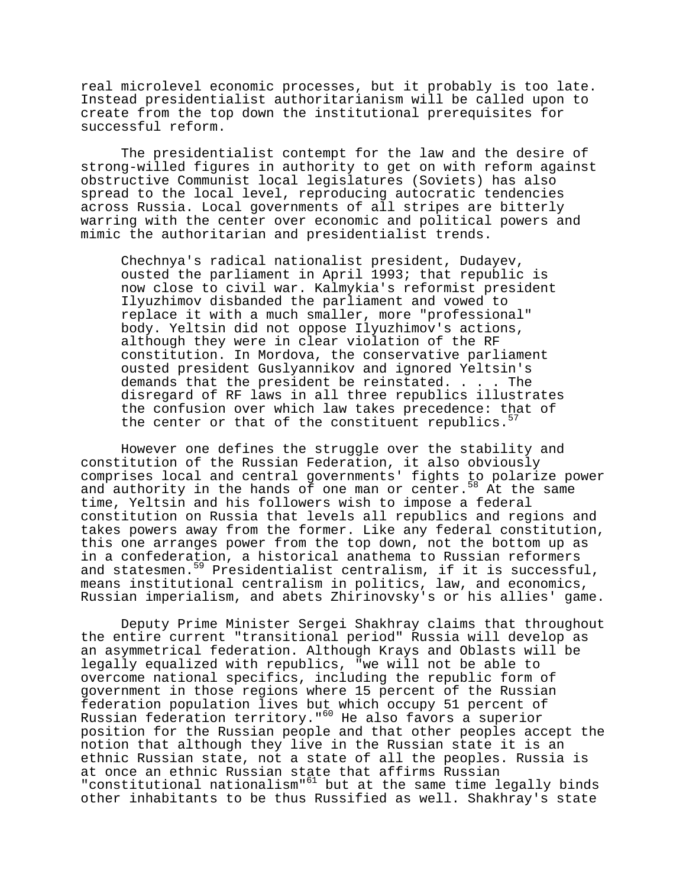real microlevel economic processes, but it probably is too late. Instead presidentialist authoritarianism will be called upon to create from the top down the institutional prerequisites for successful reform.

The presidentialist contempt for the law and the desire of strong-willed figures in authority to get on with reform against obstructive Communist local legislatures (Soviets) has also spread to the local level, reproducing autocratic tendencies across Russia. Local governments of all stripes are bitterly warring with the center over economic and political powers and mimic the authoritarian and presidentialist trends.

Chechnya's radical nationalist president, Dudayev, ousted the parliament in April 1993; that republic is now close to civil war. Kalmykia's reformist president Ilyuzhimov disbanded the parliament and vowed to replace it with a much smaller, more "professional" body. Yeltsin did not oppose Ilyuzhimov's actions, although they were in clear violation of the RF constitution. In Mordova, the conservative parliament ousted president Guslyannikov and ignored Yeltsin's demands that the president be reinstated. . . . The disregard of RF laws in all three republics illustrates the confusion over which law takes precedence: that of the center or that of the constituent republics. $57$ 

However one defines the struggle over the stability and constitution of the Russian Federation, it also obviously comprises local and central governments' fights to polarize power and authority in the hands of one man or center.<sup>58</sup> At the same time, Yeltsin and his followers wish to impose a federal constitution on Russia that levels all republics and regions and takes powers away from the former. Like any federal constitution, this one arranges power from the top down, not the bottom up as in a confederation, a historical anathema to Russian reformers and statesmen.<sup>59</sup> Presidentialist centralism, if it is successful, means institutional centralism in politics, law, and economics, Russian imperialism, and abets Zhirinovsky's or his allies' game.

Deputy Prime Minister Sergei Shakhray claims that throughout the entire current "transitional period" Russia will develop as an asymmetrical federation. Although Krays and Oblasts will be legally equalized with republics, "we will not be able to overcome national specifics, including the republic form of government in those regions where 15 percent of the Russian federation population lives but which occupy 51 percent of Russian federation territory."60 He also favors a superior position for the Russian people and that other peoples accept the notion that although they live in the Russian state it is an ethnic Russian state, not a state of all the peoples. Russia is at once an ethnic Russian state that affirms Russian "constitutional nationalism"61 but at the same time legally binds other inhabitants to be thus Russified as well. Shakhray's state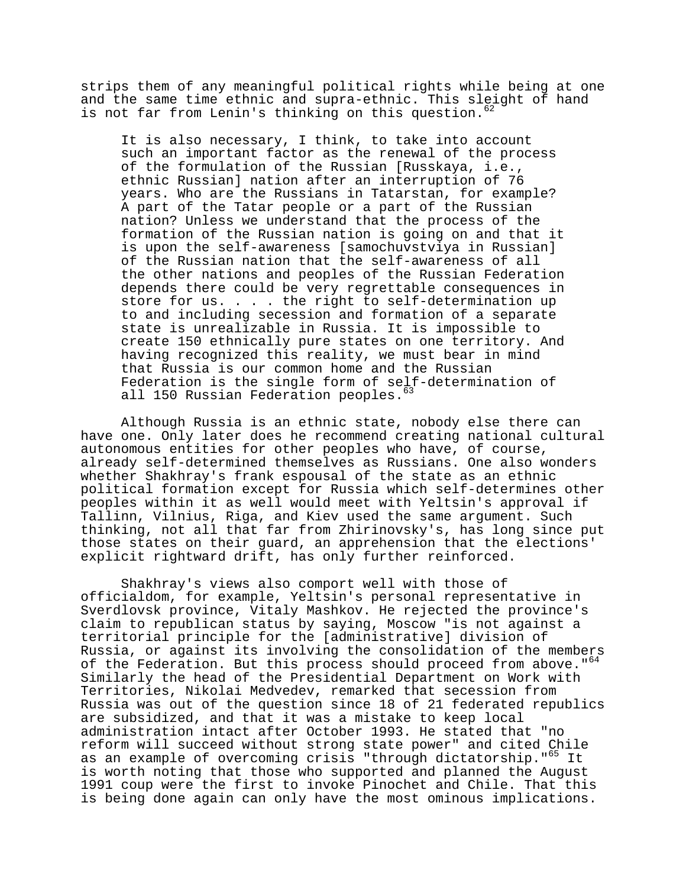strips them of any meaningful political rights while being at one and the same time ethnic and supra-ethnic. This sleight of hand is not far from Lenin's thinking on this question.<sup>62</sup>

It is also necessary, I think, to take into account such an important factor as the renewal of the process of the formulation of the Russian [Russkaya, i.e., ethnic Russian] nation after an interruption of 76 years. Who are the Russians in Tatarstan, for example? A part of the Tatar people or a part of the Russian nation? Unless we understand that the process of the formation of the Russian nation is going on and that it is upon the self-awareness [samochuvstviya in Russian] of the Russian nation that the self-awareness of all the other nations and peoples of the Russian Federation depends there could be very regrettable consequences in store for us. . . . the right to self-determination up to and including secession and formation of a separate state is unrealizable in Russia. It is impossible to create 150 ethnically pure states on one territory. And having recognized this reality, we must bear in mind that Russia is our common home and the Russian Federation is the single form of self-determination of all 150 Russian Federation peoples.<sup>63</sup>

Although Russia is an ethnic state, nobody else there can have one. Only later does he recommend creating national cultural autonomous entities for other peoples who have, of course, already self-determined themselves as Russians. One also wonders whether Shakhray's frank espousal of the state as an ethnic political formation except for Russia which self-determines other peoples within it as well would meet with Yeltsin's approval if Tallinn, Vilnius, Riga, and Kiev used the same argument. Such thinking, not all that far from Zhirinovsky's, has long since put those states on their guard, an apprehension that the elections' explicit rightward drift, has only further reinforced.

Shakhray's views also comport well with those of officialdom, for example, Yeltsin's personal representative in Sverdlovsk province, Vitaly Mashkov. He rejected the province's claim to republican status by saying, Moscow "is not against a territorial principle for the [administrative] division of Russia, or against its involving the consolidation of the members of the Federation. But this process should proceed from above."<sup>64</sup> Similarly the head of the Presidential Department on Work with Territories, Nikolai Medvedev, remarked that secession from Russia was out of the question since 18 of 21 federated republics are subsidized, and that it was a mistake to keep local administration intact after October 1993. He stated that "no reform will succeed without strong state power" and cited Chile as an example of overcoming crisis "through dictatorship."<sup>65</sup> It is worth noting that those who supported and planned the August 1991 coup were the first to invoke Pinochet and Chile. That this is being done again can only have the most ominous implications.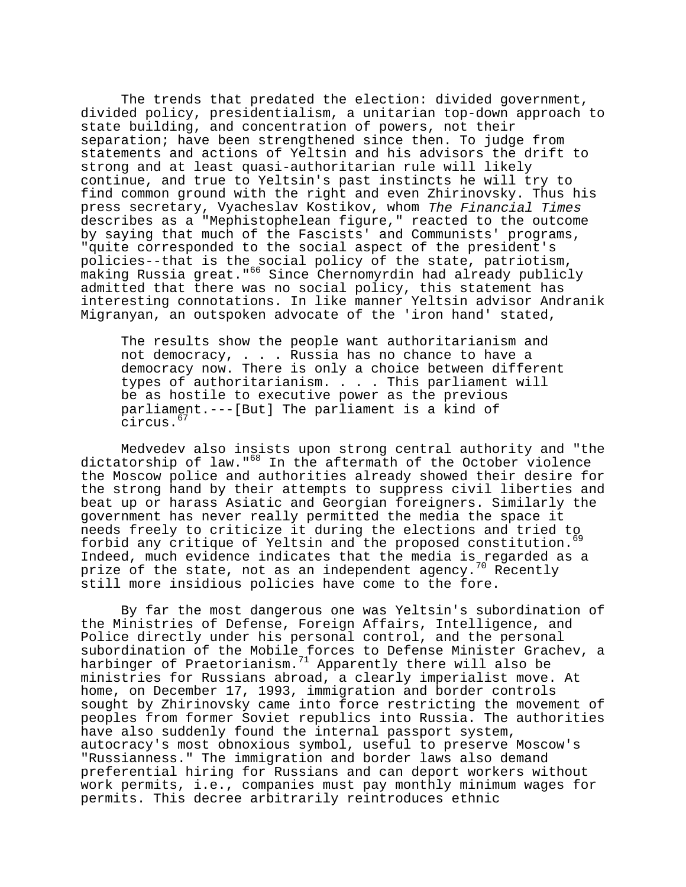The trends that predated the election: divided government, divided policy, presidentialism, a unitarian top-down approach to state building, and concentration of powers, not their separation; have been strengthened since then. To judge from statements and actions of Yeltsin and his advisors the drift to strong and at least quasi-authoritarian rule will likely continue, and true to Yeltsin's past instincts he will try to find common ground with the right and even Zhirinovsky. Thus his press secretary, Vyacheslav Kostikov, whom The Financial Times describes as a "Mephistophelean figure," reacted to the outcome by saying that much of the Fascists' and Communists' programs, "quite corresponded to the social aspect of the president's policies--that is the social policy of the state, patriotism, making Russia great."<sup>66</sup> Since Chernomyrdin had already publicly admitted that there was no social policy, this statement has interesting connotations. In like manner Yeltsin advisor Andranik Migranyan, an outspoken advocate of the 'iron hand' stated,

The results show the people want authoritarianism and not democracy, . . . Russia has no chance to have a democracy now. There is only a choice between different types of authoritarianism. . . . This parliament will be as hostile to executive power as the previous parliament.---[But] The parliament is a kind of circus.67

Medvedev also insists upon strong central authority and "the dictatorship of law."<sup>68</sup> In the aftermath of the October violence the Moscow police and authorities already showed their desire for the strong hand by their attempts to suppress civil liberties and beat up or harass Asiatic and Georgian foreigners. Similarly the government has never really permitted the media the space it needs freely to criticize it during the elections and tried to forbid any critique of Yeltsin and the proposed constitution.<sup>69</sup> Indeed, much evidence indicates that the media is regarded as a prize of the state, not as an independent agency.<sup>70</sup> Recently still more insidious policies have come to the fore.

By far the most dangerous one was Yeltsin's subordination of the Ministries of Defense, Foreign Affairs, Intelligence, and Police directly under his personal control, and the personal subordination of the Mobile forces to Defense Minister Grachev, a harbinger of Praetorianism. $11$  Apparently there will also be ministries for Russians abroad, a clearly imperialist move. At home, on December 17, 1993, immigration and border controls sought by Zhirinovsky came into force restricting the movement of peoples from former Soviet republics into Russia. The authorities have also suddenly found the internal passport system, autocracy's most obnoxious symbol, useful to preserve Moscow's "Russianness." The immigration and border laws also demand preferential hiring for Russians and can deport workers without work permits, i.e., companies must pay monthly minimum wages for permits. This decree arbitrarily reintroduces ethnic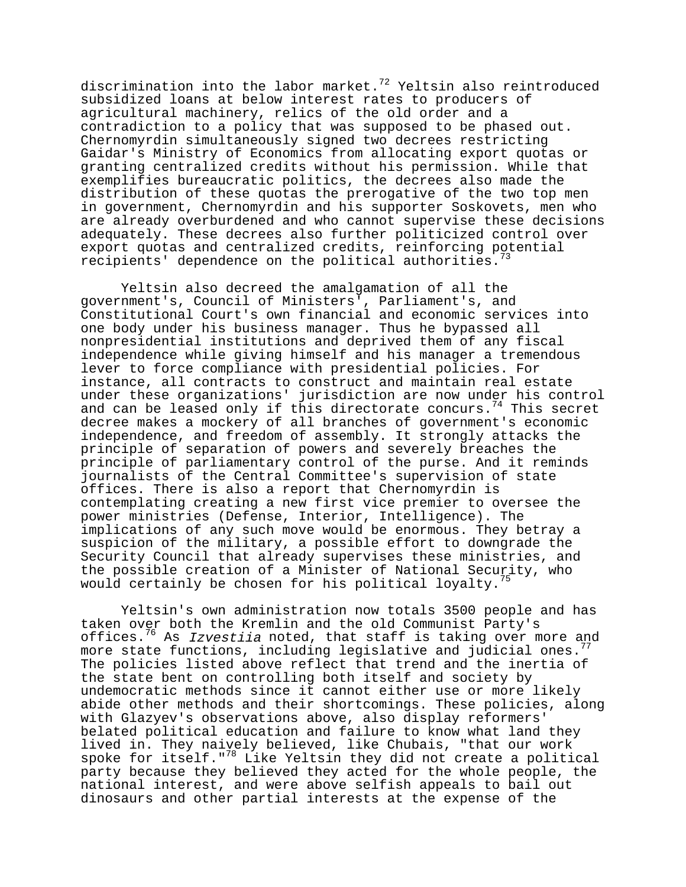discrimination into the labor market.<sup>72</sup> Yeltsin also reintroduced subsidized loans at below interest rates to producers of agricultural machinery, relics of the old order and a contradiction to a policy that was supposed to be phased out. Chernomyrdin simultaneously signed two decrees restricting Gaidar's Ministry of Economics from allocating export quotas or granting centralized credits without his permission. While that exemplifies bureaucratic politics, the decrees also made the distribution of these quotas the prerogative of the two top men in government, Chernomyrdin and his supporter Soskovets, men who are already overburdened and who cannot supervise these decisions adequately. These decrees also further politicized control over export quotas and centralized credits, reinforcing potential recipients' dependence on the political authorities.<sup>7</sup>

Yeltsin also decreed the amalgamation of all the government's, Council of Ministers', Parliament's, and Constitutional Court's own financial and economic services into one body under his business manager. Thus he bypassed all nonpresidential institutions and deprived them of any fiscal independence while giving himself and his manager a tremendous lever to force compliance with presidential policies. For instance, all contracts to construct and maintain real estate under these organizations' jurisdiction are now under his control and can be leased only if this directorate concurs.<sup>74</sup> This secret decree makes a mockery of all branches of government's economic independence, and freedom of assembly. It strongly attacks the principle of separation of powers and severely breaches the principle of parliamentary control of the purse. And it reminds journalists of the Central Committee's supervision of state offices. There is also a report that Chernomyrdin is contemplating creating a new first vice premier to oversee the power ministries (Defense, Interior, Intelligence). The implications of any such move would be enormous. They betray a suspicion of the military, a possible effort to downgrade the Security Council that already supervises these ministries, and the possible creation of a Minister of National Security, who would certainly be chosen for his political loyalty.<sup>75</sup>

Yeltsin's own administration now totals 3500 people and has taken over both the Kremlin and the old Communist Party's offices.<sup>76</sup> As *Izvestiia* noted, that staff is taking over more and more state functions, including legislative and judicial ones. The policies listed above reflect that trend and the inertia of the state bent on controlling both itself and society by undemocratic methods since it cannot either use or more likely abide other methods and their shortcomings. These policies, along with Glazyev's observations above, also display reformers' belated political education and failure to know what land they lived in. They naively believed, like Chubais, "that our work spoke for itself."<sup>78</sup> Like Yeltsin they did not create a political party because they believed they acted for the whole people, the national interest, and were above selfish appeals to bail out dinosaurs and other partial interests at the expense of the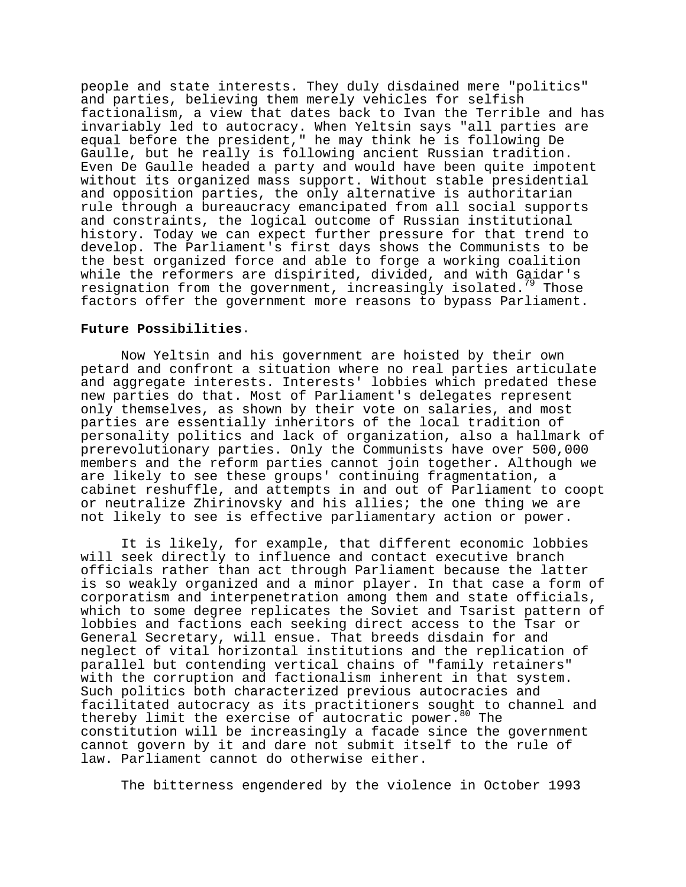people and state interests. They duly disdained mere "politics" and parties, believing them merely vehicles for selfish factionalism, a view that dates back to Ivan the Terrible and has invariably led to autocracy. When Yeltsin says "all parties are equal before the president," he may think he is following De Gaulle, but he really is following ancient Russian tradition. Even De Gaulle headed a party and would have been quite impotent without its organized mass support. Without stable presidential and opposition parties, the only alternative is authoritarian rule through a bureaucracy emancipated from all social supports and constraints, the logical outcome of Russian institutional history. Today we can expect further pressure for that trend to develop. The Parliament's first days shows the Communists to be the best organized force and able to forge a working coalition while the reformers are dispirited, divided, and with Gaidar's resignation from the government, increasingly isolated.<sup>79</sup> Those factors offer the government more reasons to bypass Parliament.

# **Future Possibilities**.

Now Yeltsin and his government are hoisted by their own petard and confront a situation where no real parties articulate and aggregate interests. Interests' lobbies which predated these new parties do that. Most of Parliament's delegates represent only themselves, as shown by their vote on salaries, and most parties are essentially inheritors of the local tradition of personality politics and lack of organization, also a hallmark of prerevolutionary parties. Only the Communists have over 500,000 members and the reform parties cannot join together. Although we are likely to see these groups' continuing fragmentation, a cabinet reshuffle, and attempts in and out of Parliament to coopt or neutralize Zhirinovsky and his allies; the one thing we are not likely to see is effective parliamentary action or power.

It is likely, for example, that different economic lobbies will seek directly to influence and contact executive branch officials rather than act through Parliament because the latter is so weakly organized and a minor player. In that case a form of corporatism and interpenetration among them and state officials, which to some degree replicates the Soviet and Tsarist pattern of lobbies and factions each seeking direct access to the Tsar or General Secretary, will ensue. That breeds disdain for and neglect of vital horizontal institutions and the replication of parallel but contending vertical chains of "family retainers" with the corruption and factionalism inherent in that system. Such politics both characterized previous autocracies and facilitated autocracy as its practitioners sought to channel and thereby limit the exercise of autocratic power.<sup>80</sup> The constitution will be increasingly a facade since the government cannot govern by it and dare not submit itself to the rule of law. Parliament cannot do otherwise either.

The bitterness engendered by the violence in October 1993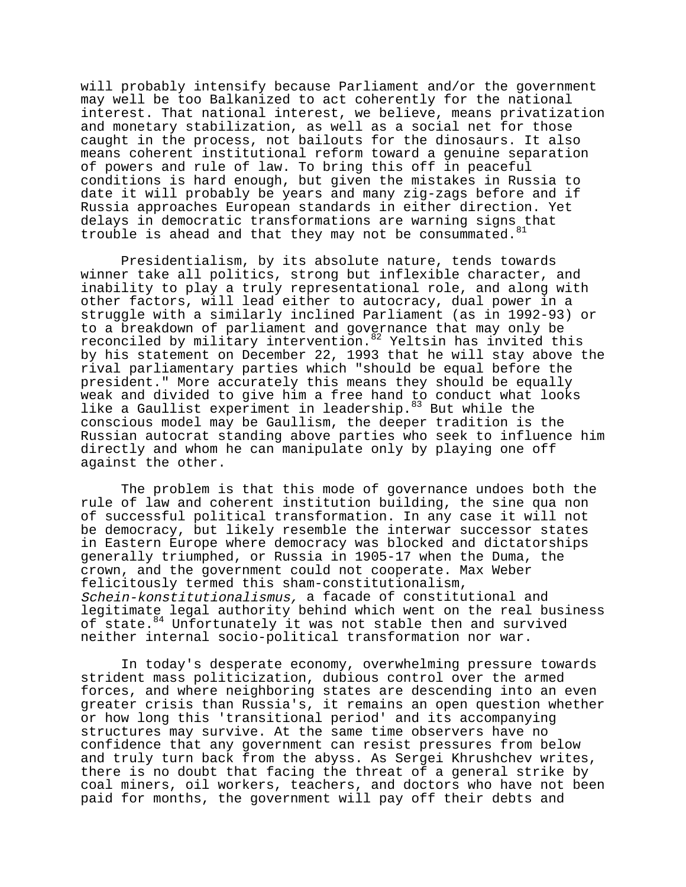will probably intensify because Parliament and/or the government may well be too Balkanized to act coherently for the national interest. That national interest, we believe, means privatization and monetary stabilization, as well as a social net for those caught in the process, not bailouts for the dinosaurs. It also means coherent institutional reform toward a genuine separation of powers and rule of law. To bring this off in peaceful conditions is hard enough, but given the mistakes in Russia to date it will probably be years and many zig-zags before and if Russia approaches European standards in either direction. Yet delays in democratic transformations are warning signs that trouble is ahead and that they may not be consummated.  $81$ 

Presidentialism, by its absolute nature, tends towards winner take all politics, strong but inflexible character, and inability to play a truly representational role, and along with other factors, will lead either to autocracy, dual power in a struggle with a similarly inclined Parliament (as in 1992-93) or to a breakdown of parliament and governance that may only be reconciled by military intervention.<sup>82</sup> Yeltsin has invited this by his statement on December 22, 1993 that he will stay above the rival parliamentary parties which "should be equal before the president." More accurately this means they should be equally weak and divided to give him a free hand to conduct what looks like a Gaullist experiment in leadership.<sup>83</sup> But while the conscious model may be Gaullism, the deeper tradition is the Russian autocrat standing above parties who seek to influence him directly and whom he can manipulate only by playing one off against the other.

The problem is that this mode of governance undoes both the rule of law and coherent institution building, the sine qua non of successful political transformation. In any case it will not be democracy, but likely resemble the interwar successor states in Eastern Europe where democracy was blocked and dictatorships generally triumphed, or Russia in 1905-17 when the Duma, the crown, and the government could not cooperate. Max Weber felicitously termed this sham-constitutionalism, Schein-konstitutionalismus, a facade of constitutional and legitimate legal authority behind which went on the real business of state.<sup>84</sup> Unfortunately it was not stable then and survived neither internal socio-political transformation nor war.

In today's desperate economy, overwhelming pressure towards strident mass politicization, dubious control over the armed forces, and where neighboring states are descending into an even greater crisis than Russia's, it remains an open question whether or how long this 'transitional period' and its accompanying structures may survive. At the same time observers have no confidence that any government can resist pressures from below and truly turn back from the abyss. As Sergei Khrushchev writes, there is no doubt that facing the threat of a general strike by coal miners, oil workers, teachers, and doctors who have not been paid for months, the government will pay off their debts and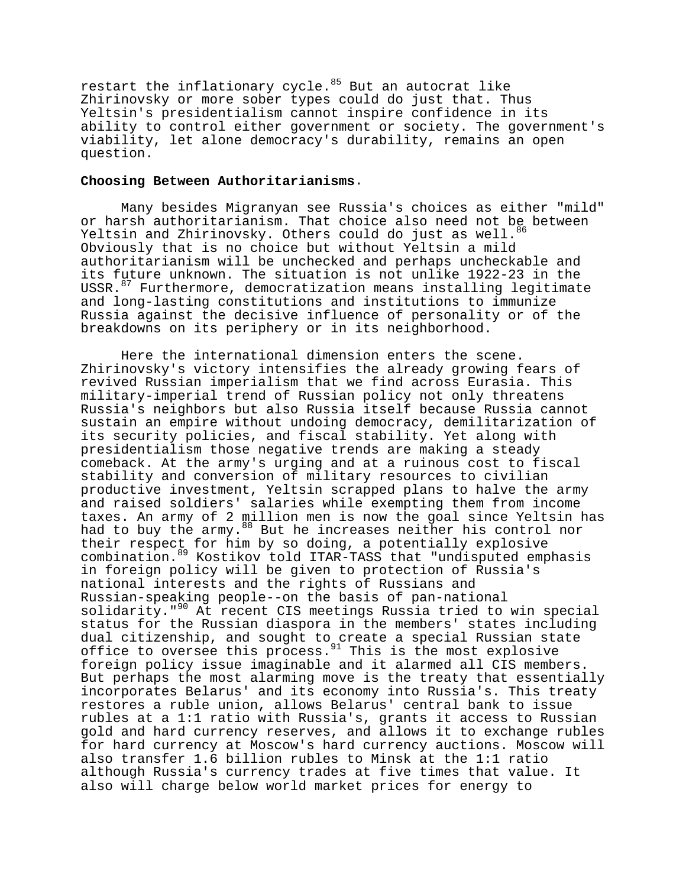restart the inflationary cycle. $85$  But an autocrat like Zhirinovsky or more sober types could do just that. Thus Yeltsin's presidentialism cannot inspire confidence in its ability to control either government or society. The government's viability, let alone democracy's durability, remains an open question.

# **Choosing Between Authoritarianisms**.

Many besides Migranyan see Russia's choices as either "mild" or harsh authoritarianism. That choice also need not be between Yeltsin and Zhirinovsky. Others could do just as well.<sup>86</sup> Obviously that is no choice but without Yeltsin a mild authoritarianism will be unchecked and perhaps uncheckable and its future unknown. The situation is not unlike 1922-23 in the USSR.<sup>87</sup> Furthermore, democratization means installing legitimate and long-lasting constitutions and institutions to immunize Russia against the decisive influence of personality or of the breakdowns on its periphery or in its neighborhood.

Here the international dimension enters the scene. Zhirinovsky's victory intensifies the already growing fears of revived Russian imperialism that we find across Eurasia. This military-imperial trend of Russian policy not only threatens Russia's neighbors but also Russia itself because Russia cannot sustain an empire without undoing democracy, demilitarization of its security policies, and fiscal stability. Yet along with presidentialism those negative trends are making a steady comeback. At the army's urging and at a ruinous cost to fiscal stability and conversion of military resources to civilian productive investment, Yeltsin scrapped plans to halve the army and raised soldiers' salaries while exempting them from income taxes. An army of 2 million men is now the goal since Yeltsin has had to buy the army.<sup>88</sup> But he increases neither his control nor their respect for him by so doing, a potentially explosive combination.89 Kostikov told ITAR-TASS that "undisputed emphasis in foreign policy will be given to protection of Russia's national interests and the rights of Russians and Russian-speaking people--on the basis of pan-national solidarity."<sup>90</sup> At recent CIS meetings Russia tried to win special status for the Russian diaspora in the members' states including dual citizenship, and sought to create a special Russian state office to oversee this process.91 This is the most explosive foreign policy issue imaginable and it alarmed all CIS members. But perhaps the most alarming move is the treaty that essentially incorporates Belarus' and its economy into Russia's. This treaty restores a ruble union, allows Belarus' central bank to issue rubles at a 1:1 ratio with Russia's, grants it access to Russian gold and hard currency reserves, and allows it to exchange rubles for hard currency at Moscow's hard currency auctions. Moscow will also transfer 1.6 billion rubles to Minsk at the 1:1 ratio although Russia's currency trades at five times that value. It also will charge below world market prices for energy to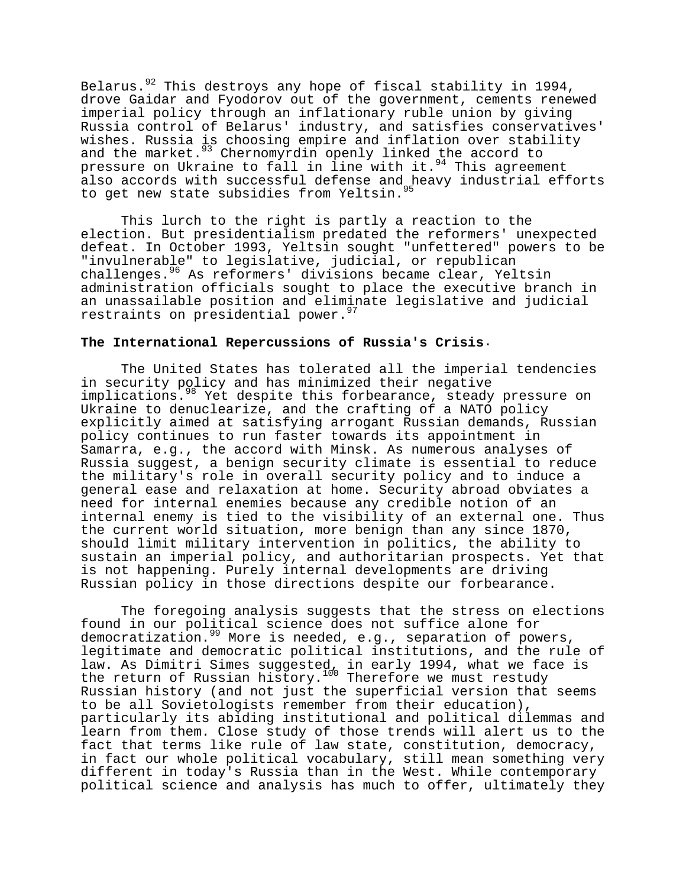Belarus. $92$  This destroys any hope of fiscal stability in 1994, drove Gaidar and Fyodorov out of the government, cements renewed imperial policy through an inflationary ruble union by giving Russia control of Belarus' industry, and satisfies conservatives' wishes. Russia is choosing empire and inflation over stability and the market.<sup>93</sup> Chernomyrdin openly linked the accord to pressure on Ukraine to fall in line with it.  $94$  This agreement also accords with successful defense and heavy industrial efforts to get new state subsidies from Yeltsin.<sup>95</sup>

This lurch to the right is partly a reaction to the election. But presidentialism predated the reformers' unexpected defeat. In October 1993, Yeltsin sought "unfettered" powers to be "invulnerable" to legislative, judicial, or republican challenges.96 As reformers' divisions became clear, Yeltsin administration officials sought to place the executive branch in an unassailable position and eliminate legislative and judicial restraints on presidential power.<sup>97</sup>

# **The International Repercussions of Russia's Crisis**.

The United States has tolerated all the imperial tendencies in security policy and has minimized their negative implications.<sup>98</sup> Yet despite this forbearance, steady pressure on Ukraine to denuclearize, and the crafting of a NATO policy explicitly aimed at satisfying arrogant Russian demands, Russian policy continues to run faster towards its appointment in Samarra, e.g., the accord with Minsk. As numerous analyses of Russia suggest, a benign security climate is essential to reduce the military's role in overall security policy and to induce a general ease and relaxation at home. Security abroad obviates a need for internal enemies because any credible notion of an internal enemy is tied to the visibility of an external one. Thus the current world situation, more benign than any since 1870, should limit military intervention in politics, the ability to sustain an imperial policy, and authoritarian prospects. Yet that is not happening. Purely internal developments are driving Russian policy in those directions despite our forbearance.

The foregoing analysis suggests that the stress on elections found in our political science does not suffice alone for democratization.<sup>99</sup> More is needed, e.g., separation of powers, legitimate and democratic political institutions, and the rule of law. As Dimitri Simes suggested, in early 1994, what we face is the return of Russian history.<sup>100</sup> Therefore we must restudy Russian history (and not just the superficial version that seems to be all Sovietologists remember from their education), particularly its abiding institutional and political dilemmas and learn from them. Close study of those trends will alert us to the fact that terms like rule of law state, constitution, democracy, in fact our whole political vocabulary, still mean something very different in today's Russia than in the West. While contemporary political science and analysis has much to offer, ultimately they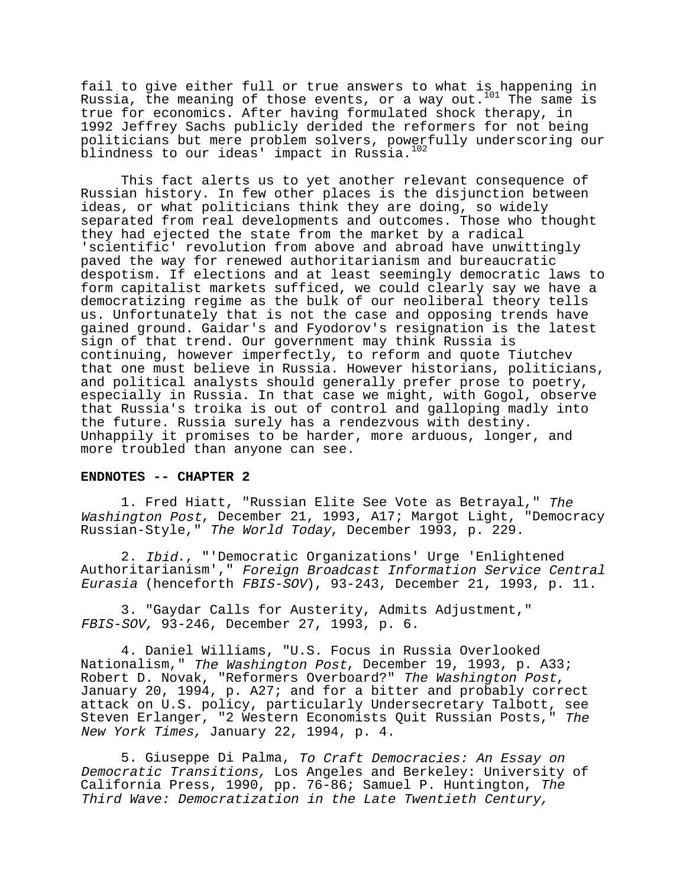fail to give either full or true answers to what is happening in Russia, the meaning of those events, or a way out.<sup>101</sup> The same is true for economics. After having formulated shock therapy, in 1992 Jeffrey Sachs publicly derided the reformers for not being politicians but mere problem solvers, powerfully underscoring our blindness to our ideas' impact in Russia.<sup>102</sup>

This fact alerts us to yet another relevant consequence of Russian history. In few other places is the disjunction between ideas, or what politicians think they are doing, so widely separated from real developments and outcomes. Those who thought they had ejected the state from the market by a radical 'scientific' revolution from above and abroad have unwittingly paved the way for renewed authoritarianism and bureaucratic despotism. If elections and at least seemingly democratic laws to form capitalist markets sufficed, we could clearly say we have a democratizing regime as the bulk of our neoliberal theory tells us. Unfortunately that is not the case and opposing trends have gained ground. Gaidar's and Fyodorov's resignation is the latest sign of that trend. Our government may think Russia is continuing, however imperfectly, to reform and quote Tiutchev that one must believe in Russia. However historians, politicians, and political analysts should generally prefer prose to poetry, especially in Russia. In that case we might, with Gogol, observe that Russia's troika is out of control and galloping madly into the future. Russia surely has a rendezvous with destiny. Unhappily it promises to be harder, more arduous, longer, and more troubled than anyone can see.

#### **ENDNOTES -- CHAPTER 2**

1. Fred Hiatt, "Russian Elite See Vote as Betrayal," The Washington Post, December 21, 1993, A17; Margot Light, "Democracy Russian-Style," The World Today, December 1993, p. 229.

2. Ibid., "'Democratic Organizations' Urge 'Enlightened Authoritarianism'," Foreign Broadcast Information Service Central Eurasia (henceforth FBIS-SOV), 93-243, December 21, 1993, p. 11.

3. "Gaydar Calls for Austerity, Admits Adjustment," FBIS-SOV, 93-246, December 27, 1993, p. 6.

4. Daniel Williams, "U.S. Focus in Russia Overlooked Nationalism," The Washington Post, December 19, 1993, p. A33; Robert D. Novak, "Reformers Overboard?" The Washington Post,<br>January 20, 1994, p. A27; and for a bitter and probably correct attack on U.S. policy, particularly Undersecretary Talbott, see Steven Erlanger, "2 Western Economists Quit Russian Posts," The New York Times, January 22, 1994, p. 4.

5. Giuseppe Di Palma, To Craft Democracies: An Essay on Democratic Transitions, Los Angeles and Berkeley: University of California Press, 1990, pp. 76-86; Samuel P. Huntington, The Third Wave: Democratization in the Late Twentieth Century,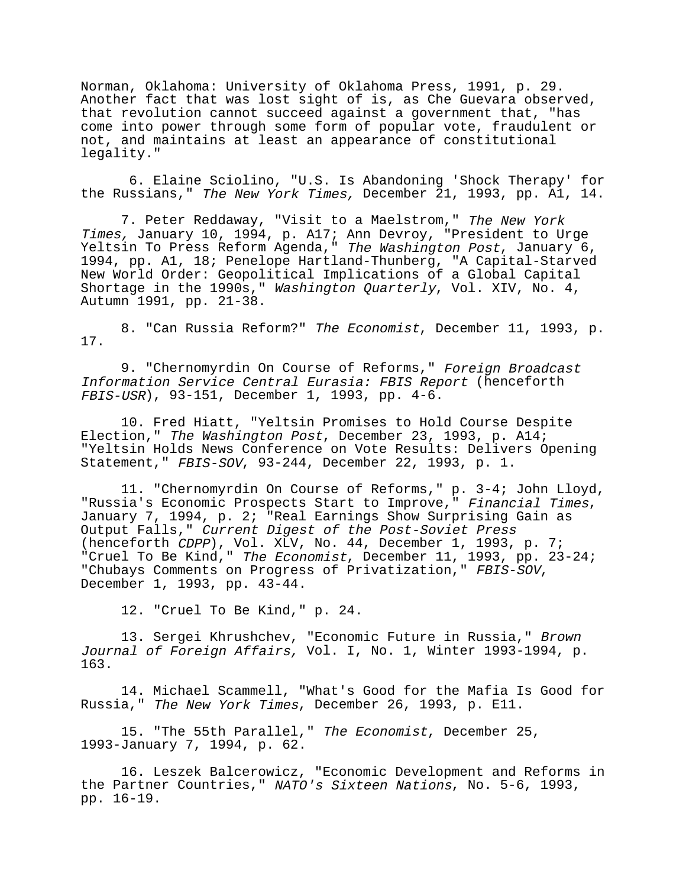Norman, Oklahoma: University of Oklahoma Press, 1991, p. 29. Another fact that was lost sight of is, as Che Guevara observed, that revolution cannot succeed against a government that, "has come into power through some form of popular vote, fraudulent or not, and maintains at least an appearance of constitutional legality."

 6. Elaine Sciolino, "U.S. Is Abandoning 'Shock Therapy' for the Russians," The New York Times, December 21, 1993, pp. A1, 14.

7. Peter Reddaway, "Visit to a Maelstrom," The New York Times, January 10, 1994, p. A17; Ann Devroy, "President to Urge Yeltsin To Press Reform Agenda," The Washington Post, January 6, 1994, pp. A1, 18; Penelope Hartland-Thunberg, "A Capital-Starved New World Order: Geopolitical Implications of a Global Capital Shortage in the 1990s," Washington Quarterly, Vol. XIV, No. 4, Autumn 1991, pp. 21-38.

8. "Can Russia Reform?" The Economist, December 11, 1993, p. 17.

9. "Chernomyrdin On Course of Reforms," Foreign Broadcast Information Service Central Eurasia: FBIS Report (henceforth FBIS-USR), 93-151, December 1, 1993, pp. 4-6.

10. Fred Hiatt, "Yeltsin Promises to Hold Course Despite Election," The Washington Post, December 23, 1993, p. A14; "Yeltsin Holds News Conference on Vote Results: Delivers Opening Statement," FBIS-SOV, 93-244, December 22, 1993, p. 1.

11. "Chernomyrdin On Course of Reforms," p. 3-4; John Lloyd, "Russia's Economic Prospects Start to Improve," Financial Times,<br>January 7, 1994, p. 2; "Real Earnings Show Surprising Gain as Output Falls," Current Digest of the Post-Soviet Press (henceforth CDPP), Vol. XLV, No. 44, December 1, 1993, p. 7; "Cruel To Be Kind," The Economist, December 11, 1993, pp. 23-24; "Chubays Comments on Progress of Privatization," FBIS-SOV,<br>December 1, 1993, pp. 43-44.

12. "Cruel To Be Kind," p. 24.

13. Sergei Khrushchev, "Economic Future in Russia," Brown Journal of Foreign Affairs, Vol. I, No. 1, Winter 1993-1994, p. 163.

14. Michael Scammell, "What's Good for the Mafia Is Good for Russia," The New York Times, December 26, 1993, p. E11.

15. "The 55th Parallel," The Economist, December 25, 1993-January 7, 1994, p. 62.

16. Leszek Balcerowicz, "Economic Development and Reforms in the Partner Countries," NATO's Sixteen Nations, No. 5-6, 1993, pp. 16-19.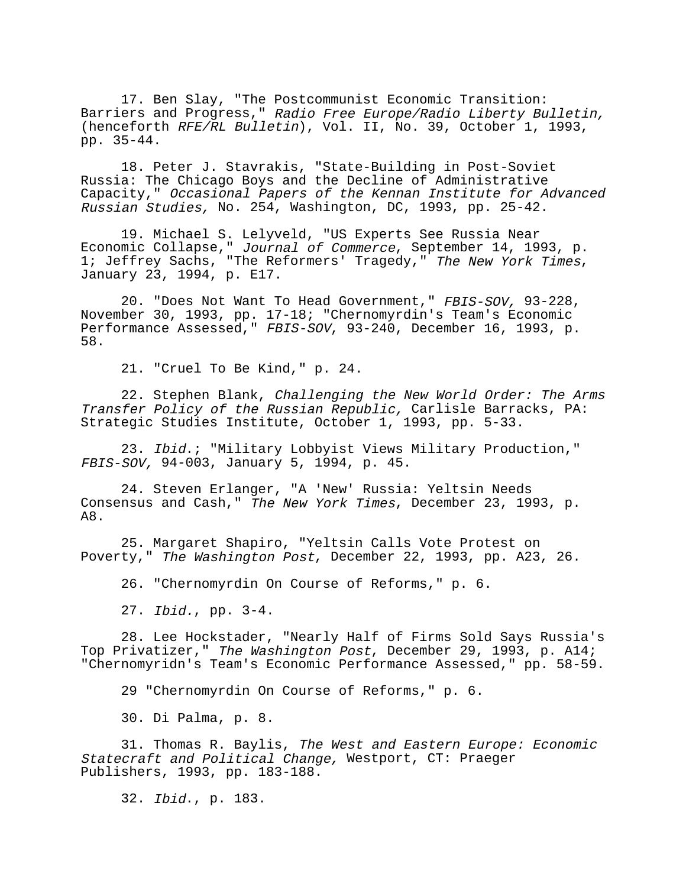17. Ben Slay, "The Postcommunist Economic Transition: Barriers and Progress," Radio Free Europe/Radio Liberty Bulletin, (henceforth RFE/RL Bulletin), Vol. II, No. 39, October 1, 1993, pp. 35-44.

18. Peter J. Stavrakis, "State-Building in Post-Soviet Russia: The Chicago Boys and the Decline of Administrative Capacity," Occasional Papers of the Kennan Institute for Advanced Russian Studies, No. 254, Washington, DC, 1993, pp. 25-42.

19. Michael S. Lelyveld, "US Experts See Russia Near Economic Collapse," Journal of Commerce, September 14, 1993, p. 1; Jeffrey Sachs, "The Reformers' Tragedy," The New York Times, January 23, 1994, p. E17.

20. "Does Not Want To Head Government," FBIS-SOV, 93-228, November 30, 1993, pp. 17-18; "Chernomyrdin's Team's Economic Performance Assessed," FBIS-SOV, 93-240, December 16, 1993, p. 58.

21. "Cruel To Be Kind," p. 24.

22. Stephen Blank, Challenging the New World Order: The Arms Transfer Policy of the Russian Republic, Carlisle Barracks, PA: Strategic Studies Institute, October 1, 1993, pp. 5-33.

23. Ibid.; "Military Lobbyist Views Military Production," FBIS-SOV, 94-003, January 5, 1994, p. 45.

24. Steven Erlanger, "A 'New' Russia: Yeltsin Needs Consensus and Cash," The New York Times, December 23, 1993, p. A8.

25. Margaret Shapiro, "Yeltsin Calls Vote Protest on Poverty," The Washington Post, December 22, 1993, pp. A23, 26.

26. "Chernomyrdin On Course of Reforms," p. 6.

27. Ibid., pp. 3-4.

28. Lee Hockstader, "Nearly Half of Firms Sold Says Russia's Top Privatizer," The Washington Post, December 29, 1993, p. A14; "Chernomyridn's Team's Economic Performance Assessed," pp. 58-59.

29 "Chernomyrdin On Course of Reforms," p. 6.

30. Di Palma, p. 8.

31. Thomas R. Baylis, The West and Eastern Europe: Economic Statecraft and Political Change, Westport, CT: Praeger Publishers, 1993, pp. 183-188.

32. Ibid., p. 183.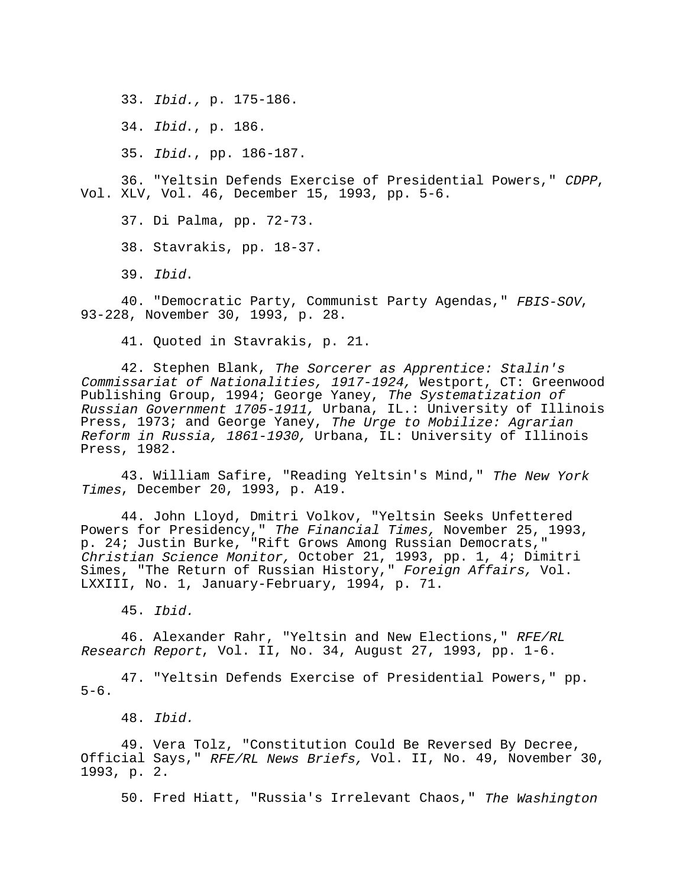33. Ibid., p. 175-186.

34. Ibid., p. 186.

35. Ibid., pp. 186-187.

36. "Yeltsin Defends Exercise of Presidential Powers," CDPP, Vol. XLV, Vol. 46, December 15, 1993, pp. 5-6.

37. Di Palma, pp. 72-73.

38. Stavrakis, pp. 18-37.

39. Ibid.

40. "Democratic Party, Communist Party Agendas," FBIS-SOV, 93-228, November 30, 1993, p. 28.

41. Quoted in Stavrakis, p. 21.

42. Stephen Blank, The Sorcerer as Apprentice: Stalin's Commissariat of Nationalities, 1917-1924, Westport, CT: Greenwood Publishing Group, 1994; George Yaney, The Systematization of Russian Government 1705-1911, Urbana, IL.: University of Illinois Press, 1973; and George Yaney, The Urge to Mobilize: Agrarian Reform in Russia, 1861-1930, Urbana, IL: University of Illinois Press, 1982.

43. William Safire, "Reading Yeltsin's Mind," The New York Times, December 20, 1993, p. A19.

44. John Lloyd, Dmitri Volkov, "Yeltsin Seeks Unfettered Powers for Presidency," The Financial Times, November 25, 1993, p. 24; Justin Burke, "Rift Grows Among Russian Democrats," Christian Science Monitor, October 21, 1993, pp. 1, 4; Dimitri Simes, "The Return of Russian History," Foreign Affairs, Vol. LXXIII, No. 1, January-February, 1994, p. 71.

45. Ibid.

46. Alexander Rahr, "Yeltsin and New Elections," RFE/RL Research Report, Vol. II, No. 34, August 27, 1993, pp. 1-6.

47. "Yeltsin Defends Exercise of Presidential Powers," pp.  $5-6$ .

48. Ibid.

49. Vera Tolz, "Constitution Could Be Reversed By Decree, Official Says," RFE/RL News Briefs, Vol. II, No. 49, November 30, 1993, p. 2.

50. Fred Hiatt, "Russia's Irrelevant Chaos," The Washington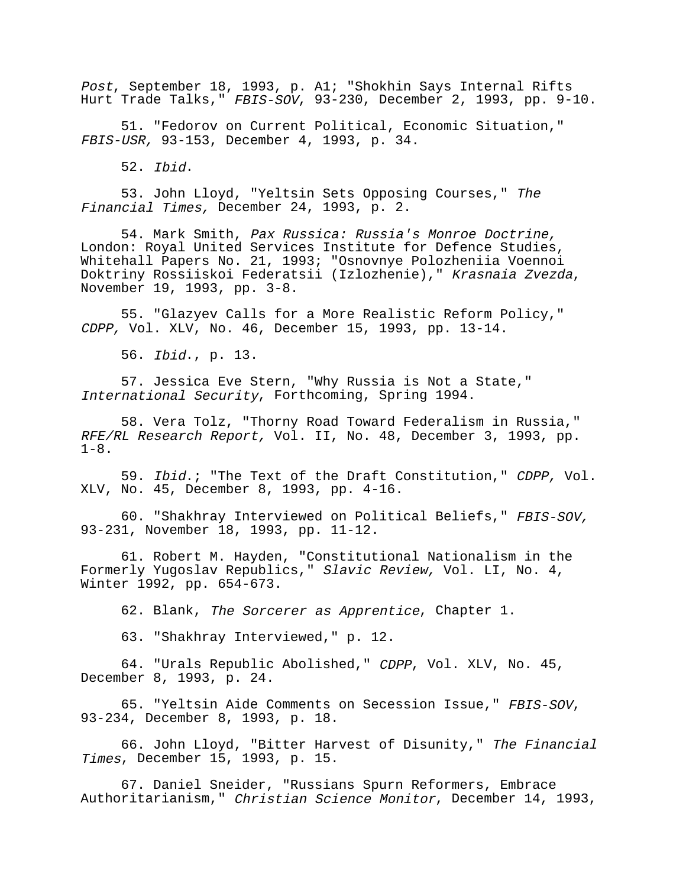Post, September 18, 1993, p. A1; "Shokhin Says Internal Rifts Hurt Trade Talks," FBIS-SOV, 93-230, December 2, 1993, pp. 9-10.

51. "Fedorov on Current Political, Economic Situation," FBIS-USR, 93-153, December 4, 1993, p. 34.

52. Ibid.

53. John Lloyd, "Yeltsin Sets Opposing Courses," The Financial Times, December 24, 1993, p. 2.

54. Mark Smith, Pax Russica: Russia's Monroe Doctrine, London: Royal United Services Institute for Defence Studies, Whitehall Papers No. 21, 1993; "Osnovnye Polozheniia Voennoi Doktriny Rossiiskoi Federatsii (Izlozhenie)," Krasnaia Zvezda, November 19, 1993, pp. 3-8.

55. "Glazyev Calls for a More Realistic Reform Policy," CDPP, Vol. XLV, No. 46, December 15, 1993, pp. 13-14.

56. Ibid., p. 13.

57. Jessica Eve Stern, "Why Russia is Not a State," International Security, Forthcoming, Spring 1994.

58. Vera Tolz, "Thorny Road Toward Federalism in Russia," RFE/RL Research Report, Vol. II, No. 48, December 3, 1993, pp.  $1-8$ .

59. Ibid.; "The Text of the Draft Constitution," CDPP, Vol. XLV, No. 45, December 8, 1993, pp. 4-16.

60. "Shakhray Interviewed on Political Beliefs," FBIS-SOV, 93-231, November 18, 1993, pp. 11-12.

61. Robert M. Hayden, "Constitutional Nationalism in the Formerly Yugoslav Republics," Slavic Review, Vol. LI, No. 4, Winter 1992, pp. 654-673.

62. Blank, The Sorcerer as Apprentice, Chapter 1.

63. "Shakhray Interviewed," p. 12.

64. "Urals Republic Abolished," CDPP, Vol. XLV, No. 45, December 8, 1993, p. 24.

65. "Yeltsin Aide Comments on Secession Issue," FBIS-SOV, 93-234, December 8, 1993, p. 18.

66. John Lloyd, "Bitter Harvest of Disunity," The Financial Times, December 15, 1993, p. 15.

67. Daniel Sneider, "Russians Spurn Reformers, Embrace Authoritarianism," Christian Science Monitor, December 14, 1993,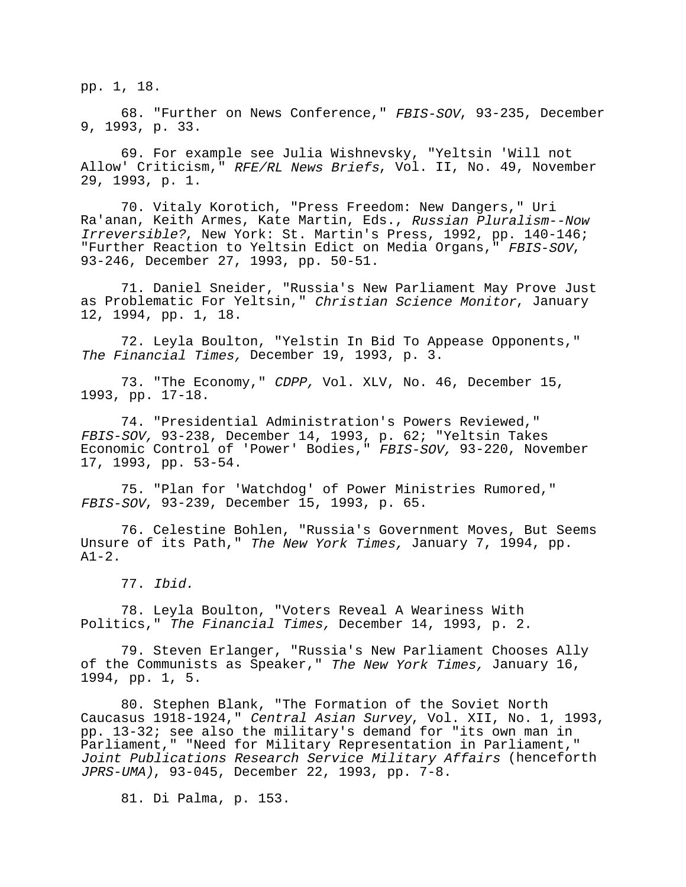pp. 1, 18.

68. "Further on News Conference," FBIS-SOV, 93-235, December 9, 1993, p. 33.

69. For example see Julia Wishnevsky, "Yeltsin 'Will not Allow' Criticism," RFE/RL News Briefs, Vol. II, No. 49, November 29, 1993, p. 1.

70. Vitaly Korotich, "Press Freedom: New Dangers," Uri Ra'anan, Keith Armes, Kate Martin, Eds., Russian Pluralism--Now Irreversible?, New York: St. Martin's Press, 1992, pp. 140-146; "Further Reaction to Yeltsin Edict on Media Organs," FBIS-SOV, 93-246, December 27, 1993, pp. 50-51.

71. Daniel Sneider, "Russia's New Parliament May Prove Just as Problematic For Yeltsin," Christian Science Monitor, January 12, 1994, pp. 1, 18.

72. Leyla Boulton, "Yelstin In Bid To Appease Opponents," The Financial Times, December 19, 1993, p. 3.

73. "The Economy," CDPP, Vol. XLV, No. 46, December 15, 1993, pp. 17-18.

74. "Presidential Administration's Powers Reviewed," FBIS-SOV, 93-238, December 14, 1993, p. 62; "Yeltsin Takes Economic Control of 'Power' Bodies," FBIS-SOV, 93-220, November 17, 1993, pp. 53-54.

75. "Plan for 'Watchdog' of Power Ministries Rumored," FBIS-SOV, 93-239, December 15, 1993, p. 65.

76. Celestine Bohlen, "Russia's Government Moves, But Seems Unsure of its Path," The New York Times, January 7, 1994, pp.  $A1-2.$ 

77. Ibid.

78. Leyla Boulton, "Voters Reveal A Weariness With Politics," The Financial Times, December 14, 1993, p. 2.

79. Steven Erlanger, "Russia's New Parliament Chooses Ally of the Communists as Speaker," The New York Times, January 16, 1994, pp. 1, 5.

80. Stephen Blank, "The Formation of the Soviet North Caucasus 1918-1924," Central Asian Survey, Vol. XII, No. 1, 1993, pp. 13-32; see also the military's demand for "its own man in Parliament," "Need for Military Representation in Parliament," Joint Publications Research Service Military Affairs (henceforth JPRS-UMA), 93-045, December 22, 1993, pp. 7-8.

81. Di Palma, p. 153.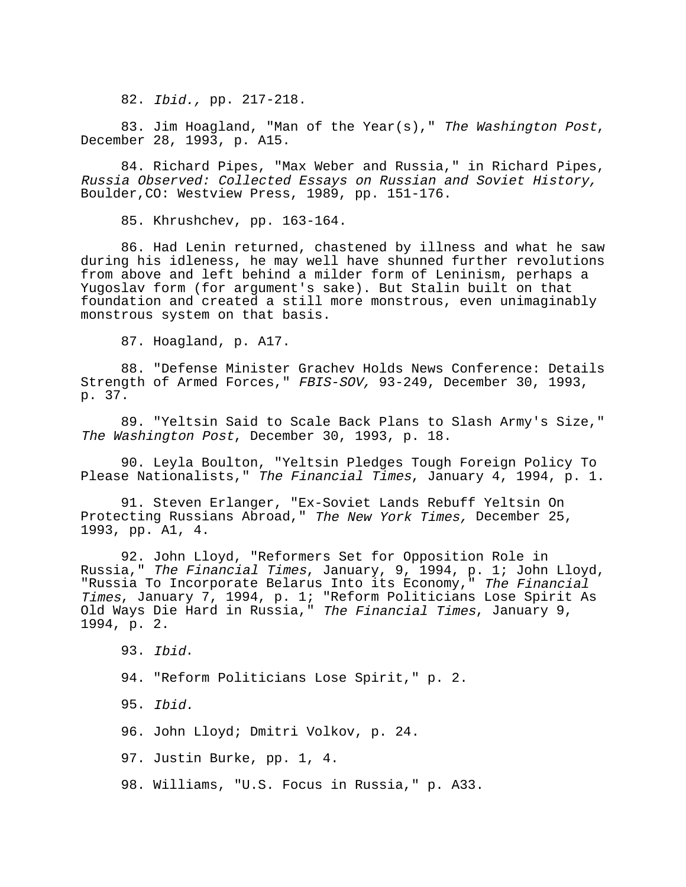82. Ibid., pp. 217-218.

83. Jim Hoagland, "Man of the Year(s)," The Washington Post, December 28, 1993, p. A15.

84. Richard Pipes, "Max Weber and Russia," in Richard Pipes, Russia Observed: Collected Essays on Russian and Soviet History, Boulder,CO: Westview Press, 1989, pp. 151-176.

85. Khrushchev, pp. 163-164.

86. Had Lenin returned, chastened by illness and what he saw during his idleness, he may well have shunned further revolutions from above and left behind a milder form of Leninism, perhaps a Yugoslav form (for argument's sake). But Stalin built on that foundation and created a still more monstrous, even unimaginably monstrous system on that basis.

87. Hoagland, p. A17.

88. "Defense Minister Grachev Holds News Conference: Details Strength of Armed Forces," FBIS-SOV, 93-249, December 30, 1993, p. 37.

89. "Yeltsin Said to Scale Back Plans to Slash Army's Size," The Washington Post, December 30, 1993, p. 18.

90. Leyla Boulton, "Yeltsin Pledges Tough Foreign Policy To Please Nationalists," The Financial Times, January 4, 1994, p. 1.

91. Steven Erlanger, "Ex-Soviet Lands Rebuff Yeltsin On Protecting Russians Abroad," The New York Times, December 25, 1993, pp. A1, 4.

92. John Lloyd, "Reformers Set for Opposition Role in Russia," The Financial Times, January, 9, 1994, p. 1; John Lloyd, "Russia To Incorporate Belarus Into its Economy," The Financial Times, January 7, 1994, p. 1; "Reform Politicians Lose Spirit As Old Ways Die Hard in Russia," The Financial Times, January 9, 1994, p. 2.

93. Ibid. 94. "Reform Politicians Lose Spirit," p. 2. 95. Ibid. 96. John Lloyd; Dmitri Volkov, p. 24. 97. Justin Burke, pp. 1, 4. 98. Williams, "U.S. Focus in Russia," p. A33.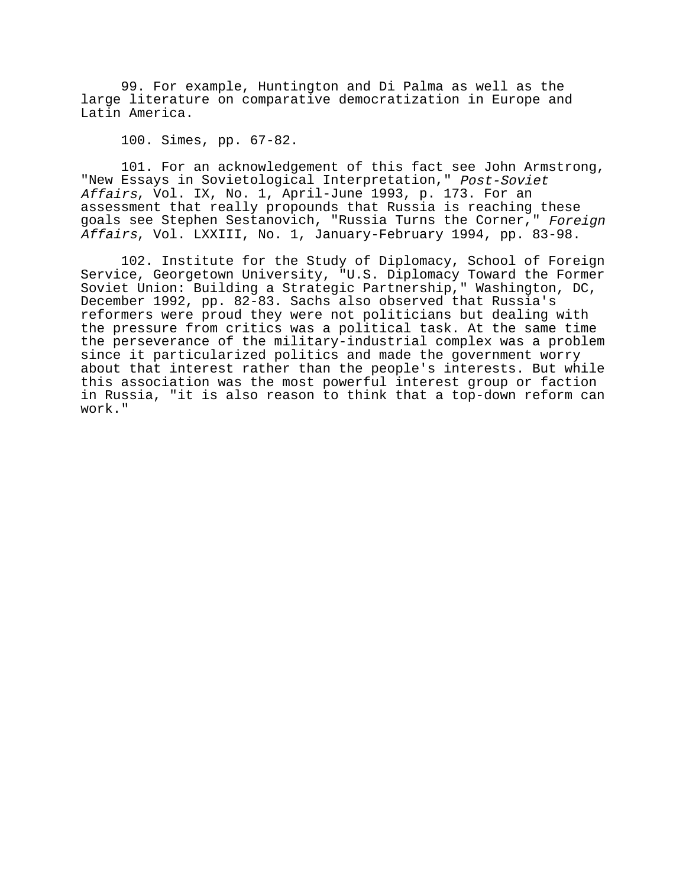99. For example, Huntington and Di Palma as well as the large literature on comparative democratization in Europe and Latin America.

100. Simes, pp. 67-82.

101. For an acknowledgement of this fact see John Armstrong, "New Essays in Sovietological Interpretation," Post-Soviet Affairs, Vol. IX, No. 1, April-June 1993, p. 173. For an assessment that really propounds that Russia is reaching these goals see Stephen Sestanovich, "Russia Turns the Corner," Foreign Affairs, Vol. LXXIII, No. 1, January-February 1994, pp. 83-98.

102. Institute for the Study of Diplomacy, School of Foreign Service, Georgetown University, "U.S. Diplomacy Toward the Former Soviet Union: Building a Strategic Partnership," Washington, DC, December 1992, pp. 82-83. Sachs also observed that Russia's reformers were proud they were not politicians but dealing with the pressure from critics was a political task. At the same time the perseverance of the military-industrial complex was a problem since it particularized politics and made the government worry about that interest rather than the people's interests. But while this association was the most powerful interest group or faction in Russia, "it is also reason to think that a top-down reform can work."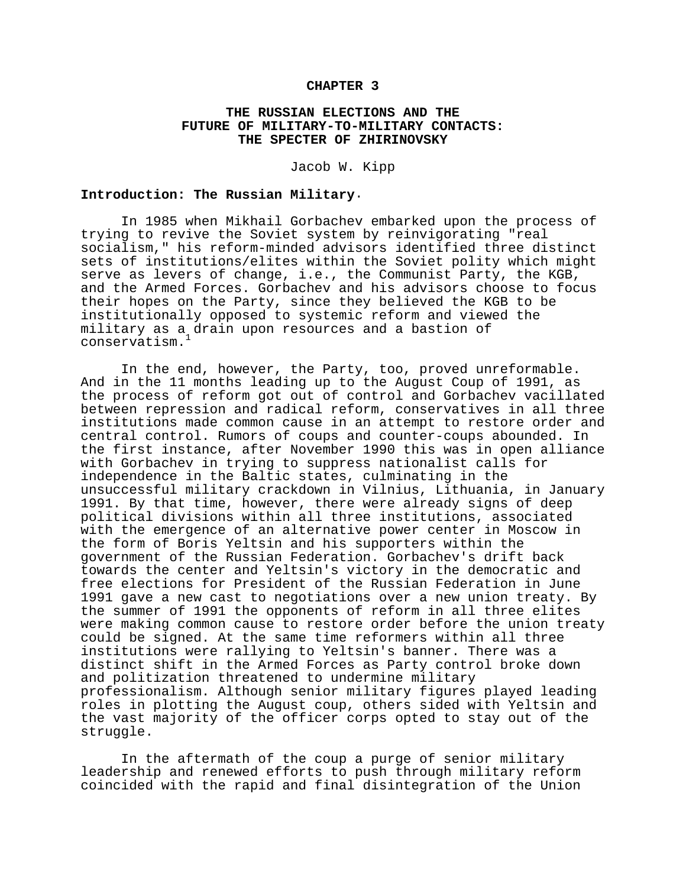#### **CHAPTER 3**

# **THE RUSSIAN ELECTIONS AND THE FUTURE OF MILITARY-TO-MILITARY CONTACTS: THE SPECTER OF ZHIRINOVSKY**

Jacob W. Kipp

#### **Introduction: The Russian Military**.

In 1985 when Mikhail Gorbachev embarked upon the process of trying to revive the Soviet system by reinvigorating "real socialism," his reform-minded advisors identified three distinct sets of institutions/elites within the Soviet polity which might serve as levers of change, i.e., the Communist Party, the KGB, and the Armed Forces. Gorbachev and his advisors choose to focus their hopes on the Party, since they believed the KGB to be institutionally opposed to systemic reform and viewed the military as a drain upon resources and a bastion of conservatism.1

In the end, however, the Party, too, proved unreformable. And in the 11 months leading up to the August Coup of 1991, as the process of reform got out of control and Gorbachev vacillated between repression and radical reform, conservatives in all three institutions made common cause in an attempt to restore order and central control. Rumors of coups and counter-coups abounded. In the first instance, after November 1990 this was in open alliance with Gorbachev in trying to suppress nationalist calls for independence in the Baltic states, culminating in the unsuccessful military crackdown in Vilnius, Lithuania, in January 1991. By that time, however, there were already signs of deep political divisions within all three institutions, associated with the emergence of an alternative power center in Moscow in the form of Boris Yeltsin and his supporters within the government of the Russian Federation. Gorbachev's drift back towards the center and Yeltsin's victory in the democratic and free elections for President of the Russian Federation in June 1991 gave a new cast to negotiations over a new union treaty. By the summer of 1991 the opponents of reform in all three elites were making common cause to restore order before the union treaty could be signed. At the same time reformers within all three institutions were rallying to Yeltsin's banner. There was a distinct shift in the Armed Forces as Party control broke down and politization threatened to undermine military professionalism. Although senior military figures played leading roles in plotting the August coup, others sided with Yeltsin and the vast majority of the officer corps opted to stay out of the struggle.

In the aftermath of the coup a purge of senior military leadership and renewed efforts to push through military reform coincided with the rapid and final disintegration of the Union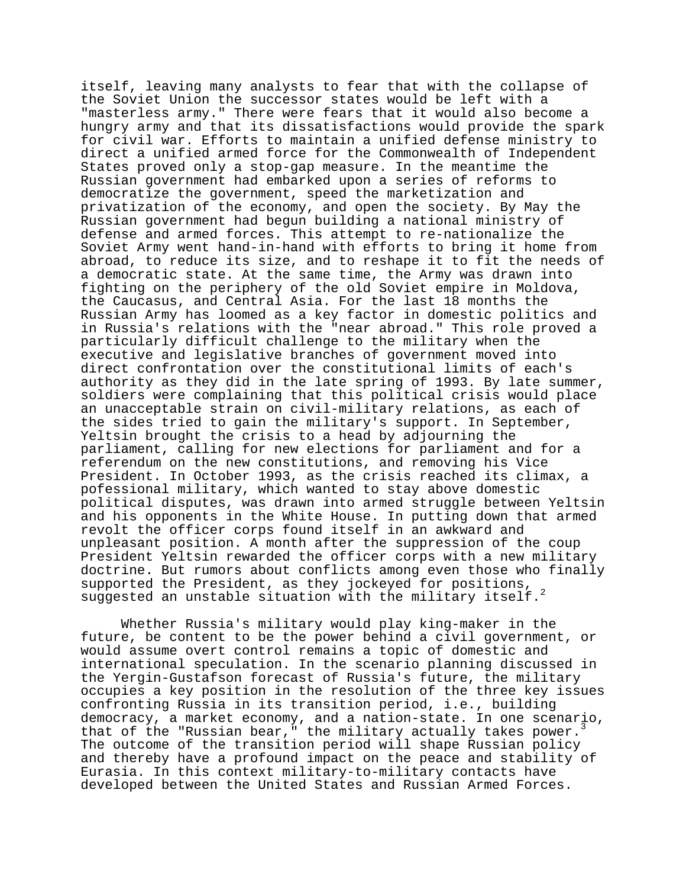itself, leaving many analysts to fear that with the collapse of the Soviet Union the successor states would be left with a "masterless army." There were fears that it would also become a hungry army and that its dissatisfactions would provide the spark for civil war. Efforts to maintain a unified defense ministry to direct a unified armed force for the Commonwealth of Independent States proved only a stop-gap measure. In the meantime the Russian government had embarked upon a series of reforms to democratize the government, speed the marketization and privatization of the economy, and open the society. By May the Russian government had begun building a national ministry of defense and armed forces. This attempt to re-nationalize the Soviet Army went hand-in-hand with efforts to bring it home from abroad, to reduce its size, and to reshape it to fit the needs of a democratic state. At the same time, the Army was drawn into fighting on the periphery of the old Soviet empire in Moldova, the Caucasus, and Central Asia. For the last 18 months the Russian Army has loomed as a key factor in domestic politics and in Russia's relations with the "near abroad." This role proved a particularly difficult challenge to the military when the executive and legislative branches of government moved into direct confrontation over the constitutional limits of each's authority as they did in the late spring of 1993. By late summer, soldiers were complaining that this political crisis would place an unacceptable strain on civil-military relations, as each of the sides tried to gain the military's support. In September, Yeltsin brought the crisis to a head by adjourning the parliament, calling for new elections for parliament and for a referendum on the new constitutions, and removing his Vice President. In October 1993, as the crisis reached its climax, a pofessional military, which wanted to stay above domestic political disputes, was drawn into armed struggle between Yeltsin and his opponents in the White House. In putting down that armed revolt the officer corps found itself in an awkward and unpleasant position. A month after the suppression of the coup President Yeltsin rewarded the officer corps with a new military doctrine. But rumors about conflicts among even those who finally supported the President, as they jockeyed for positions, suggested an unstable situation with the military itself.<sup>2</sup>

Whether Russia's military would play king-maker in the future, be content to be the power behind a civil government, or would assume overt control remains a topic of domestic and international speculation. In the scenario planning discussed in the Yergin-Gustafson forecast of Russia's future, the military occupies a key position in the resolution of the three key issues confronting Russia in its transition period, i.e., building democracy, a market economy, and a nation-state. In one scenario, that of the "Russian bear," the military actually takes power. The outcome of the transition period will shape Russian policy and thereby have a profound impact on the peace and stability of Eurasia. In this context military-to-military contacts have developed between the United States and Russian Armed Forces.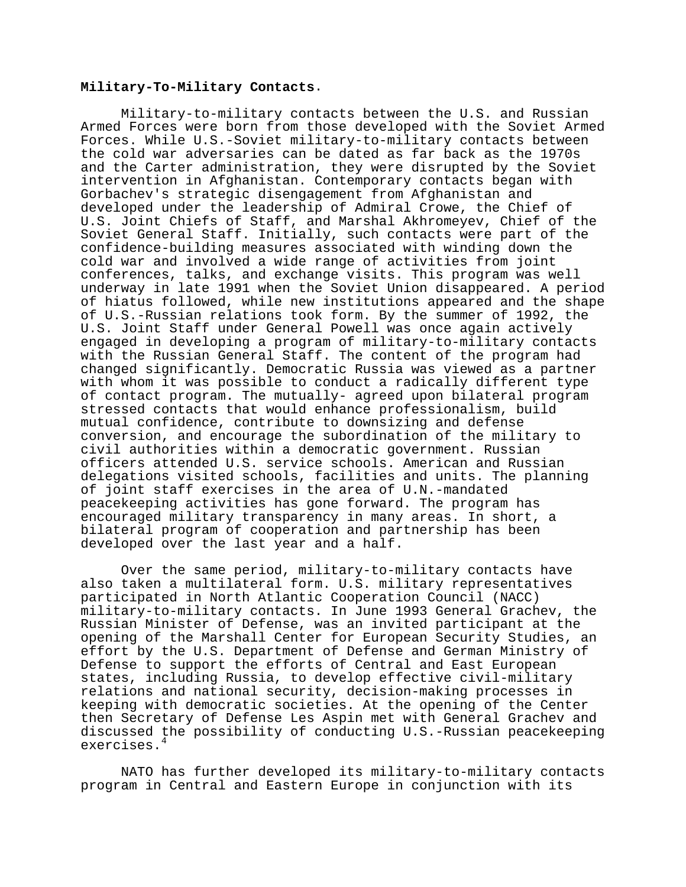### **Military-To-Military Contacts**.

Military-to-military contacts between the U.S. and Russian Armed Forces were born from those developed with the Soviet Armed Forces. While U.S.-Soviet military-to-military contacts between the cold war adversaries can be dated as far back as the 1970s and the Carter administration, they were disrupted by the Soviet intervention in Afghanistan. Contemporary contacts began with Gorbachev's strategic disengagement from Afghanistan and developed under the leadership of Admiral Crowe, the Chief of U.S. Joint Chiefs of Staff, and Marshal Akhromeyev, Chief of the Soviet General Staff. Initially, such contacts were part of the confidence-building measures associated with winding down the cold war and involved a wide range of activities from joint conferences, talks, and exchange visits. This program was well underway in late 1991 when the Soviet Union disappeared. A period of hiatus followed, while new institutions appeared and the shape of U.S.-Russian relations took form. By the summer of 1992, the U.S. Joint Staff under General Powell was once again actively engaged in developing a program of military-to-military contacts with the Russian General Staff. The content of the program had changed significantly. Democratic Russia was viewed as a partner with whom it was possible to conduct a radically different type of contact program. The mutually- agreed upon bilateral program stressed contacts that would enhance professionalism, build mutual confidence, contribute to downsizing and defense conversion, and encourage the subordination of the military to civil authorities within a democratic government. Russian officers attended U.S. service schools. American and Russian delegations visited schools, facilities and units. The planning of joint staff exercises in the area of U.N.-mandated peacekeeping activities has gone forward. The program has encouraged military transparency in many areas. In short, a bilateral program of cooperation and partnership has been developed over the last year and a half.

Over the same period, military-to-military contacts have also taken a multilateral form. U.S. military representatives participated in North Atlantic Cooperation Council (NACC) military-to-military contacts. In June 1993 General Grachev, the Russian Minister of Defense, was an invited participant at the opening of the Marshall Center for European Security Studies, an effort by the U.S. Department of Defense and German Ministry of Defense to support the efforts of Central and East European states, including Russia, to develop effective civil-military relations and national security, decision-making processes in keeping with democratic societies. At the opening of the Center then Secretary of Defense Les Aspin met with General Grachev and discussed the possibility of conducting U.S.-Russian peacekeeping exercises.<sup>4</sup>

NATO has further developed its military-to-military contacts program in Central and Eastern Europe in conjunction with its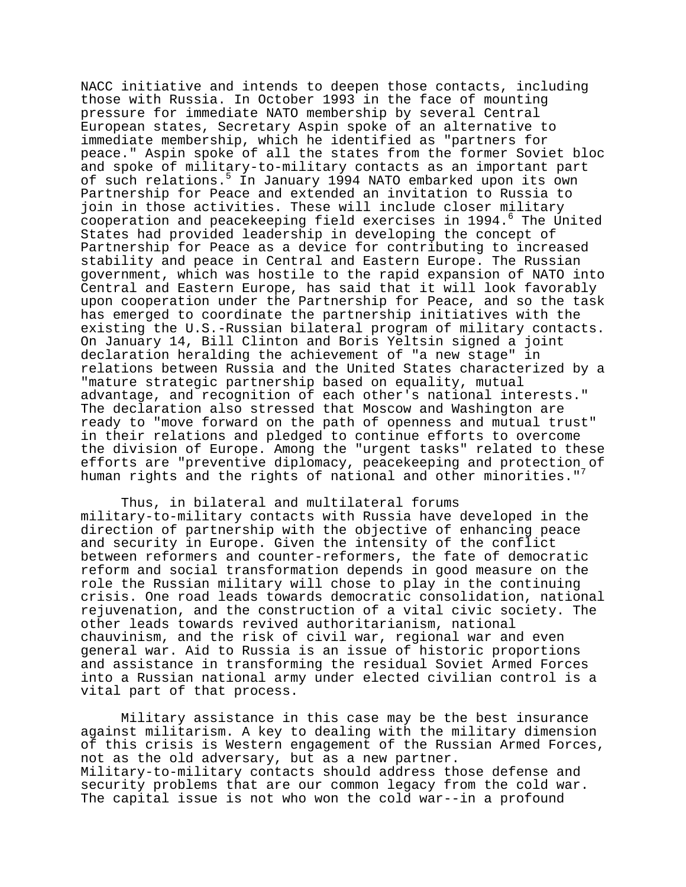NACC initiative and intends to deepen those contacts, including those with Russia. In October 1993 in the face of mounting pressure for immediate NATO membership by several Central European states, Secretary Aspin spoke of an alternative to immediate membership, which he identified as "partners for peace." Aspin spoke of all the states from the former Soviet bloc and spoke of military-to-military contacts as an important part of such relations.<sup>5</sup> In January 1994 NATO embarked upon its own Partnership for Peace and extended an invitation to Russia to join in those activities. These will include closer military cooperation and peacekeeping field exercises in 1994.<sup>6</sup> The United States had provided leadership in developing the concept of Partnership for Peace as a device for contributing to increased stability and peace in Central and Eastern Europe. The Russian government, which was hostile to the rapid expansion of NATO into Central and Eastern Europe, has said that it will look favorably upon cooperation under the Partnership for Peace, and so the task has emerged to coordinate the partnership initiatives with the existing the U.S.-Russian bilateral program of military contacts. On January 14, Bill Clinton and Boris Yeltsin signed a joint declaration heralding the achievement of "a new stage" in relations between Russia and the United States characterized by a "mature strategic partnership based on equality, mutual advantage, and recognition of each other's national interests." The declaration also stressed that Moscow and Washington are ready to "move forward on the path of openness and mutual trust" in their relations and pledged to continue efforts to overcome the division of Europe. Among the "urgent tasks" related to these efforts are "preventive diplomacy, peacekeeping and protection of human rights and the rights of national and other minorities."<sup>7</sup>

Thus, in bilateral and multilateral forums military-to-military contacts with Russia have developed in the direction of partnership with the objective of enhancing peace and security in Europe. Given the intensity of the conflict between reformers and counter-reformers, the fate of democratic reform and social transformation depends in good measure on the role the Russian military will chose to play in the continuing crisis. One road leads towards democratic consolidation, national rejuvenation, and the construction of a vital civic society. The other leads towards revived authoritarianism, national chauvinism, and the risk of civil war, regional war and even general war. Aid to Russia is an issue of historic proportions and assistance in transforming the residual Soviet Armed Forces into a Russian national army under elected civilian control is a vital part of that process.

Military assistance in this case may be the best insurance against militarism. A key to dealing with the military dimension of this crisis is Western engagement of the Russian Armed Forces, not as the old adversary, but as a new partner. Military-to-military contacts should address those defense and security problems that are our common legacy from the cold war. The capital issue is not who won the cold war--in a profound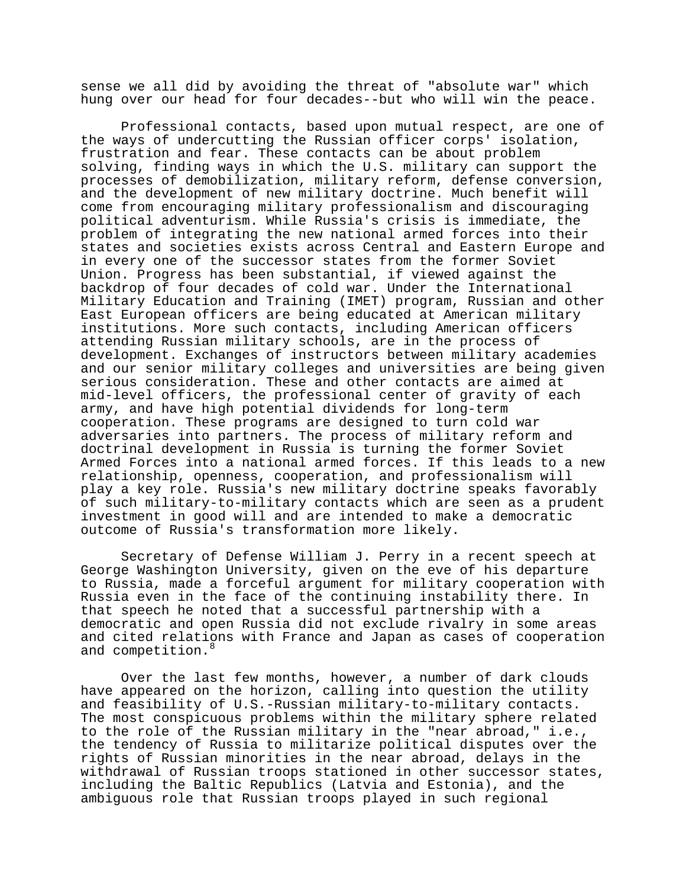sense we all did by avoiding the threat of "absolute war" which hung over our head for four decades--but who will win the peace.

Professional contacts, based upon mutual respect, are one of the ways of undercutting the Russian officer corps' isolation, frustration and fear. These contacts can be about problem solving, finding ways in which the U.S. military can support the processes of demobilization, military reform, defense conversion, and the development of new military doctrine. Much benefit will come from encouraging military professionalism and discouraging political adventurism. While Russia's crisis is immediate, the problem of integrating the new national armed forces into their states and societies exists across Central and Eastern Europe and in every one of the successor states from the former Soviet Union. Progress has been substantial, if viewed against the backdrop of four decades of cold war. Under the International Military Education and Training (IMET) program, Russian and other East European officers are being educated at American military institutions. More such contacts, including American officers attending Russian military schools, are in the process of development. Exchanges of instructors between military academies and our senior military colleges and universities are being given serious consideration. These and other contacts are aimed at mid-level officers, the professional center of gravity of each army, and have high potential dividends for long-term cooperation. These programs are designed to turn cold war adversaries into partners. The process of military reform and doctrinal development in Russia is turning the former Soviet Armed Forces into a national armed forces. If this leads to a new relationship, openness, cooperation, and professionalism will play a key role. Russia's new military doctrine speaks favorably of such military-to-military contacts which are seen as a prudent investment in good will and are intended to make a democratic outcome of Russia's transformation more likely.

Secretary of Defense William J. Perry in a recent speech at George Washington University, given on the eve of his departure to Russia, made a forceful argument for military cooperation with Russia even in the face of the continuing instability there. In that speech he noted that a successful partnership with a democratic and open Russia did not exclude rivalry in some areas and cited relations with France and Japan as cases of cooperation and competition.<sup>8</sup>

Over the last few months, however, a number of dark clouds have appeared on the horizon, calling into question the utility and feasibility of U.S.-Russian military-to-military contacts. The most conspicuous problems within the military sphere related to the role of the Russian military in the "near abroad," i.e., the tendency of Russia to militarize political disputes over the rights of Russian minorities in the near abroad, delays in the withdrawal of Russian troops stationed in other successor states, including the Baltic Republics (Latvia and Estonia), and the ambiguous role that Russian troops played in such regional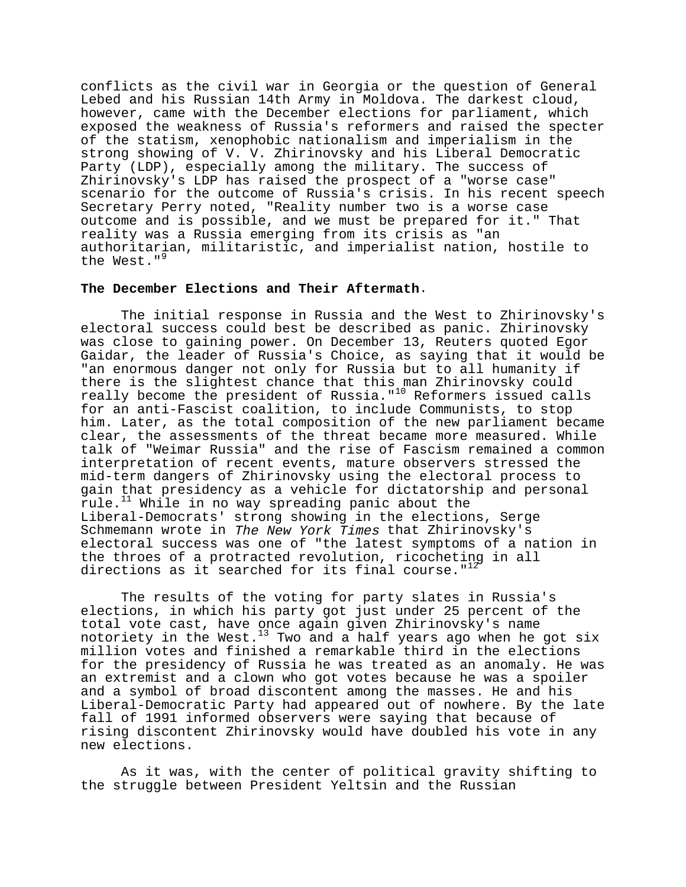conflicts as the civil war in Georgia or the question of General Lebed and his Russian 14th Army in Moldova. The darkest cloud, however, came with the December elections for parliament, which exposed the weakness of Russia's reformers and raised the specter of the statism, xenophobic nationalism and imperialism in the strong showing of V. V. Zhirinovsky and his Liberal Democratic Party (LDP), especially among the military. The success of Zhirinovsky's LDP has raised the prospect of a "worse case" scenario for the outcome of Russia's crisis. In his recent speech Secretary Perry noted, "Reality number two is a worse case outcome and is possible, and we must be prepared for it." That reality was a Russia emerging from its crisis as "an authoritarian, militaristic, and imperialist nation, hostile to the West."<sup>9</sup>

# **The December Elections and Their Aftermath**.

The initial response in Russia and the West to Zhirinovsky's electoral success could best be described as panic. Zhirinovsky was close to gaining power. On December 13, Reuters quoted Egor Gaidar, the leader of Russia's Choice, as saying that it would be "an enormous danger not only for Russia but to all humanity if there is the slightest chance that this man Zhirinovsky could really become the president of Russia."<sup>10</sup> Reformers issued calls for an anti-Fascist coalition, to include Communists, to stop him. Later, as the total composition of the new parliament became clear, the assessments of the threat became more measured. While talk of "Weimar Russia" and the rise of Fascism remained a common interpretation of recent events, mature observers stressed the mid-term dangers of Zhirinovsky using the electoral process to gain that presidency as a vehicle for dictatorship and personal rule. $11$  While in no way spreading panic about the Liberal-Democrats' strong showing in the elections, Serge Schmemann wrote in The New York Times that Zhirinovsky's electoral success was one of "the latest symptoms of a nation in the throes of a protracted revolution, ricocheting in all directions as it searched for its final course." $12$ 

The results of the voting for party slates in Russia's elections, in which his party got just under 25 percent of the total vote cast, have once again given Zhirinovsky's name notoriety in the West.<sup>13</sup> Two and a half years ago when he got six million votes and finished a remarkable third in the elections for the presidency of Russia he was treated as an anomaly. He was an extremist and a clown who got votes because he was a spoiler and a symbol of broad discontent among the masses. He and his Liberal-Democratic Party had appeared out of nowhere. By the late fall of 1991 informed observers were saying that because of rising discontent Zhirinovsky would have doubled his vote in any new elections.

As it was, with the center of political gravity shifting to the struggle between President Yeltsin and the Russian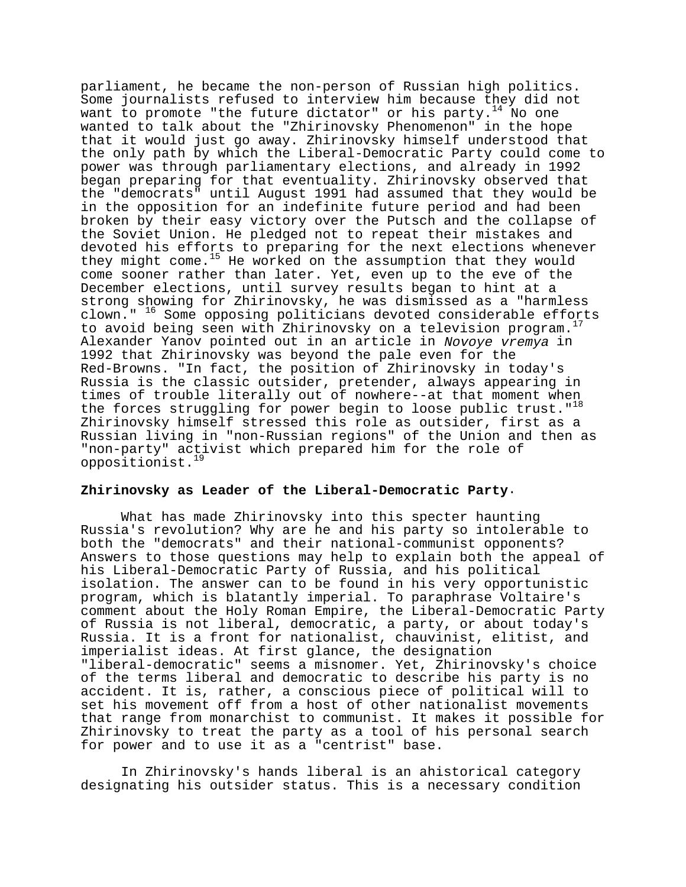parliament, he became the non-person of Russian high politics. Some journalists refused to interview him because they did not want to promote "the future dictator" or his party. $14$  No one wanted to talk about the "Zhirinovsky Phenomenon" in the hope that it would just go away. Zhirinovsky himself understood that the only path by which the Liberal-Democratic Party could come to power was through parliamentary elections, and already in 1992 began preparing for that eventuality. Zhirinovsky observed that the "democrats" until August 1991 had assumed that they would be in the opposition for an indefinite future period and had been broken by their easy victory over the Putsch and the collapse of the Soviet Union. He pledged not to repeat their mistakes and devoted his efforts to preparing for the next elections whenever they might come.<sup>15</sup> He worked on the assumption that they would come sooner rather than later. Yet, even up to the eve of the December elections, until survey results began to hint at a strong showing for Zhirinovsky, he was dismissed as a "harmless clown." 16 Some opposing politicians devoted considerable efforts to avoid being seen with Zhirinovsky on a television program. Alexander Yanov pointed out in an article in Novoye vremya in 1992 that Zhirinovsky was beyond the pale even for the Red-Browns. "In fact, the position of Zhirinovsky in today's Russia is the classic outsider, pretender, always appearing in times of trouble literally out of nowhere--at that moment when the forces struggling for power begin to loose public trust.  $"$ <sup>18</sup> Zhirinovsky himself stressed this role as outsider, first as a Russian living in "non-Russian regions" of the Union and then as "non-party" activist which prepared him for the role of oppositionist.

# **Zhirinovsky as Leader of the Liberal-Democratic Party**.

What has made Zhirinovsky into this specter haunting Russia's revolution? Why are he and his party so intolerable to both the "democrats" and their national-communist opponents? Answers to those questions may help to explain both the appeal of his Liberal-Democratic Party of Russia, and his political isolation. The answer can to be found in his very opportunistic program, which is blatantly imperial. To paraphrase Voltaire's comment about the Holy Roman Empire, the Liberal-Democratic Party of Russia is not liberal, democratic, a party, or about today's Russia. It is a front for nationalist, chauvinist, elitist, and imperialist ideas. At first glance, the designation "liberal-democratic" seems a misnomer. Yet, Zhirinovsky's choice of the terms liberal and democratic to describe his party is no accident. It is, rather, a conscious piece of political will to set his movement off from a host of other nationalist movements that range from monarchist to communist. It makes it possible for Zhirinovsky to treat the party as a tool of his personal search for power and to use it as a "centrist" base.

In Zhirinovsky's hands liberal is an ahistorical category designating his outsider status. This is a necessary condition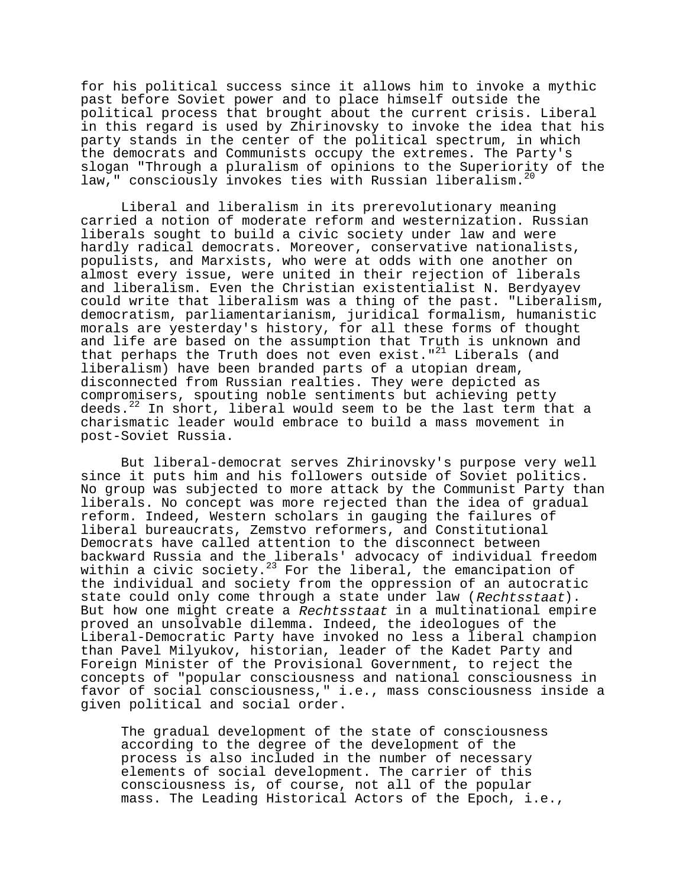for his political success since it allows him to invoke a mythic past before Soviet power and to place himself outside the political process that brought about the current crisis. Liberal in this regard is used by Zhirinovsky to invoke the idea that his party stands in the center of the political spectrum, in which the democrats and Communists occupy the extremes. The Party's slogan "Through a pluralism of opinions to the Superiority of the law," consciously invokes ties with Russian liberalism.<sup>20</sup>

Liberal and liberalism in its prerevolutionary meaning carried a notion of moderate reform and westernization. Russian liberals sought to build a civic society under law and were hardly radical democrats. Moreover, conservative nationalists, populists, and Marxists, who were at odds with one another on almost every issue, were united in their rejection of liberals and liberalism. Even the Christian existentialist N. Berdyayev could write that liberalism was a thing of the past. "Liberalism, democratism, parliamentarianism, juridical formalism, humanistic morals are yesterday's history, for all these forms of thought and life are based on the assumption that Truth is unknown and that perhaps the Truth does not even exist."<sup>21</sup> Liberals (and liberalism) have been branded parts of a utopian dream, disconnected from Russian realties. They were depicted as compromisers, spouting noble sentiments but achieving petty deeds.22 In short, liberal would seem to be the last term that a charismatic leader would embrace to build a mass movement in post-Soviet Russia.

But liberal-democrat serves Zhirinovsky's purpose very well since it puts him and his followers outside of Soviet politics. No group was subjected to more attack by the Communist Party than liberals. No concept was more rejected than the idea of gradual reform. Indeed, Western scholars in gauging the failures of liberal bureaucrats, Zemstvo reformers, and Constitutional Democrats have called attention to the disconnect between backward Russia and the liberals' advocacy of individual freedom within a civic society.<sup>23</sup> For the liberal, the emancipation of the individual and society from the oppression of an autocratic state could only come through a state under law (Rechtsstaat). But how one might create a Rechtsstaat in a multinational empire proved an unsolvable dilemma. Indeed, the ideologues of the Liberal-Democratic Party have invoked no less a liberal champion than Pavel Milyukov, historian, leader of the Kadet Party and Foreign Minister of the Provisional Government, to reject the concepts of "popular consciousness and national consciousness in favor of social consciousness," i.e., mass consciousness inside a given political and social order.

The gradual development of the state of consciousness according to the degree of the development of the process is also included in the number of necessary elements of social development. The carrier of this consciousness is, of course, not all of the popular mass. The Leading Historical Actors of the Epoch, i.e.,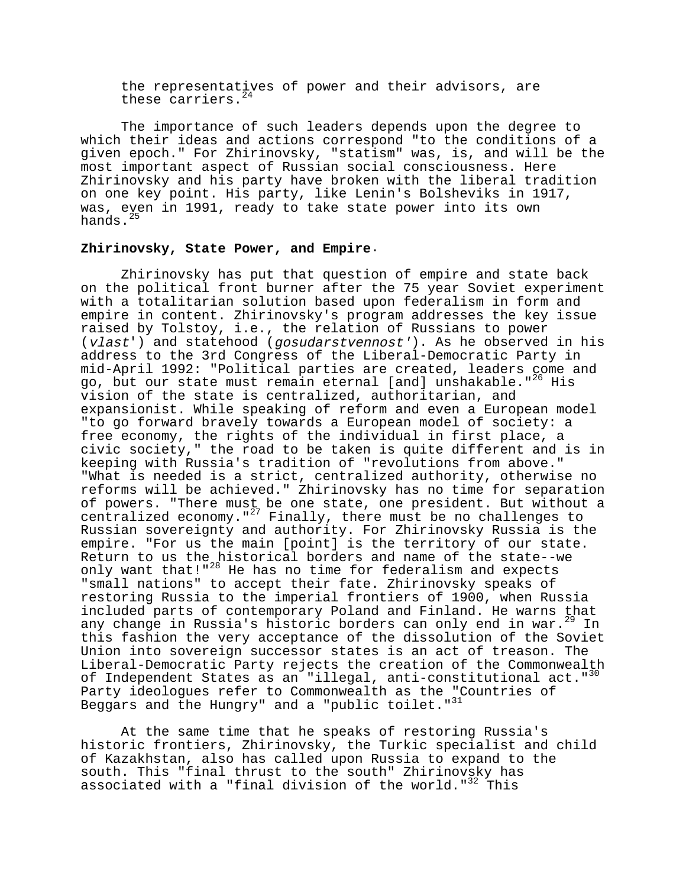the representatives of power and their advisors, are these carriers. $^{24}$ 

The importance of such leaders depends upon the degree to which their ideas and actions correspond "to the conditions of a given epoch." For Zhirinovsky, "statism" was, is, and will be the most important aspect of Russian social consciousness. Here Zhirinovsky and his party have broken with the liberal tradition on one key point. His party, like Lenin's Bolsheviks in 1917, was, even in 1991, ready to take state power into its own hands. $^{25}$ 

#### **Zhirinovsky, State Power, and Empire**.

Zhirinovsky has put that question of empire and state back on the political front burner after the 75 year Soviet experiment with a totalitarian solution based upon federalism in form and empire in content. Zhirinovsky's program addresses the key issue raised by Tolstoy, i.e., the relation of Russians to power (vlast') and statehood (gosudarstvennost'). As he observed in his address to the 3rd Congress of the Liberal-Democratic Party in mid-April 1992: "Political parties are created, leaders come and go, but our state must remain eternal [and] unshakable."<sup>26</sup> His vision of the state is centralized, authoritarian, and expansionist. While speaking of reform and even a European model "to go forward bravely towards a European model of society: a free economy, the rights of the individual in first place, a civic society," the road to be taken is quite different and is in keeping with Russia's tradition of "revolutions from above." "What is needed is a strict, centralized authority, otherwise no reforms will be achieved." Zhirinovsky has no time for separation of powers. "There must be one state, one president. But without a centralized economy."<sup>27</sup> Finally, there must be no challenges to Russian sovereignty and authority. For Zhirinovsky Russia is the empire. "For us the main [point] is the territory of our state. Return to us the historical borders and name of the state--we only want that!"<sup>28</sup> He has no time for federalism and expects "small nations" to accept their fate. Zhirinovsky speaks of restoring Russia to the imperial frontiers of 1900, when Russia included parts of contemporary Poland and Finland. He warns that any change in Russia's historic borders can only end in war.<sup>29</sup> In this fashion the very acceptance of the dissolution of the Soviet Union into sovereign successor states is an act of treason. The Liberal-Democratic Party rejects the creation of the Commonwealth of Independent States as an "illegal, anti-constitutional act."<sup>30</sup> Party ideologues refer to Commonwealth as the "Countries of Beggars and the Hungry" and a "public toilet."<sup>31</sup>

At the same time that he speaks of restoring Russia's historic frontiers, Zhirinovsky, the Turkic specialist and child of Kazakhstan, also has called upon Russia to expand to the south. This "final thrust to the south" Zhirinovsky has associated with a "final division of the world."<sup>32</sup> This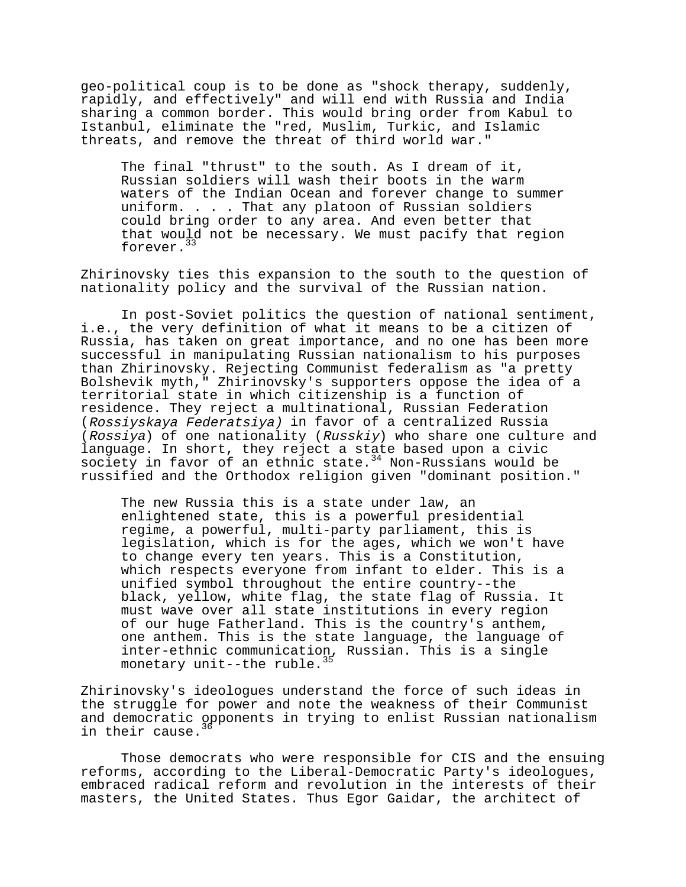geo-political coup is to be done as "shock therapy, suddenly, rapidly, and effectively" and will end with Russia and India sharing a common border. This would bring order from Kabul to Istanbul, eliminate the "red, Muslim, Turkic, and Islamic threats, and remove the threat of third world war."

The final "thrust" to the south. As I dream of it, Russian soldiers will wash their boots in the warm waters of the Indian Ocean and forever change to summer uniform. . . . That any platoon of Russian soldiers could bring order to any area. And even better that that would not be necessary. We must pacify that region forever.<sup>33</sup>

Zhirinovsky ties this expansion to the south to the question of nationality policy and the survival of the Russian nation.

In post-Soviet politics the question of national sentiment, i.e., the very definition of what it means to be a citizen of Russia, has taken on great importance, and no one has been more successful in manipulating Russian nationalism to his purposes than Zhirinovsky. Rejecting Communist federalism as "a pretty Bolshevik myth," Zhirinovsky's supporters oppose the idea of a territorial state in which citizenship is a function of residence. They reject a multinational, Russian Federation (Rossiyskaya Federatsiya) in favor of a centralized Russia (Rossiya) of one nationality (Russkiy) who share one culture and language. In short, they reject a state based upon a civic society in favor of an ethnic state. $34$  Non-Russians would be russified and the Orthodox religion given "dominant position."

The new Russia this is a state under law, an enlightened state, this is a powerful presidential regime, a powerful, multi-party parliament, this is legislation, which is for the ages, which we won't have to change every ten years. This is a Constitution, which respects everyone from infant to elder. This is a unified symbol throughout the entire country--the black, yellow, white flag, the state flag of Russia. It must wave over all state institutions in every region of our huge Fatherland. This is the country's anthem, one anthem. This is the state language, the language of inter-ethnic communication, Russian. This is a single monetary unit--the ruble.<sup>3</sup>

Zhirinovsky's ideologues understand the force of such ideas in the struggle for power and note the weakness of their Communist and democratic opponents in trying to enlist Russian nationalism in their cause.

Those democrats who were responsible for CIS and the ensuing reforms, according to the Liberal-Democratic Party's ideologues, embraced radical reform and revolution in the interests of their masters, the United States. Thus Egor Gaidar, the architect of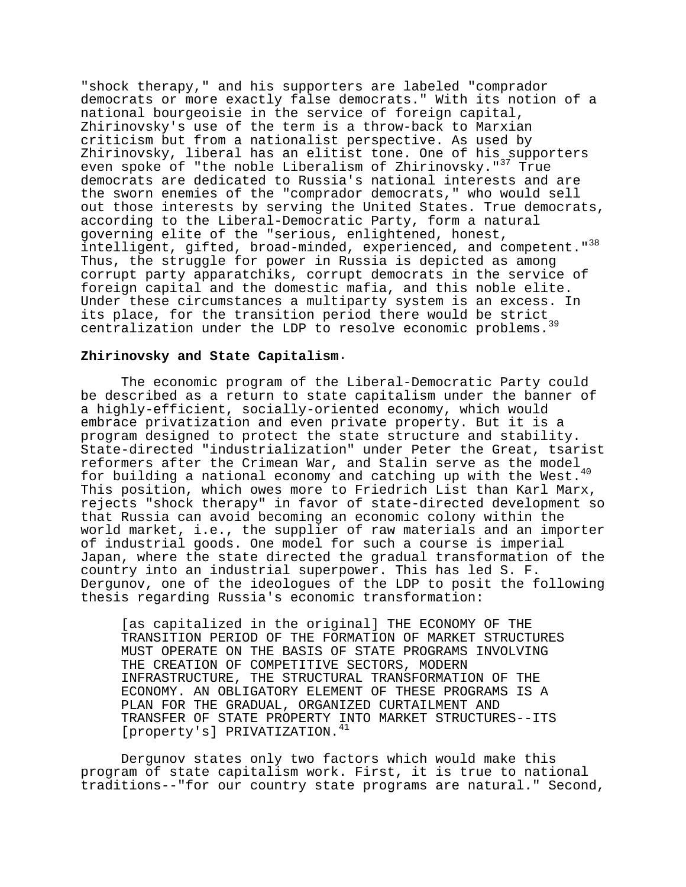"shock therapy," and his supporters are labeled "comprador democrats or more exactly false democrats." With its notion of a national bourgeoisie in the service of foreign capital, Zhirinovsky's use of the term is a throw-back to Marxian criticism but from a nationalist perspective. As used by Zhirinovsky, liberal has an elitist tone. One of his supporters even spoke of "the noble Liberalism of Zhirinovsky."<sup>37</sup> True democrats are dedicated to Russia's national interests and are the sworn enemies of the "comprador democrats," who would sell out those interests by serving the United States. True democrats, according to the Liberal-Democratic Party, form a natural governing elite of the "serious, enlightened, honest, intelligent, gifted, broad-minded, experienced, and competent."<sup>38</sup> Thus, the struggle for power in Russia is depicted as among corrupt party apparatchiks, corrupt democrats in the service of foreign capital and the domestic mafia, and this noble elite. Under these circumstances a multiparty system is an excess. In Under these critical canceled a more-post of the strict<br>its place, for the transition period there would be strict, centralization under the LDP to resolve economic problems.

#### **Zhirinovsky and State Capitalism**.

The economic program of the Liberal-Democratic Party could be described as a return to state capitalism under the banner of a highly-efficient, socially-oriented economy, which would embrace privatization and even private property. But it is a program designed to protect the state structure and stability. State-directed "industrialization" under Peter the Great, tsarist reformers after the Crimean War, and Stalin serve as the model for building a national economy and catching up with the West.<sup>40</sup> This position, which owes more to Friedrich List than Karl Marx, rejects "shock therapy" in favor of state-directed development so that Russia can avoid becoming an economic colony within the world market, i.e., the supplier of raw materials and an importer of industrial goods. One model for such a course is imperial Japan, where the state directed the gradual transformation of the country into an industrial superpower. This has led S. F. Dergunov, one of the ideologues of the LDP to posit the following thesis regarding Russia's economic transformation:

[as capitalized in the original] THE ECONOMY OF THE TRANSITION PERIOD OF THE FORMATION OF MARKET STRUCTURES MUST OPERATE ON THE BASIS OF STATE PROGRAMS INVOLVING THE CREATION OF COMPETITIVE SECTORS, MODERN INFRASTRUCTURE, THE STRUCTURAL TRANSFORMATION OF THE ECONOMY. AN OBLIGATORY ELEMENT OF THESE PROGRAMS IS A PLAN FOR THE GRADUAL, ORGANIZED CURTAILMENT AND TRANSFER OF STATE PROPERTY INTO MARKET STRUCTURES--ITS [property's] PRIVATIZATION.<sup>41</sup>

Dergunov states only two factors which would make this program of state capitalism work. First, it is true to national traditions--"for our country state programs are natural." Second,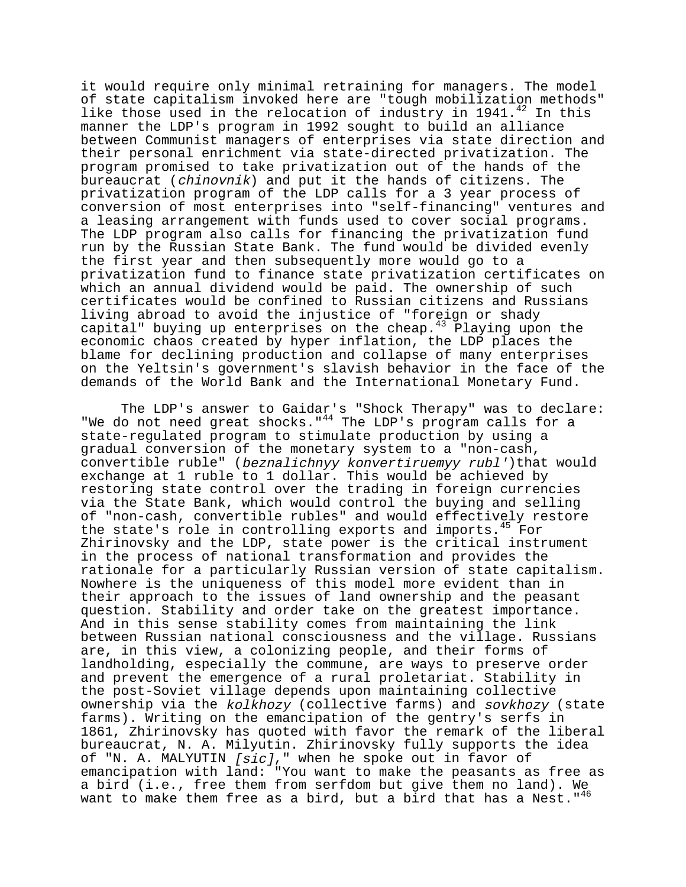it would require only minimal retraining for managers. The model of state capitalism invoked here are "tough mobilization methods" like those used in the relocation of industry in 1941. $^{42}$  In this manner the LDP's program in 1992 sought to build an alliance between Communist managers of enterprises via state direction and their personal enrichment via state-directed privatization. The program promised to take privatization out of the hands of the bureaucrat (chinovnik) and put it the hands of citizens. The privatization program of the LDP calls for a 3 year process of conversion of most enterprises into "self-financing" ventures and a leasing arrangement with funds used to cover social programs. The LDP program also calls for financing the privatization fund run by the Russian State Bank. The fund would be divided evenly the first year and then subsequently more would go to a privatization fund to finance state privatization certificates on which an annual dividend would be paid. The ownership of such certificates would be confined to Russian citizens and Russians living abroad to avoid the injustice of "foreign or shady capital" buying up enterprises on the cheap. $43$  Playing upon the economic chaos created by hyper inflation, the LDP places the blame for declining production and collapse of many enterprises on the Yeltsin's government's slavish behavior in the face of the demands of the World Bank and the International Monetary Fund.

The LDP's answer to Gaidar's "Shock Therapy" was to declare: "We do not need great shocks."<sup>44</sup> The LDP's program calls for a state-regulated program to stimulate production by using a gradual conversion of the monetary system to a "non-cash, convertible ruble" (beznalichnyy konvertiruemyy rubl')that would exchange at 1 ruble to 1 dollar. This would be achieved by restoring state control over the trading in foreign currencies via the State Bank, which would control the buying and selling of "non-cash, convertible rubles" and would effectively restore the state's role in controlling exports and imports.<sup>45</sup> For Zhirinovsky and the LDP, state power is the critical instrument in the process of national transformation and provides the rationale for a particularly Russian version of state capitalism. Nowhere is the uniqueness of this model more evident than in their approach to the issues of land ownership and the peasant question. Stability and order take on the greatest importance. And in this sense stability comes from maintaining the link between Russian national consciousness and the village. Russians are, in this view, a colonizing people, and their forms of landholding, especially the commune, are ways to preserve order and prevent the emergence of a rural proletariat. Stability in the post-Soviet village depends upon maintaining collective ownership via the kolkhozy (collective farms) and sovkhozy (state farms). Writing on the emancipation of the gentry's serfs in 1861, Zhirinovsky has quoted with favor the remark of the liberal bureaucrat, N. A. Milyutin. Zhirinovsky fully supports the idea of "N. A. MALYUTIN  $[sic]$ ," when he spoke out in favor of emancipation with land: "You want to make the peasants as free as a bird (i.e., free them from serfdom but give them no land). We want to make them free as a bird, but a bird that has a Nest."<sup>46</sup>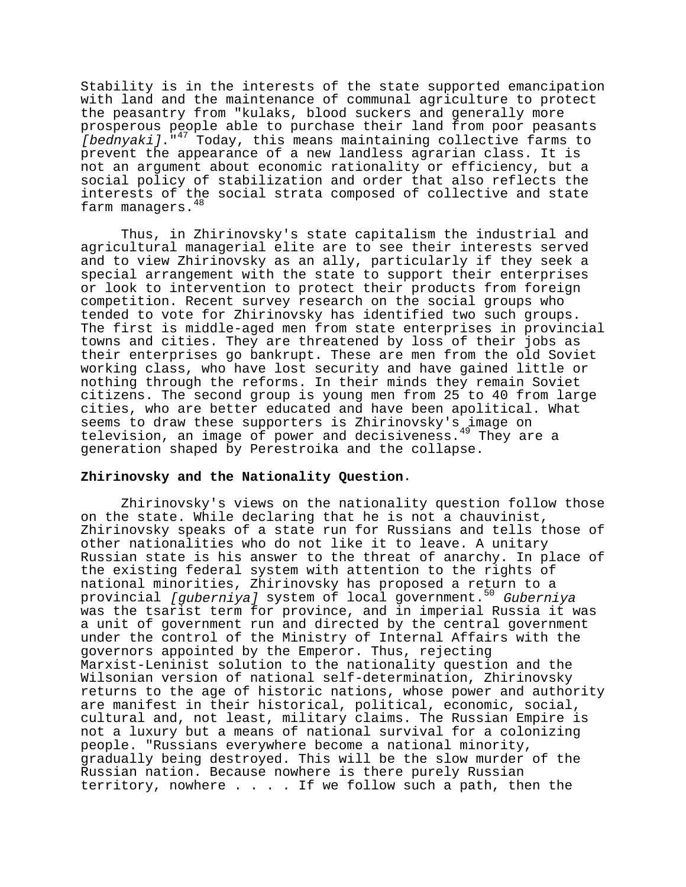Stability is in the interests of the state supported emancipation with land and the maintenance of communal agriculture to protect the peasantry from "kulaks, blood suckers and generally more prosperous people able to purchase their land from poor peasants [bednyaki]."<sup>47</sup> Today, this means maintaining collective farms to prevent the appearance of a new landless agrarian class. It is not an argument about economic rationality or efficiency, but a social policy of stabilization and order that also reflects the interests of the social strata composed of collective and state farm managers.<sup>48</sup>

Thus, in Zhirinovsky's state capitalism the industrial and agricultural managerial elite are to see their interests served and to view Zhirinovsky as an ally, particularly if they seek a special arrangement with the state to support their enterprises or look to intervention to protect their products from foreign competition. Recent survey research on the social groups who tended to vote for Zhirinovsky has identified two such groups. The first is middle-aged men from state enterprises in provincial towns and cities. They are threatened by loss of their jobs as their enterprises go bankrupt. These are men from the old Soviet working class, who have lost security and have gained little or nothing through the reforms. In their minds they remain Soviet citizens. The second group is young men from 25 to 40 from large cities, who are better educated and have been apolitical. What seems to draw these supporters is Zhirinovsky's image on television, an image of power and decisiveness.<sup>49</sup> They are a generation shaped by Perestroika and the collapse.

# **Zhirinovsky and the Nationality Question**.

Zhirinovsky's views on the nationality question follow those on the state. While declaring that he is not a chauvinist, Zhirinovsky speaks of a state run for Russians and tells those of other nationalities who do not like it to leave. A unitary Russian state is his answer to the threat of anarchy. In place of the existing federal system with attention to the rights of national minorities, Zhirinovsky has proposed a return to a provincial [guberniya] system of local government.<sup>50</sup> Guberniya was the tsarist term for province, and in imperial Russia it was a unit of government run and directed by the central government under the control of the Ministry of Internal Affairs with the governors appointed by the Emperor. Thus, rejecting Marxist-Leninist solution to the nationality question and the Wilsonian version of national self-determination, Zhirinovsky returns to the age of historic nations, whose power and authority are manifest in their historical, political, economic, social, cultural and, not least, military claims. The Russian Empire is not a luxury but a means of national survival for a colonizing people. "Russians everywhere become a national minority, gradually being destroyed. This will be the slow murder of the Russian nation. Because nowhere is there purely Russian territory, nowhere . . . . If we follow such a path, then the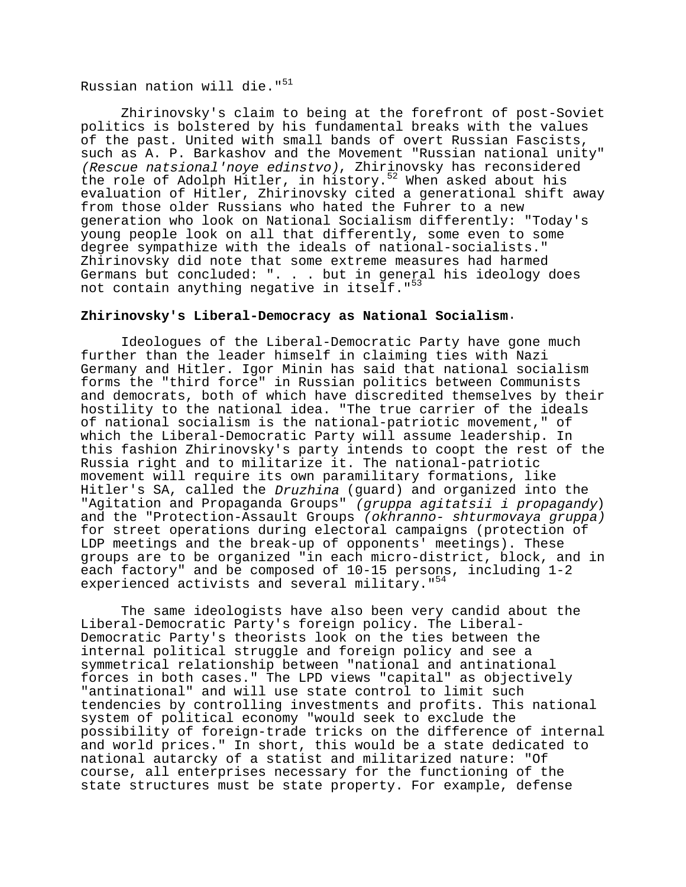# Russian nation will die."<sup>51</sup>

Zhirinovsky's claim to being at the forefront of post-Soviet politics is bolstered by his fundamental breaks with the values of the past. United with small bands of overt Russian Fascists, such as A. P. Barkashov and the Movement "Russian national unity" (Rescue natsional'noye edinstvo), Zhirinovsky has reconsidered the role of Adolph Hitler, in history.<sup>52</sup> When asked about his evaluation of Hitler, Zhirinovsky cited a generational shift away from those older Russians who hated the Fuhrer to a new generation who look on National Socialism differently: "Today's young people look on all that differently, some even to some degree sympathize with the ideals of national-socialists." Zhirinovsky did note that some extreme measures had harmed Germans but concluded: ". . . but in general his ideology does not contain anything negative in itself."<sup>53</sup>

### **Zhirinovsky's Liberal-Democracy as National Socialism**.

Ideologues of the Liberal-Democratic Party have gone much further than the leader himself in claiming ties with Nazi Germany and Hitler. Igor Minin has said that national socialism forms the "third force" in Russian politics between Communists and democrats, both of which have discredited themselves by their hostility to the national idea. "The true carrier of the ideals of national socialism is the national-patriotic movement," of which the Liberal-Democratic Party will assume leadership. In this fashion Zhirinovsky's party intends to coopt the rest of the Russia right and to militarize it. The national-patriotic movement will require its own paramilitary formations, like Hitler's SA, called the Druzhina (guard) and organized into the "Agitation and Propaganda Groups" (gruppa agitatsii i propagandy) and the "Protection-Assault Groups (okhranno- shturmovaya gruppa) for street operations during electoral campaigns (protection of LDP meetings and the break-up of opponents' meetings). These groups are to be organized "in each micro-district, block, and in each factory" and be composed of 10-15 persons, including 1-2 experienced activists and several military."<sup>54</sup>

The same ideologists have also been very candid about the Liberal-Democratic Party's foreign policy. The Liberal-Democratic Party's theorists look on the ties between the internal political struggle and foreign policy and see a symmetrical relationship between "national and antinational forces in both cases." The LPD views "capital" as objectively "antinational" and will use state control to limit such tendencies by controlling investments and profits. This national system of political economy "would seek to exclude the possibility of foreign-trade tricks on the difference of internal and world prices." In short, this would be a state dedicated to national autarcky of a statist and militarized nature: "Of course, all enterprises necessary for the functioning of the state structures must be state property. For example, defense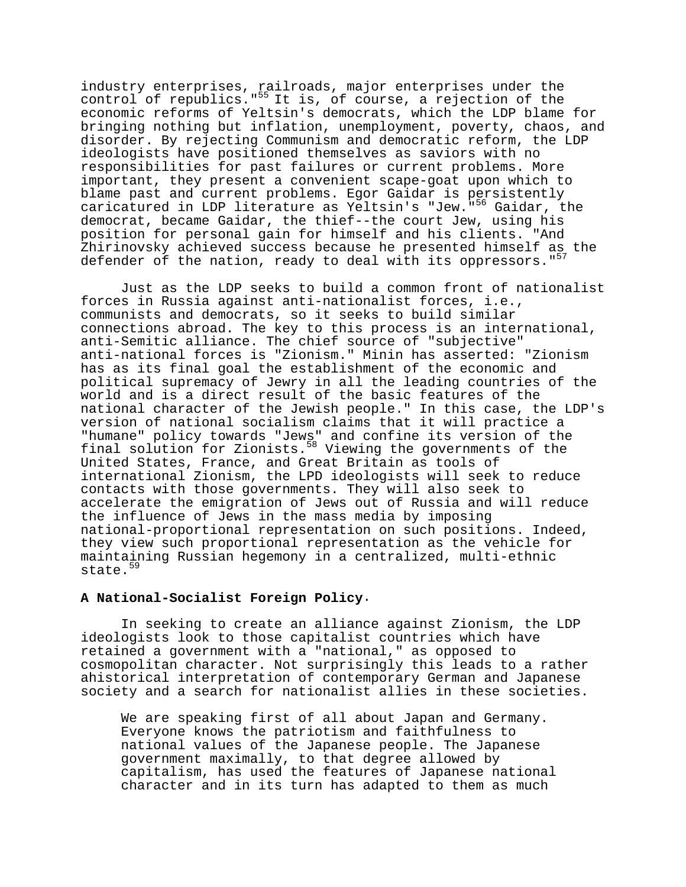industry enterprises, railroads, major enterprises under the control of republics."<sup>55</sup> It is, of course, a rejection of the economic reforms of Yeltsin's democrats, which the LDP blame for bringing nothing but inflation, unemployment, poverty, chaos, and disorder. By rejecting Communism and democratic reform, the LDP ideologists have positioned themselves as saviors with no responsibilities for past failures or current problems. More important, they present a convenient scape-goat upon which to blame past and current problems. Egor Gaidar is persistently caricatured in LDP literature as Yeltsin's "Jew."<sup>56</sup> Gaidar, the democrat, became Gaidar, the thief--the court Jew, using his position for personal gain for himself and his clients. "And Zhirinovsky achieved success because he presented himself as the defender of the nation, ready to deal with its oppressors."<sup>57</sup>

Just as the LDP seeks to build a common front of nationalist forces in Russia against anti-nationalist forces, i.e., communists and democrats, so it seeks to build similar connections abroad. The key to this process is an international, anti-Semitic alliance. The chief source of "subjective" anti-national forces is "Zionism." Minin has asserted: "Zionism has as its final goal the establishment of the economic and political supremacy of Jewry in all the leading countries of the world and is a direct result of the basic features of the national character of the Jewish people." In this case, the LDP's version of national socialism claims that it will practice a "humane" policy towards "Jews" and confine its version of the final solution for Zionists.58 Viewing the governments of the United States, France, and Great Britain as tools of international Zionism, the LPD ideologists will seek to reduce contacts with those governments. They will also seek to accelerate the emigration of Jews out of Russia and will reduce the influence of Jews in the mass media by imposing national-proportional representation on such positions. Indeed, they view such proportional representation as the vehicle for maintaining Russian hegemony in a centralized, multi-ethnic state.<sup>59</sup>

# **A National-Socialist Foreign Policy**.

In seeking to create an alliance against Zionism, the LDP ideologists look to those capitalist countries which have retained a government with a "national," as opposed to cosmopolitan character. Not surprisingly this leads to a rather ahistorical interpretation of contemporary German and Japanese society and a search for nationalist allies in these societies.

We are speaking first of all about Japan and Germany. Everyone knows the patriotism and faithfulness to national values of the Japanese people. The Japanese government maximally, to that degree allowed by capitalism, has used the features of Japanese national character and in its turn has adapted to them as much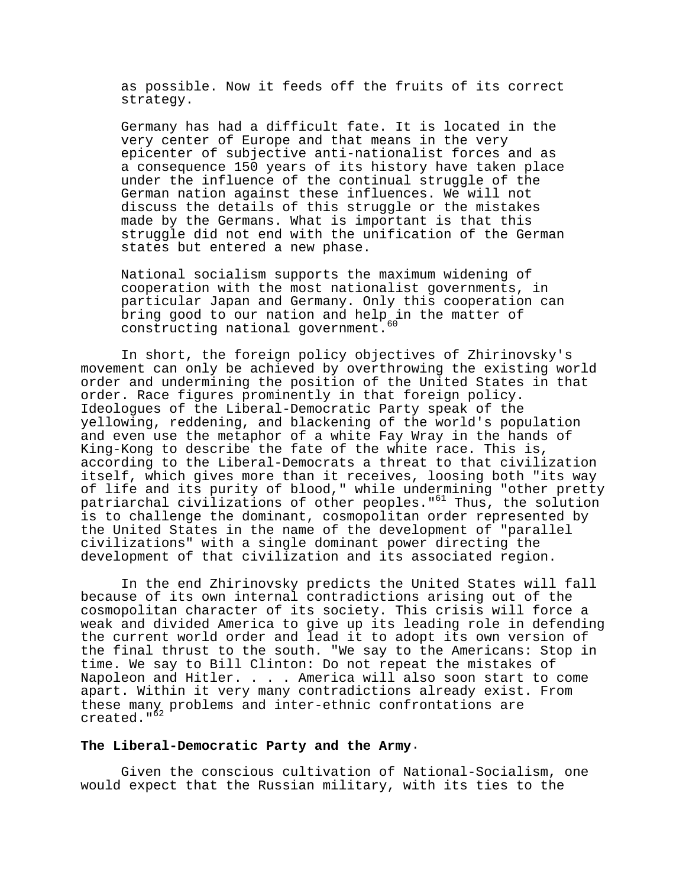as possible. Now it feeds off the fruits of its correct strategy.

Germany has had a difficult fate. It is located in the very center of Europe and that means in the very epicenter of subjective anti-nationalist forces and as a consequence 150 years of its history have taken place under the influence of the continual struggle of the German nation against these influences. We will not discuss the details of this struggle or the mistakes made by the Germans. What is important is that this struggle did not end with the unification of the German states but entered a new phase.

National socialism supports the maximum widening of cooperation with the most nationalist governments, in particular Japan and Germany. Only this cooperation can bring good to our nation and help in the matter of constructing national government.

In short, the foreign policy objectives of Zhirinovsky's movement can only be achieved by overthrowing the existing world order and undermining the position of the United States in that order. Race figures prominently in that foreign policy. Ideologues of the Liberal-Democratic Party speak of the yellowing, reddening, and blackening of the world's population and even use the metaphor of a white Fay Wray in the hands of King-Kong to describe the fate of the white race. This is, according to the Liberal-Democrats a threat to that civilization itself, which gives more than it receives, loosing both "its way of life and its purity of blood," while undermining "other pretty patriarchal civilizations of other peoples."<sup>61</sup> Thus, the solution is to challenge the dominant, cosmopolitan order represented by the United States in the name of the development of "parallel civilizations" with a single dominant power directing the development of that civilization and its associated region.

In the end Zhirinovsky predicts the United States will fall because of its own internal contradictions arising out of the cosmopolitan character of its society. This crisis will force a weak and divided America to give up its leading role in defending the current world order and lead it to adopt its own version of the final thrust to the south. "We say to the Americans: Stop in time. We say to Bill Clinton: Do not repeat the mistakes of Napoleon and Hitler. . . . America will also soon start to come apart. Within it very many contradictions already exist. From these many problems and inter-ethnic confrontations are created."<sup>62</sup>

### **The Liberal-Democratic Party and the Army**.

Given the conscious cultivation of National-Socialism, one would expect that the Russian military, with its ties to the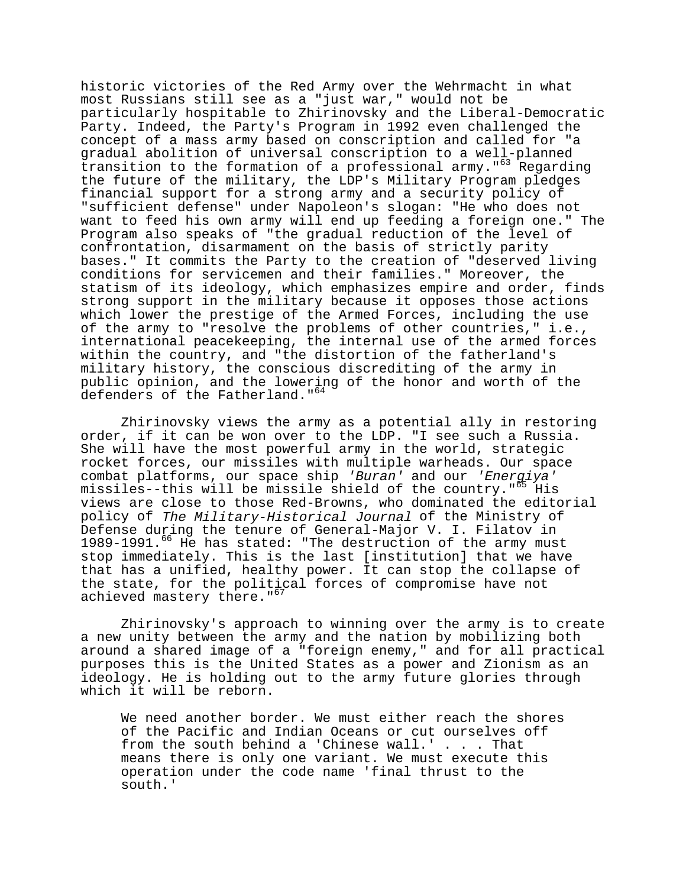historic victories of the Red Army over the Wehrmacht in what most Russians still see as a "just war," would not be particularly hospitable to Zhirinovsky and the Liberal-Democratic Party. Indeed, the Party's Program in 1992 even challenged the concept of a mass army based on conscription and called for "a gradual abolition of universal conscription to a well-planned transition to the formation of a professional army."<sup>63</sup> Regarding the future of the military, the LDP's Military Program pledges financial support for a strong army and a security policy of "sufficient defense" under Napoleon's slogan: "He who does not want to feed his own army will end up feeding a foreign one." The Program also speaks of "the gradual reduction of the level of confrontation, disarmament on the basis of strictly parity bases." It commits the Party to the creation of "deserved living conditions for servicemen and their families." Moreover, the statism of its ideology, which emphasizes empire and order, finds strong support in the military because it opposes those actions which lower the prestige of the Armed Forces, including the use of the army to "resolve the problems of other countries," i.e., international peacekeeping, the internal use of the armed forces within the country, and "the distortion of the fatherland's military history, the conscious discrediting of the army in public opinion, and the lowering of the honor and worth of the defenders of the Fatherland."<sup>64</sup>

Zhirinovsky views the army as a potential ally in restoring order, if it can be won over to the LDP. "I see such a Russia. She will have the most powerful army in the world, strategic rocket forces, our missiles with multiple warheads. Our space combat platforms, our space ship 'Buran' and our 'Energiya' missiles--this will be missile shield of the country."<sup>65</sup> His views are close to those Red-Browns, who dominated the editorial policy of The Military-Historical Journal of the Ministry of Defense during the tenure of General-Major V. I. Filatov in 1989-1991.<sup>66</sup> He has stated: "The destruction of the army must stop immediately. This is the last [institution] that we have that has a unified, healthy power. It can stop the collapse of the state, for the political forces of compromise have not achieved mastery there."<sup>67</sup>

Zhirinovsky's approach to winning over the army is to create a new unity between the army and the nation by mobilizing both around a shared image of a "foreign enemy," and for all practical purposes this is the United States as a power and Zionism as an ideology. He is holding out to the army future glories through which it will be reborn.

We need another border. We must either reach the shores of the Pacific and Indian Oceans or cut ourselves off from the south behind a 'Chinese wall.' . . . That means there is only one variant. We must execute this operation under the code name 'final thrust to the south.'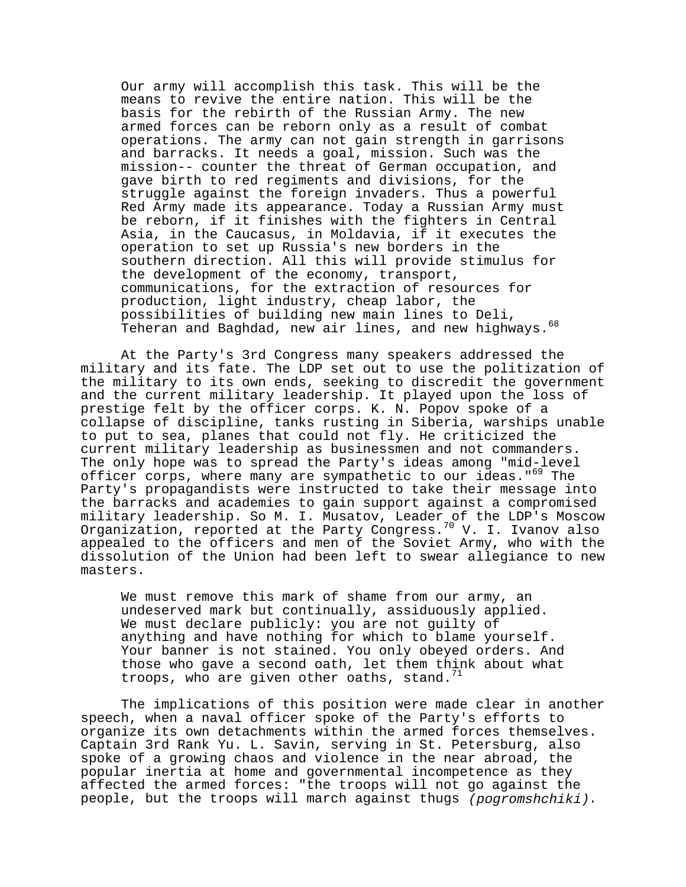Our army will accomplish this task. This will be the means to revive the entire nation. This will be the basis for the rebirth of the Russian Army. The new armed forces can be reborn only as a result of combat operations. The army can not gain strength in garrisons and barracks. It needs a goal, mission. Such was the mission-- counter the threat of German occupation, and gave birth to red regiments and divisions, for the struggle against the foreign invaders. Thus a powerful Red Army made its appearance. Today a Russian Army must be reborn, if it finishes with the fighters in Central Asia, in the Caucasus, in Moldavia, if it executes the operation to set up Russia's new borders in the southern direction. All this will provide stimulus for the development of the economy, transport, communications, for the extraction of resources for production, light industry, cheap labor, the possibilities of building new main lines to Deli, Teheran and Baghdad, new air lines, and new highways.<sup>68</sup>

At the Party's 3rd Congress many speakers addressed the military and its fate. The LDP set out to use the politization of the military to its own ends, seeking to discredit the government and the current military leadership. It played upon the loss of prestige felt by the officer corps. K. N. Popov spoke of a collapse of discipline, tanks rusting in Siberia, warships unable to put to sea, planes that could not fly. He criticized the current military leadership as businessmen and not commanders. The only hope was to spread the Party's ideas among "mid-level officer corps, where many are sympathetic to our ideas."<sup>69</sup> The Party's propagandists were instructed to take their message into the barracks and academies to gain support against a compromised military leadership. So M. I. Musatov, Leader of the LDP's Moscow Organization, reported at the Party Congress.70 V. I. Ivanov also appealed to the officers and men of the Soviet Army, who with the dissolution of the Union had been left to swear allegiance to new masters.

We must remove this mark of shame from our army, an undeserved mark but continually, assiduously applied. We must declare publicly: you are not guilty of anything and have nothing for which to blame yourself. Your banner is not stained. You only obeyed orders. And those who gave a second oath, let them think about what troops, who are given other oaths, stand.  $11$ 

The implications of this position were made clear in another speech, when a naval officer spoke of the Party's efforts to organize its own detachments within the armed forces themselves. Captain 3rd Rank Yu. L. Savin, serving in St. Petersburg, also spoke of a growing chaos and violence in the near abroad, the popular inertia at home and governmental incompetence as they affected the armed forces: "the troops will not go against the people, but the troops will march against thugs (pogromshchiki).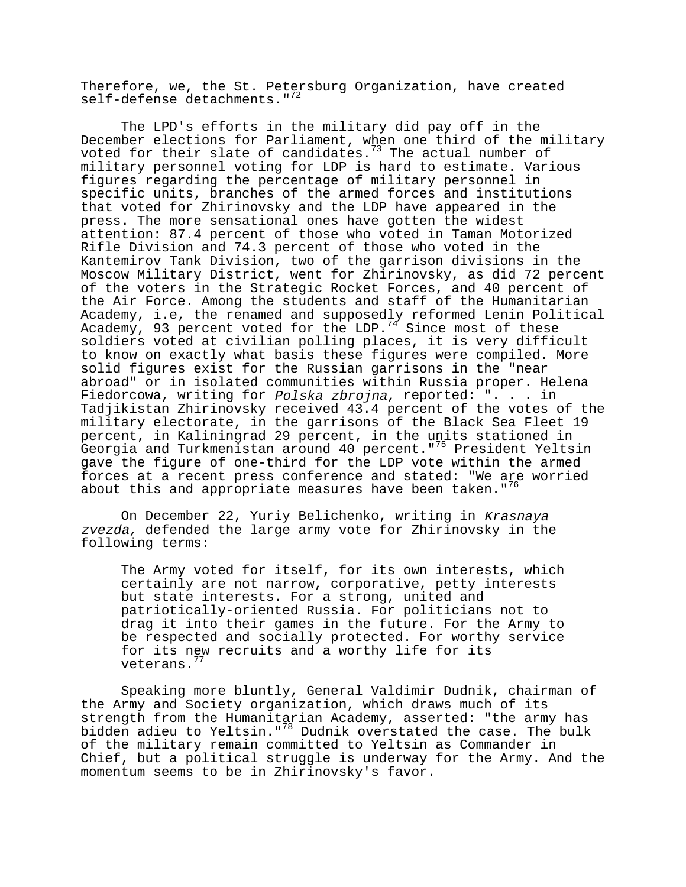Therefore, we, the St. Petersburg Organization, have created self-defense detachments."<sup>72</sup>

The LPD's efforts in the military did pay off in the December elections for Parliament, when one third of the military voted for their slate of candidates.<sup>73</sup> The actual number of military personnel voting for LDP is hard to estimate. Various figures regarding the percentage of military personnel in specific units, branches of the armed forces and institutions that voted for Zhirinovsky and the LDP have appeared in the press. The more sensational ones have gotten the widest attention: 87.4 percent of those who voted in Taman Motorized Rifle Division and 74.3 percent of those who voted in the Kantemirov Tank Division, two of the garrison divisions in the Moscow Military District, went for Zhirinovsky, as did 72 percent of the voters in the Strategic Rocket Forces, and 40 percent of the Air Force. Among the students and staff of the Humanitarian Academy, i.e, the renamed and supposedly reformed Lenin Political Academy, 93 percent voted for the LDP.<sup>74</sup> Since most of these soldiers voted at civilian polling places, it is very difficult to know on exactly what basis these figures were compiled. More solid figures exist for the Russian garrisons in the "near abroad" or in isolated communities within Russia proper. Helena Fiedorcowa, writing for Polska zbrojna, reported: ". . . in Tadjikistan Zhirinovsky received 43.4 percent of the votes of the military electorate, in the garrisons of the Black Sea Fleet 19 percent, in Kaliningrad 29 percent, in the units stationed in Georgia and Turkmenistan around 40 percent."<sup>75</sup> President Yeltsin gave the figure of one-third for the LDP vote within the armed forces at a recent press conference and stated: "We are worried about this and appropriate measures have been taken."<sup>76</sup>

On December 22, Yuriy Belichenko, writing in Krasnaya zvezda, defended the large army vote for Zhirinovsky in the following terms:

The Army voted for itself, for its own interests, which certainly are not narrow, corporative, petty interests but state interests. For a strong, united and patriotically-oriented Russia. For politicians not to drag it into their games in the future. For the Army to be respected and socially protected. For worthy service for its new recruits and a worthy life for its veterans.<sup>7</sup>

Speaking more bluntly, General Valdimir Dudnik, chairman of the Army and Society organization, which draws much of its strength from the Humanitarian Academy, asserted: "the army has bidden adieu to Yeltsin."78 Dudnik overstated the case. The bulk of the military remain committed to Yeltsin as Commander in Chief, but a political struggle is underway for the Army. And the momentum seems to be in Zhirinovsky's favor.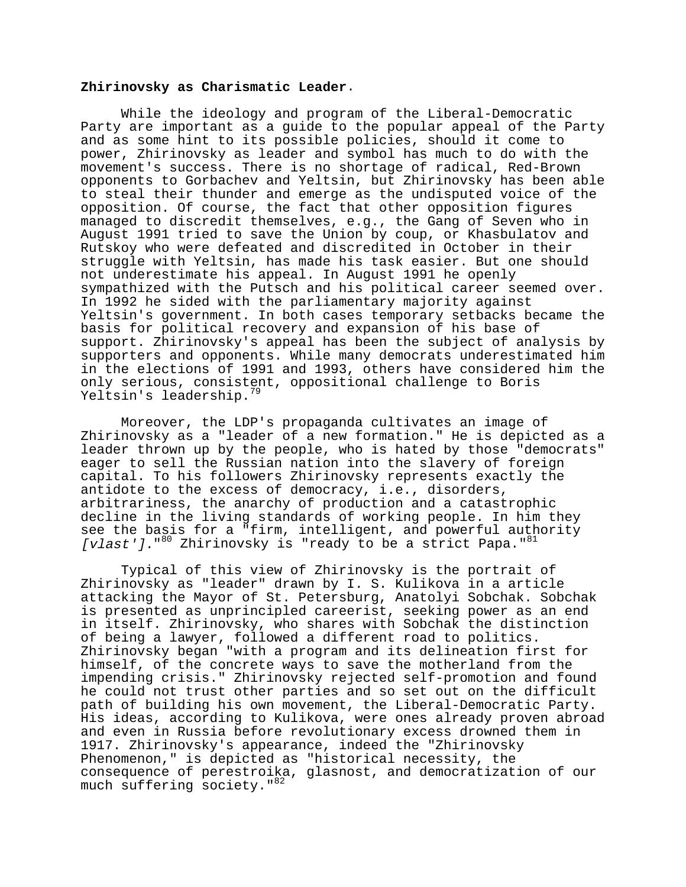#### **Zhirinovsky as Charismatic Leader**.

While the ideology and program of the Liberal-Democratic Party are important as a guide to the popular appeal of the Party and as some hint to its possible policies, should it come to power, Zhirinovsky as leader and symbol has much to do with the movement's success. There is no shortage of radical, Red-Brown opponents to Gorbachev and Yeltsin, but Zhirinovsky has been able to steal their thunder and emerge as the undisputed voice of the opposition. Of course, the fact that other opposition figures managed to discredit themselves, e.g., the Gang of Seven who in August 1991 tried to save the Union by coup, or Khasbulatov and Rutskoy who were defeated and discredited in October in their struggle with Yeltsin, has made his task easier. But one should not underestimate his appeal. In August 1991 he openly sympathized with the Putsch and his political career seemed over. In 1992 he sided with the parliamentary majority against Yeltsin's government. In both cases temporary setbacks became the basis for political recovery and expansion of his base of support. Zhirinovsky's appeal has been the subject of analysis by supporters and opponents. While many democrats underestimated him in the elections of 1991 and 1993, others have considered him the only serious, consistent, oppositional challenge to Boris Yeltsin's leadership.<sup>79</sup>

Moreover, the LDP's propaganda cultivates an image of Zhirinovsky as a "leader of a new formation." He is depicted as a leader thrown up by the people, who is hated by those "democrats" eager to sell the Russian nation into the slavery of foreign capital. To his followers Zhirinovsky represents exactly the antidote to the excess of democracy, i.e., disorders, arbitrariness, the anarchy of production and a catastrophic decline in the living standards of working people. In him they see the basis for a "firm, intelligent, and powerful authority [vlast']."80 Zhirinovsky is "ready to be a strict Papa."81

Typical of this view of Zhirinovsky is the portrait of Zhirinovsky as "leader" drawn by I. S. Kulikova in a article attacking the Mayor of St. Petersburg, Anatolyi Sobchak. Sobchak is presented as unprincipled careerist, seeking power as an end in itself. Zhirinovsky, who shares with Sobchak the distinction of being a lawyer, followed a different road to politics. Zhirinovsky began "with a program and its delineation first for himself, of the concrete ways to save the motherland from the impending crisis." Zhirinovsky rejected self-promotion and found he could not trust other parties and so set out on the difficult path of building his own movement, the Liberal-Democratic Party. His ideas, according to Kulikova, were ones already proven abroad and even in Russia before revolutionary excess drowned them in 1917. Zhirinovsky's appearance, indeed the "Zhirinovsky Phenomenon," is depicted as "historical necessity, the consequence of perestroika, glasnost, and democratization of our much suffering society."<sup>82</sup>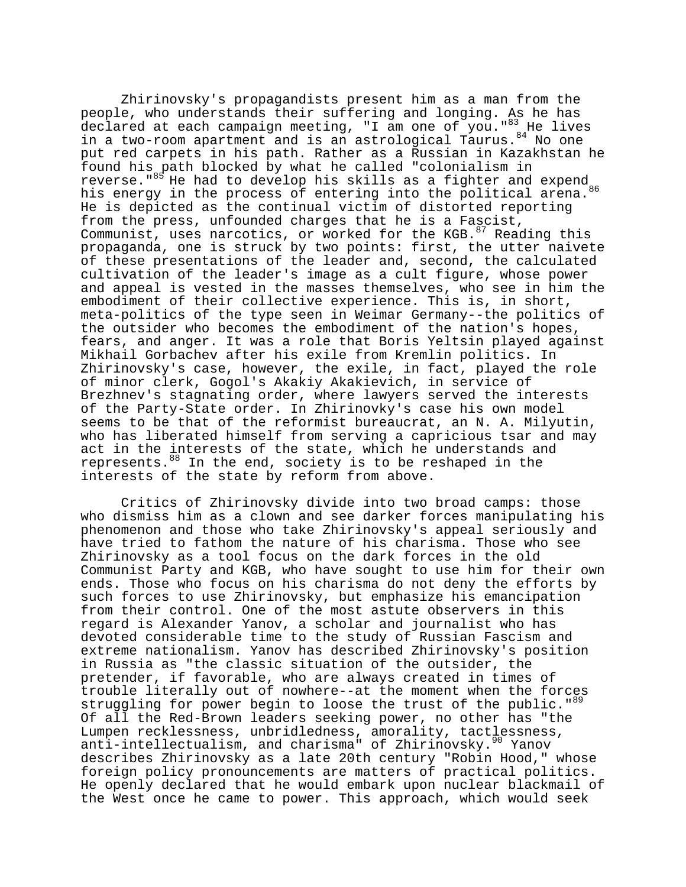Zhirinovsky's propagandists present him as a man from the people, who understands their suffering and longing. As he has declared at each campaign meeting, "I am one of you."83 He lives in a two-room apartment and is an astrological Taurus. 84 No one put red carpets in his path. Rather as a Russian in Kazakhstan he found his path blocked by what he called "colonialism in reverse." $85$  He had to develop his skills as a fighter and expend his energy in the process of entering into the political arena.<sup>86</sup> He is depicted as the continual victim of distorted reporting from the press, unfounded charges that he is a Fascist, Communist, uses narcotics, or worked for the KGB.<sup>87</sup> Reading this propaganda, one is struck by two points: first, the utter naivete of these presentations of the leader and, second, the calculated cultivation of the leader's image as a cult figure, whose power and appeal is vested in the masses themselves, who see in him the embodiment of their collective experience. This is, in short, meta-politics of the type seen in Weimar Germany--the politics of the outsider who becomes the embodiment of the nation's hopes, fears, and anger. It was a role that Boris Yeltsin played against Mikhail Gorbachev after his exile from Kremlin politics. In Zhirinovsky's case, however, the exile, in fact, played the role of minor clerk, Gogol's Akakiy Akakievich, in service of Brezhnev's stagnating order, where lawyers served the interests of the Party-State order. In Zhirinovky's case his own model seems to be that of the reformist bureaucrat, an N. A. Milyutin, who has liberated himself from serving a capricious tsar and may act in the interests of the state, which he understands and represents. $88$  In the end, society is to be reshaped in the interests of the state by reform from above.

Critics of Zhirinovsky divide into two broad camps: those who dismiss him as a clown and see darker forces manipulating his phenomenon and those who take Zhirinovsky's appeal seriously and have tried to fathom the nature of his charisma. Those who see Zhirinovsky as a tool focus on the dark forces in the old Communist Party and KGB, who have sought to use him for their own ends. Those who focus on his charisma do not deny the efforts by such forces to use Zhirinovsky, but emphasize his emancipation from their control. One of the most astute observers in this regard is Alexander Yanov, a scholar and journalist who has devoted considerable time to the study of Russian Fascism and extreme nationalism. Yanov has described Zhirinovsky's position in Russia as "the classic situation of the outsider, the pretender, if favorable, who are always created in times of trouble literally out of nowhere--at the moment when the forces struggling for power begin to loose the trust of the public."<sup>89</sup> Of all the Red-Brown leaders seeking power, no other has "the Lumpen recklessness, unbridledness, amorality, tactlessness, anti-intellectualism, and charisma" of Zhirinovsky.<sup>90</sup> Yanov describes Zhirinovsky as a late 20th century "Robin Hood," whose foreign policy pronouncements are matters of practical politics. He openly declared that he would embark upon nuclear blackmail of the West once he came to power. This approach, which would seek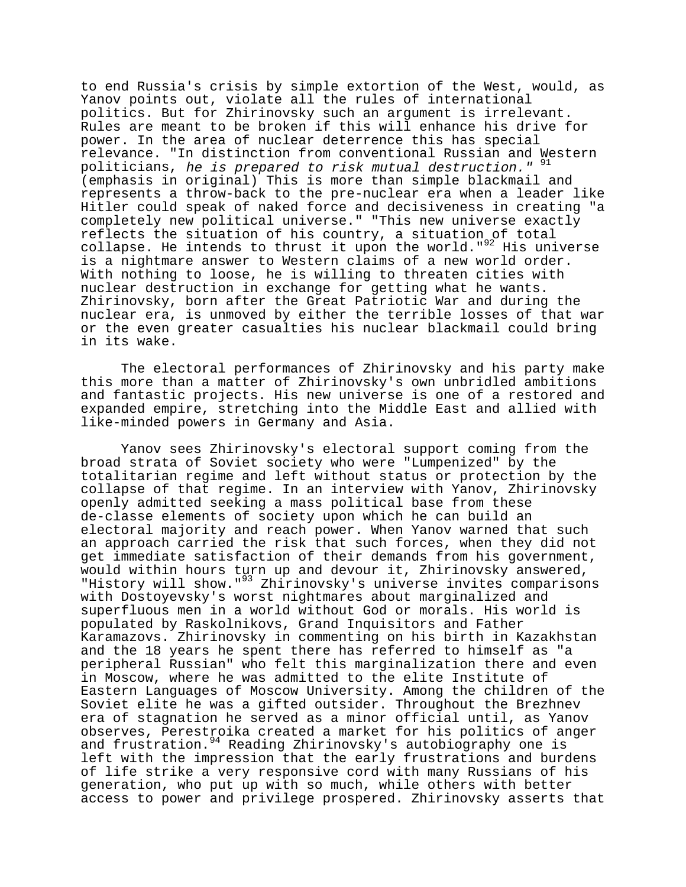to end Russia's crisis by simple extortion of the West, would, as Yanov points out, violate all the rules of international politics. But for Zhirinovsky such an argument is irrelevant. Rules are meant to be broken if this will enhance his drive for power. In the area of nuclear deterrence this has special relevance. "In distinction from conventional Russian and Western politicians, he is prepared to risk mutual destruction." 9 (emphasis in original) This is more than simple blackmail and represents a throw-back to the pre-nuclear era when a leader like Hitler could speak of naked force and decisiveness in creating "a completely new political universe." "This new universe exactly reflects the situation of his country, a situation of total collapse. He intends to thrust it upon the world." $92$  His universe is a nightmare answer to Western claims of a new world order. With nothing to loose, he is willing to threaten cities with nuclear destruction in exchange for getting what he wants. Zhirinovsky, born after the Great Patriotic War and during the nuclear era, is unmoved by either the terrible losses of that war or the even greater casualties his nuclear blackmail could bring in its wake.

The electoral performances of Zhirinovsky and his party make this more than a matter of Zhirinovsky's own unbridled ambitions and fantastic projects. His new universe is one of a restored and expanded empire, stretching into the Middle East and allied with like-minded powers in Germany and Asia.

Yanov sees Zhirinovsky's electoral support coming from the broad strata of Soviet society who were "Lumpenized" by the totalitarian regime and left without status or protection by the collapse of that regime. In an interview with Yanov, Zhirinovsky openly admitted seeking a mass political base from these de-classe elements of society upon which he can build an electoral majority and reach power. When Yanov warned that such an approach carried the risk that such forces, when they did not get immediate satisfaction of their demands from his government, would within hours turn up and devour it, Zhirinovsky answered, "History will show."93 Zhirinovsky's universe invites comparisons with Dostoyevsky's worst nightmares about marginalized and superfluous men in a world without God or morals. His world is populated by Raskolnikovs, Grand Inquisitors and Father Karamazovs. Zhirinovsky in commenting on his birth in Kazakhstan and the 18 years he spent there has referred to himself as "a peripheral Russian" who felt this marginalization there and even in Moscow, where he was admitted to the elite Institute of Eastern Languages of Moscow University. Among the children of the Soviet elite he was a gifted outsider. Throughout the Brezhnev era of stagnation he served as a minor official until, as Yanov observes, Perestroika created a market for his politics of anger and frustration.<sup>94</sup> Reading Zhirinovsky's autobiography one is left with the impression that the early frustrations and burdens of life strike a very responsive cord with many Russians of his generation, who put up with so much, while others with better access to power and privilege prospered. Zhirinovsky asserts that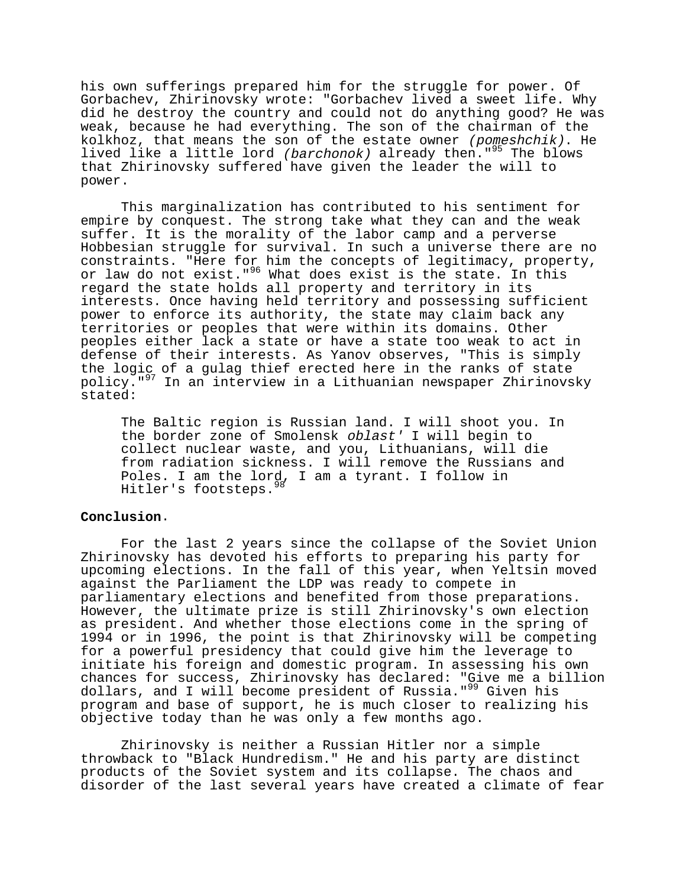his own sufferings prepared him for the struggle for power. Of Gorbachev, Zhirinovsky wrote: "Gorbachev lived a sweet life. Why did he destroy the country and could not do anything good? He was weak, because he had everything. The son of the chairman of the kolkhoz, that means the son of the estate owner  $(pomeshchik)$ . He lived like a little lord (barchonok) already then."<sup>95</sup> The blows that Zhirinovsky suffered have given the leader the will to power.

This marginalization has contributed to his sentiment for empire by conquest. The strong take what they can and the weak suffer. It is the morality of the labor camp and a perverse Hobbesian struggle for survival. In such a universe there are no constraints. "Here for him the concepts of legitimacy, property, or law do not exist."<sup>96</sup> What does exist is the state. In this regard the state holds all property and territory in its interests. Once having held territory and possessing sufficient power to enforce its authority, the state may claim back any territories or peoples that were within its domains. Other peoples either lack a state or have a state too weak to act in defense of their interests. As Yanov observes, "This is simply the logic of a gulag thief erected here in the ranks of state policy."97 In an interview in a Lithuanian newspaper Zhirinovsky stated:

The Baltic region is Russian land. I will shoot you. In the border zone of Smolensk oblast' I will begin to collect nuclear waste, and you, Lithuanians, will die from radiation sickness. I will remove the Russians and Poles. I am the lord, I am a tyrant. I follow in Hitler's footsteps. 98

# **Conclusion**.

For the last 2 years since the collapse of the Soviet Union Zhirinovsky has devoted his efforts to preparing his party for upcoming elections. In the fall of this year, when Yeltsin moved against the Parliament the LDP was ready to compete in parliamentary elections and benefited from those preparations. However, the ultimate prize is still Zhirinovsky's own election as president. And whether those elections come in the spring of 1994 or in 1996, the point is that Zhirinovsky will be competing for a powerful presidency that could give him the leverage to initiate his foreign and domestic program. In assessing his own chances for success, Zhirinovsky has declared: "Give me a billion dollars, and I will become president of Russia."<sup>99</sup> Given his program and base of support, he is much closer to realizing his objective today than he was only a few months ago.

Zhirinovsky is neither a Russian Hitler nor a simple throwback to "Black Hundredism." He and his party are distinct products of the Soviet system and its collapse. The chaos and disorder of the last several years have created a climate of fear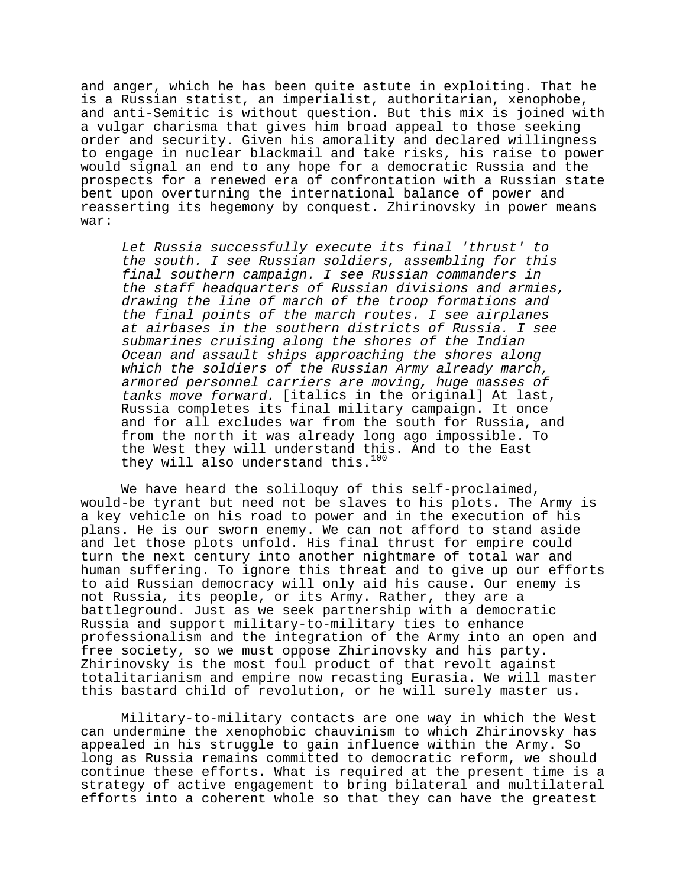and anger, which he has been quite astute in exploiting. That he is a Russian statist, an imperialist, authoritarian, xenophobe, and anti-Semitic is without question. But this mix is joined with a vulgar charisma that gives him broad appeal to those seeking order and security. Given his amorality and declared willingness to engage in nuclear blackmail and take risks, his raise to power would signal an end to any hope for a democratic Russia and the prospects for a renewed era of confrontation with a Russian state bent upon overturning the international balance of power and reasserting its hegemony by conquest. Zhirinovsky in power means war:

Let Russia successfully execute its final 'thrust' to the south. I see Russian soldiers, assembling for this final southern campaign. I see Russian commanders in the staff headquarters of Russian divisions and armies, drawing the line of march of the troop formations and the final points of the march routes. I see airplanes at airbases in the southern districts of Russia. I see submarines cruising along the shores of the Indian Ocean and assault ships approaching the shores along which the soldiers of the Russian Army already march, armored personnel carriers are moving, huge masses of tanks move forward. [italics in the original] At last, Russia completes its final military campaign. It once and for all excludes war from the south for Russia, and from the north it was already long ago impossible. To the West they will understand this. And to the East they will also understand this.<sup>100</sup>

We have heard the soliloquy of this self-proclaimed, would-be tyrant but need not be slaves to his plots. The Army is a key vehicle on his road to power and in the execution of his plans. He is our sworn enemy. We can not afford to stand aside and let those plots unfold. His final thrust for empire could turn the next century into another nightmare of total war and human suffering. To ignore this threat and to give up our efforts to aid Russian democracy will only aid his cause. Our enemy is not Russia, its people, or its Army. Rather, they are a battleground. Just as we seek partnership with a democratic Russia and support military-to-military ties to enhance professionalism and the integration of the Army into an open and free society, so we must oppose Zhirinovsky and his party. Zhirinovsky is the most foul product of that revolt against totalitarianism and empire now recasting Eurasia. We will master this bastard child of revolution, or he will surely master us.

Military-to-military contacts are one way in which the West can undermine the xenophobic chauvinism to which Zhirinovsky has appealed in his struggle to gain influence within the Army. So long as Russia remains committed to democratic reform, we should continue these efforts. What is required at the present time is a strategy of active engagement to bring bilateral and multilateral efforts into a coherent whole so that they can have the greatest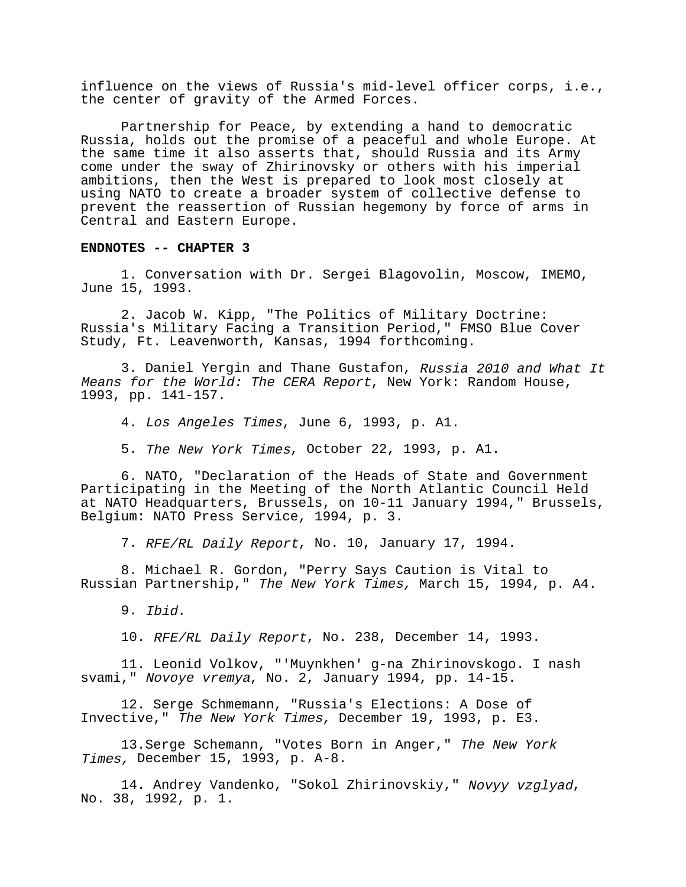influence on the views of Russia's mid-level officer corps, i.e., the center of gravity of the Armed Forces.

Partnership for Peace, by extending a hand to democratic Russia, holds out the promise of a peaceful and whole Europe. At the same time it also asserts that, should Russia and its Army come under the sway of Zhirinovsky or others with his imperial ambitions, then the West is prepared to look most closely at using NATO to create a broader system of collective defense to prevent the reassertion of Russian hegemony by force of arms in Central and Eastern Europe.

#### **ENDNOTES -- CHAPTER 3**

1. Conversation with Dr. Sergei Blagovolin, Moscow, IMEMO, June 15, 1993.

2. Jacob W. Kipp, "The Politics of Military Doctrine: Russia's Military Facing a Transition Period," FMSO Blue Cover Study, Ft. Leavenworth, Kansas, 1994 forthcoming.

3. Daniel Yergin and Thane Gustafon, Russia 2010 and What It Means for the World: The CERA Report, New York: Random House, 1993, pp. 141-157.

4. Los Angeles Times, June 6, 1993, p. A1.

5. The New York Times, October 22, 1993, p. A1.

6. NATO, "Declaration of the Heads of State and Government Participating in the Meeting of the North Atlantic Council Held at NATO Headquarters, Brussels, on 10-11 January 1994," Brussels, Belgium: NATO Press Service, 1994, p. 3.

7. RFE/RL Daily Report, No. 10, January 17, 1994.

8. Michael R. Gordon, "Perry Says Caution is Vital to Russian Partnership," The New York Times, March 15, 1994, p. A4.

10. RFE/RL Daily Report, No. 238, December 14, 1993.

11. Leonid Volkov, "'Muynkhen' g-na Zhirinovskogo. I nash svami," Novoye vremya, No. 2, January 1994, pp. 14-15.

12. Serge Schmemann, "Russia's Elections: A Dose of Invective," The New York Times, December 19, 1993, p. E3.

13.Serge Schemann, "Votes Born in Anger," The New York Times, December 15, 1993, p. A-8.

14. Andrey Vandenko, "Sokol Zhirinovskiy," Novyy vzglyad, No. 38, 1992, p. 1.

<sup>9.</sup> Ibid.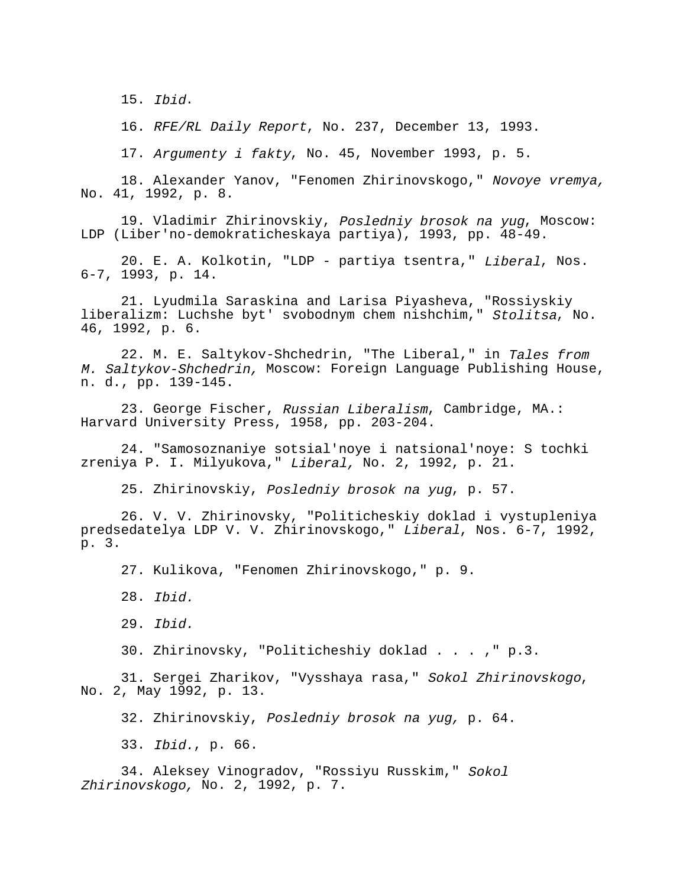15. Ibid.

16. RFE/RL Daily Report, No. 237, December 13, 1993.

17. Argumenty i fakty, No. 45, November 1993, p. 5.

18. Alexander Yanov, "Fenomen Zhirinovskogo," Novoye vremya, No. 41, 1992, p. 8.

19. Vladimir Zhirinovskiy, Posledniy brosok na yug, Moscow: LDP (Liber'no-demokraticheskaya partiya), 1993, pp. 48-49.

20. E. A. Kolkotin, "LDP - partiya tsentra," Liberal, Nos. 6-7, 1993, p. 14.

21. Lyudmila Saraskina and Larisa Piyasheva, "Rossiyskiy liberalizm: Luchshe byt' svobodnym chem nishchim," Stolitsa, No. 46, 1992, p. 6.

22. M. E. Saltykov-Shchedrin, "The Liberal," in Tales from M. Saltykov-Shchedrin, Moscow: Foreign Language Publishing House, n. d., pp. 139-145.

23. George Fischer, Russian Liberalism, Cambridge, MA.: Harvard University Press, 1958, pp. 203-204.

24. "Samosoznaniye sotsial'noye i natsional'noye: S tochki zreniya P. I. Milyukova," Liberal, No. 2, 1992, p. 21.

25. Zhirinovskiy, Posledniy brosok na yug, p. 57.

26. V. V. Zhirinovsky, "Politicheskiy doklad i vystupleniya predsedatelya LDP V. V. Zhirinovskogo," Liberal, Nos. 6-7, 1992, p. 3.

27. Kulikova, "Fenomen Zhirinovskogo," p. 9.

28. Ibid.

29. Ibid.

30. Zhirinovsky, "Politicheshiy doklad . . . ," p.3.

31. Sergei Zharikov, "Vysshaya rasa," Sokol Zhirinovskogo, No. 2, May 1992, p. 13.

32. Zhirinovskiy, Posledniy brosok na yug, p. 64.

33. Ibid., p. 66.

34. Aleksey Vinogradov, "Rossiyu Russkim," Sokol Zhirinovskogo, No. 2, 1992, p. 7.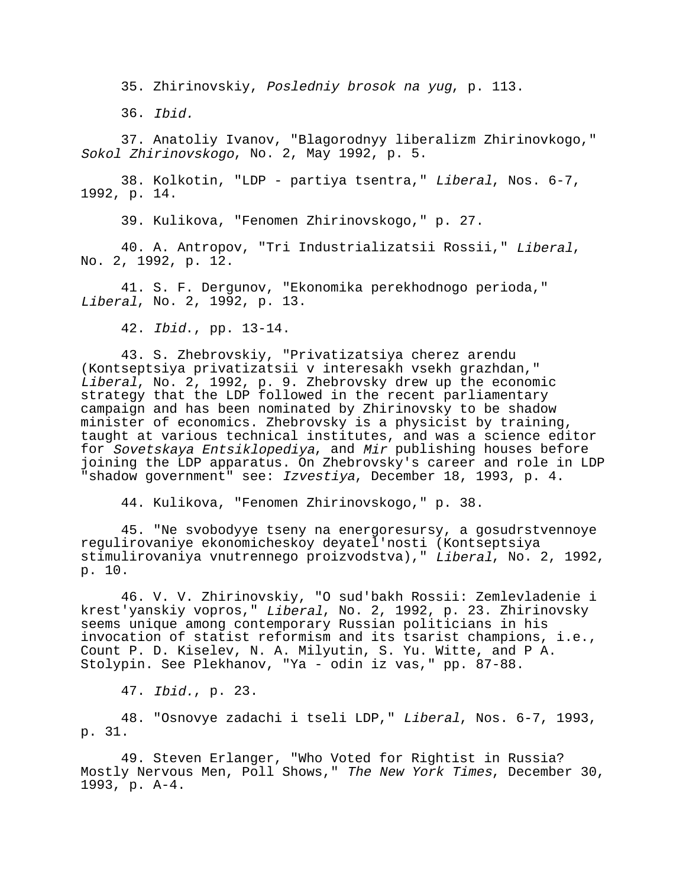35. Zhirinovskiy, Posledniy brosok na yug, p. 113.

36. Ibid.

37. Anatoliy Ivanov, "Blagorodnyy liberalizm Zhirinovkogo," Sokol Zhirinovskogo, No. 2, May 1992, p. 5.

38. Kolkotin, "LDP - partiya tsentra," Liberal, Nos. 6-7, 1992, p. 14.

39. Kulikova, "Fenomen Zhirinovskogo," p. 27.

40. A. Antropov, "Tri Industrializatsii Rossii," Liberal, No. 2, 1992, p. 12.

41. S. F. Dergunov, "Ekonomika perekhodnogo perioda," Liberal, No. 2, 1992, p. 13.

42. Ibid., pp. 13-14.

43. S. Zhebrovskiy, "Privatizatsiya cherez arendu (Kontseptsiya privatizatsii v interesakh vsekh grazhdan," Liberal, No. 2, 1992, p. 9. Zhebrovsky drew up the economic strategy that the LDP followed in the recent parliamentary campaign and has been nominated by Zhirinovsky to be shadow minister of economics. Zhebrovsky is a physicist by training, taught at various technical institutes, and was a science editor for Sovetskaya Entsiklopediya, and Mir publishing houses before joining the LDP apparatus. On Zhebrovsky's career and role in LDP "shadow government" see: Izvestiya, December 18, 1993, p. 4.

44. Kulikova, "Fenomen Zhirinovskogo," p. 38.

45. "Ne svobodyye tseny na energoresursy, a gosudrstvennoye regulirovaniye ekonomicheskoy deyatel'nosti (Kontseptsiya stimulirovaniya vnutrennego proizvodstva)," Liberal, No. 2, 1992, p. 10.

46. V. V. Zhirinovskiy, "O sud'bakh Rossii: Zemlevladenie i krest'yanskiy vopros," Liberal, No. 2, 1992, p. 23. Zhirinovsky seems unique among contemporary Russian politicians in his invocation of statist reformism and its tsarist champions, i.e., Count P. D. Kiselev, N. A. Milyutin, S. Yu. Witte, and P A. Stolypin. See Plekhanov, "Ya - odin iz vas," pp. 87-88.

47. Ibid., p. 23.

48. "Osnovye zadachi i tseli LDP," Liberal, Nos. 6-7, 1993, p. 31.

49. Steven Erlanger, "Who Voted for Rightist in Russia? Mostly Nervous Men, Poll Shows," The New York Times, December 30, 1993, p. A-4.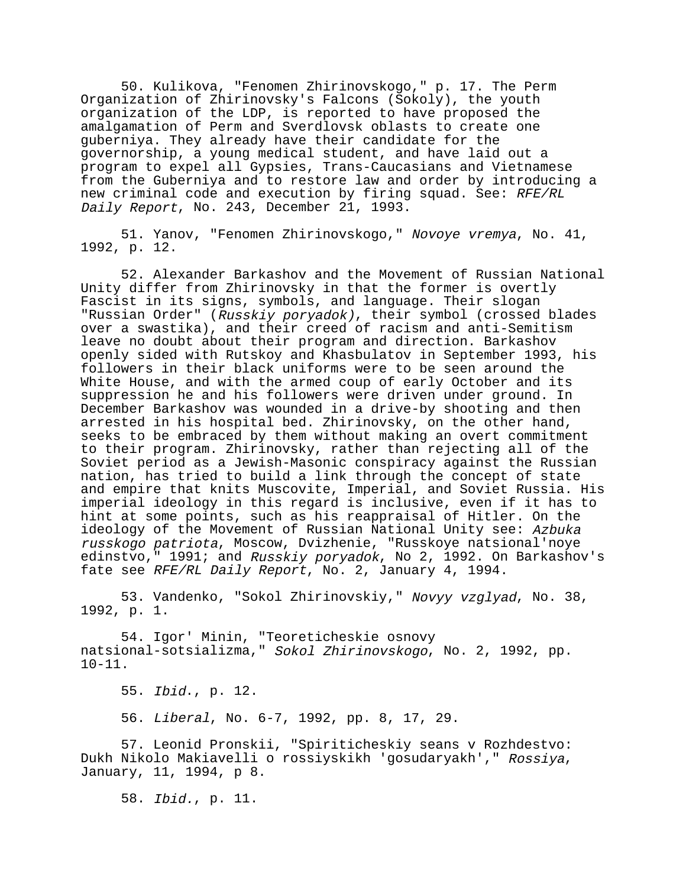50. Kulikova, "Fenomen Zhirinovskogo," p. 17. The Perm Organization of Zhirinovsky's Falcons (Sokoly), the youth organization of the LDP, is reported to have proposed the amalgamation of Perm and Sverdlovsk oblasts to create one guberniya. They already have their candidate for the governorship, a young medical student, and have laid out a program to expel all Gypsies, Trans-Caucasians and Vietnamese from the Guberniya and to restore law and order by introducing a new criminal code and execution by firing squad. See: RFE/RL Daily Report, No. 243, December 21, 1993.

51. Yanov, "Fenomen Zhirinovskogo," Novoye vremya, No. 41, 1992, p. 12.

52. Alexander Barkashov and the Movement of Russian National Unity differ from Zhirinovsky in that the former is overtly Fascist in its signs, symbols, and language. Their slogan "Russian Order" (Russkiy poryadok), their symbol (crossed blades over a swastika), and their creed of racism and anti-Semitism leave no doubt about their program and direction. Barkashov openly sided with Rutskoy and Khasbulatov in September 1993, his followers in their black uniforms were to be seen around the White House, and with the armed coup of early October and its suppression he and his followers were driven under ground. In December Barkashov was wounded in a drive-by shooting and then arrested in his hospital bed. Zhirinovsky, on the other hand, seeks to be embraced by them without making an overt commitment to their program. Zhirinovsky, rather than rejecting all of the Soviet period as a Jewish-Masonic conspiracy against the Russian nation, has tried to build a link through the concept of state and empire that knits Muscovite, Imperial, and Soviet Russia. His imperial ideology in this regard is inclusive, even if it has to hint at some points, such as his reappraisal of Hitler. On the ideology of the Movement of Russian National Unity see: Azbuka russkogo patriota, Moscow, Dvizhenie, "Russkoye natsional'noye edinstvo," 1991; and Russkiy poryadok, No 2, 1992. On Barkashov's fate see RFE/RL Daily Report, No. 2, January 4, 1994.

53. Vandenko, "Sokol Zhirinovskiy," Novyy vzglyad, No. 38, 1992, p. 1.

54. Igor' Minin, "Teoreticheskie osnovy natsional-sotsializma," Sokol Zhirinovskogo, No. 2, 1992, pp. 10-11.

55. Ibid., p. 12.

56. Liberal, No. 6-7, 1992, pp. 8, 17, 29.

57. Leonid Pronskii, "Spiriticheskiy seans v Rozhdestvo: Dukh Nikolo Makiavelli o rossiyskikh 'gosudaryakh'," Rossiya, January, 11, 1994, p 8.

58. Ibid., p. 11.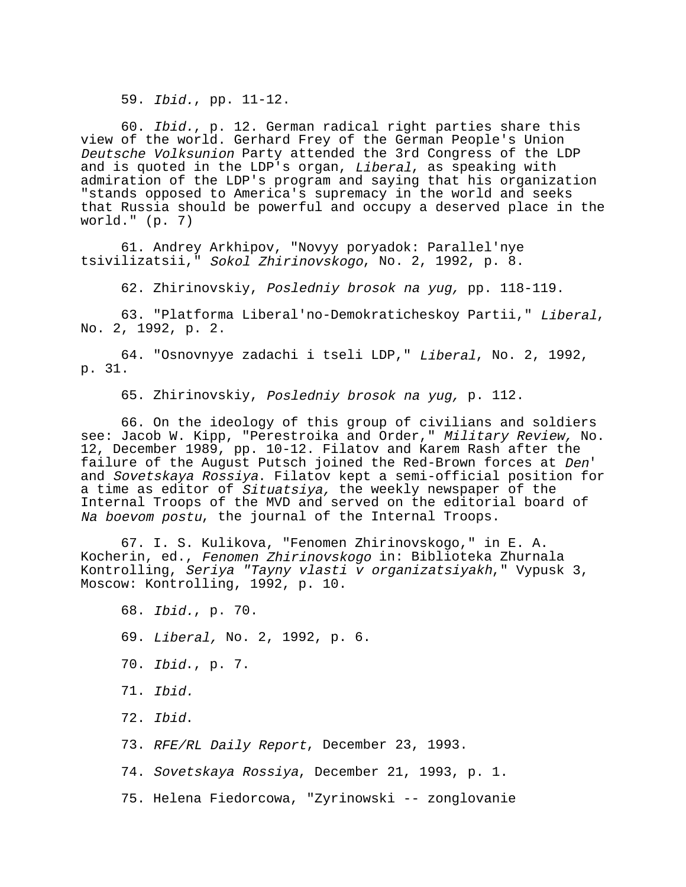59. Ibid., pp. 11-12.

60. Ibid., p. 12. German radical right parties share this view of the world. Gerhard Frey of the German People's Union Deutsche Volksunion Party attended the 3rd Congress of the LDP and is quoted in the LDP's organ, Liberal, as speaking with admiration of the LDP's program and saying that his organization "stands opposed to America's supremacy in the world and seeks that Russia should be powerful and occupy a deserved place in the world." (p. 7)

61. Andrey Arkhipov, "Novyy poryadok: Parallel'nye tsivilizatsii," Sokol Zhirinovskogo, No. 2, 1992, p. 8.

62. Zhirinovskiy, Posledniy brosok na yug, pp. 118-119.

63. "Platforma Liberal'no-Demokraticheskoy Partii," Liberal, No. 2, 1992, p. 2.

64. "Osnovnyye zadachi i tseli LDP," Liberal, No. 2, 1992, p. 31.

65. Zhirinovskiy, Posledniy brosok na yug, p. 112.

66. On the ideology of this group of civilians and soldiers see: Jacob W. Kipp, "Perestroika and Order," Military Review, No. 12, December 1989, pp. 10-12. Filatov and Karem Rash after the<br>failure of the August Putsch joined the Red-Brown forces at Den' and Sovetskaya Rossiya. Filatov kept a semi-official position for a time as editor of *Situatsiya,* the weekly newspaper of the Internal Troops of the MVD and served on the editorial board of Na boevom postu, the journal of the Internal Troops.

67. I. S. Kulikova, "Fenomen Zhirinovskogo," in E. A. Kocherin, ed., Fenomen Zhirinovskogo in: Biblioteka Zhurnala Kontrolling, Seriya "Tayny vlasti v organizatsiyakh," Vypusk 3, Moscow: Kontrolling, 1992, p. 10.

68. Ibid., p. 70.

69. Liberal, No. 2, 1992, p. 6.

- 70. Ibid., p. 7.
- 71. Ibid.
- 72. Ibid.
- 73. RFE/RL Daily Report, December 23, 1993.
- 74. Sovetskaya Rossiya, December 21, 1993, p. 1.
- 75. Helena Fiedorcowa, "Zyrinowski -- zonglovanie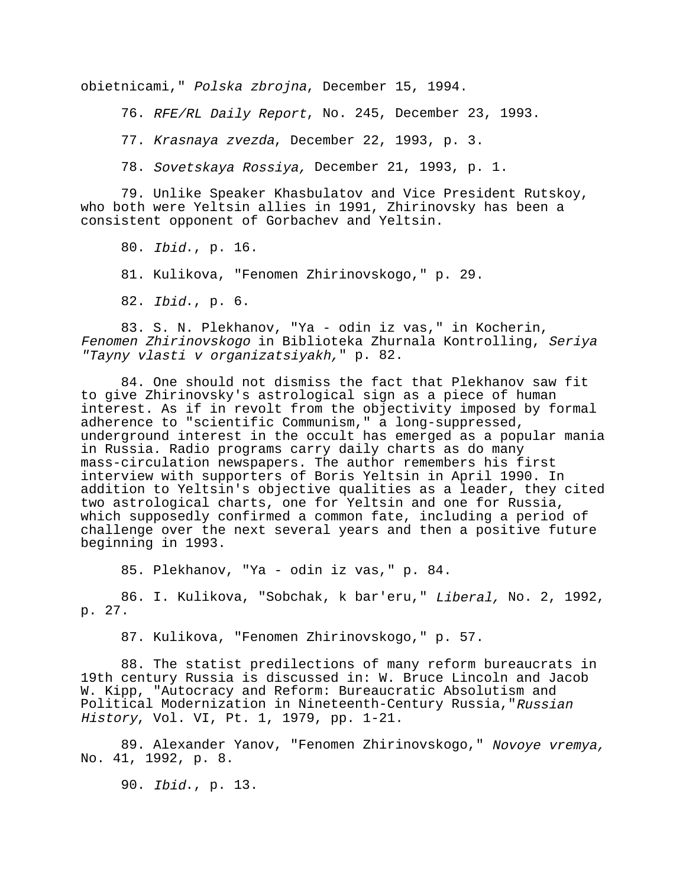obietnicami," Polska zbrojna, December 15, 1994.

76. RFE/RL Daily Report, No. 245, December 23, 1993.

77. Krasnaya zvezda, December 22, 1993, p. 3.

78. Sovetskaya Rossiya, December 21, 1993, p. 1.

79. Unlike Speaker Khasbulatov and Vice President Rutskoy, who both were Yeltsin allies in 1991, Zhirinovsky has been a consistent opponent of Gorbachev and Yeltsin.

80. Ibid., p. 16.

81. Kulikova, "Fenomen Zhirinovskogo," p. 29.

82. Ibid., p. 6.

83. S. N. Plekhanov, "Ya - odin iz vas," in Kocherin, Fenomen Zhirinovskogo in Biblioteka Zhurnala Kontrolling, Seriya "Tayny vlasti v organizatsiyakh," p. 82.

84. One should not dismiss the fact that Plekhanov saw fit to give Zhirinovsky's astrological sign as a piece of human interest. As if in revolt from the objectivity imposed by formal adherence to "scientific Communism," a long-suppressed, underground interest in the occult has emerged as a popular mania in Russia. Radio programs carry daily charts as do many mass-circulation newspapers. The author remembers his first interview with supporters of Boris Yeltsin in April 1990. In addition to Yeltsin's objective qualities as a leader, they cited two astrological charts, one for Yeltsin and one for Russia, which supposedly confirmed a common fate, including a period of challenge over the next several years and then a positive future beginning in 1993.

85. Plekhanov, "Ya - odin iz vas," p. 84.

86. I. Kulikova, "Sobchak, k bar'eru," Liberal, No. 2, 1992, p. 27.

87. Kulikova, "Fenomen Zhirinovskogo," p. 57.

88. The statist predilections of many reform bureaucrats in 19th century Russia is discussed in: W. Bruce Lincoln and Jacob W. Kipp, "Autocracy and Reform: Bureaucratic Absolutism and Political Modernization in Nineteenth-Century Russia, "Russian History, Vol. VI, Pt. 1, 1979, pp. 1-21.

89. Alexander Yanov, "Fenomen Zhirinovskogo," Novoye vremya, No. 41, 1992, p. 8.

90. Ibid., p. 13.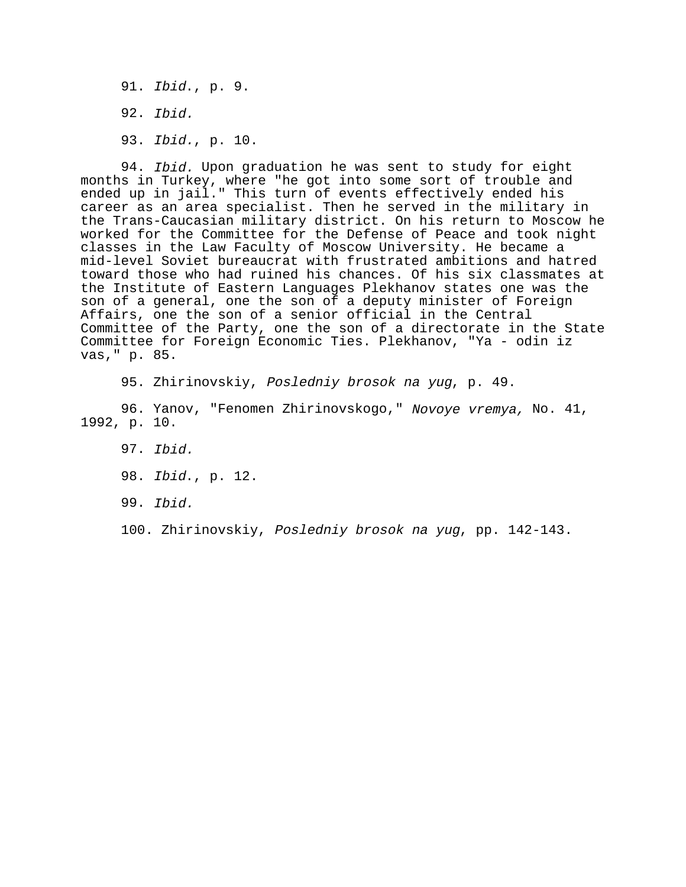91. Ibid., p. 9. 92. Ibid. 93. Ibid., p. 10.

94. *Ibid.* Upon graduation he was sent to study for eight months in Turkey, where "he got into some sort of trouble and ended up in jail." This turn of events effectively ended his career as an area specialist. Then he served in the military in the Trans-Caucasian military district. On his return to Moscow he worked for the Committee for the Defense of Peace and took night classes in the Law Faculty of Moscow University. He became a mid-level Soviet bureaucrat with frustrated ambitions and hatred toward those who had ruined his chances. Of his six classmates at the Institute of Eastern Languages Plekhanov states one was the son of a general, one the son of a deputy minister of Foreign Affairs, one the son of a senior official in the Central Committee of the Party, one the son of a directorate in the State Committee for Foreign Economic Ties. Plekhanov, "Ya - odin iz vas," p. 85.

95. Zhirinovskiy, Posledniy brosok na yug, p. 49.

96. Yanov, "Fenomen Zhirinovskogo," Novoye vremya, No. 41, 1992, p. 10.

- 97. Ibid.
- 98. Ibid., p. 12.
- 99. Ibid.

100. Zhirinovskiy, Posledniy brosok na yug, pp. 142-143.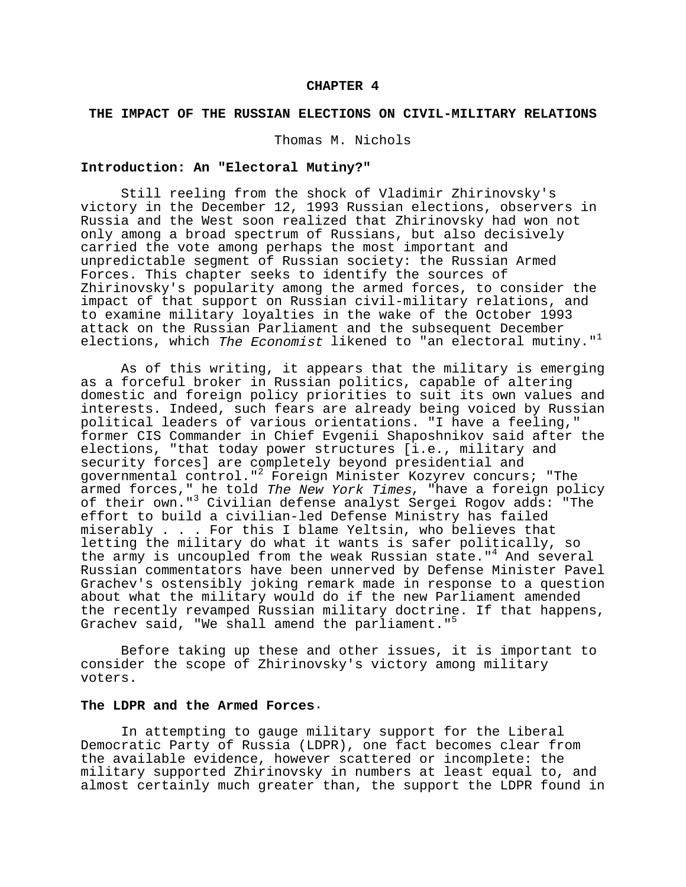### **CHAPTER 4**

### **THE IMPACT OF THE RUSSIAN ELECTIONS ON CIVIL-MILITARY RELATIONS**

Thomas M. Nichols

# **Introduction: An "Electoral Mutiny?"**

Still reeling from the shock of Vladimir Zhirinovsky's victory in the December 12, 1993 Russian elections, observers in Russia and the West soon realized that Zhirinovsky had won not only among a broad spectrum of Russians, but also decisively carried the vote among perhaps the most important and unpredictable segment of Russian society: the Russian Armed Forces. This chapter seeks to identify the sources of Zhirinovsky's popularity among the armed forces, to consider the impact of that support on Russian civil-military relations, and to examine military loyalties in the wake of the October 1993 attack on the Russian Parliament and the subsequent December elections, which The Economist likened to "an electoral mutiny."<sup>1</sup>

As of this writing, it appears that the military is emerging as a forceful broker in Russian politics, capable of altering domestic and foreign policy priorities to suit its own values and interests. Indeed, such fears are already being voiced by Russian political leaders of various orientations. "I have a feeling," former CIS Commander in Chief Evgenii Shaposhnikov said after the elections, "that today power structures [i.e., military and security forces] are completely beyond presidential and governmental control."2 Foreign Minister Kozyrev concurs; "The armed forces," he told *The New York Times*, "have a foreign policy of their own."3 Civilian defense analyst Sergei Rogov adds: "The effort to build a civilian-led Defense Ministry has failed miserably . . . For this I blame Yeltsin, who believes that letting the military do what it wants is safer politically, so the army is uncoupled from the weak Russian state."<sup>4</sup> And several Russian commentators have been unnerved by Defense Minister Pavel Grachev's ostensibly joking remark made in response to a question about what the military would do if the new Parliament amended the recently revamped Russian military doctrine. If that happens, Grachev said, "We shall amend the parliament."<sup>5</sup>

Before taking up these and other issues, it is important to consider the scope of Zhirinovsky's victory among military voters.

#### **The LDPR and the Armed Forces**.

In attempting to gauge military support for the Liberal Democratic Party of Russia (LDPR), one fact becomes clear from the available evidence, however scattered or incomplete: the military supported Zhirinovsky in numbers at least equal to, and almost certainly much greater than, the support the LDPR found in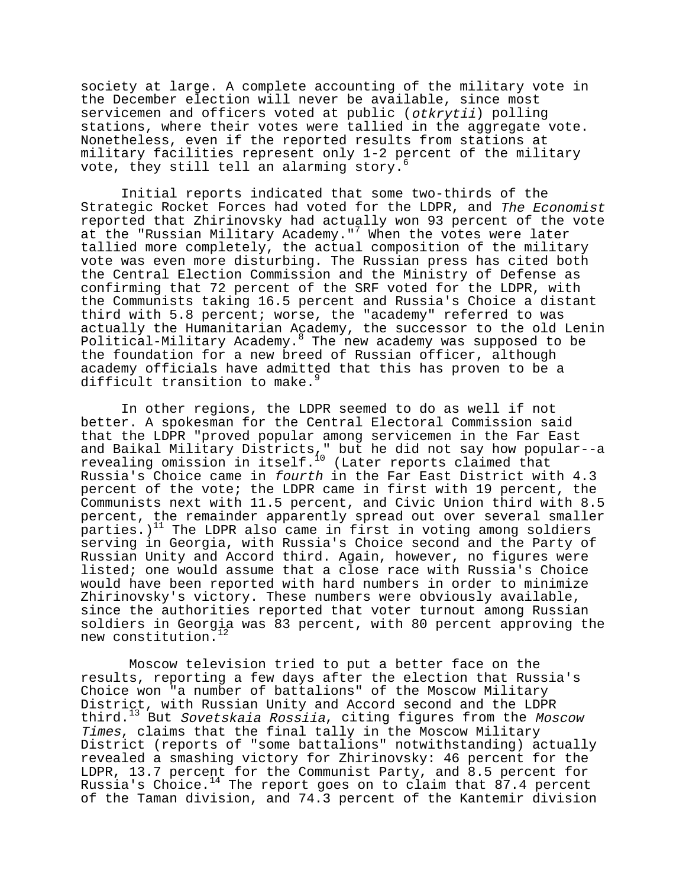society at large. A complete accounting of the military vote in the December election will never be available, since most servicemen and officers voted at public (otkrytii) polling stations, where their votes were tallied in the aggregate vote. Nonetheless, even if the reported results from stations at military facilities represent only 1-2 percent of the military vote, they still tell an alarming story. $<sup>6</sup>$ </sup>

Initial reports indicated that some two-thirds of the Strategic Rocket Forces had voted for the LDPR, and The Economist reported that Zhirinovsky had actually won 93 percent of the vote at the "Russian Military Academy."<sup>7</sup> When the votes were later tallied more completely, the actual composition of the military vote was even more disturbing. The Russian press has cited both the Central Election Commission and the Ministry of Defense as confirming that 72 percent of the SRF voted for the LDPR, with the Communists taking 16.5 percent and Russia's Choice a distant third with 5.8 percent; worse, the "academy" referred to was actually the Humanitarian Academy, the successor to the old Lenin Political-Military Academy.<sup>8</sup> The new academy was supposed to be the foundation for a new breed of Russian officer, although academy officials have admitted that this has proven to be a difficult transition to make.<sup>9</sup>

In other regions, the LDPR seemed to do as well if not better. A spokesman for the Central Electoral Commission said that the LDPR "proved popular among servicemen in the Far East and Baikal Military Districts," but he did not say how popular--a revealing omission in itself.10 (Later reports claimed that Russia's Choice came in fourth in the Far East District with 4.3 percent of the vote; the LDPR came in first with 19 percent, the Communists next with 11.5 percent, and Civic Union third with 8.5 percent, the remainder apparently spread out over several smaller parties.)<sup>11</sup> The LDPR also came in first in voting among soldiers serving in Georgia, with Russia's Choice second and the Party of Russian Unity and Accord third. Again, however, no figures were listed; one would assume that a close race with Russia's Choice would have been reported with hard numbers in order to minimize Zhirinovsky's victory. These numbers were obviously available, since the authorities reported that voter turnout among Russian soldiers in Georgia was 83 percent, with 80 percent approving the new constitution.<sup>12</sup>

 Moscow television tried to put a better face on the results, reporting a few days after the election that Russia's Choice won "a number of battalions" of the Moscow Military District, with Russian Unity and Accord second and the LDPR third.<sup>13</sup> But Sovetskaia Rossiia, citing figures from the Moscow Times, claims that the final tally in the Moscow Military District (reports of "some battalions" notwithstanding) actually revealed a smashing victory for Zhirinovsky: 46 percent for the LDPR, 13.7 percent for the Communist Party, and 8.5 percent for Russia's Choice.<sup>14</sup> The report goes on to claim that  $87.4$  percent of the Taman division, and 74.3 percent of the Kantemir division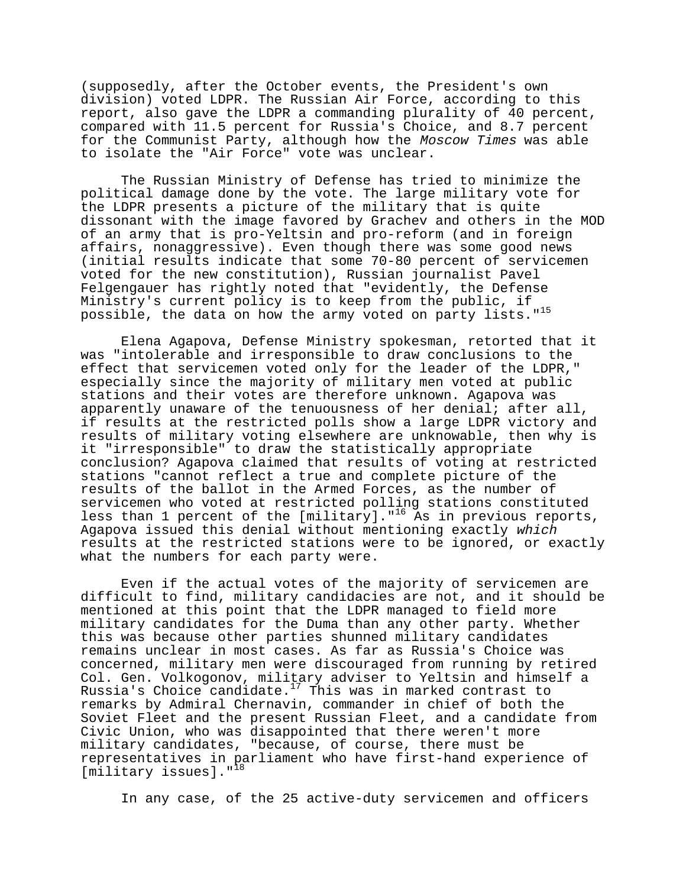(supposedly, after the October events, the President's own division) voted LDPR. The Russian Air Force, according to this report, also gave the LDPR a commanding plurality of 40 percent, compared with 11.5 percent for Russia's Choice, and 8.7 percent for the Communist Party, although how the Moscow Times was able to isolate the "Air Force" vote was unclear.

The Russian Ministry of Defense has tried to minimize the political damage done by the vote. The large military vote for the LDPR presents a picture of the military that is quite dissonant with the image favored by Grachev and others in the MOD of an army that is pro-Yeltsin and pro-reform (and in foreign affairs, nonaggressive). Even though there was some good news (initial results indicate that some 70-80 percent of servicemen voted for the new constitution), Russian journalist Pavel Felgengauer has rightly noted that "evidently, the Defense Ministry's current policy is to keep from the public, if possible, the data on how the army voted on party lists."<sup>15</sup>

Elena Agapova, Defense Ministry spokesman, retorted that it was "intolerable and irresponsible to draw conclusions to the effect that servicemen voted only for the leader of the LDPR," especially since the majority of military men voted at public stations and their votes are therefore unknown. Agapova was apparently unaware of the tenuousness of her denial; after all, if results at the restricted polls show a large LDPR victory and results of military voting elsewhere are unknowable, then why is it "irresponsible" to draw the statistically appropriate conclusion? Agapova claimed that results of voting at restricted stations "cannot reflect a true and complete picture of the results of the ballot in the Armed Forces, as the number of servicemen who voted at restricted polling stations constituted less than 1 percent of the [military]."<sup>16</sup> As in previous reports, Agapova issued this denial without mentioning exactly which results at the restricted stations were to be ignored, or exactly what the numbers for each party were.

Even if the actual votes of the majority of servicemen are difficult to find, military candidacies are not, and it should be mentioned at this point that the LDPR managed to field more military candidates for the Duma than any other party. Whether this was because other parties shunned military candidates remains unclear in most cases. As far as Russia's Choice was concerned, military men were discouraged from running by retired Col. Gen. Volkogonov, military adviser to Yeltsin and himself a Russia's Choice candidate.<sup>17</sup> This was in marked contrast to remarks by Admiral Chernavin, commander in chief of both the Soviet Fleet and the present Russian Fleet, and a candidate from Civic Union, who was disappointed that there weren't more military candidates, "because, of course, there must be representatives in parliament who have first-hand experience of [military issues]."<sup>18</sup>

In any case, of the 25 active-duty servicemen and officers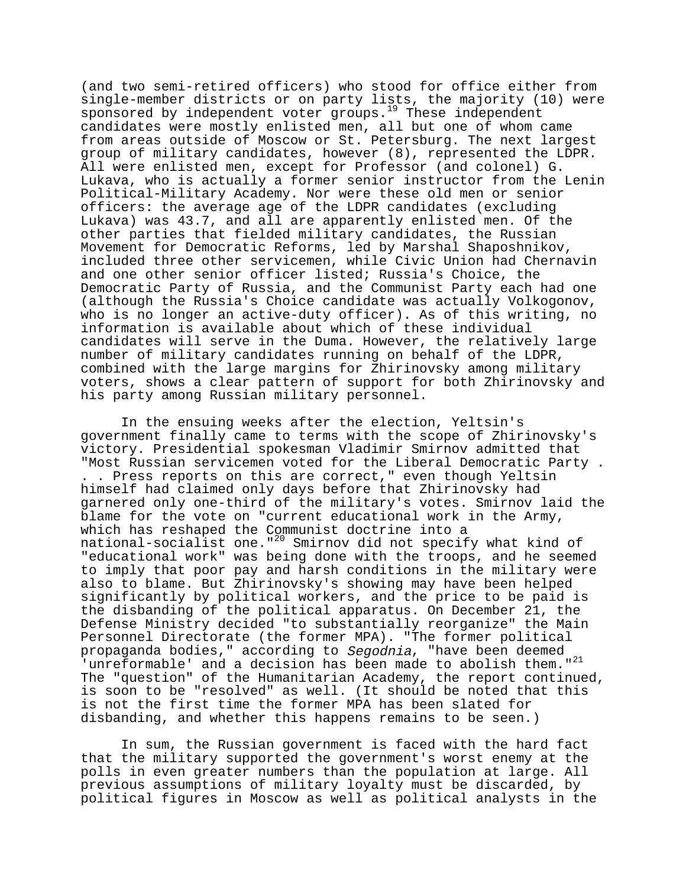(and two semi-retired officers) who stood for office either from single-member districts or on party lists, the majority (10) were sponsored by independent voter groups.<sup>19</sup> These independent candidates were mostly enlisted men, all but one of whom came from areas outside of Moscow or St. Petersburg. The next largest group of military candidates, however (8), represented the LDPR. All were enlisted men, except for Professor (and colonel) G. Lukava, who is actually a former senior instructor from the Lenin Political-Military Academy. Nor were these old men or senior officers: the average age of the LDPR candidates (excluding Lukava) was 43.7, and all are apparently enlisted men. Of the other parties that fielded military candidates, the Russian Movement for Democratic Reforms, led by Marshal Shaposhnikov, included three other servicemen, while Civic Union had Chernavin and one other senior officer listed; Russia's Choice, the Democratic Party of Russia, and the Communist Party each had one (although the Russia's Choice candidate was actually Volkogonov, who is no longer an active-duty officer). As of this writing, no information is available about which of these individual candidates will serve in the Duma. However, the relatively large number of military candidates running on behalf of the LDPR, combined with the large margins for Zhirinovsky among military voters, shows a clear pattern of support for both Zhirinovsky and his party among Russian military personnel.

In the ensuing weeks after the election, Yeltsin's government finally came to terms with the scope of Zhirinovsky's victory. Presidential spokesman Vladimir Smirnov admitted that "Most Russian servicemen voted for the Liberal Democratic Party . . . Press reports on this are correct," even though Yeltsin himself had claimed only days before that Zhirinovsky had garnered only one-third of the military's votes. Smirnov laid the blame for the vote on "current educational work in the Army, which has reshaped the Communist doctrine into a national-socialist one."20 Smirnov did not specify what kind of "educational work" was being done with the troops, and he seemed to imply that poor pay and harsh conditions in the military were also to blame. But Zhirinovsky's showing may have been helped significantly by political workers, and the price to be paid is the disbanding of the political apparatus. On December 21, the Defense Ministry decided "to substantially reorganize" the Main Personnel Directorate (the former MPA). "The former political propaganda bodies," according to Segodnia, "have been deemed 'unreformable' and a decision has been made to abolish them."<sup>21</sup> The "question" of the Humanitarian Academy, the report continued, is soon to be "resolved" as well. (It should be noted that this is not the first time the former MPA has been slated for disbanding, and whether this happens remains to be seen.)

In sum, the Russian government is faced with the hard fact that the military supported the government's worst enemy at the polls in even greater numbers than the population at large. All previous assumptions of military loyalty must be discarded, by political figures in Moscow as well as political analysts in the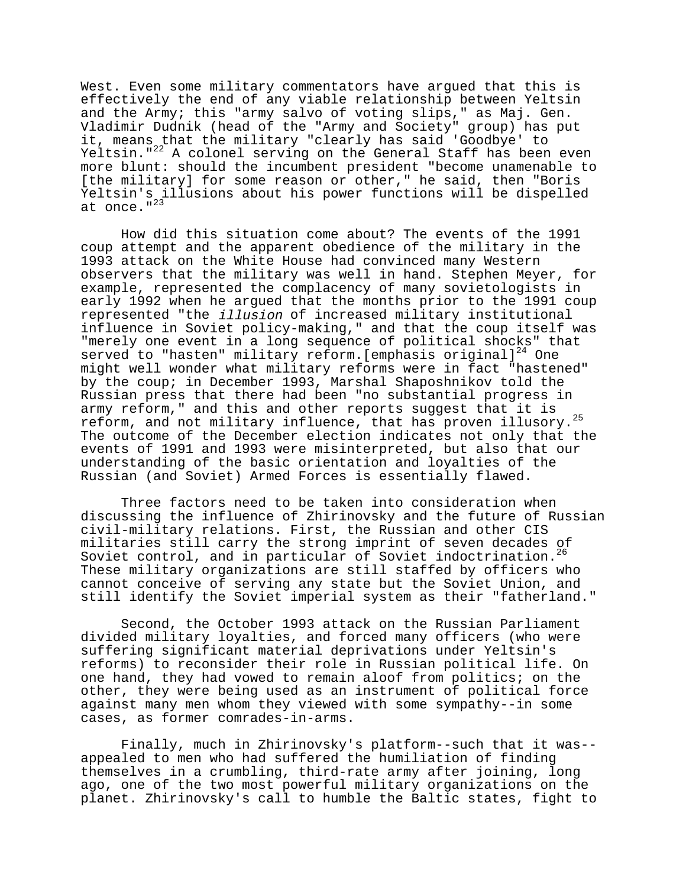West. Even some military commentators have argued that this is effectively the end of any viable relationship between Yeltsin and the Army; this "army salvo of voting slips," as Maj. Gen. Vladimir Dudnik (head of the "Army and Society" group) has put it, means that the military "clearly has said 'Goodbye' to Yeltsin."<sup>22</sup> A colonel serving on the General Staff has been even more blunt: should the incumbent president "become unamenable to [the military] for some reason or other," he said, then "Boris Yeltsin's illusions about his power functions will be dispelled at once."<sup>23</sup>

How did this situation come about? The events of the 1991 coup attempt and the apparent obedience of the military in the 1993 attack on the White House had convinced many Western observers that the military was well in hand. Stephen Meyer, for example, represented the complacency of many sovietologists in early 1992 when he argued that the months prior to the 1991 coup represented "the illusion of increased military institutional influence in Soviet policy-making," and that the coup itself was "merely one event in a long sequence of political shocks" that served to "hasten" military reform. [emphasis original] $^{24}$  One might well wonder what military reforms were in fact "hastened" by the coup; in December 1993, Marshal Shaposhnikov told the Russian press that there had been "no substantial progress in army reform," and this and other reports suggest that it is reform, and not military influence, that has proven illusory.<sup>25</sup> The outcome of the December election indicates not only that the events of 1991 and 1993 were misinterpreted, but also that our understanding of the basic orientation and loyalties of the Russian (and Soviet) Armed Forces is essentially flawed.

Three factors need to be taken into consideration when discussing the influence of Zhirinovsky and the future of Russian civil-military relations. First, the Russian and other CIS militaries still carry the strong imprint of seven decades of Soviet control, and in particular of Soviet indoctrination.<sup>26</sup> These military organizations are still staffed by officers who cannot conceive of serving any state but the Soviet Union, and still identify the Soviet imperial system as their "fatherland."

Second, the October 1993 attack on the Russian Parliament divided military loyalties, and forced many officers (who were suffering significant material deprivations under Yeltsin's reforms) to reconsider their role in Russian political life. On one hand, they had vowed to remain aloof from politics; on the other, they were being used as an instrument of political force against many men whom they viewed with some sympathy--in some cases, as former comrades-in-arms.

Finally, much in Zhirinovsky's platform--such that it was- appealed to men who had suffered the humiliation of finding themselves in a crumbling, third-rate army after joining, long ago, one of the two most powerful military organizations on the planet. Zhirinovsky's call to humble the Baltic states, fight to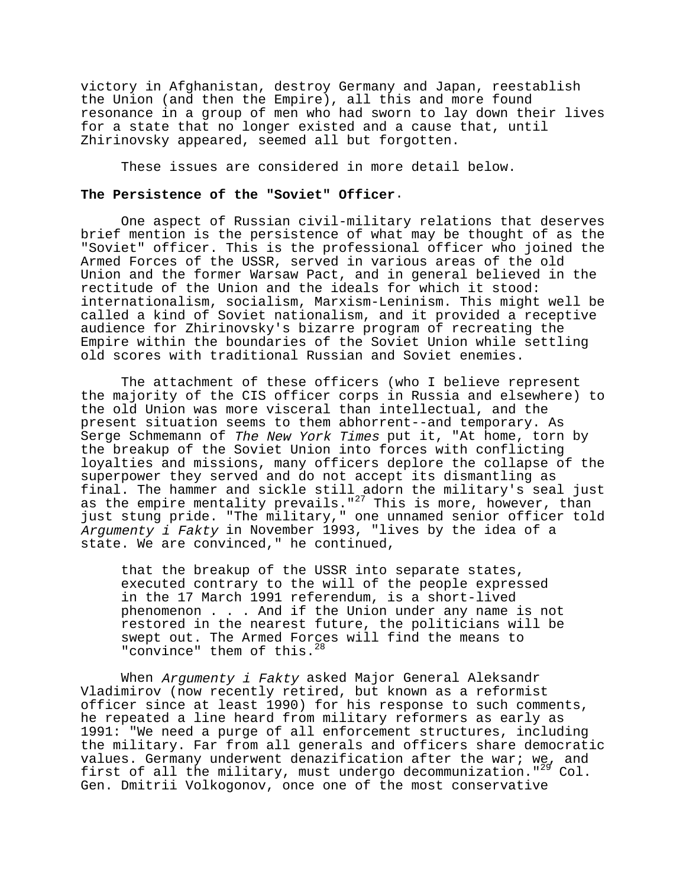victory in Afghanistan, destroy Germany and Japan, reestablish the Union (and then the Empire), all this and more found resonance in a group of men who had sworn to lay down their lives for a state that no longer existed and a cause that, until Zhirinovsky appeared, seemed all but forgotten.

These issues are considered in more detail below.

### **The Persistence of the "Soviet" Officer**.

One aspect of Russian civil-military relations that deserves brief mention is the persistence of what may be thought of as the "Soviet" officer. This is the professional officer who joined the Armed Forces of the USSR, served in various areas of the old Union and the former Warsaw Pact, and in general believed in the rectitude of the Union and the ideals for which it stood: internationalism, socialism, Marxism-Leninism. This might well be called a kind of Soviet nationalism, and it provided a receptive audience for Zhirinovsky's bizarre program of recreating the Empire within the boundaries of the Soviet Union while settling old scores with traditional Russian and Soviet enemies.

The attachment of these officers (who I believe represent the majority of the CIS officer corps in Russia and elsewhere) to the old Union was more visceral than intellectual, and the present situation seems to them abhorrent--and temporary. As Serge Schmemann of The New York Times put it, "At home, torn by the breakup of the Soviet Union into forces with conflicting loyalties and missions, many officers deplore the collapse of the superpower they served and do not accept its dismantling as final. The hammer and sickle still adorn the military's seal just as the empire mentality prevails." $^{27}$  This is more, however, than just stung pride. "The military," one unnamed senior officer told Argumenty i Fakty in November 1993, "lives by the idea of a state. We are convinced," he continued,

that the breakup of the USSR into separate states, executed contrary to the will of the people expressed in the 17 March 1991 referendum, is a short-lived phenomenon . . . And if the Union under any name is not restored in the nearest future, the politicians will be swept out. The Armed Forces will find the means to "convince" them of this.<sup>28</sup>

When Argumenty i Fakty asked Major General Aleksandr Vladimirov (now recently retired, but known as a reformist officer since at least 1990) for his response to such comments, he repeated a line heard from military reformers as early as 1991: "We need a purge of all enforcement structures, including the military. Far from all generals and officers share democratic values. Germany underwent denazification after the war; we, and first of all the military, must undergo decommunization." $^{29}$  Col. Gen. Dmitrii Volkogonov, once one of the most conservative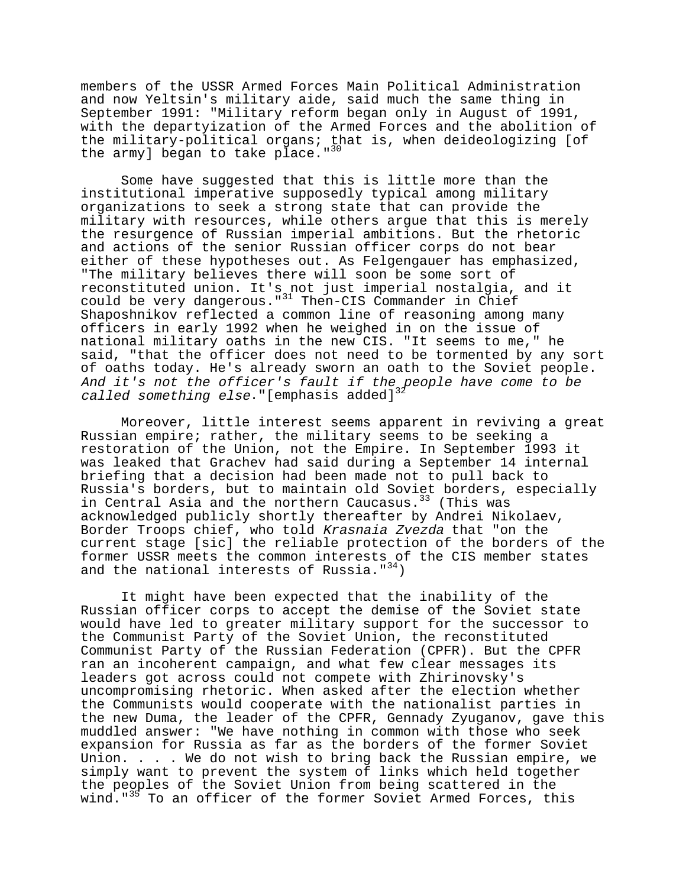members of the USSR Armed Forces Main Political Administration and now Yeltsin's military aide, said much the same thing in September 1991: "Military reform began only in August of 1991, with the departyization of the Armed Forces and the abolition of the military-political organs; that is, when deideologizing [of the army] began to take  $p\bar{1}$ ace."<sup>30</sup>

Some have suggested that this is little more than the institutional imperative supposedly typical among military organizations to seek a strong state that can provide the military with resources, while others argue that this is merely the resurgence of Russian imperial ambitions. But the rhetoric and actions of the senior Russian officer corps do not bear either of these hypotheses out. As Felgengauer has emphasized, "The military believes there will soon be some sort of reconstituted union. It's not just imperial nostalgia, and it could be very dangerous."<sup>31</sup> Then-CIS Commander in Chief Shaposhnikov reflected a common line of reasoning among many officers in early 1992 when he weighed in on the issue of national military oaths in the new CIS. "It seems to me," he said, "that the officer does not need to be tormented by any sort of oaths today. He's already sworn an oath to the Soviet people. And it's not the officer's fault if the people have come to be *called something else*."[emphasis added] $^{3^{\underline{2}}}$ 

Moreover, little interest seems apparent in reviving a great Russian empire; rather, the military seems to be seeking a restoration of the Union, not the Empire. In September 1993 it was leaked that Grachev had said during a September 14 internal briefing that a decision had been made not to pull back to Russia's borders, but to maintain old Soviet borders, especially in Central Asia and the northern Caucasus.<sup>33</sup> (This was acknowledged publicly shortly thereafter by Andrei Nikolaev, Border Troops chief, who told Krasnaia Zvezda that "on the current stage [sic] the reliable protection of the borders of the former USSR meets the common interests of the CIS member states and the national interests of Russia." $34$ )

It might have been expected that the inability of the Russian officer corps to accept the demise of the Soviet state would have led to greater military support for the successor to the Communist Party of the Soviet Union, the reconstituted Communist Party of the Russian Federation (CPFR). But the CPFR ran an incoherent campaign, and what few clear messages its leaders got across could not compete with Zhirinovsky's uncompromising rhetoric. When asked after the election whether the Communists would cooperate with the nationalist parties in the new Duma, the leader of the CPFR, Gennady Zyuganov, gave this muddled answer: "We have nothing in common with those who seek expansion for Russia as far as the borders of the former Soviet Union. . . . We do not wish to bring back the Russian empire, we simply want to prevent the system of links which held together the peoples of the Soviet Union from being scattered in the wind."<sup>35</sup> To an officer of the former Soviet Armed Forces, this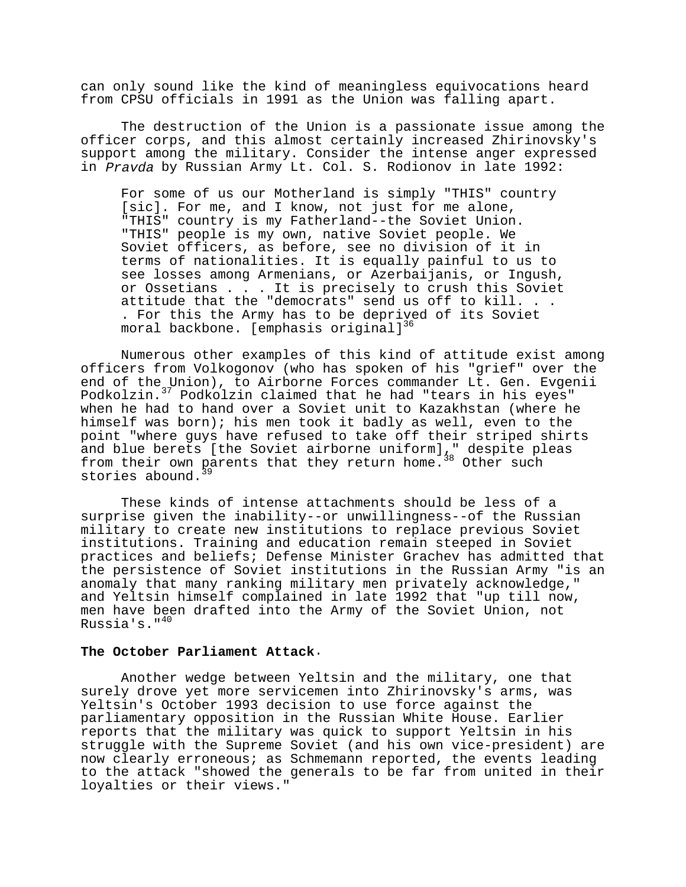can only sound like the kind of meaningless equivocations heard from CPSU officials in 1991 as the Union was falling apart.

The destruction of the Union is a passionate issue among the officer corps, and this almost certainly increased Zhirinovsky's support among the military. Consider the intense anger expressed in Pravda by Russian Army Lt. Col. S. Rodionov in late 1992:

For some of us our Motherland is simply "THIS" country [sic]. For me, and I know, not just for me alone, "THIS" country is my Fatherland--the Soviet Union. "THIS" people is my own, native Soviet people. We Soviet officers, as before, see no division of it in terms of nationalities. It is equally painful to us to see losses among Armenians, or Azerbaijanis, or Ingush, or Ossetians . . . It is precisely to crush this Soviet attitude that the "democrats" send us off to kill. . . . For this the Army has to be deprived of its Soviet moral backbone. [emphasis original]<sup>36</sup>

Numerous other examples of this kind of attitude exist among officers from Volkogonov (who has spoken of his "grief" over the end of the Union), to Airborne Forces commander Lt. Gen. Evgenii Podkolzin.37 Podkolzin claimed that he had "tears in his eyes" when he had to hand over a Soviet unit to Kazakhstan (where he himself was born); his men took it badly as well, even to the point "where guys have refused to take off their striped shirts and blue berets [the Soviet airborne uniform]," despite pleas from their own parents that they return home.<sup>38</sup> Other such stories abound.

These kinds of intense attachments should be less of a surprise given the inability--or unwillingness--of the Russian military to create new institutions to replace previous Soviet institutions. Training and education remain steeped in Soviet practices and beliefs; Defense Minister Grachev has admitted that the persistence of Soviet institutions in the Russian Army "is an anomaly that many ranking military men privately acknowledge," and Yeltsin himself complained in late 1992 that "up till now, men have been drafted into the Army of the Soviet Union, not Russia's."40

### **The October Parliament Attack**.

Another wedge between Yeltsin and the military, one that surely drove yet more servicemen into Zhirinovsky's arms, was Yeltsin's October 1993 decision to use force against the parliamentary opposition in the Russian White House. Earlier reports that the military was quick to support Yeltsin in his struggle with the Supreme Soviet (and his own vice-president) are now clearly erroneous; as Schmemann reported, the events leading to the attack "showed the generals to be far from united in their loyalties or their views."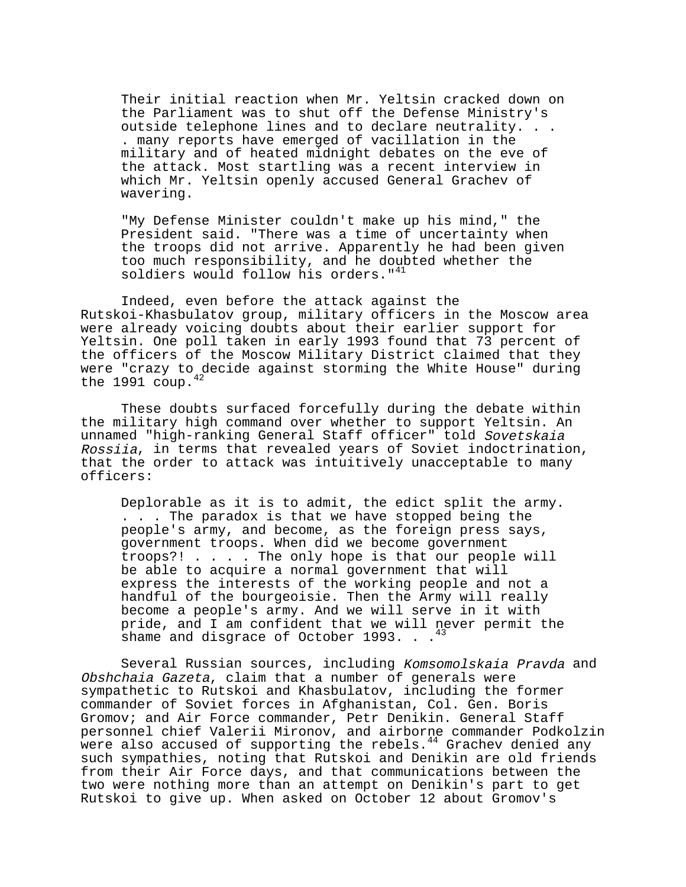Their initial reaction when Mr. Yeltsin cracked down on the Parliament was to shut off the Defense Ministry's outside telephone lines and to declare neutrality. . . . many reports have emerged of vacillation in the military and of heated midnight debates on the eve of the attack. Most startling was a recent interview in which Mr. Yeltsin openly accused General Grachev of wavering.

"My Defense Minister couldn't make up his mind," the President said. "There was a time of uncertainty when the troops did not arrive. Apparently he had been given too much responsibility, and he doubted whether the soldiers would follow his orders."<sup>41</sup>

Indeed, even before the attack against the Rutskoi-Khasbulatov group, military officers in the Moscow area were already voicing doubts about their earlier support for Yeltsin. One poll taken in early 1993 found that 73 percent of the officers of the Moscow Military District claimed that they were "crazy to decide against storming the White House" during the 1991  $coup.<sup>42</sup>$ 

These doubts surfaced forcefully during the debate within the military high command over whether to support Yeltsin. An unnamed "high-ranking General Staff officer" told Sovetskaia Rossiia, in terms that revealed years of Soviet indoctrination, that the order to attack was intuitively unacceptable to many officers:

Deplorable as it is to admit, the edict split the army. . . . The paradox is that we have stopped being the people's army, and become, as the foreign press says, government troops. When did we become government troops?! . . . . The only hope is that our people will be able to acquire a normal government that will express the interests of the working people and not a handful of the bourgeoisie. Then the Army will really become a people's army. And we will serve in it with pride, and I am confident that we will never permit the shame and disgrace of October 1993. .  $\cdot$ <sup>43</sup>

Several Russian sources, including Komsomolskaia Pravda and Obshchaia Gazeta, claim that a number of generals were sympathetic to Rutskoi and Khasbulatov, including the former commander of Soviet forces in Afghanistan, Col. Gen. Boris Gromov; and Air Force commander, Petr Denikin. General Staff personnel chief Valerii Mironov, and airborne commander Podkolzin were also accused of supporting the rebels.<sup>44</sup> Grachev denied any such sympathies, noting that Rutskoi and Denikin are old friends from their Air Force days, and that communications between the two were nothing more than an attempt on Denikin's part to get Rutskoi to give up. When asked on October 12 about Gromov's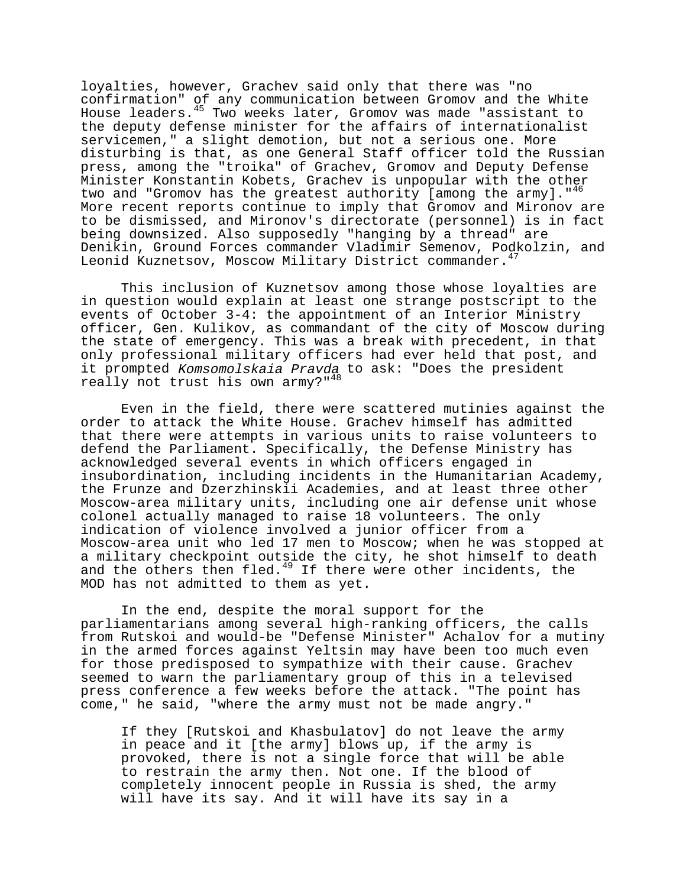loyalties, however, Grachev said only that there was "no confirmation" of any communication between Gromov and the White House leaders. $45 \text{ Two weeks later}$ , Gromov was made "assistant to the deputy defense minister for the affairs of internationalist servicemen," a slight demotion, but not a serious one. More disturbing is that, as one General Staff officer told the Russian press, among the "troika" of Grachev, Gromov and Deputy Defense Minister Konstantin Kobets, Grachev is unpopular with the other two and "Gromov has the greatest authority [among the army]."<sup>46</sup> More recent reports continue to imply that Gromov and Mironov are to be dismissed, and Mironov's directorate (personnel) is in fact being downsized. Also supposedly "hanging by a thread" are Denikin, Ground Forces commander Vladimir Semenov, Podkolzin, and Leonid Kuznetsov, Moscow Military District commander.<sup>47</sup>

This inclusion of Kuznetsov among those whose loyalties are in question would explain at least one strange postscript to the events of October 3-4: the appointment of an Interior Ministry officer, Gen. Kulikov, as commandant of the city of Moscow during the state of emergency. This was a break with precedent, in that only professional military officers had ever held that post, and it prompted Komsomolskaia Pravda to ask: "Does the president really not trust his own army?"<sup>48</sup>

Even in the field, there were scattered mutinies against the order to attack the White House. Grachev himself has admitted that there were attempts in various units to raise volunteers to defend the Parliament. Specifically, the Defense Ministry has acknowledged several events in which officers engaged in insubordination, including incidents in the Humanitarian Academy, the Frunze and Dzerzhinskii Academies, and at least three other Moscow-area military units, including one air defense unit whose colonel actually managed to raise 18 volunteers. The only indication of violence involved a junior officer from a Moscow-area unit who led 17 men to Moscow; when he was stopped at a military checkpoint outside the city, he shot himself to death a military theorgoing subsets the core of the more incidents, the MOD has not admitted to them as yet.

In the end, despite the moral support for the parliamentarians among several high-ranking officers, the calls from Rutskoi and would-be "Defense Minister" Achalov for a mutiny in the armed forces against Yeltsin may have been too much even for those predisposed to sympathize with their cause. Grachev seemed to warn the parliamentary group of this in a televised press conference a few weeks before the attack. "The point has come," he said, "where the army must not be made angry."

If they [Rutskoi and Khasbulatov] do not leave the army in peace and it [the army] blows up, if the army is provoked, there is not a single force that will be able to restrain the army then. Not one. If the blood of completely innocent people in Russia is shed, the army will have its say. And it will have its say in a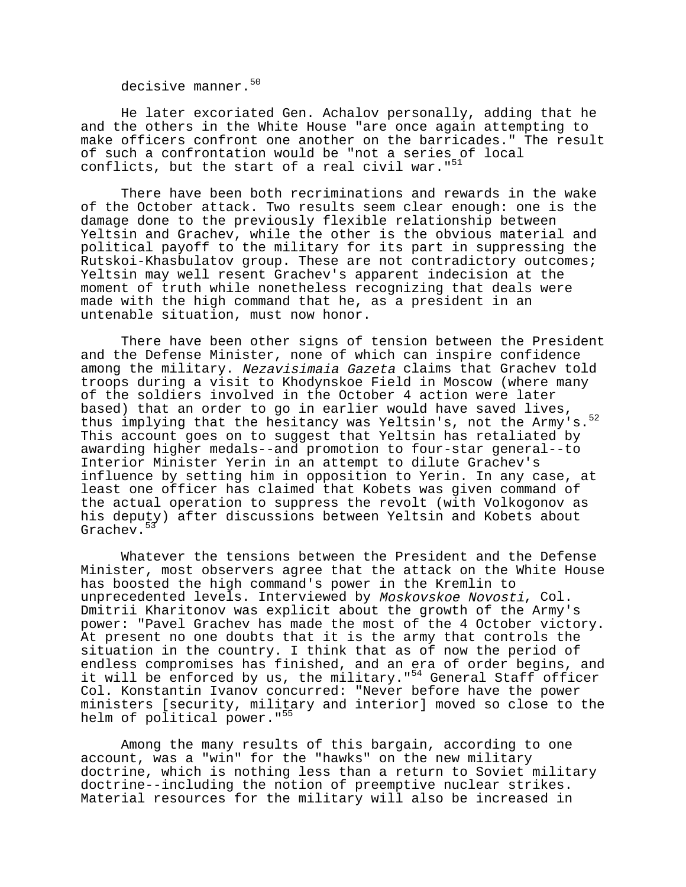decisive manner.<sup>50</sup>

He later excoriated Gen. Achalov personally, adding that he and the others in the White House "are once again attempting to make officers confront one another on the barricades." The result of such a confrontation would be "not a series of local conflicts, but the start of a real civil war." $51$ 

There have been both recriminations and rewards in the wake of the October attack. Two results seem clear enough: one is the damage done to the previously flexible relationship between Yeltsin and Grachev, while the other is the obvious material and political payoff to the military for its part in suppressing the Rutskoi-Khasbulatov group. These are not contradictory outcomes; Yeltsin may well resent Grachev's apparent indecision at the moment of truth while nonetheless recognizing that deals were made with the high command that he, as a president in an untenable situation, must now honor.

There have been other signs of tension between the President and the Defense Minister, none of which can inspire confidence among the military. Nezavisimaia Gazeta claims that Grachev told troops during a visit to Khodynskoe Field in Moscow (where many of the soldiers involved in the October 4 action were later based) that an order to go in earlier would have saved lives, thus implying that the hesitancy was Yeltsin's, not the Army's.<sup>52</sup> This account goes on to suggest that Yeltsin has retaliated by awarding higher medals--and promotion to four-star general--to Interior Minister Yerin in an attempt to dilute Grachev's influence by setting him in opposition to Yerin. In any case, at least one officer has claimed that Kobets was given command of the actual operation to suppress the revolt (with Volkogonov as his deputy) after discussions between Yeltsin and Kobets about Grachev.<sup>5</sup>

Whatever the tensions between the President and the Defense Minister, most observers agree that the attack on the White House has boosted the high command's power in the Kremlin to unprecedented levels. Interviewed by Moskovskoe Novosti, Col. Dmitrii Kharitonov was explicit about the growth of the Army's power: "Pavel Grachev has made the most of the 4 October victory. At present no one doubts that it is the army that controls the situation in the country. I think that as of now the period of endless compromises has finished, and an era of order begins, and it will be enforced by us, the military."<sup>54</sup> General Staff officer Col. Konstantin Ivanov concurred: "Never before have the power ministers [security, military and interior] moved so close to the helm of political power."<sup>55</sup>

Among the many results of this bargain, according to one account, was a "win" for the "hawks" on the new military doctrine, which is nothing less than a return to Soviet military doctrine--including the notion of preemptive nuclear strikes. Material resources for the military will also be increased in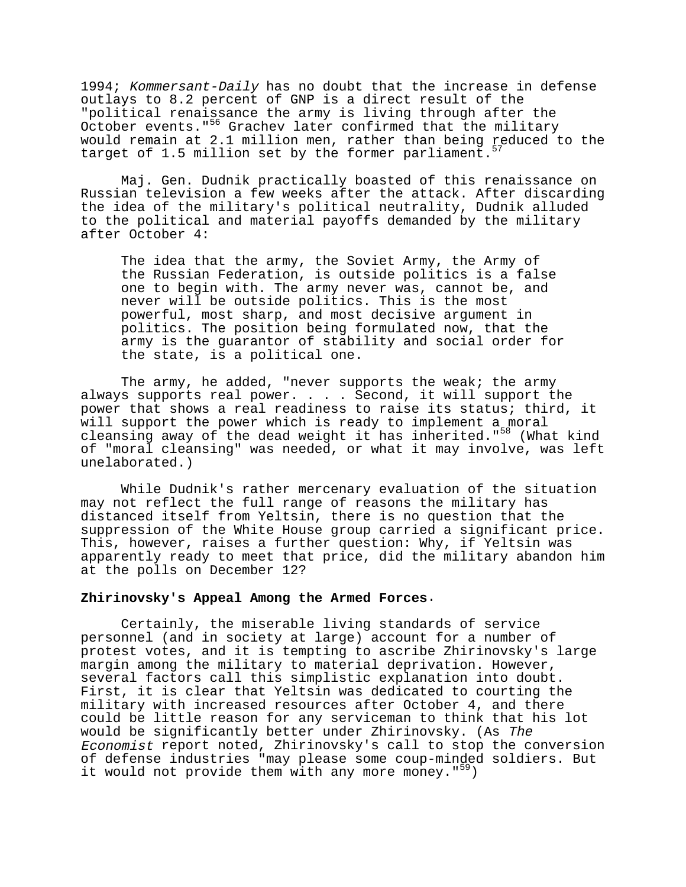1994; Kommersant-Daily has no doubt that the increase in defense outlays to 8.2 percent of GNP is a direct result of the "political renaissance the army is living through after the October events."56 Grachev later confirmed that the military would remain at 2.1 million men, rather than being reduced to the target of 1.5 million set by the former parliament.<sup>57</sup>

Maj. Gen. Dudnik practically boasted of this renaissance on Russian television a few weeks after the attack. After discarding the idea of the military's political neutrality, Dudnik alluded to the political and material payoffs demanded by the military after October 4:

The idea that the army, the Soviet Army, the Army of the Russian Federation, is outside politics is a false one to begin with. The army never was, cannot be, and never will be outside politics. This is the most powerful, most sharp, and most decisive argument in politics. The position being formulated now, that the army is the guarantor of stability and social order for the state, is a political one.

The army, he added, "never supports the weak; the army always supports real power. . . . Second, it will support the power that shows a real readiness to raise its status; third, it will support the power which is ready to implement a moral cleansing away of the dead weight it has inherited."<sup>58</sup> (What kind of "moral cleansing" was needed, or what it may involve, was left unelaborated.)

While Dudnik's rather mercenary evaluation of the situation may not reflect the full range of reasons the military has distanced itself from Yeltsin, there is no question that the suppression of the White House group carried a significant price. This, however, raises a further question: Why, if Yeltsin was apparently ready to meet that price, did the military abandon him at the polls on December 12?

### **Zhirinovsky's Appeal Among the Armed Forces**.

Certainly, the miserable living standards of service personnel (and in society at large) account for a number of protest votes, and it is tempting to ascribe Zhirinovsky's large margin among the military to material deprivation. However, several factors call this simplistic explanation into doubt. First, it is clear that Yeltsin was dedicated to courting the military with increased resources after October 4, and there could be little reason for any serviceman to think that his lot would be significantly better under Zhirinovsky. (As The Economist report noted, Zhirinovsky's call to stop the conversion of defense industries "may please some coup-minded soldiers. But it would not provide them with any more money. $159$ )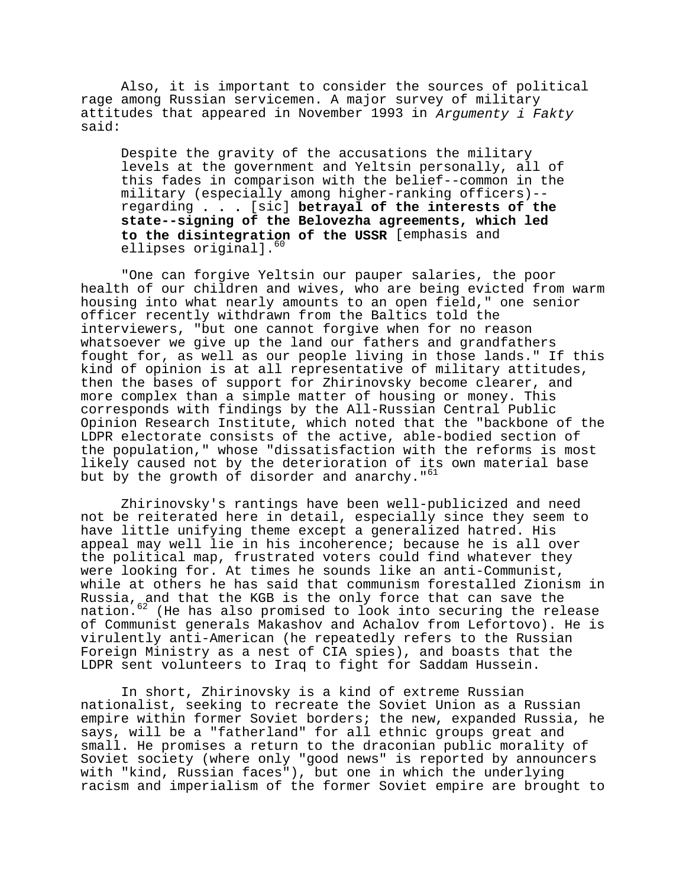Also, it is important to consider the sources of political rage among Russian servicemen. A major survey of military attitudes that appeared in November 1993 in Argumenty i Fakty said:

Despite the gravity of the accusations the military levels at the government and Yeltsin personally, all of this fades in comparison with the belief--common in the military (especially among higher-ranking officers)- regarding **. . .** [sic] **betrayal of the interests of the state--signing of the Belovezha agreements, which led to the disintegration of the USSR** [emphasis and ellipses original].<sup>60</sup>

"One can forgive Yeltsin our pauper salaries, the poor health of our children and wives, who are being evicted from warm housing into what nearly amounts to an open field," one senior officer recently withdrawn from the Baltics told the interviewers, "but one cannot forgive when for no reason whatsoever we give up the land our fathers and grandfathers fought for, as well as our people living in those lands." If this kind of opinion is at all representative of military attitudes, then the bases of support for Zhirinovsky become clearer, and more complex than a simple matter of housing or money. This corresponds with findings by the All-Russian Central Public Opinion Research Institute, which noted that the "backbone of the LDPR electorate consists of the active, able-bodied section of the population," whose "dissatisfaction with the reforms is most likely caused not by the deterioration of its own material base but by the growth of disorder and anarchy."<sup>61</sup>

Zhirinovsky's rantings have been well-publicized and need not be reiterated here in detail, especially since they seem to have little unifying theme except a generalized hatred. His appeal may well lie in his incoherence; because he is all over the political map, frustrated voters could find whatever they were looking for. At times he sounds like an anti-Communist, while at others he has said that communism forestalled Zionism in Russia, and that the KGB is the only force that can save the nation.<sup>62</sup> (He has also promised to look into securing the release of Communist generals Makashov and Achalov from Lefortovo). He is virulently anti-American (he repeatedly refers to the Russian Foreign Ministry as a nest of CIA spies), and boasts that the LDPR sent volunteers to Iraq to fight for Saddam Hussein.

In short, Zhirinovsky is a kind of extreme Russian nationalist, seeking to recreate the Soviet Union as a Russian empire within former Soviet borders; the new, expanded Russia, he says, will be a "fatherland" for all ethnic groups great and small. He promises a return to the draconian public morality of Soviet society (where only "good news" is reported by announcers with "kind, Russian faces"), but one in which the underlying racism and imperialism of the former Soviet empire are brought to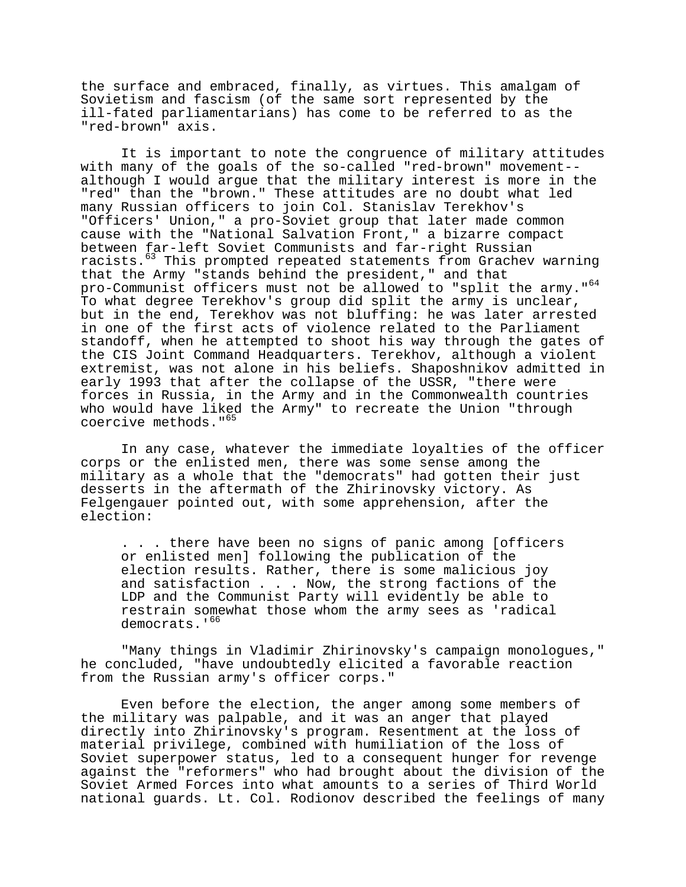the surface and embraced, finally, as virtues. This amalgam of Sovietism and fascism (of the same sort represented by the ill-fated parliamentarians) has come to be referred to as the "red-brown" axis.

It is important to note the congruence of military attitudes with many of the goals of the so-called "red-brown" movement- although I would argue that the military interest is more in the "red" than the "brown." These attitudes are no doubt what led many Russian officers to join Col. Stanislav Terekhov's "Officers' Union," a pro-Soviet group that later made common cause with the "National Salvation Front," a bizarre compact between far-left Soviet Communists and far-right Russian racists.63 This prompted repeated statements from Grachev warning that the Army "stands behind the president," and that pro-Communist officers must not be allowed to "split the army."<sup>64</sup> To what degree Terekhov's group did split the army is unclear, but in the end, Terekhov was not bluffing: he was later arrested in one of the first acts of violence related to the Parliament standoff, when he attempted to shoot his way through the gates of the CIS Joint Command Headquarters. Terekhov, although a violent extremist, was not alone in his beliefs. Shaposhnikov admitted in early 1993 that after the collapse of the USSR, "there were forces in Russia, in the Army and in the Commonwealth countries who would have liked the Army" to recreate the Union "through coercive methods."<sup>65</sup>

In any case, whatever the immediate loyalties of the officer corps or the enlisted men, there was some sense among the military as a whole that the "democrats" had gotten their just desserts in the aftermath of the Zhirinovsky victory. As Felgengauer pointed out, with some apprehension, after the election:

. . . there have been no signs of panic among [officers or enlisted men] following the publication of the election results. Rather, there is some malicious joy and satisfaction . . . Now, the strong factions of the LDP and the Communist Party will evidently be able to restrain somewhat those whom the army sees as 'radical democrats.'<sup>66</sup>

"Many things in Vladimir Zhirinovsky's campaign monologues," he concluded, "have undoubtedly elicited a favorable reaction from the Russian army's officer corps."

Even before the election, the anger among some members of the military was palpable, and it was an anger that played directly into Zhirinovsky's program. Resentment at the loss of material privilege, combined with humiliation of the loss of Soviet superpower status, led to a consequent hunger for revenge against the "reformers" who had brought about the division of the Soviet Armed Forces into what amounts to a series of Third World national guards. Lt. Col. Rodionov described the feelings of many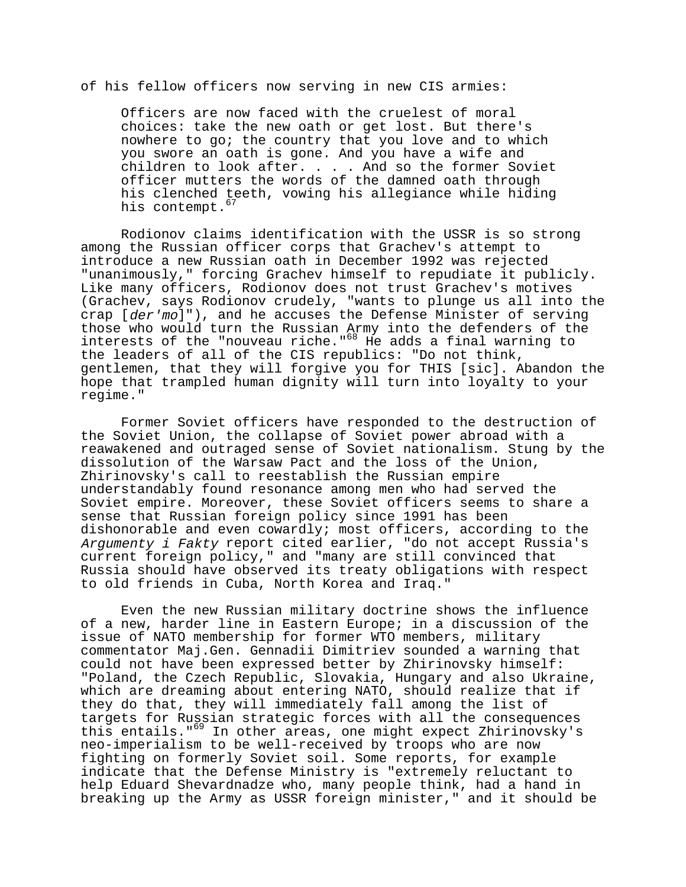# of his fellow officers now serving in new CIS armies:

Officers are now faced with the cruelest of moral choices: take the new oath or get lost. But there's nowhere to go; the country that you love and to which you swore an oath is gone. And you have a wife and children to look after. . . . And so the former Soviet officer mutters the words of the damned oath through his clenched teeth, vowing his allegiance while hiding his contempt.<sup>67</sup>

Rodionov claims identification with the USSR is so strong among the Russian officer corps that Grachev's attempt to introduce a new Russian oath in December 1992 was rejected "unanimously," forcing Grachev himself to repudiate it publicly. Like many officers, Rodionov does not trust Grachev's motives (Grachev, says Rodionov crudely, "wants to plunge us all into the crap [der'mo]"), and he accuses the Defense Minister of serving those who would turn the Russian Army into the defenders of the interests of the "nouveau riche."<sup>68</sup> He adds a final warning to the leaders of all of the CIS republics: "Do not think, gentlemen, that they will forgive you for THIS [sic]. Abandon the hope that trampled human dignity will turn into loyalty to your regime."

Former Soviet officers have responded to the destruction of the Soviet Union, the collapse of Soviet power abroad with a reawakened and outraged sense of Soviet nationalism. Stung by the dissolution of the Warsaw Pact and the loss of the Union, Zhirinovsky's call to reestablish the Russian empire understandably found resonance among men who had served the Soviet empire. Moreover, these Soviet officers seems to share a sense that Russian foreign policy since 1991 has been dishonorable and even cowardly; most officers, according to the Argumenty i Fakty report cited earlier, "do not accept Russia's current foreign policy," and "many are still convinced that Russia should have observed its treaty obligations with respect to old friends in Cuba, North Korea and Iraq."

Even the new Russian military doctrine shows the influence of a new, harder line in Eastern Europe; in a discussion of the issue of NATO membership for former WTO members, military commentator Maj.Gen. Gennadii Dimitriev sounded a warning that could not have been expressed better by Zhirinovsky himself: "Poland, the Czech Republic, Slovakia, Hungary and also Ukraine, which are dreaming about entering NATO, should realize that if they do that, they will immediately fall among the list of targets for Russian strategic forces with all the consequences this entails."69 In other areas, one might expect Zhirinovsky's neo-imperialism to be well-received by troops who are now fighting on formerly Soviet soil. Some reports, for example indicate that the Defense Ministry is "extremely reluctant to help Eduard Shevardnadze who, many people think, had a hand in breaking up the Army as USSR foreign minister," and it should be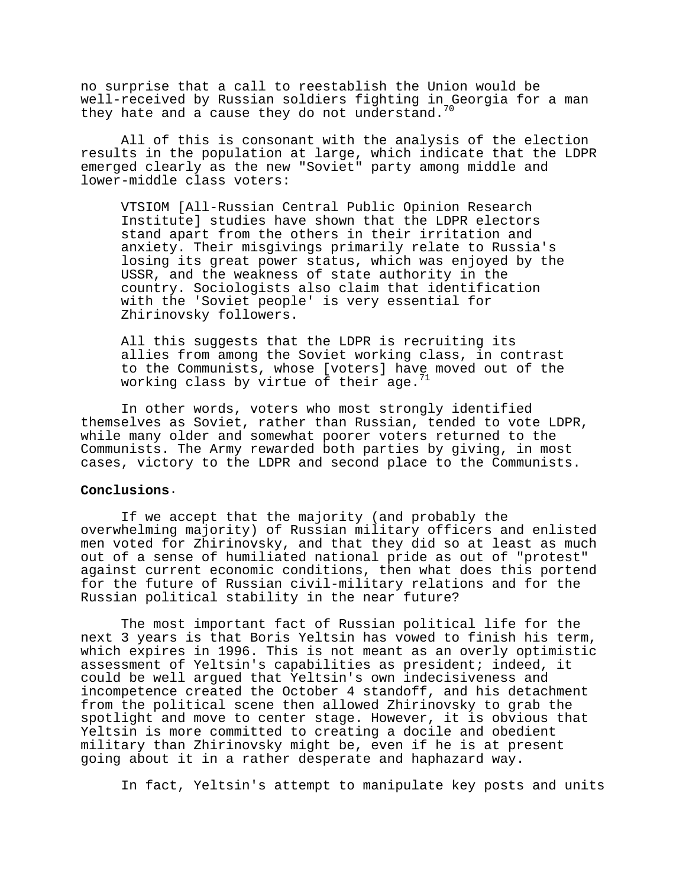no surprise that a call to reestablish the Union would be well-received by Russian soldiers fighting in Georgia for a man they hate and a cause they do not understand.

All of this is consonant with the analysis of the election results in the population at large, which indicate that the LDPR emerged clearly as the new "Soviet" party among middle and lower-middle class voters:

VTSIOM [All-Russian Central Public Opinion Research Institute] studies have shown that the LDPR electors stand apart from the others in their irritation and anxiety. Their misgivings primarily relate to Russia's losing its great power status, which was enjoyed by the USSR, and the weakness of state authority in the country. Sociologists also claim that identification with the 'Soviet people' is very essential for Zhirinovsky followers.

All this suggests that the LDPR is recruiting its allies from among the Soviet working class, in contrast to the Communists, whose [voters] have moved out of the working class by virtue of their age. $71$ 

In other words, voters who most strongly identified themselves as Soviet, rather than Russian, tended to vote LDPR, while many older and somewhat poorer voters returned to the Communists. The Army rewarded both parties by giving, in most cases, victory to the LDPR and second place to the Communists.

#### **Conclusions**.

If we accept that the majority (and probably the overwhelming majority) of Russian military officers and enlisted men voted for Zhirinovsky, and that they did so at least as much out of a sense of humiliated national pride as out of "protest" against current economic conditions, then what does this portend for the future of Russian civil-military relations and for the Russian political stability in the near future?

The most important fact of Russian political life for the next 3 years is that Boris Yeltsin has vowed to finish his term, which expires in 1996. This is not meant as an overly optimistic assessment of Yeltsin's capabilities as president; indeed, it could be well argued that Yeltsin's own indecisiveness and incompetence created the October 4 standoff, and his detachment from the political scene then allowed Zhirinovsky to grab the spotlight and move to center stage. However, it is obvious that Yeltsin is more committed to creating a docile and obedient military than Zhirinovsky might be, even if he is at present going about it in a rather desperate and haphazard way.

In fact, Yeltsin's attempt to manipulate key posts and units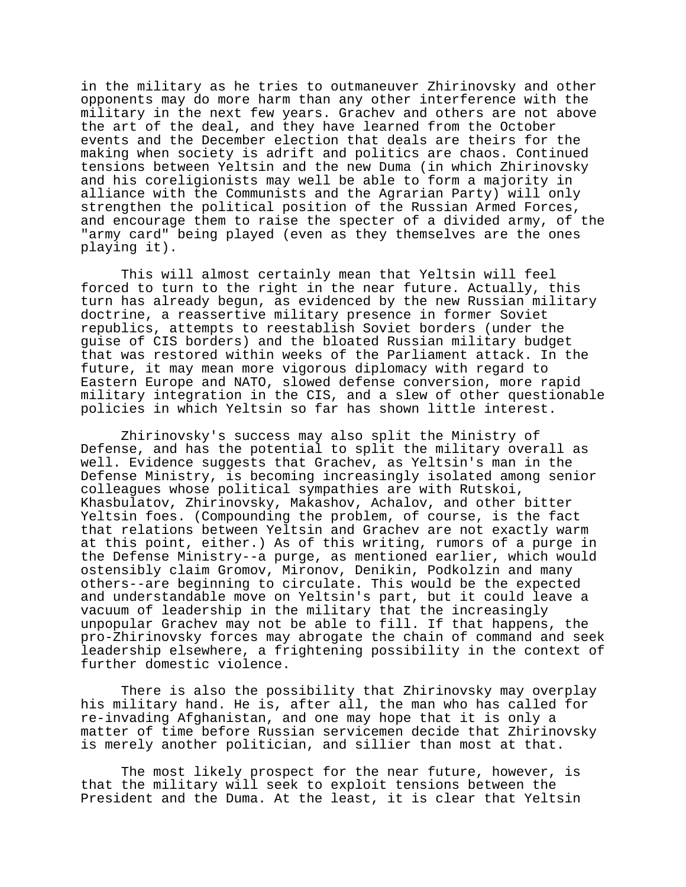in the military as he tries to outmaneuver Zhirinovsky and other opponents may do more harm than any other interference with the military in the next few years. Grachev and others are not above the art of the deal, and they have learned from the October events and the December election that deals are theirs for the making when society is adrift and politics are chaos. Continued tensions between Yeltsin and the new Duma (in which Zhirinovsky and his coreligionists may well be able to form a majority in alliance with the Communists and the Agrarian Party) will only strengthen the political position of the Russian Armed Forces, and encourage them to raise the specter of a divided army, of the "army card" being played (even as they themselves are the ones playing it).

This will almost certainly mean that Yeltsin will feel forced to turn to the right in the near future. Actually, this turn has already begun, as evidenced by the new Russian military doctrine, a reassertive military presence in former Soviet republics, attempts to reestablish Soviet borders (under the guise of CIS borders) and the bloated Russian military budget that was restored within weeks of the Parliament attack. In the future, it may mean more vigorous diplomacy with regard to Eastern Europe and NATO, slowed defense conversion, more rapid military integration in the CIS, and a slew of other questionable policies in which Yeltsin so far has shown little interest.

Zhirinovsky's success may also split the Ministry of Defense, and has the potential to split the military overall as well. Evidence suggests that Grachev, as Yeltsin's man in the Defense Ministry, is becoming increasingly isolated among senior colleagues whose political sympathies are with Rutskoi, Khasbulatov, Zhirinovsky, Makashov, Achalov, and other bitter Yeltsin foes. (Compounding the problem, of course, is the fact that relations between Yeltsin and Grachev are not exactly warm at this point, either.) As of this writing, rumors of a purge in the Defense Ministry--a purge, as mentioned earlier, which would ostensibly claim Gromov, Mironov, Denikin, Podkolzin and many others--are beginning to circulate. This would be the expected and understandable move on Yeltsin's part, but it could leave a vacuum of leadership in the military that the increasingly unpopular Grachev may not be able to fill. If that happens, the pro-Zhirinovsky forces may abrogate the chain of command and seek leadership elsewhere, a frightening possibility in the context of further domestic violence.

There is also the possibility that Zhirinovsky may overplay his military hand. He is, after all, the man who has called for re-invading Afghanistan, and one may hope that it is only a matter of time before Russian servicemen decide that Zhirinovsky is merely another politician, and sillier than most at that.

The most likely prospect for the near future, however, is that the military will seek to exploit tensions between the President and the Duma. At the least, it is clear that Yeltsin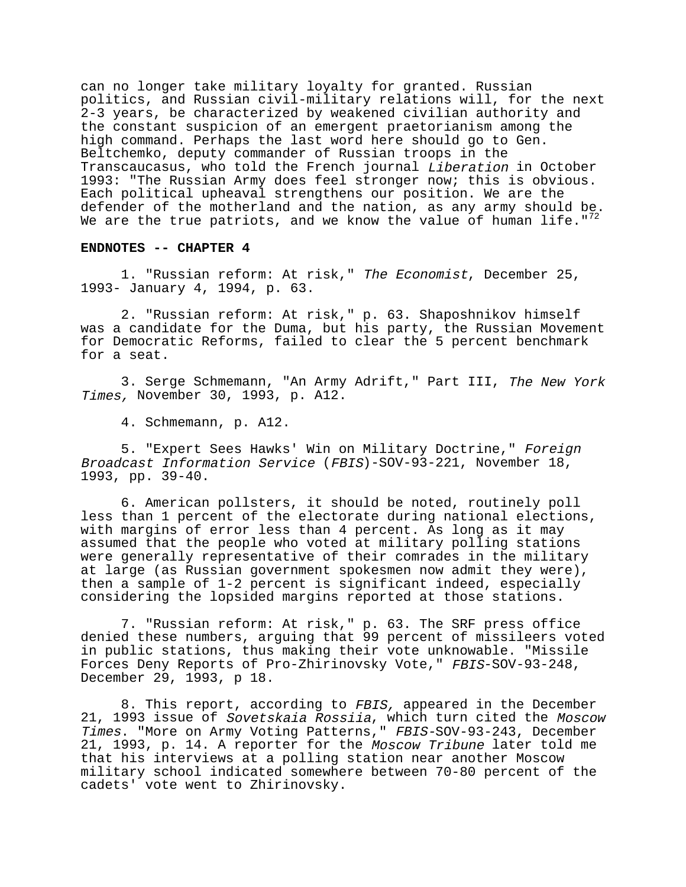can no longer take military loyalty for granted. Russian politics, and Russian civil-military relations will, for the next 2-3 years, be characterized by weakened civilian authority and the constant suspicion of an emergent praetorianism among the high command. Perhaps the last word here should go to Gen. Beltchemko, deputy commander of Russian troops in the Transcaucasus, who told the French journal Liberation in October 1993: "The Russian Army does feel stronger now; this is obvious. Each political upheaval strengthens our position. We are the defender of the motherland and the nation, as any army should be. We are the true patriots, and we know the value of human life."<sup>7</sup>

#### **ENDNOTES -- CHAPTER 4**

1. "Russian reform: At risk," The Economist, December 25, 1993- January 4, 1994, p. 63.

2. "Russian reform: At risk," p. 63. Shaposhnikov himself was a candidate for the Duma, but his party, the Russian Movement for Democratic Reforms, failed to clear the 5 percent benchmark for a seat.

3. Serge Schmemann, "An Army Adrift," Part III, The New York Times, November 30, 1993, p. A12.

4. Schmemann, p. A12.

5. "Expert Sees Hawks' Win on Military Doctrine," Foreign Broadcast Information Service (FBIS)-SOV-93-221, November 18, 1993, pp. 39-40.

6. American pollsters, it should be noted, routinely poll less than 1 percent of the electorate during national elections, with margins of error less than 4 percent. As long as it may assumed that the people who voted at military polling stations were generally representative of their comrades in the military at large (as Russian government spokesmen now admit they were), then a sample of 1-2 percent is significant indeed, especially considering the lopsided margins reported at those stations.

7. "Russian reform: At risk," p. 63. The SRF press office denied these numbers, arguing that 99 percent of missileers voted in public stations, thus making their vote unknowable. "Missile Forces Deny Reports of Pro-Zhirinovsky Vote," FBIS-SOV-93-248, December 29, 1993, p 18.

8. This report, according to FBIS, appeared in the December 21, 1993 issue of Sovetskaia Rossiia, which turn cited the Moscow Times. "More on Army Voting Patterns," FBIS-SOV-93-243, December 21, 1993, p. 14. A reporter for the Moscow Tribune later told me that his interviews at a polling station near another Moscow military school indicated somewhere between 70-80 percent of the cadets' vote went to Zhirinovsky.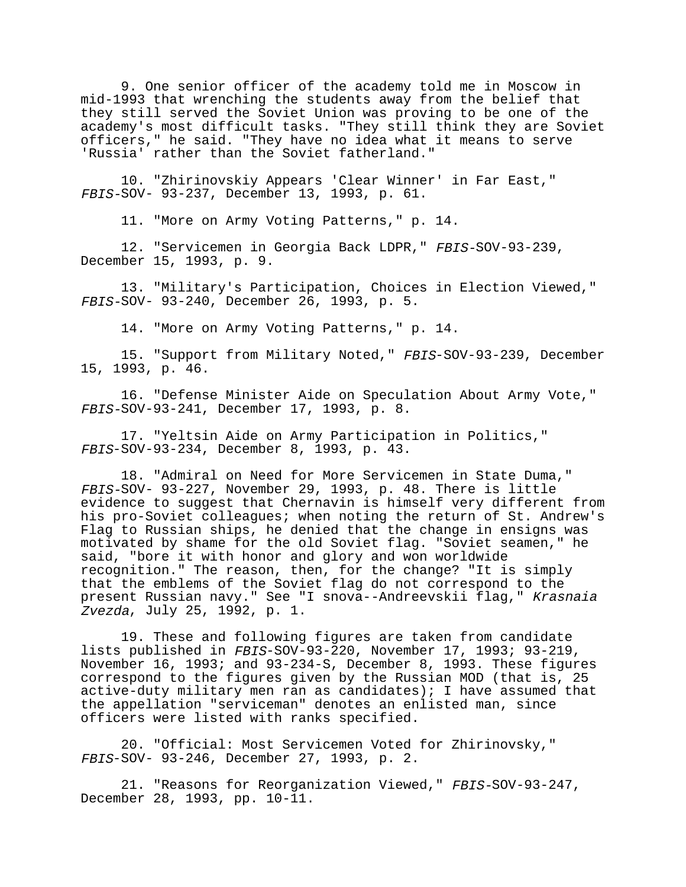9. One senior officer of the academy told me in Moscow in mid-1993 that wrenching the students away from the belief that they still served the Soviet Union was proving to be one of the academy's most difficult tasks. "They still think they are Soviet officers," he said. "They have no idea what it means to serve 'Russia' rather than the Soviet fatherland."

10. "Zhirinovskiy Appears 'Clear Winner' in Far East," FBIS-SOV- 93-237, December 13, 1993, p. 61.

11. "More on Army Voting Patterns," p. 14.

12. "Servicemen in Georgia Back LDPR," FBIS-SOV-93-239, December 15, 1993, p. 9.

13. "Military's Participation, Choices in Election Viewed," FBIS-SOV- 93-240, December 26, 1993, p. 5.

14. "More on Army Voting Patterns," p. 14.

15. "Support from Military Noted," FBIS-SOV-93-239, December 15, 1993, p. 46.

16. "Defense Minister Aide on Speculation About Army Vote," FBIS-SOV-93-241, December 17, 1993, p. 8.

17. "Yeltsin Aide on Army Participation in Politics," FBIS-SOV-93-234, December 8, 1993, p. 43.

18. "Admiral on Need for More Servicemen in State Duma," FBIS-SOV- 93-227, November 29, 1993, p. 48. There is little evidence to suggest that Chernavin is himself very different from his pro-Soviet colleagues; when noting the return of St. Andrew's Flag to Russian ships, he denied that the change in ensigns was motivated by shame for the old Soviet flag. "Soviet seamen," he said, "bore it with honor and glory and won worldwide recognition." The reason, then, for the change? "It is simply that the emblems of the Soviet flag do not correspond to the present Russian navy." See "I snova--Andreevskii flag," Krasnaia Zvezda, July 25, 1992, p. 1.

19. These and following figures are taken from candidate lists published in FBIS-SOV-93-220, November 17, 1993; 93-219, November 16, 1993; and 93-234-S, December 8, 1993. These figures correspond to the figures given by the Russian MOD (that is, 25 active-duty military men ran as candidates); I have assumed that the appellation "serviceman" denotes an enlisted man, since officers were listed with ranks specified.

20. "Official: Most Servicemen Voted for Zhirinovsky," FBIS-SOV- 93-246, December 27, 1993, p. 2.

21. "Reasons for Reorganization Viewed," FBIS-SOV-93-247, December 28, 1993, pp. 10-11.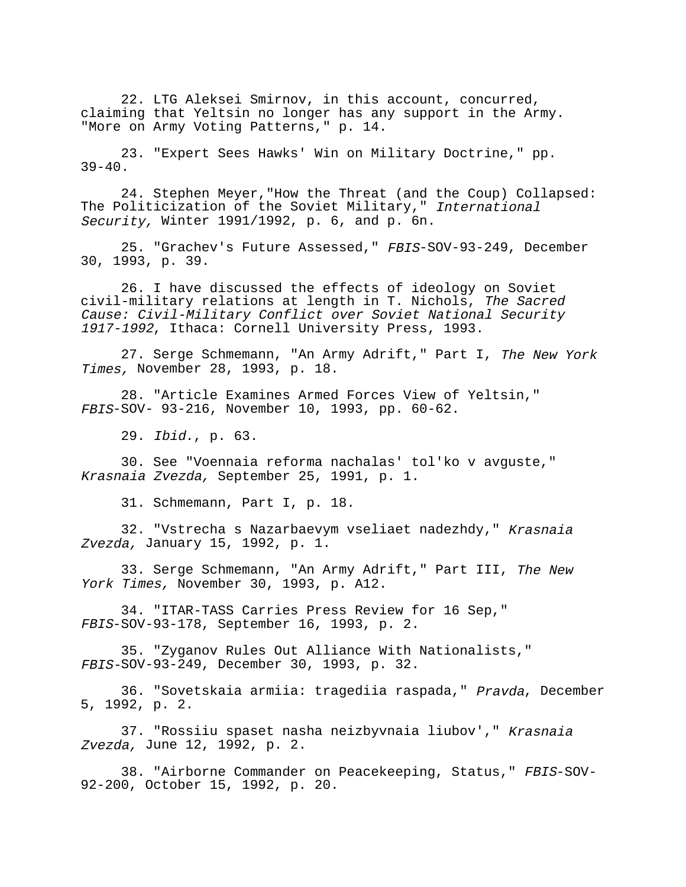22. LTG Aleksei Smirnov, in this account, concurred, claiming that Yeltsin no longer has any support in the Army. "More on Army Voting Patterns," p. 14.

23. "Expert Sees Hawks' Win on Military Doctrine," pp.  $39-40.$ 

24. Stephen Meyer,"How the Threat (and the Coup) Collapsed: The Politicization of the Soviet Military," International Security, Winter 1991/1992, p. 6, and p. 6n.

25. "Grachev's Future Assessed," FBIS-SOV-93-249, December 30, 1993, p. 39.

26. I have discussed the effects of ideology on Soviet civil-military relations at length in T. Nichols, The Sacred Cause: Civil-Military Conflict over Soviet National Security 1917-1992, Ithaca: Cornell University Press, 1993.

27. Serge Schmemann, "An Army Adrift," Part I, The New York Times, November 28, 1993, p. 18.

28. "Article Examines Armed Forces View of Yeltsin," FBIS-SOV- 93-216, November 10, 1993, pp. 60-62.

29. Ibid., p. 63.

30. See "Voennaia reforma nachalas' tol'ko v avguste," Krasnaia Zvezda, September 25, 1991, p. 1.

31. Schmemann, Part I, p. 18.

32. "Vstrecha s Nazarbaevym vseliaet nadezhdy," Krasnaia Zvezda, January 15, 1992, p. 1.

33. Serge Schmemann, "An Army Adrift," Part III, The New York Times, November 30, 1993, p. A12.

34. "ITAR-TASS Carries Press Review for 16 Sep," FBIS-SOV-93-178, September 16, 1993, p. 2.

35. "Zyganov Rules Out Alliance With Nationalists," FBIS-SOV-93-249, December 30, 1993, p. 32.

36. "Sovetskaia armiia: tragediia raspada, " Pravda, December 5, 1992, p. 2.

37. "Rossiiu spaset nasha neizbyvnaia liubov'," Krasnaia Zvezda, June 12, 1992, p. 2.

38. "Airborne Commander on Peacekeeping, Status," FBIS-SOV-92-200, October 15, 1992, p. 20.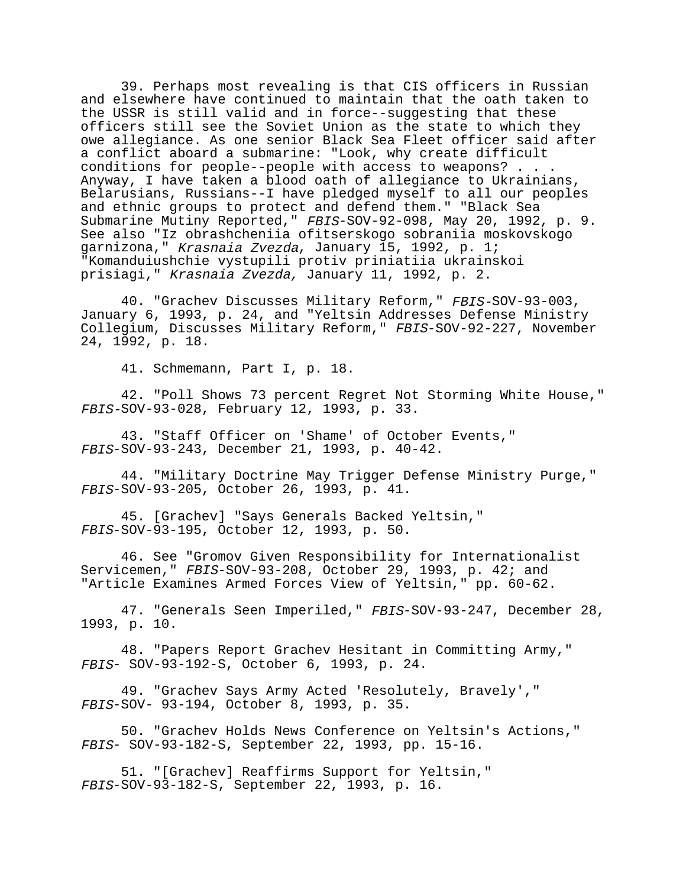39. Perhaps most revealing is that CIS officers in Russian and elsewhere have continued to maintain that the oath taken to the USSR is still valid and in force--suggesting that these officers still see the Soviet Union as the state to which they owe allegiance. As one senior Black Sea Fleet officer said after a conflict aboard a submarine: "Look, why create difficult conditions for people--people with access to weapons? . . . Anyway, I have taken a blood oath of allegiance to Ukrainians, Belarusians, Russians--I have pledged myself to all our peoples and ethnic groups to protect and defend them." "Black Sea Submarine Mutiny Reported," FBIS-SOV-92-098, May 20, 1992, p. 9. See also "Iz obrashcheniia ofitserskogo sobraniia moskovskogo garnizona," Krasnaia Zvezda, January 15, 1992, p. 1; "Komanduiushchie vystupili protiv priniatiia ukrainskoi prisiagi," Krasnaia Zvezda, January 11, 1992, p. 2.

40. "Grachev Discusses Military Reform," FBIS-SOV-93-003, January 6, 1993, p. 24, and "Yeltsin Addresses Defense Ministry Collegium, Discusses Military Reform," FBIS-SOV-92-227, November 24, 1992, p. 18.

41. Schmemann, Part I, p. 18.

42. "Poll Shows 73 percent Regret Not Storming White House," FBIS-SOV-93-028, February 12, 1993, p. 33.

43. "Staff Officer on 'Shame' of October Events," FBIS-SOV-93-243, December 21, 1993, p. 40-42.

44. "Military Doctrine May Trigger Defense Ministry Purge," FBIS-SOV-93-205, October 26, 1993, p. 41.

45. [Grachev] "Says Generals Backed Yeltsin," FBIS-SOV-93-195, October 12, 1993, p. 50.

46. See "Gromov Given Responsibility for Internationalist Servicemen," FBIS-SOV-93-208, October 29, 1993, p. 42; and "Article Examines Armed Forces View of Yeltsin," pp. 60-62.

47. "Generals Seen Imperiled," FBIS-SOV-93-247, December 28, 1993, p. 10.

48. "Papers Report Grachev Hesitant in Committing Army," FBIS- SOV-93-192-S, October 6, 1993, p. 24.

49. "Grachev Says Army Acted 'Resolutely, Bravely'," FBIS-SOV- 93-194, October 8, 1993, p. 35.

50. "Grachev Holds News Conference on Yeltsin's Actions," FBIS- SOV-93-182-S, September 22, 1993, pp. 15-16.

51. "[Grachev] Reaffirms Support for Yeltsin," FBIS-SOV-93-182-S, September 22, 1993, p. 16.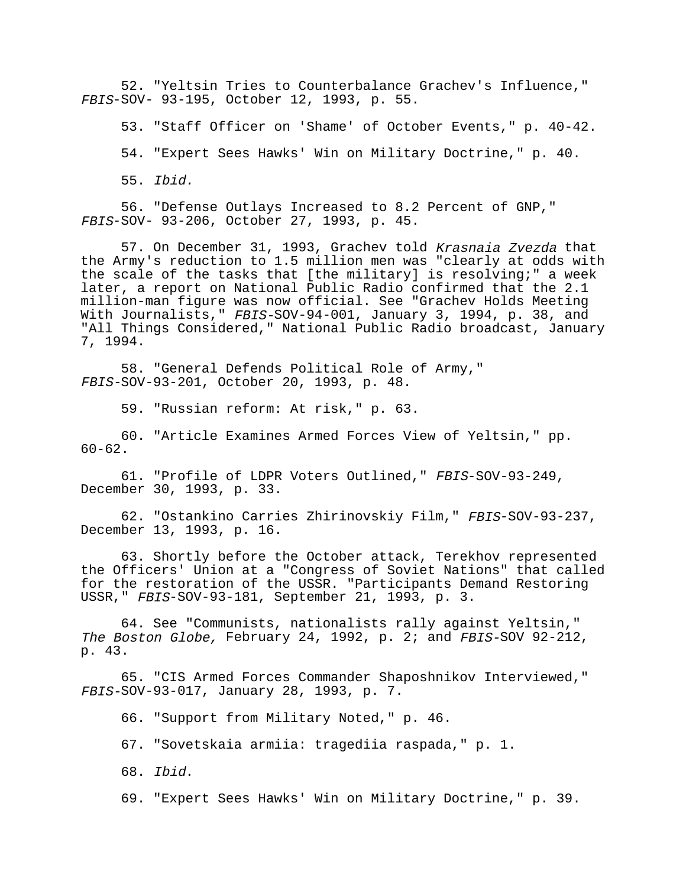52. "Yeltsin Tries to Counterbalance Grachev's Influence," FBIS-SOV- 93-195, October 12, 1993, p. 55.

53. "Staff Officer on 'Shame' of October Events," p. 40-42.

54. "Expert Sees Hawks' Win on Military Doctrine," p. 40.

55. Ibid.

56. "Defense Outlays Increased to 8.2 Percent of GNP," FBIS-SOV- 93-206, October 27, 1993, p. 45.

57. On December 31, 1993, Grachev told Krasnaia Zvezda that the Army's reduction to 1.5 million men was "clearly at odds with the scale of the tasks that [the military] is resolving;" a week later, a report on National Public Radio confirmed that the 2.1 million-man figure was now official. See "Grachev Holds Meeting With Journalists," FBIS-SOV-94-001, January 3, 1994, p. 38, and "All Things Considered," National Public Radio broadcast, January 7, 1994.

58. "General Defends Political Role of Army," FBIS-SOV-93-201, October 20, 1993, p. 48.

59. "Russian reform: At risk," p. 63.

60. "Article Examines Armed Forces View of Yeltsin," pp. 60-62.

61. "Profile of LDPR Voters Outlined," FBIS-SOV-93-249, December 30, 1993, p. 33.

62. "Ostankino Carries Zhirinovskiy Film," FBIS-SOV-93-237, December 13, 1993, p. 16.

63. Shortly before the October attack, Terekhov represented the Officers' Union at a "Congress of Soviet Nations" that called for the restoration of the USSR. "Participants Demand Restoring USSR," FBIS-SOV-93-181, September 21, 1993, p. 3.

64. See "Communists, nationalists rally against Yeltsin," The Boston Globe, February 24, 1992, p. 2; and FBIS-SOV 92-212, p. 43.

65. "CIS Armed Forces Commander Shaposhnikov Interviewed," FBIS-SOV-93-017, January 28, 1993, p. 7.

66. "Support from Military Noted," p. 46.

67. "Sovetskaia armiia: tragediia raspada," p. 1.

68. Ibid.

69. "Expert Sees Hawks' Win on Military Doctrine," p. 39.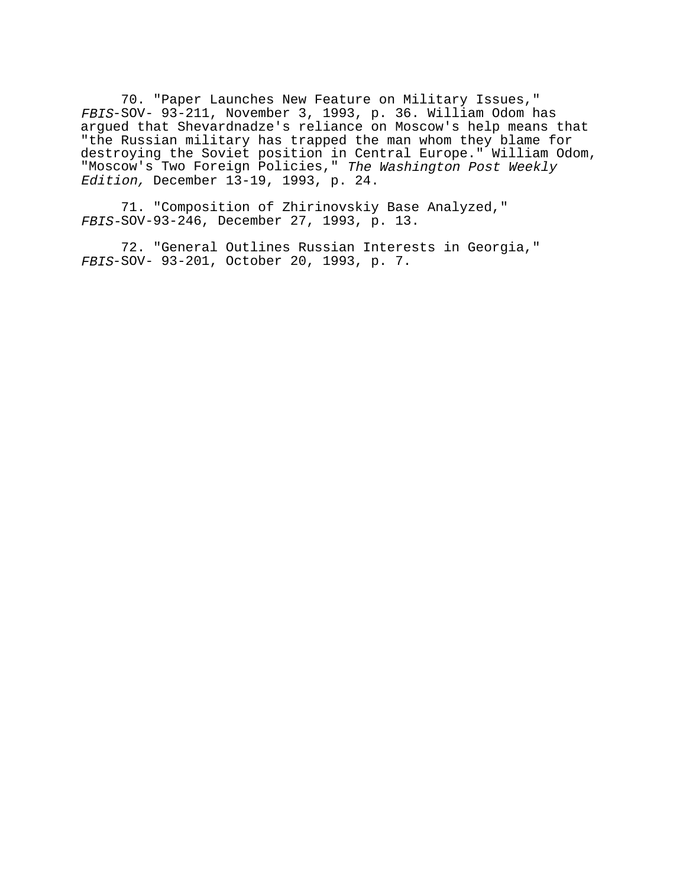70. "Paper Launches New Feature on Military Issues," FBIS-SOV- 93-211, November 3, 1993, p. 36. William Odom has argued that Shevardnadze's reliance on Moscow's help means that "the Russian military has trapped the man whom they blame for destroying the Soviet position in Central Europe." William Odom, "Moscow's Two Foreign Policies," The Washington Post Weekly Edition, December 13-19, 1993, p. 24.

71. "Composition of Zhirinovskiy Base Analyzed," FBIS-SOV-93-246, December 27, 1993, p. 13.

72. "General Outlines Russian Interests in Georgia," FBIS-SOV- 93-201, October 20, 1993, p. 7.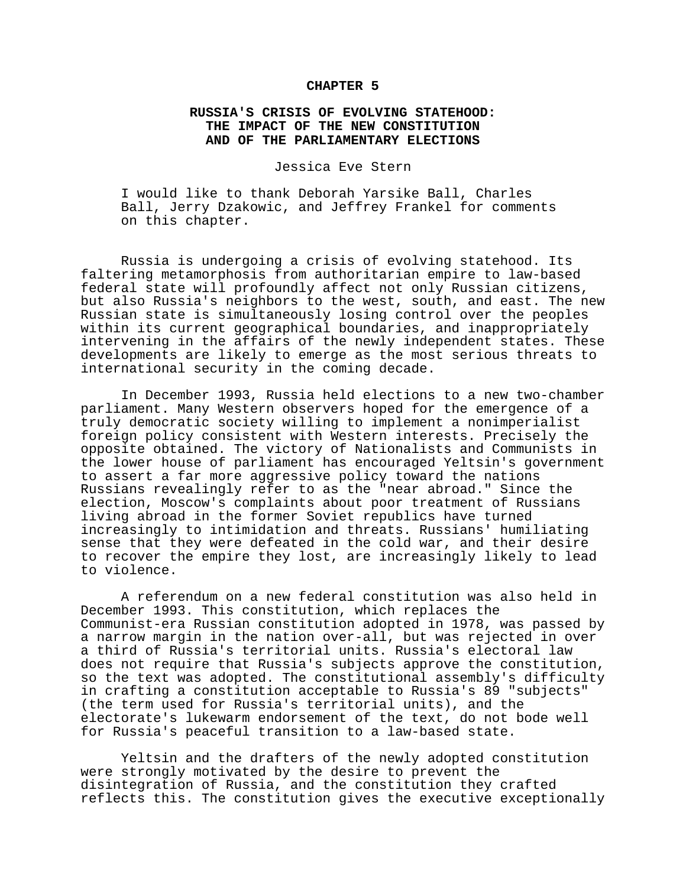### **CHAPTER 5**

# **RUSSIA'S CRISIS OF EVOLVING STATEHOOD: THE IMPACT OF THE NEW CONSTITUTION AND OF THE PARLIAMENTARY ELECTIONS**

Jessica Eve Stern

I would like to thank Deborah Yarsike Ball, Charles Ball, Jerry Dzakowic, and Jeffrey Frankel for comments on this chapter.

Russia is undergoing a crisis of evolving statehood. Its faltering metamorphosis from authoritarian empire to law-based federal state will profoundly affect not only Russian citizens, but also Russia's neighbors to the west, south, and east. The new Russian state is simultaneously losing control over the peoples within its current geographical boundaries, and inappropriately intervening in the affairs of the newly independent states. These developments are likely to emerge as the most serious threats to international security in the coming decade.

In December 1993, Russia held elections to a new two-chamber parliament. Many Western observers hoped for the emergence of a truly democratic society willing to implement a nonimperialist foreign policy consistent with Western interests. Precisely the opposite obtained. The victory of Nationalists and Communists in the lower house of parliament has encouraged Yeltsin's government to assert a far more aggressive policy toward the nations Russians revealingly refer to as the "near abroad." Since the election, Moscow's complaints about poor treatment of Russians living abroad in the former Soviet republics have turned increasingly to intimidation and threats. Russians' humiliating sense that they were defeated in the cold war, and their desire to recover the empire they lost, are increasingly likely to lead to violence.

A referendum on a new federal constitution was also held in December 1993. This constitution, which replaces the Communist-era Russian constitution adopted in 1978, was passed by a narrow margin in the nation over-all, but was rejected in over a third of Russia's territorial units. Russia's electoral law does not require that Russia's subjects approve the constitution, so the text was adopted. The constitutional assembly's difficulty in crafting a constitution acceptable to Russia's 89 "subjects" (the term used for Russia's territorial units), and the electorate's lukewarm endorsement of the text, do not bode well for Russia's peaceful transition to a law-based state.

Yeltsin and the drafters of the newly adopted constitution were strongly motivated by the desire to prevent the disintegration of Russia, and the constitution they crafted reflects this. The constitution gives the executive exceptionally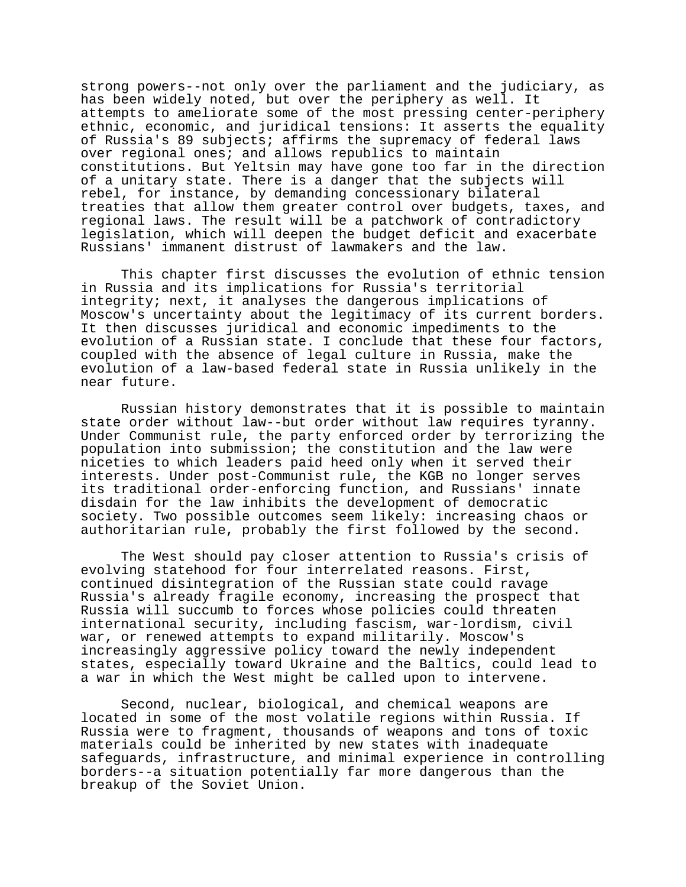strong powers--not only over the parliament and the judiciary, as has been widely noted, but over the periphery as well. It attempts to ameliorate some of the most pressing center-periphery ethnic, economic, and juridical tensions: It asserts the equality of Russia's 89 subjects; affirms the supremacy of federal laws over regional ones; and allows republics to maintain constitutions. But Yeltsin may have gone too far in the direction of a unitary state. There is a danger that the subjects will rebel, for instance, by demanding concessionary bilateral treaties that allow them greater control over budgets, taxes, and regional laws. The result will be a patchwork of contradictory legislation, which will deepen the budget deficit and exacerbate Russians' immanent distrust of lawmakers and the law.

This chapter first discusses the evolution of ethnic tension in Russia and its implications for Russia's territorial integrity; next, it analyses the dangerous implications of Moscow's uncertainty about the legitimacy of its current borders. It then discusses juridical and economic impediments to the evolution of a Russian state. I conclude that these four factors, coupled with the absence of legal culture in Russia, make the evolution of a law-based federal state in Russia unlikely in the near future.

Russian history demonstrates that it is possible to maintain state order without law--but order without law requires tyranny. Under Communist rule, the party enforced order by terrorizing the population into submission; the constitution and the law were niceties to which leaders paid heed only when it served their interests. Under post-Communist rule, the KGB no longer serves its traditional order-enforcing function, and Russians' innate disdain for the law inhibits the development of democratic society. Two possible outcomes seem likely: increasing chaos or authoritarian rule, probably the first followed by the second.

The West should pay closer attention to Russia's crisis of evolving statehood for four interrelated reasons. First, continued disintegration of the Russian state could ravage Russia's already fragile economy, increasing the prospect that Russia will succumb to forces whose policies could threaten international security, including fascism, war-lordism, civil war, or renewed attempts to expand militarily. Moscow's increasingly aggressive policy toward the newly independent states, especially toward Ukraine and the Baltics, could lead to a war in which the West might be called upon to intervene.

Second, nuclear, biological, and chemical weapons are located in some of the most volatile regions within Russia. If Russia were to fragment, thousands of weapons and tons of toxic materials could be inherited by new states with inadequate safeguards, infrastructure, and minimal experience in controlling borders--a situation potentially far more dangerous than the breakup of the Soviet Union.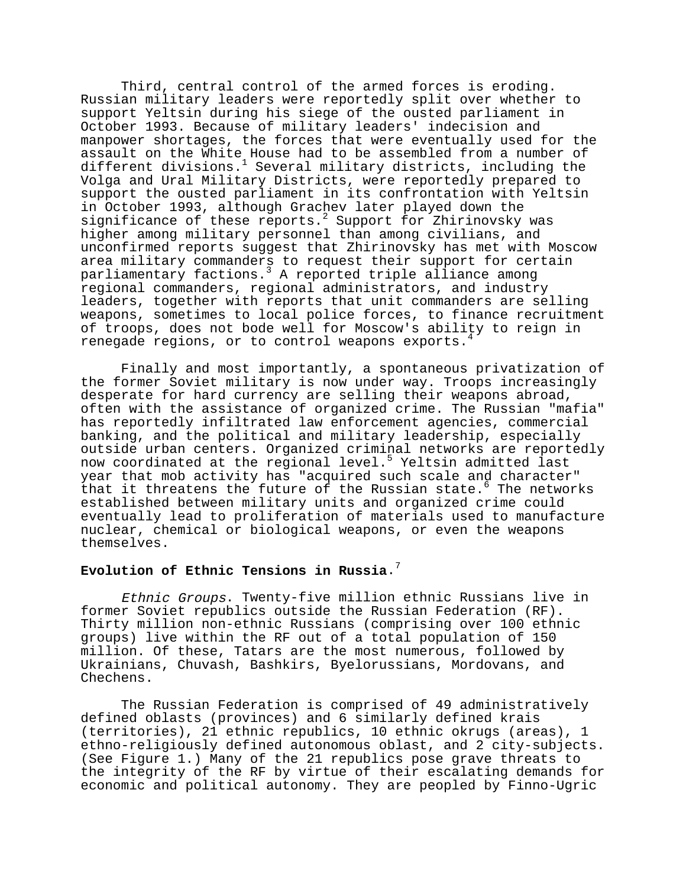Third, central control of the armed forces is eroding. Russian military leaders were reportedly split over whether to support Yeltsin during his siege of the ousted parliament in October 1993. Because of military leaders' indecision and manpower shortages, the forces that were eventually used for the assault on the White House had to be assembled from a number of different divisions.<sup>1</sup> Several military districts, including the Volga and Ural Military Districts, were reportedly prepared to support the ousted parliament in its confrontation with Yeltsin in October 1993, although Grachev later played down the significance of these reports.<sup>2</sup> Support for Zhirinovsky was higher among military personnel than among civilians, and unconfirmed reports suggest that Zhirinovsky has met with Moscow area military commanders to request their support for certain parliamentary factions.<sup>3</sup> A reported triple alliance among regional commanders, regional administrators, and industry leaders, together with reports that unit commanders are selling weapons, sometimes to local police forces, to finance recruitment of troops, does not bode well for Moscow's ability to reign in renegade regions, or to control weapons exports.

Finally and most importantly, a spontaneous privatization of the former Soviet military is now under way. Troops increasingly desperate for hard currency are selling their weapons abroad, often with the assistance of organized crime. The Russian "mafia" has reportedly infiltrated law enforcement agencies, commercial banking, and the political and military leadership, especially outside urban centers. Organized criminal networks are reportedly now coordinated at the regional level.<sup>5</sup> Yeltsin admitted last year that mob activity has "acquired such scale and character" that it threatens the future of the Russian state.<sup>6</sup> The networks established between military units and organized crime could eventually lead to proliferation of materials used to manufacture nuclear, chemical or biological weapons, or even the weapons themselves.

# **Evolution of Ethnic Tensions in Russia**.7

Ethnic Groups. Twenty-five million ethnic Russians live in former Soviet republics outside the Russian Federation (RF). Thirty million non-ethnic Russians (comprising over 100 ethnic groups) live within the RF out of a total population of 150 million. Of these, Tatars are the most numerous, followed by Ukrainians, Chuvash, Bashkirs, Byelorussians, Mordovans, and Chechens.

The Russian Federation is comprised of 49 administratively defined oblasts (provinces) and 6 similarly defined krais (territories), 21 ethnic republics, 10 ethnic okrugs (areas), 1 ethno-religiously defined autonomous oblast, and 2 city-subjects. (See Figure 1.) Many of the 21 republics pose grave threats to the integrity of the RF by virtue of their escalating demands for economic and political autonomy. They are peopled by Finno-Ugric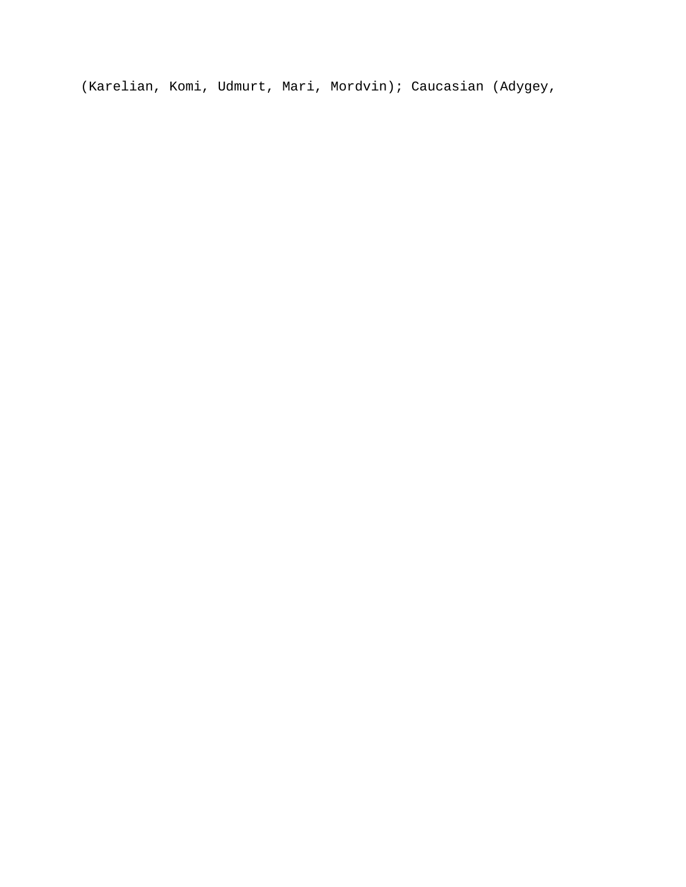(Karelian, Komi, Udmurt, Mari, Mordvin); Caucasian (Adygey,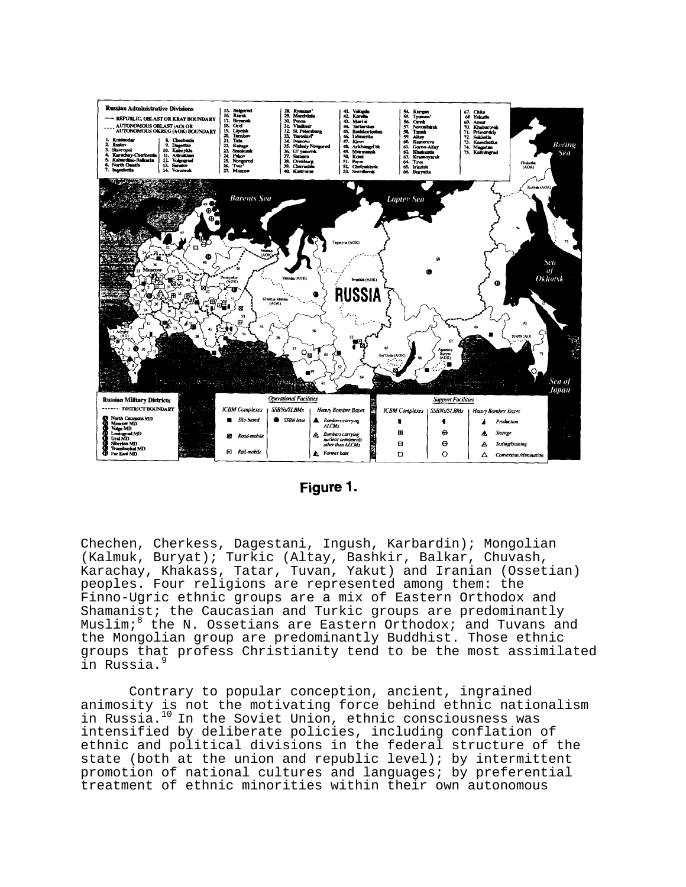

|--|

Chechen, Cherkess, Dagestani, Ingush, Karbardin); Mongolian (Kalmuk, Buryat); Turkic (Altay, Bashkir, Balkar, Chuvash, Karachay, Khakass, Tatar, Tuvan, Yakut) and Iranian (Ossetian) peoples. Four religions are represented among them: the Finno-Ugric ethnic groups are a mix of Eastern Orthodox and Shamanist; the Caucasian and Turkic groups are predominantly Muslim;<sup>8</sup> the N. Ossetians are Eastern Orthodox; and Tuvans and the Mongolian group are predominantly Buddhist. Those ethnic groups that profess Christianity tend to be the most assimilated in Russia.9

 Contrary to popular conception, ancient, ingrained animosity is not the motivating force behind ethnic nationalism in Russia.<sup>10</sup> In the Soviet Union, ethnic consciousness was intensified by deliberate policies, including conflation of ethnic and political divisions in the federal structure of the state (both at the union and republic level); by intermittent promotion of national cultures and languages; by preferential treatment of ethnic minorities within their own autonomous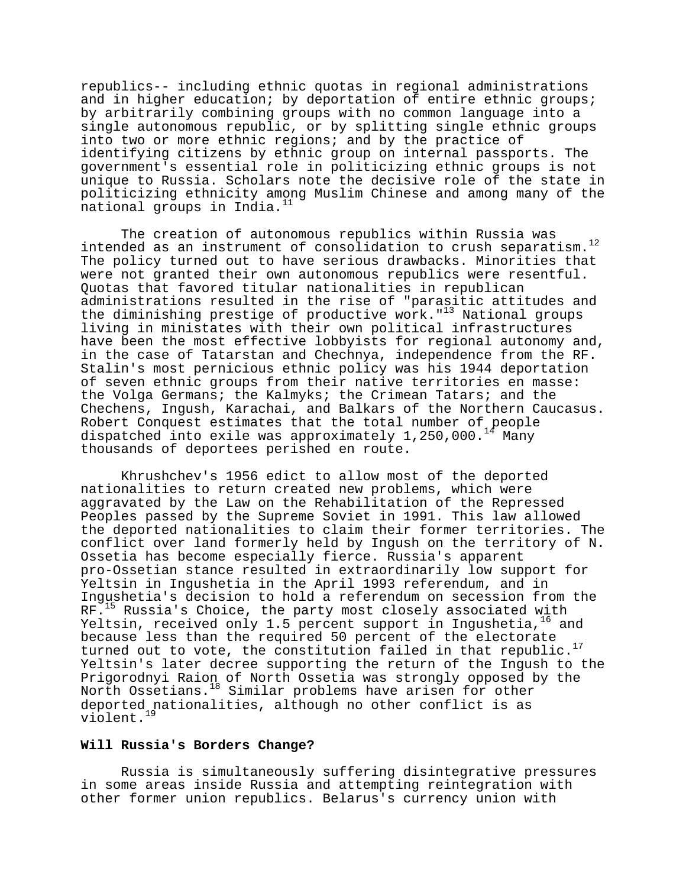republics-- including ethnic quotas in regional administrations and in higher education; by deportation of entire ethnic groups; by arbitrarily combining groups with no common language into a single autonomous republic, or by splitting single ethnic groups into two or more ethnic regions; and by the practice of identifying citizens by ethnic group on internal passports. The government's essential role in politicizing ethnic groups is not unique to Russia. Scholars note the decisive role of the state in politicizing ethnicity among Muslim Chinese and among many of the national groups in India.<sup>11</sup>

The creation of autonomous republics within Russia was intended as an instrument of consolidation to crush separatism.<sup>12</sup> The policy turned out to have serious drawbacks. Minorities that were not granted their own autonomous republics were resentful. Quotas that favored titular nationalities in republican administrations resulted in the rise of "parasitic attitudes and the diminishing prestige of productive work." $13$  National groups living in ministates with their own political infrastructures have been the most effective lobbyists for regional autonomy and, in the case of Tatarstan and Chechnya, independence from the RF. Stalin's most pernicious ethnic policy was his 1944 deportation of seven ethnic groups from their native territories en masse: the Volga Germans; the Kalmyks; the Crimean Tatars; and the Chechens, Ingush, Karachai, and Balkars of the Northern Caucasus. Robert Conquest estimates that the total number of people dispatched into exile was approximately  $1,250,000$ .<sup>14</sup> Many thousands of deportees perished en route.

Khrushchev's 1956 edict to allow most of the deported nationalities to return created new problems, which were aggravated by the Law on the Rehabilitation of the Repressed Peoples passed by the Supreme Soviet in 1991. This law allowed the deported nationalities to claim their former territories. The conflict over land formerly held by Ingush on the territory of N. Ossetia has become especially fierce. Russia's apparent pro-Ossetian stance resulted in extraordinarily low support for Yeltsin in Ingushetia in the April 1993 referendum, and in Ingushetia's decision to hold a referendum on secession from the RF.<sup>15</sup> Russia's Choice, the party most closely associated with Yeltsin, received only 1.5 percent support in Ingushetia, $16$  and because less than the required 50 percent of the electorate turned out to vote, the constitution failed in that republic.<sup>17</sup> Yeltsin's later decree supporting the return of the Ingush to the Prigorodnyi Raion of North Ossetia was strongly opposed by the North Ossetians.18 Similar problems have arisen for other deported nationalities, although no other conflict is as violent.<sup>19</sup>

# **Will Russia's Borders Change?**

Russia is simultaneously suffering disintegrative pressures in some areas inside Russia and attempting reintegration with other former union republics. Belarus's currency union with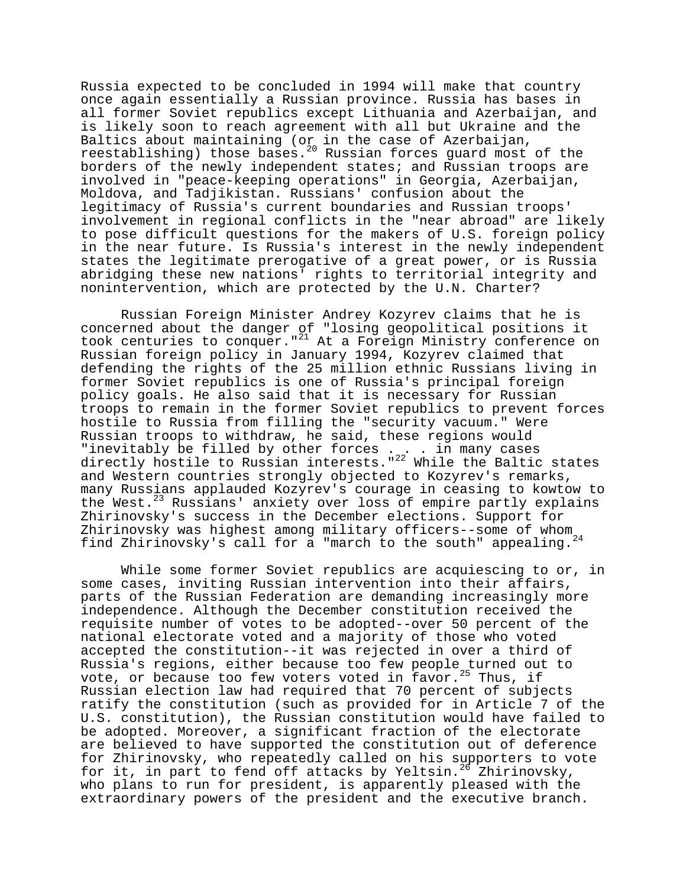Russia expected to be concluded in 1994 will make that country once again essentially a Russian province. Russia has bases in all former Soviet republics except Lithuania and Azerbaijan, and is likely soon to reach agreement with all but Ukraine and the Baltics about maintaining (or in the case of Azerbaijan, reestablishing) those bases.<sup>20</sup> Russian forces guard most of the borders of the newly independent states; and Russian troops are involved in "peace-keeping operations" in Georgia, Azerbaijan, Moldova, and Tadjikistan. Russians' confusion about the legitimacy of Russia's current boundaries and Russian troops' involvement in regional conflicts in the "near abroad" are likely to pose difficult questions for the makers of U.S. foreign policy in the near future. Is Russia's interest in the newly independent states the legitimate prerogative of a great power, or is Russia abridging these new nations' rights to territorial integrity and nonintervention, which are protected by the U.N. Charter?

Russian Foreign Minister Andrey Kozyrev claims that he is concerned about the danger of "losing geopolitical positions it took centuries to conquer."<sup>21</sup> At a Foreign Ministry conference on Russian foreign policy in January 1994, Kozyrev claimed that defending the rights of the 25 million ethnic Russians living in former Soviet republics is one of Russia's principal foreign policy goals. He also said that it is necessary for Russian troops to remain in the former Soviet republics to prevent forces hostile to Russia from filling the "security vacuum." Were Russian troops to withdraw, he said, these regions would "inevitably be filled by other forces ... . in many cases directly hostile to Russian interests."<sup>22</sup> While the Baltic states and Western countries strongly objected to Kozyrev's remarks, many Russians applauded Kozyrev's courage in ceasing to kowtow to the West.<sup>23</sup> Russians' anxiety over loss of empire partly explains Zhirinovsky's success in the December elections. Support for Zhirinovsky was highest among military officers--some of whom find Zhirinovsky's call for a "march to the south" appealing.<sup>24</sup>

While some former Soviet republics are acquiescing to or, in some cases, inviting Russian intervention into their affairs, parts of the Russian Federation are demanding increasingly more independence. Although the December constitution received the requisite number of votes to be adopted--over 50 percent of the national electorate voted and a majority of those who voted accepted the constitution--it was rejected in over a third of Russia's regions, either because too few people turned out to vote, or because too few voters voted in favor.<sup>25</sup> Thus, if Russian election law had required that 70 percent of subjects ratify the constitution (such as provided for in Article 7 of the U.S. constitution), the Russian constitution would have failed to be adopted. Moreover, a significant fraction of the electorate are believed to have supported the constitution out of deference for Zhirinovsky, who repeatedly called on his supporters to vote for it, in part to fend off attacks by Yeltsin.<sup>26</sup> Zhirinovsky, who plans to run for president, is apparently pleased with the extraordinary powers of the president and the executive branch.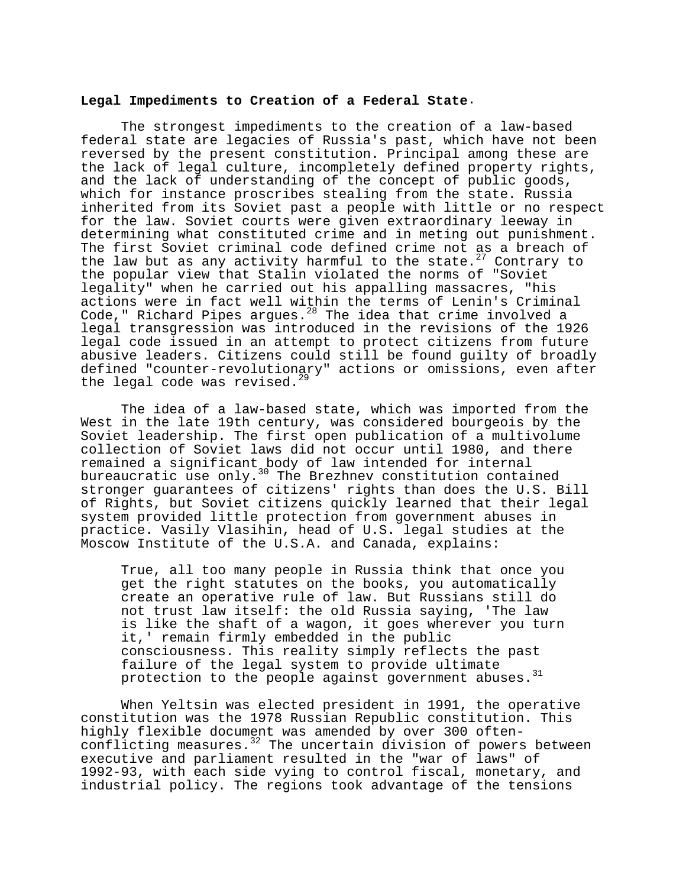### **Legal Impediments to Creation of a Federal State**.

The strongest impediments to the creation of a law-based federal state are legacies of Russia's past, which have not been reversed by the present constitution. Principal among these are the lack of legal culture, incompletely defined property rights, and the lack of understanding of the concept of public goods, which for instance proscribes stealing from the state. Russia inherited from its Soviet past a people with little or no respect for the law. Soviet courts were given extraordinary leeway in determining what constituted crime and in meting out punishment. The first Soviet criminal code defined crime not as a breach of the law but as any activity harmful to the state. $27$  Contrary to the popular view that Stalin violated the norms of "Soviet legality" when he carried out his appalling massacres, "his actions were in fact well within the terms of Lenin's Criminal Code," Richard Pipes argues. $^{28}$  The idea that crime involved a legal transgression was introduced in the revisions of the 1926 legal code issued in an attempt to protect citizens from future abusive leaders. Citizens could still be found guilty of broadly defined "counter-revolutionary" actions or omissions, even after the legal code was revised. $^{29}$ 

The idea of a law-based state, which was imported from the West in the late 19th century, was considered bourgeois by the Soviet leadership. The first open publication of a multivolume collection of Soviet laws did not occur until 1980, and there remained a significant body of law intended for internal bureaucratic use only.<sup>30</sup> The Brezhnev constitution contained stronger guarantees of citizens' rights than does the U.S. Bill of Rights, but Soviet citizens quickly learned that their legal system provided little protection from government abuses in practice. Vasily Vlasihin, head of U.S. legal studies at the Moscow Institute of the U.S.A. and Canada, explains:

True, all too many people in Russia think that once you get the right statutes on the books, you automatically create an operative rule of law. But Russians still do not trust law itself: the old Russia saying, 'The law is like the shaft of a wagon, it goes wherever you turn it,' remain firmly embedded in the public consciousness. This reality simply reflects the past failure of the legal system to provide ultimate protection to the people against government abuses.<sup>31</sup>

When Yeltsin was elected president in 1991, the operative constitution was the 1978 Russian Republic constitution. This highly flexible document was amended by over 300 oftenconflicting measures. $3^2$  The uncertain division of powers between executive and parliament resulted in the "war of laws" of 1992-93, with each side vying to control fiscal, monetary, and industrial policy. The regions took advantage of the tensions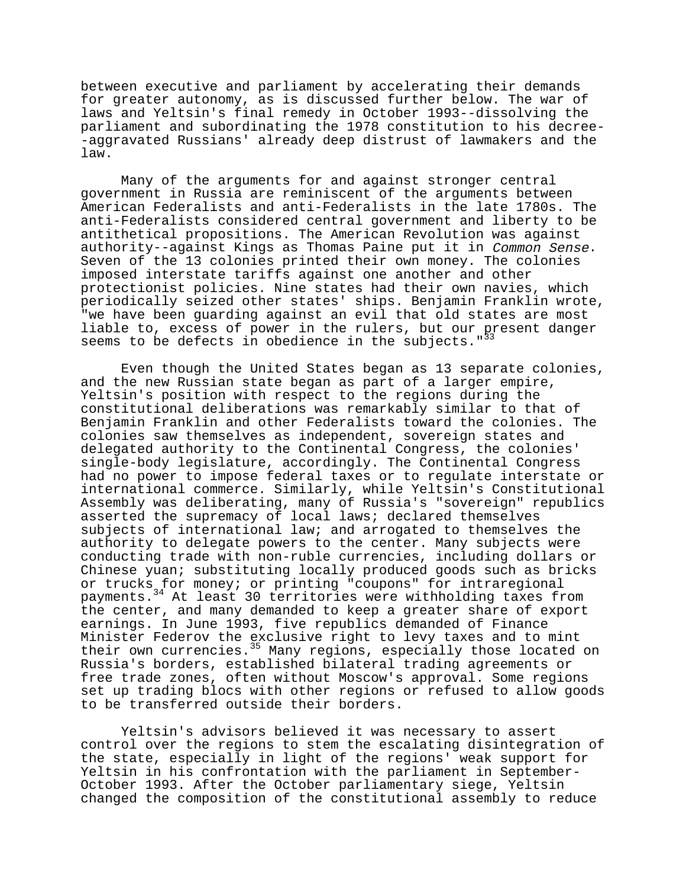between executive and parliament by accelerating their demands for greater autonomy, as is discussed further below. The war of laws and Yeltsin's final remedy in October 1993--dissolving the parliament and subordinating the 1978 constitution to his decree- -aggravated Russians' already deep distrust of lawmakers and the law.

Many of the arguments for and against stronger central government in Russia are reminiscent of the arguments between American Federalists and anti-Federalists in the late 1780s. The anti-Federalists considered central government and liberty to be antithetical propositions. The American Revolution was against authority--against Kings as Thomas Paine put it in Common Sense. Seven of the 13 colonies printed their own money. The colonies imposed interstate tariffs against one another and other protectionist policies. Nine states had their own navies, which periodically seized other states' ships. Benjamin Franklin wrote, "we have been guarding against an evil that old states are most liable to, excess of power in the rulers, but our present danger seems to be defects in obedience in the subjects."<sup>33</sup>

Even though the United States began as 13 separate colonies, and the new Russian state began as part of a larger empire, Yeltsin's position with respect to the regions during the constitutional deliberations was remarkably similar to that of Benjamin Franklin and other Federalists toward the colonies. The colonies saw themselves as independent, sovereign states and delegated authority to the Continental Congress, the colonies' single-body legislature, accordingly. The Continental Congress had no power to impose federal taxes or to regulate interstate or international commerce. Similarly, while Yeltsin's Constitutional Assembly was deliberating, many of Russia's "sovereign" republics asserted the supremacy of local laws; declared themselves subjects of international law; and arrogated to themselves the authority to delegate powers to the center. Many subjects were conducting trade with non-ruble currencies, including dollars or Chinese yuan; substituting locally produced goods such as bricks or trucks for money; or printing "coupons" for intraregional payments.34 At least 30 territories were withholding taxes from the center, and many demanded to keep a greater share of export earnings. In June 1993, five republics demanded of Finance Minister Federov the exclusive right to levy taxes and to mint their own currencies.<sup>35</sup> Many regions, especially those located on Russia's borders, established bilateral trading agreements or free trade zones, often without Moscow's approval. Some regions set up trading blocs with other regions or refused to allow goods to be transferred outside their borders.

Yeltsin's advisors believed it was necessary to assert control over the regions to stem the escalating disintegration of the state, especially in light of the regions' weak support for Yeltsin in his confrontation with the parliament in September-October 1993. After the October parliamentary siege, Yeltsin changed the composition of the constitutional assembly to reduce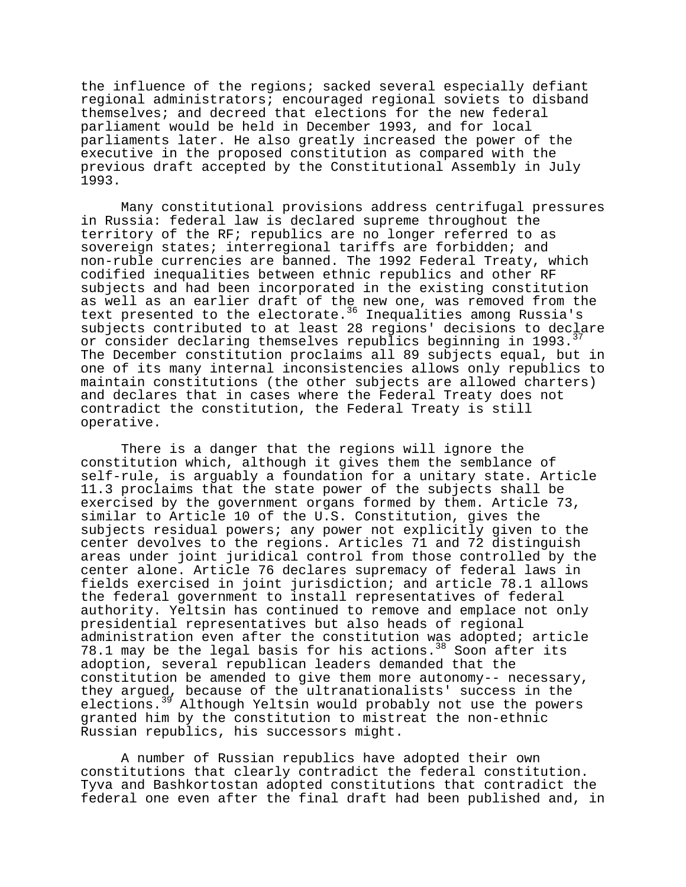the influence of the regions; sacked several especially defiant regional administrators; encouraged regional soviets to disband themselves; and decreed that elections for the new federal parliament would be held in December 1993, and for local parliaments later. He also greatly increased the power of the executive in the proposed constitution as compared with the previous draft accepted by the Constitutional Assembly in July 1993.

Many constitutional provisions address centrifugal pressures in Russia: federal law is declared supreme throughout the territory of the RF; republics are no longer referred to as sovereign states; interregional tariffs are forbidden; and non-ruble currencies are banned. The 1992 Federal Treaty, which codified inequalities between ethnic republics and other RF subjects and had been incorporated in the existing constitution as well as an earlier draft of the new one, was removed from the text presented to the electorate.<sup>36</sup> Inequalities among Russia's subjects contributed to at least 28 regions' decisions to declare or consider declaring themselves republics beginning in 1993.<sup>3</sup> The December constitution proclaims all 89 subjects equal, but in one of its many internal inconsistencies allows only republics to maintain constitutions (the other subjects are allowed charters) and declares that in cases where the Federal Treaty does not contradict the constitution, the Federal Treaty is still operative.

There is a danger that the regions will ignore the constitution which, although it gives them the semblance of self-rule, is arguably a foundation for a unitary state. Article 11.3 proclaims that the state power of the subjects shall be exercised by the government organs formed by them. Article 73, similar to Article 10 of the U.S. Constitution, gives the subjects residual powers; any power not explicitly given to the center devolves to the regions. Articles 71 and 72 distinguish areas under joint juridical control from those controlled by the center alone. Article 76 declares supremacy of federal laws in fields exercised in joint jurisdiction; and article 78.1 allows the federal government to install representatives of federal authority. Yeltsin has continued to remove and emplace not only presidential representatives but also heads of regional administration even after the constitution was adopted; article 78.1 may be the legal basis for his actions.<sup>38</sup> Soon after its adoption, several republican leaders demanded that the constitution be amended to give them more autonomy-- necessary, they argued, because of the ultranationalists' success in the elections.<sup>39</sup> Although Yeltsin would probably not use the powers granted him by the constitution to mistreat the non-ethnic Russian republics, his successors might.

A number of Russian republics have adopted their own constitutions that clearly contradict the federal constitution. Tyva and Bashkortostan adopted constitutions that contradict the federal one even after the final draft had been published and, in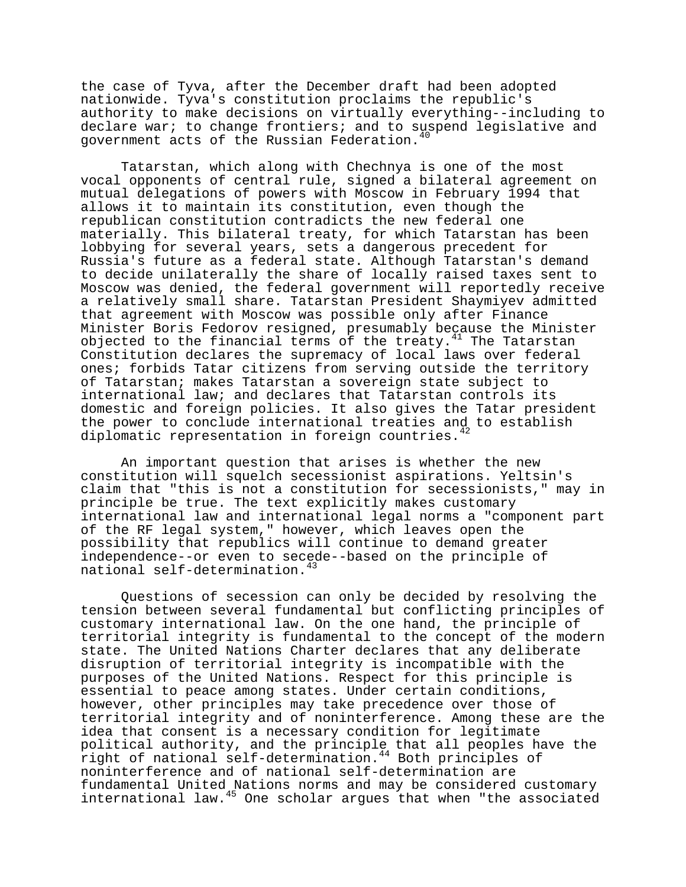the case of Tyva, after the December draft had been adopted nationwide. Tyva's constitution proclaims the republic's authority to make decisions on virtually everything--including to declare war; to change frontiers; and to suspend legislative and government acts of the Russian Federation.<sup>40</sup>

Tatarstan, which along with Chechnya is one of the most vocal opponents of central rule, signed a bilateral agreement on mutual delegations of powers with Moscow in February 1994 that allows it to maintain its constitution, even though the republican constitution contradicts the new federal one materially. This bilateral treaty, for which Tatarstan has been lobbying for several years, sets a dangerous precedent for Russia's future as a federal state. Although Tatarstan's demand to decide unilaterally the share of locally raised taxes sent to Moscow was denied, the federal government will reportedly receive a relatively small share. Tatarstan President Shaymiyev admitted that agreement with Moscow was possible only after Finance Minister Boris Fedorov resigned, presumably because the Minister objected to the financial terms of the treaty. $41$  The Tatarstan Constitution declares the supremacy of local laws over federal ones; forbids Tatar citizens from serving outside the territory of Tatarstan; makes Tatarstan a sovereign state subject to international law; and declares that Tatarstan controls its domestic and foreign policies. It also gives the Tatar president the power to conclude international treaties and to establish diplomatic representation in foreign countries.<sup>42</sup>

An important question that arises is whether the new constitution will squelch secessionist aspirations. Yeltsin's claim that "this is not a constitution for secessionists," may in principle be true. The text explicitly makes customary international law and international legal norms a "component part of the RF legal system," however, which leaves open the possibility that republics will continue to demand greater independence--or even to secede--based on the principle of national self-determination.<sup>43</sup>

Questions of secession can only be decided by resolving the tension between several fundamental but conflicting principles of customary international law. On the one hand, the principle of territorial integrity is fundamental to the concept of the modern state. The United Nations Charter declares that any deliberate disruption of territorial integrity is incompatible with the purposes of the United Nations. Respect for this principle is essential to peace among states. Under certain conditions, however, other principles may take precedence over those of territorial integrity and of noninterference. Among these are the idea that consent is a necessary condition for legitimate political authority, and the principle that all peoples have the right of national self-determination.44 Both principles of noninterference and of national self-determination are fundamental United Nations norms and may be considered customary international law.45 One scholar argues that when "the associated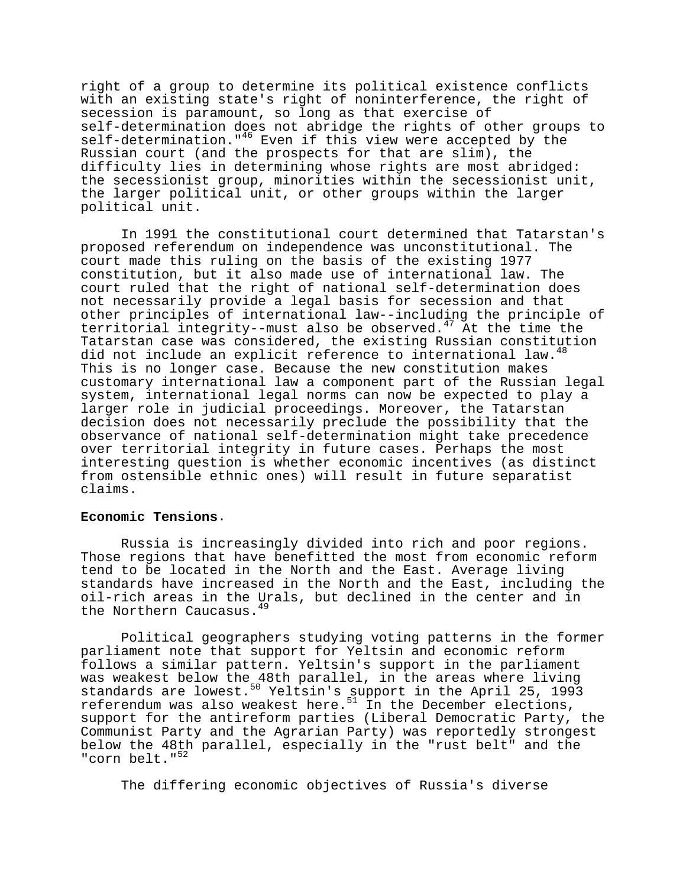right of a group to determine its political existence conflicts with an existing state's right of noninterference, the right of secession is paramount, so long as that exercise of self-determination does not abridge the rights of other groups to self-determination."<sup>46</sup> Even if this view were accepted by the Russian court (and the prospects for that are slim), the difficulty lies in determining whose rights are most abridged: the secessionist group, minorities within the secessionist unit, the larger political unit, or other groups within the larger political unit.

In 1991 the constitutional court determined that Tatarstan's proposed referendum on independence was unconstitutional. The court made this ruling on the basis of the existing 1977 constitution, but it also made use of international law. The court ruled that the right of national self-determination does not necessarily provide a legal basis for secession and that other principles of international law--including the principle of territorial integrity--must also be observed.47 At the time the Tatarstan case was considered, the existing Russian constitution did not include an explicit reference to international law. This is no longer case. Because the new constitution makes customary international law a component part of the Russian legal system, international legal norms can now be expected to play a larger role in judicial proceedings. Moreover, the Tatarstan decision does not necessarily preclude the possibility that the observance of national self-determination might take precedence over territorial integrity in future cases. Perhaps the most interesting question is whether economic incentives (as distinct from ostensible ethnic ones) will result in future separatist claims.

# **Economic Tensions**.

Russia is increasingly divided into rich and poor regions. Those regions that have benefitted the most from economic reform tend to be located in the North and the East. Average living standards have increased in the North and the East, including the oil-rich areas in the Urals, but declined in the center and in the Northern Caucasus.<sup>49</sup>

Political geographers studying voting patterns in the former parliament note that support for Yeltsin and economic reform follows a similar pattern. Yeltsin's support in the parliament was weakest below the 48th parallel, in the areas where living standards are lowest.<sup>50</sup> Yeltsin's support in the April 25, 1993 referendum was also weakest here. $5^1$  In the December elections, support for the antireform parties (Liberal Democratic Party, the Communist Party and the Agrarian Party) was reportedly strongest below the 48th parallel, especially in the "rust belt" and the "corn belt."<sup>52</sup>

The differing economic objectives of Russia's diverse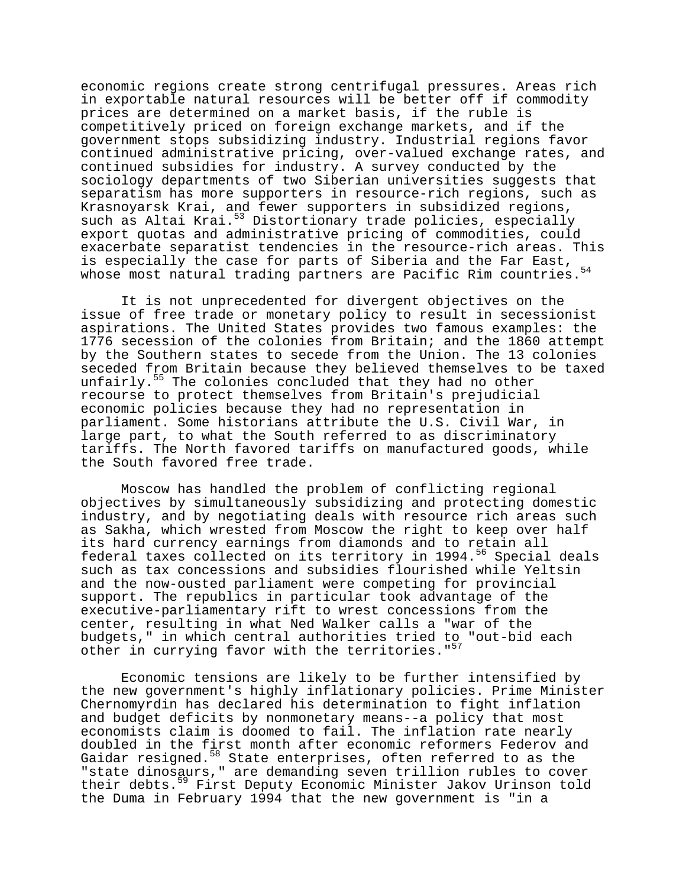economic regions create strong centrifugal pressures. Areas rich in exportable natural resources will be better off if commodity prices are determined on a market basis, if the ruble is competitively priced on foreign exchange markets, and if the government stops subsidizing industry. Industrial regions favor continued administrative pricing, over-valued exchange rates, and continued subsidies for industry. A survey conducted by the sociology departments of two Siberian universities suggests that separatism has more supporters in resource-rich regions, such as Krasnoyarsk Krai, and fewer supporters in subsidized regions, such as Altai Krai.<sup>53</sup> Distortionary trade policies, especially export quotas and administrative pricing of commodities, could exacerbate separatist tendencies in the resource-rich areas. This is especially the case for parts of Siberia and the Far East, whose most natural trading partners are Pacific Rim countries.<sup>54</sup>

It is not unprecedented for divergent objectives on the issue of free trade or monetary policy to result in secessionist aspirations. The United States provides two famous examples: the 1776 secession of the colonies from Britain; and the 1860 attempt by the Southern states to secede from the Union. The 13 colonies seceded from Britain because they believed themselves to be taxed unfairly.<sup>55</sup> The colonies concluded that they had no other recourse to protect themselves from Britain's prejudicial economic policies because they had no representation in parliament. Some historians attribute the U.S. Civil War, in large part, to what the South referred to as discriminatory tariffs. The North favored tariffs on manufactured goods, while the South favored free trade.

Moscow has handled the problem of conflicting regional objectives by simultaneously subsidizing and protecting domestic industry, and by negotiating deals with resource rich areas such as Sakha, which wrested from Moscow the right to keep over half its hard currency earnings from diamonds and to retain all federal taxes collected on its territory in 1994.<sup>56</sup> Special deals such as tax concessions and subsidies flourished while Yeltsin and the now-ousted parliament were competing for provincial support. The republics in particular took advantage of the executive-parliamentary rift to wrest concessions from the center, resulting in what Ned Walker calls a "war of the budgets," in which central authorities tried to "out-bid each other in currying favor with the territories."<sup>57</sup>

Economic tensions are likely to be further intensified by the new government's highly inflationary policies. Prime Minister Chernomyrdin has declared his determination to fight inflation and budget deficits by nonmonetary means--a policy that most economists claim is doomed to fail. The inflation rate nearly doubled in the first month after economic reformers Federov and Gaidar resigned.<sup>58</sup> State enterprises, often referred to as the "state dinosaurs," are demanding seven trillion rubles to cover their debts.<sup>59</sup> First Deputy Economic Minister Jakov Urinson told the Duma in February 1994 that the new government is "in a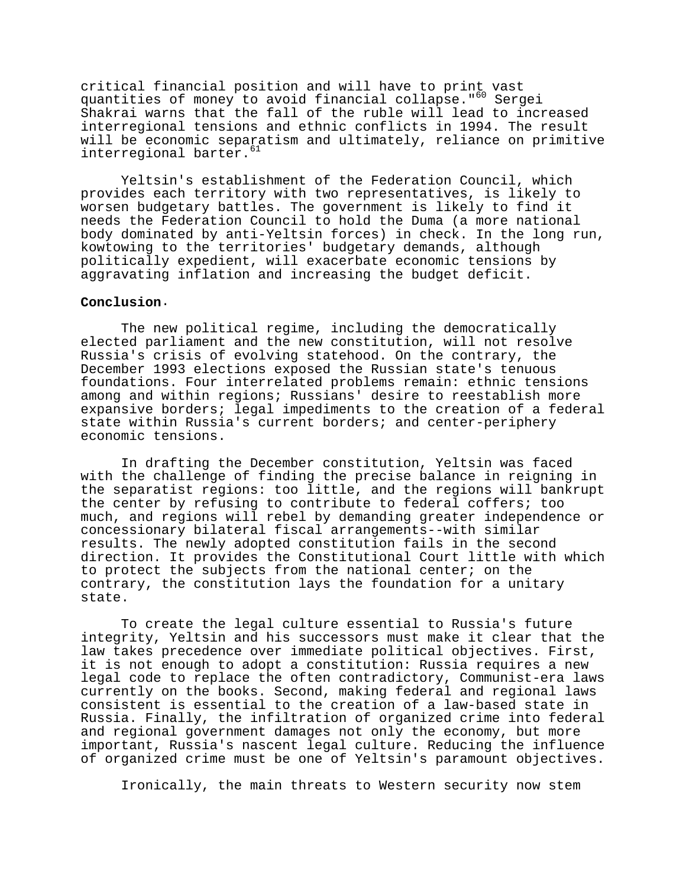critical financial position and will have to print vast quantities of money to avoid financial collapse."<sup>60</sup> Sergei Shakrai warns that the fall of the ruble will lead to increased interregional tensions and ethnic conflicts in 1994. The result will be economic separatism and ultimately, reliance on primitive interregional barter.<sup>61</sup>

Yeltsin's establishment of the Federation Council, which provides each territory with two representatives, is likely to worsen budgetary battles. The government is likely to find it needs the Federation Council to hold the Duma (a more national body dominated by anti-Yeltsin forces) in check. In the long run, kowtowing to the territories' budgetary demands, although politically expedient, will exacerbate economic tensions by aggravating inflation and increasing the budget deficit.

## **Conclusion**.

The new political regime, including the democratically elected parliament and the new constitution, will not resolve Russia's crisis of evolving statehood. On the contrary, the December 1993 elections exposed the Russian state's tenuous foundations. Four interrelated problems remain: ethnic tensions among and within regions; Russians' desire to reestablish more expansive borders; legal impediments to the creation of a federal state within Russia's current borders; and center-periphery economic tensions.

In drafting the December constitution, Yeltsin was faced with the challenge of finding the precise balance in reigning in the separatist regions: too little, and the regions will bankrupt the center by refusing to contribute to federal coffers; too much, and regions will rebel by demanding greater independence or concessionary bilateral fiscal arrangements--with similar results. The newly adopted constitution fails in the second direction. It provides the Constitutional Court little with which to protect the subjects from the national center; on the contrary, the constitution lays the foundation for a unitary state.

To create the legal culture essential to Russia's future integrity, Yeltsin and his successors must make it clear that the law takes precedence over immediate political objectives. First, it is not enough to adopt a constitution: Russia requires a new legal code to replace the often contradictory, Communist-era laws currently on the books. Second, making federal and regional laws consistent is essential to the creation of a law-based state in Russia. Finally, the infiltration of organized crime into federal and regional government damages not only the economy, but more important, Russia's nascent legal culture. Reducing the influence of organized crime must be one of Yeltsin's paramount objectives.

Ironically, the main threats to Western security now stem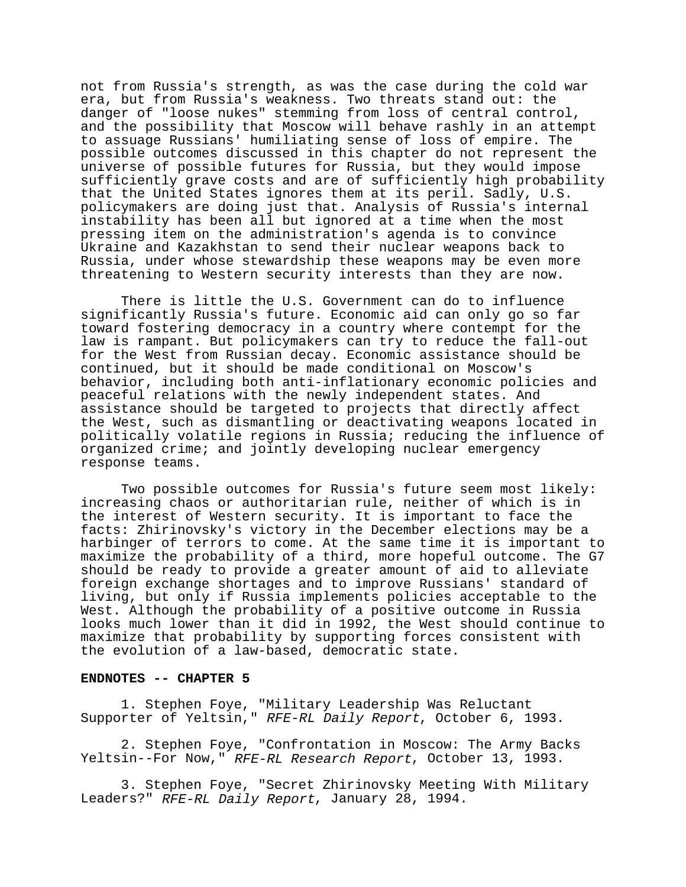not from Russia's strength, as was the case during the cold war era, but from Russia's weakness. Two threats stand out: the danger of "loose nukes" stemming from loss of central control, and the possibility that Moscow will behave rashly in an attempt to assuage Russians' humiliating sense of loss of empire. The possible outcomes discussed in this chapter do not represent the universe of possible futures for Russia, but they would impose sufficiently grave costs and are of sufficiently high probability that the United States ignores them at its peril. Sadly, U.S. policymakers are doing just that. Analysis of Russia's internal instability has been all but ignored at a time when the most pressing item on the administration's agenda is to convince Ukraine and Kazakhstan to send their nuclear weapons back to Russia, under whose stewardship these weapons may be even more threatening to Western security interests than they are now.

There is little the U.S. Government can do to influence significantly Russia's future. Economic aid can only go so far toward fostering democracy in a country where contempt for the law is rampant. But policymakers can try to reduce the fall-out for the West from Russian decay. Economic assistance should be continued, but it should be made conditional on Moscow's behavior, including both anti-inflationary economic policies and peaceful relations with the newly independent states. And assistance should be targeted to projects that directly affect the West, such as dismantling or deactivating weapons located in politically volatile regions in Russia; reducing the influence of organized crime; and jointly developing nuclear emergency response teams.

Two possible outcomes for Russia's future seem most likely: increasing chaos or authoritarian rule, neither of which is in the interest of Western security. It is important to face the facts: Zhirinovsky's victory in the December elections may be a harbinger of terrors to come. At the same time it is important to maximize the probability of a third, more hopeful outcome. The G7 should be ready to provide a greater amount of aid to alleviate foreign exchange shortages and to improve Russians' standard of living, but only if Russia implements policies acceptable to the West. Although the probability of a positive outcome in Russia looks much lower than it did in 1992, the West should continue to maximize that probability by supporting forces consistent with the evolution of a law-based, democratic state.

## **ENDNOTES -- CHAPTER 5**

1. Stephen Foye, "Military Leadership Was Reluctant Supporter of Yeltsin," RFE-RL Daily Report, October 6, 1993.

2. Stephen Foye, "Confrontation in Moscow: The Army Backs Yeltsin--For Now," RFE-RL Research Report, October 13, 1993.

3. Stephen Foye, "Secret Zhirinovsky Meeting With Military Leaders?" RFE-RL Daily Report, January 28, 1994.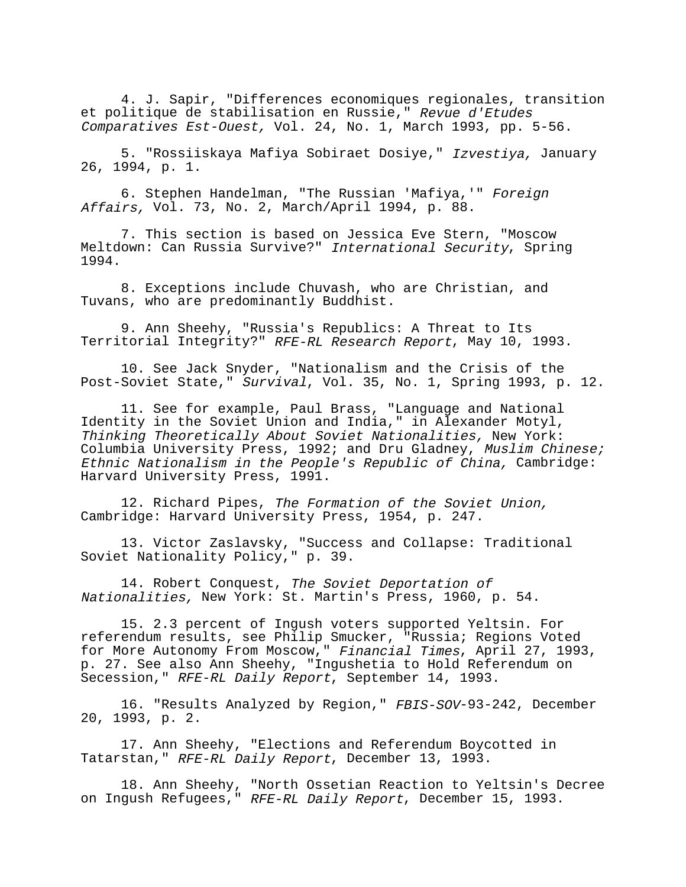4. J. Sapir, "Differences economiques regionales, transition et politique de stabilisation en Russie," Revue d'Etudes Comparatives Est-Ouest, Vol. 24, No. 1, March 1993, pp. 5-56.

5. "Rossiiskaya Mafiya Sobiraet Dosiye," Izvestiya, January 26, 1994, p. 1.

6. Stephen Handelman, "The Russian 'Mafiya,'" Foreign Affairs, Vol. 73, No. 2, March/April 1994, p. 88.

7. This section is based on Jessica Eve Stern, "Moscow Meltdown: Can Russia Survive?" International Security, Spring 1994.

8. Exceptions include Chuvash, who are Christian, and Tuvans, who are predominantly Buddhist.

9. Ann Sheehy, "Russia's Republics: A Threat to Its Territorial Integrity?" RFE-RL Research Report, May 10, 1993.

10. See Jack Snyder, "Nationalism and the Crisis of the Post-Soviet State," Survival, Vol. 35, No. 1, Spring 1993, p. 12.

11. See for example, Paul Brass, "Language and National Identity in the Soviet Union and India," in Alexander Motyl, Thinking Theoretically About Soviet Nationalities, New York: Columbia University Press, 1992; and Dru Gladney, Muslim Chinese; Ethnic Nationalism in the People's Republic of China, Cambridge: Harvard University Press, 1991.

12. Richard Pipes, The Formation of the Soviet Union, Cambridge: Harvard University Press, 1954, p. 247.

13. Victor Zaslavsky, "Success and Collapse: Traditional Soviet Nationality Policy," p. 39.

14. Robert Conquest, The Soviet Deportation of Nationalities, New York: St. Martin's Press, 1960, p. 54.

15. 2.3 percent of Ingush voters supported Yeltsin. For referendum results, see Philip Smucker, "Russia; Regions Voted for More Autonomy From Moscow," Financial Times, April 27, 1993, p. 27. See also Ann Sheehy, "Ingushetia to Hold Referendum on Secession," RFE-RL Daily Report, September 14, 1993.

16. "Results Analyzed by Region," FBIS-SOV-93-242, December 20, 1993, p. 2.

17. Ann Sheehy, "Elections and Referendum Boycotted in Tatarstan," RFE-RL Daily Report, December 13, 1993.

18. Ann Sheehy, "North Ossetian Reaction to Yeltsin's Decree on Ingush Refugees," RFE-RL Daily Report, December 15, 1993.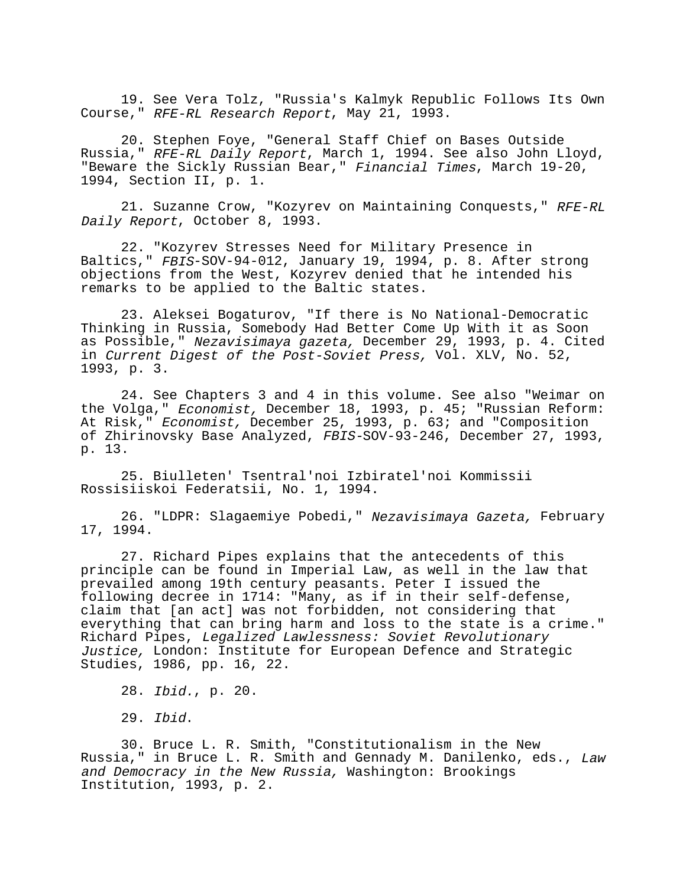19. See Vera Tolz, "Russia's Kalmyk Republic Follows Its Own Course," RFE-RL Research Report, May 21, 1993.

20. Stephen Foye, "General Staff Chief on Bases Outside Russia," RFE-RL Daily Report, March 1, 1994. See also John Lloyd, "Beware the Sickly Russian Bear," Financial Times, March 19-20, 1994, Section II, p. 1.

21. Suzanne Crow, "Kozyrev on Maintaining Conquests," RFE-RL Daily Report, October 8, 1993.

22. "Kozyrev Stresses Need for Military Presence in Baltics," FBIS-SOV-94-012, January 19, 1994, p. 8. After strong objections from the West, Kozyrev denied that he intended his remarks to be applied to the Baltic states.

23. Aleksei Bogaturov, "If there is No National-Democratic Thinking in Russia, Somebody Had Better Come Up With it as Soon as Possible," Nezavisimaya gazeta, December 29, 1993, p. 4. Cited in Current Digest of the Post-Soviet Press, Vol. XLV, No. 52, 1993, p. 3.

24. See Chapters 3 and 4 in this volume. See also "Weimar on the Volga," Economist, December 18, 1993, p. 45; "Russian Reform: At Risk," Economist, December 25, 1993, p. 63; and "Composition of Zhirinovsky Base Analyzed, FBIS-SOV-93-246, December 27, 1993, p. 13.

25. Biulleten' Tsentral'noi Izbiratel'noi Kommissii Rossisiiskoi Federatsii, No. 1, 1994.

26. "LDPR: Slagaemiye Pobedi," Nezavisimaya Gazeta, February 17, 1994.

27. Richard Pipes explains that the antecedents of this principle can be found in Imperial Law, as well in the law that prevailed among 19th century peasants. Peter I issued the following decree in 1714: "Many, as if in their self-defense, claim that [an act] was not forbidden, not considering that everything that can bring harm and loss to the state is a crime." Richard Pipes, Legalized Lawlessness: Soviet Revolutionary Justice, London: Institute for European Defence and Strategic Studies, 1986, pp. 16, 22.

28. Ibid., p. 20.

29. Ibid.

30. Bruce L. R. Smith, "Constitutionalism in the New Russia," in Bruce L. R. Smith and Gennady M. Danilenko, eds., Law and Democracy in the New Russia, Washington: Brookings Institution, 1993, p. 2.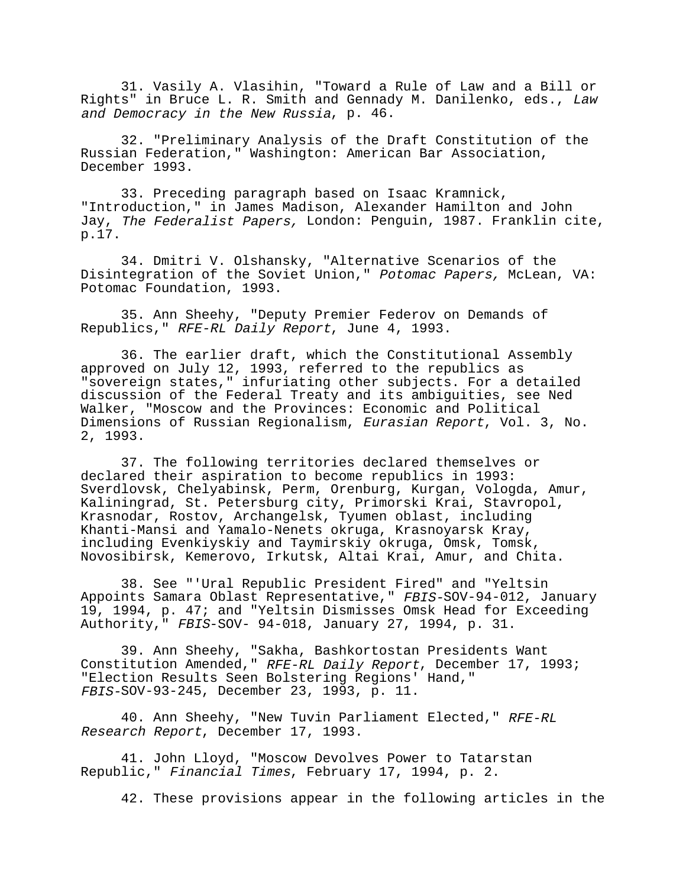31. Vasily A. Vlasihin, "Toward a Rule of Law and a Bill or Rights" in Bruce L. R. Smith and Gennady M. Danilenko, eds., Law and Democracy in the New Russia, p. 46.

32. "Preliminary Analysis of the Draft Constitution of the Russian Federation," Washington: American Bar Association, December 1993.

33. Preceding paragraph based on Isaac Kramnick, "Introduction," in James Madison, Alexander Hamilton and John Jay, The Federalist Papers, London: Penguin, 1987. Franklin cite, p.17.

34. Dmitri V. Olshansky, "Alternative Scenarios of the Disintegration of the Soviet Union," Potomac Papers, McLean, VA: Potomac Foundation, 1993.

35. Ann Sheehy, "Deputy Premier Federov on Demands of Republics," RFE-RL Daily Report, June 4, 1993.

36. The earlier draft, which the Constitutional Assembly approved on July 12, 1993, referred to the republics as "sovereign states," infuriating other subjects. For a detailed discussion of the Federal Treaty and its ambiguities, see Ned Walker, "Moscow and the Provinces: Economic and Political Dimensions of Russian Regionalism, Eurasian Report, Vol. 3, No. 2, 1993.

37. The following territories declared themselves or declared their aspiration to become republics in 1993: Sverdlovsk, Chelyabinsk, Perm, Orenburg, Kurgan, Vologda, Amur, Kaliningrad, St. Petersburg city, Primorski Krai, Stavropol, Krasnodar, Rostov, Archangelsk, Tyumen oblast, including Khanti-Mansi and Yamalo-Nenets okruga, Krasnoyarsk Kray, including Evenkiyskiy and Taymirskiy okruga, Omsk, Tomsk, Novosibirsk, Kemerovo, Irkutsk, Altai Krai, Amur, and Chita.

38. See "'Ural Republic President Fired" and "Yeltsin Appoints Samara Oblast Representative," FBIS-SOV-94-012, January 19, 1994, p. 47; and "Yeltsin Dismisses Omsk Head for Exceeding Authority," FBIS-SOV- 94-018, January 27, 1994, p. 31.

39. Ann Sheehy, "Sakha, Bashkortostan Presidents Want Constitution Amended," RFE-RL Daily Report, December 17, 1993; "Election Results Seen Bolstering Regions' Hand," FBIS-SOV-93-245, December 23, 1993, p. 11.

40. Ann Sheehy, "New Tuvin Parliament Elected," RFE-RL Research Report, December 17, 1993.

41. John Lloyd, "Moscow Devolves Power to Tatarstan Republic," Financial Times, February 17, 1994, p. 2.

42. These provisions appear in the following articles in the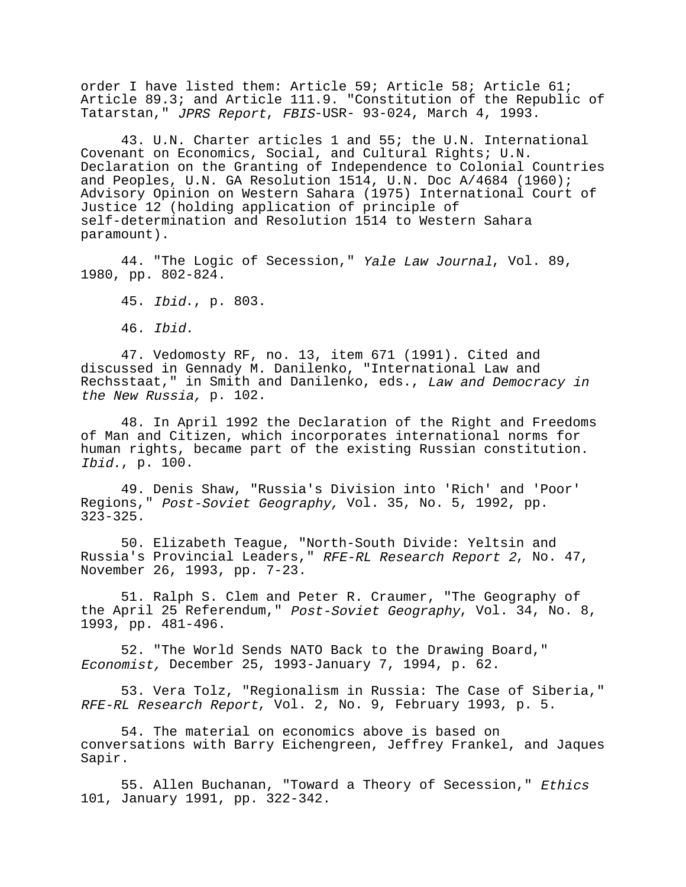order I have listed them: Article 59; Article 58; Article 61; Article 89.3; and Article 111.9. "Constitution of the Republic of Tatarstan," JPRS Report, FBIS-USR- 93-024, March 4, 1993.

43. U.N. Charter articles 1 and 55; the U.N. International Covenant on Economics, Social, and Cultural Rights; U.N. Declaration on the Granting of Independence to Colonial Countries and Peoples, U.N. GA Resolution 1514, U.N. Doc A/4684 (1960); Advisory Opinion on Western Sahara (1975) International Court of Justice 12 (holding application of principle of self-determination and Resolution 1514 to Western Sahara paramount).

44. "The Logic of Secession," Yale Law Journal, Vol. 89, 1980, pp. 802-824.

45. Ibid., p. 803.

46. Ibid.

47. Vedomosty RF, no. 13, item 671 (1991). Cited and discussed in Gennady M. Danilenko, "International Law and Rechsstaat," in Smith and Danilenko, eds., Law and Democracy in the New Russia, p. 102.

48. In April 1992 the Declaration of the Right and Freedoms of Man and Citizen, which incorporates international norms for human rights, became part of the existing Russian constitution. Ibid., p. 100.

49. Denis Shaw, "Russia's Division into 'Rich' and 'Poor' Regions," Post-Soviet Geography, Vol. 35, No. 5, 1992, pp. 323-325.

50. Elizabeth Teague, "North-South Divide: Yeltsin and Russia's Provincial Leaders," RFE-RL Research Report 2, No. 47, November 26, 1993, pp. 7-23.

51. Ralph S. Clem and Peter R. Craumer, "The Geography of the April 25 Referendum," Post-Soviet Geography, Vol. 34, No. 8, 1993, pp. 481-496.

52. "The World Sends NATO Back to the Drawing Board," Economist, December 25, 1993-January 7, 1994, p. 62.

53. Vera Tolz, "Regionalism in Russia: The Case of Siberia," RFE-RL Research Report, Vol. 2, No. 9, February 1993, p. 5.

54. The material on economics above is based on conversations with Barry Eichengreen, Jeffrey Frankel, and Jaques Sapir.

55. Allen Buchanan, "Toward a Theory of Secession," Ethics 101, January 1991, pp. 322-342.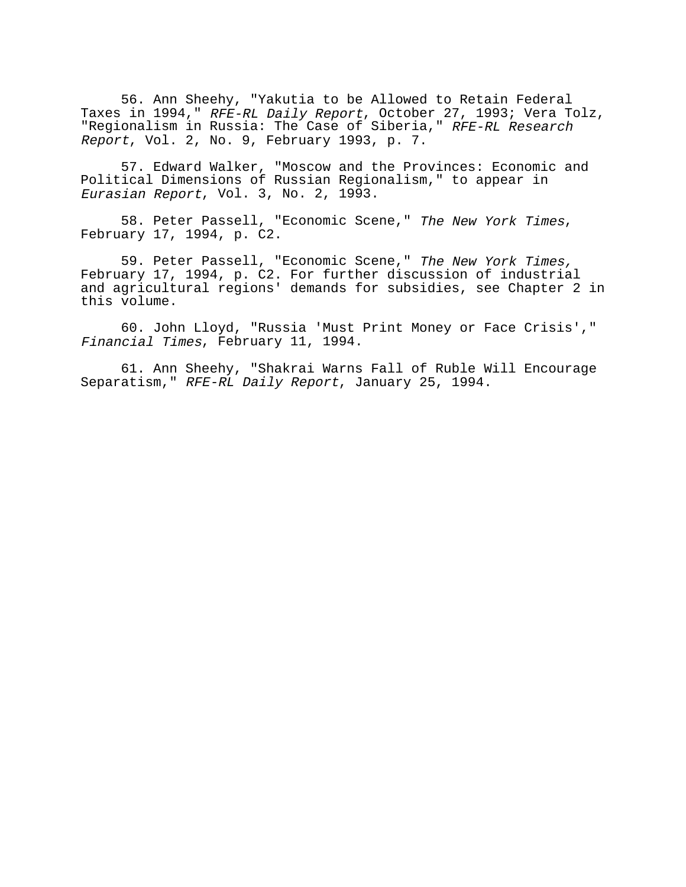56. Ann Sheehy, "Yakutia to be Allowed to Retain Federal Taxes in 1994," RFE-RL Daily Report, October 27, 1993; Vera Tolz, "Regionalism in Russia: The Case of Siberia," RFE-RL Research Report, Vol. 2, No. 9, February 1993, p. 7.

57. Edward Walker, "Moscow and the Provinces: Economic and Political Dimensions of Russian Regionalism," to appear in Eurasian Report, Vol. 3, No. 2, 1993.

58. Peter Passell, "Economic Scene," The New York Times, February 17, 1994, p. C2.

59. Peter Passell, "Economic Scene," The New York Times, February 17, 1994, p. C2. For further discussion of industrial and agricultural regions' demands for subsidies, see Chapter 2 in this volume.

60. John Lloyd, "Russia 'Must Print Money or Face Crisis'," Financial Times, February 11, 1994.

61. Ann Sheehy, "Shakrai Warns Fall of Ruble Will Encourage Separatism," RFE-RL Daily Report, January 25, 1994.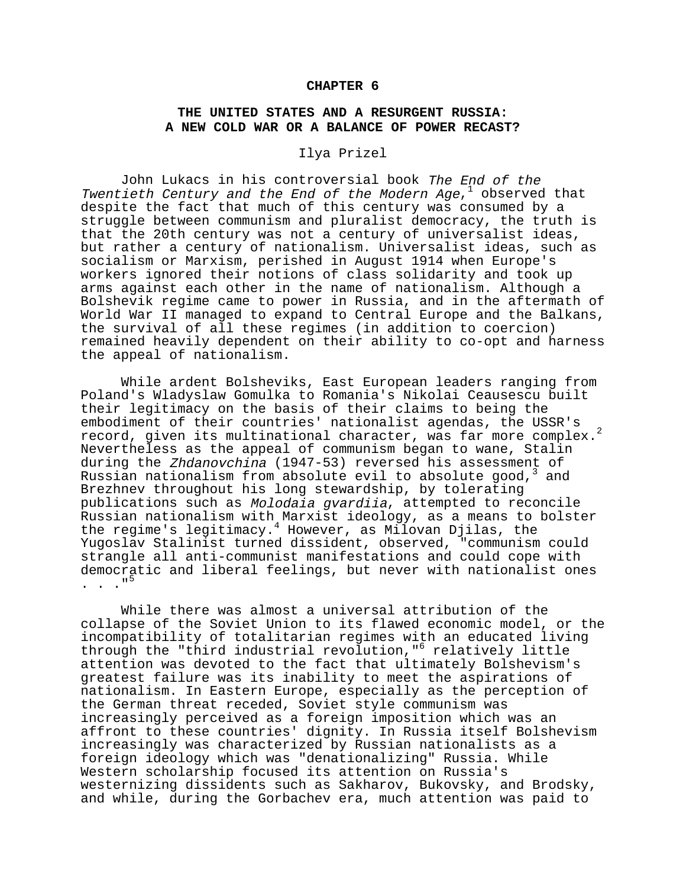### **CHAPTER 6**

# **THE UNITED STATES AND A RESURGENT RUSSIA: A NEW COLD WAR OR A BALANCE OF POWER RECAST?**

### Ilya Prizel

John Lukacs in his controversial book The End of the Twentieth Century and the End of the Modern Age, $^{\rm 1}$  observed that despite the fact that much of this century was consumed by a struggle between communism and pluralist democracy, the truth is that the 20th century was not a century of universalist ideas, but rather a century of nationalism. Universalist ideas, such as socialism or Marxism, perished in August 1914 when Europe's workers ignored their notions of class solidarity and took up arms against each other in the name of nationalism. Although a Bolshevik regime came to power in Russia, and in the aftermath of World War II managed to expand to Central Europe and the Balkans, the survival of all these regimes (in addition to coercion) remained heavily dependent on their ability to co-opt and harness the appeal of nationalism.

While ardent Bolsheviks, East European leaders ranging from Poland's Wladyslaw Gomulka to Romania's Nikolai Ceausescu built their legitimacy on the basis of their claims to being the embodiment of their countries' nationalist agendas, the USSR's record, given its multinational character, was far more complex.<sup>2</sup> Nevertheless as the appeal of communism began to wane, Stalin during the Zhdanovchina (1947-53) reversed his assessment of Russian nationalism from absolute evil to absolute good,<sup>3</sup> and Brezhnev throughout his long stewardship, by tolerating publications such as Molodaia gvardiia, attempted to reconcile Russian nationalism with Marxist ideology, as a means to bolster the regime's legitimacy.<sup>4</sup> However, as Milovan Djilas, the Yugoslav Stalinist turned dissident, observed, "communism could strangle all anti-communist manifestations and could cope with democratic and liberal feelings, but never with nationalist ones . . ."<sup>5</sup>

While there was almost a universal attribution of the collapse of the Soviet Union to its flawed economic model, or the incompatibility of totalitarian regimes with an educated living through the "third industrial revolution,"<sup>6</sup> relatively little attention was devoted to the fact that ultimately Bolshevism's greatest failure was its inability to meet the aspirations of nationalism. In Eastern Europe, especially as the perception of the German threat receded, Soviet style communism was increasingly perceived as a foreign imposition which was an affront to these countries' dignity. In Russia itself Bolshevism increasingly was characterized by Russian nationalists as a foreign ideology which was "denationalizing" Russia. While Western scholarship focused its attention on Russia's westernizing dissidents such as Sakharov, Bukovsky, and Brodsky, and while, during the Gorbachev era, much attention was paid to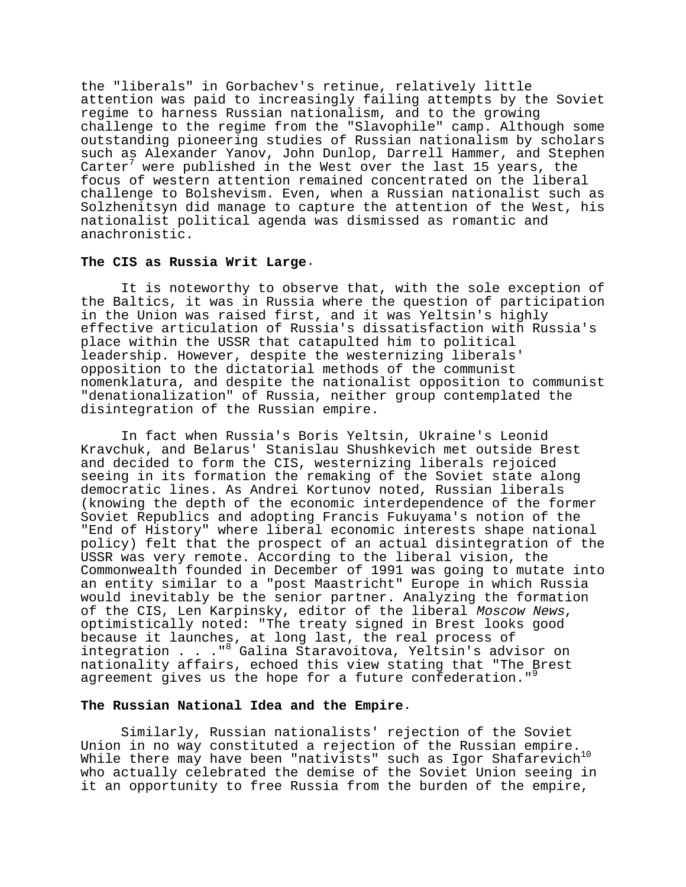the "liberals" in Gorbachev's retinue, relatively little attention was paid to increasingly failing attempts by the Soviet regime to harness Russian nationalism, and to the growing challenge to the regime from the "Slavophile" camp. Although some outstanding pioneering studies of Russian nationalism by scholars such as Alexander Yanov, John Dunlop, Darrell Hammer, and Stephen Carter<sup>7</sup> were published in the West over the last 15 years, the focus of western attention remained concentrated on the liberal challenge to Bolshevism. Even, when a Russian nationalist such as Solzhenitsyn did manage to capture the attention of the West, his nationalist political agenda was dismissed as romantic and anachronistic.

#### **The CIS as Russia Writ Large**.

It is noteworthy to observe that, with the sole exception of the Baltics, it was in Russia where the question of participation in the Union was raised first, and it was Yeltsin's highly effective articulation of Russia's dissatisfaction with Russia's place within the USSR that catapulted him to political leadership. However, despite the westernizing liberals' opposition to the dictatorial methods of the communist nomenklatura, and despite the nationalist opposition to communist "denationalization" of Russia, neither group contemplated the disintegration of the Russian empire.

In fact when Russia's Boris Yeltsin, Ukraine's Leonid Kravchuk, and Belarus' Stanislau Shushkevich met outside Brest and decided to form the CIS, westernizing liberals rejoiced seeing in its formation the remaking of the Soviet state along democratic lines. As Andrei Kortunov noted, Russian liberals (knowing the depth of the economic interdependence of the former Soviet Republics and adopting Francis Fukuyama's notion of the "End of History" where liberal economic interests shape national policy) felt that the prospect of an actual disintegration of the USSR was very remote. According to the liberal vision, the Commonwealth founded in December of 1991 was going to mutate into an entity similar to a "post Maastricht" Europe in which Russia would inevitably be the senior partner. Analyzing the formation of the CIS, Len Karpinsky, editor of the liberal Moscow News, optimistically noted: "The treaty signed in Brest looks good because it launches, at long last, the real process of integration . . . "<sup>8</sup> Galina Staravoitova, Yeltsin's advisor on nationality affairs, echoed this view stating that "The Brest agreement gives us the hope for a future confederation."<sup>9</sup>

### **The Russian National Idea and the Empire**.

Similarly, Russian nationalists' rejection of the Soviet Union in no way constituted a rejection of the Russian empire. While there may have been "nativists" such as Igor Shafarevich<sup>10</sup> who actually celebrated the demise of the Soviet Union seeing in it an opportunity to free Russia from the burden of the empire,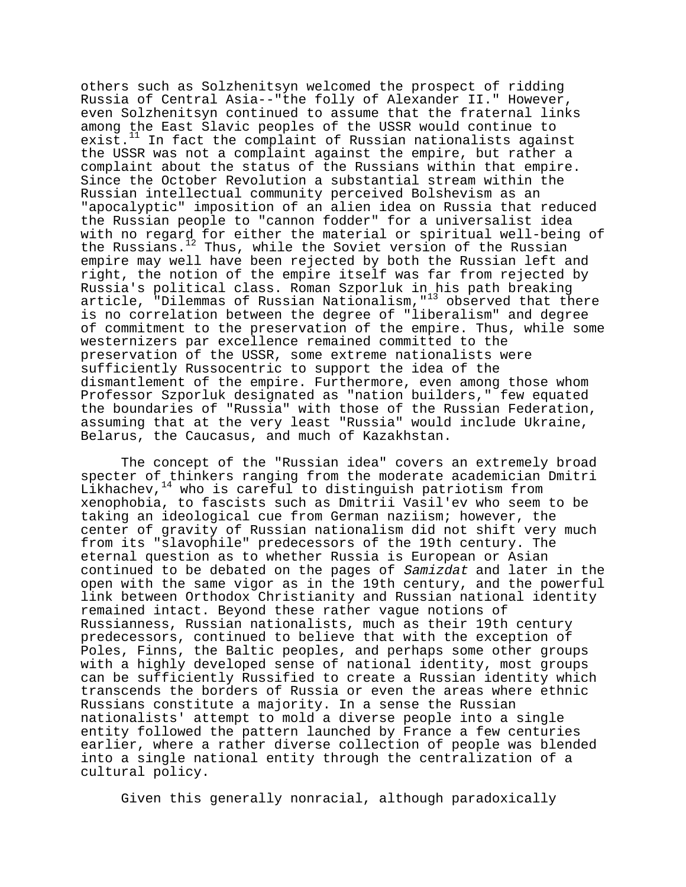others such as Solzhenitsyn welcomed the prospect of ridding Russia of Central Asia--"the folly of Alexander II." However, even Solzhenitsyn continued to assume that the fraternal links among the East Slavic peoples of the USSR would continue to  $exist.<sup>11</sup>$  In fact the complaint of Russian nationalists against the USSR was not a complaint against the empire, but rather a complaint about the status of the Russians within that empire. Since the October Revolution a substantial stream within the Russian intellectual community perceived Bolshevism as an "apocalyptic" imposition of an alien idea on Russia that reduced the Russian people to "cannon fodder" for a universalist idea with no regard for either the material or spiritual well-being of the Russians.<sup>12</sup> Thus, while the Soviet version of the Russian empire may well have been rejected by both the Russian left and right, the notion of the empire itself was far from rejected by Russia's political class. Roman Szporluk in his path breaking article, "Dilemmas of Russian Nationalism,"13 observed that there is no correlation between the degree of "liberalism" and degree of commitment to the preservation of the empire. Thus, while some westernizers par excellence remained committed to the preservation of the USSR, some extreme nationalists were sufficiently Russocentric to support the idea of the dismantlement of the empire. Furthermore, even among those whom Professor Szporluk designated as "nation builders," few equated the boundaries of "Russia" with those of the Russian Federation, assuming that at the very least "Russia" would include Ukraine, Belarus, the Caucasus, and much of Kazakhstan.

The concept of the "Russian idea" covers an extremely broad specter of thinkers ranging from the moderate academician Dmitri Likhachev,  $14$  who is careful to distinguish patriotism from xenophobia, to fascists such as Dmitrii Vasil'ev who seem to be taking an ideological cue from German naziism; however, the center of gravity of Russian nationalism did not shift very much from its "slavophile" predecessors of the 19th century. The eternal question as to whether Russia is European or Asian continued to be debated on the pages of Samizdat and later in the open with the same vigor as in the 19th century, and the powerful link between Orthodox Christianity and Russian national identity remained intact. Beyond these rather vague notions of Russianness, Russian nationalists, much as their 19th century predecessors, continued to believe that with the exception of Poles, Finns, the Baltic peoples, and perhaps some other groups with a highly developed sense of national identity, most groups can be sufficiently Russified to create a Russian identity which transcends the borders of Russia or even the areas where ethnic Russians constitute a majority. In a sense the Russian nationalists' attempt to mold a diverse people into a single entity followed the pattern launched by France a few centuries earlier, where a rather diverse collection of people was blended into a single national entity through the centralization of a cultural policy.

Given this generally nonracial, although paradoxically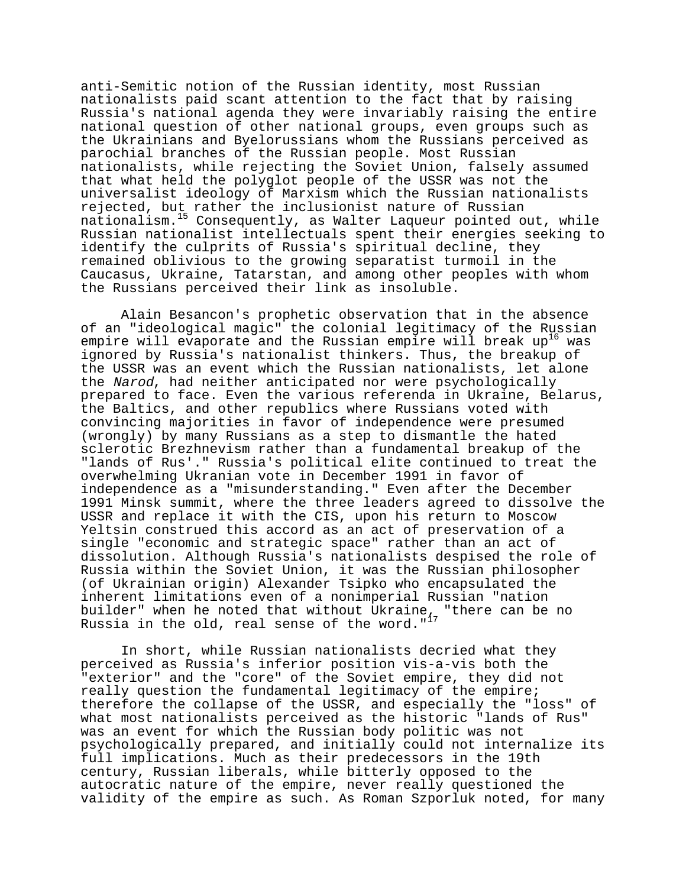anti-Semitic notion of the Russian identity, most Russian nationalists paid scant attention to the fact that by raising Russia's national agenda they were invariably raising the entire national question of other national groups, even groups such as the Ukrainians and Byelorussians whom the Russians perceived as parochial branches of the Russian people. Most Russian nationalists, while rejecting the Soviet Union, falsely assumed that what held the polyglot people of the USSR was not the universalist ideology of Marxism which the Russian nationalists rejected, but rather the inclusionist nature of Russian nationalism.15 Consequently, as Walter Laqueur pointed out, while Russian nationalist intellectuals spent their energies seeking to identify the culprits of Russia's spiritual decline, they remained oblivious to the growing separatist turmoil in the Caucasus, Ukraine, Tatarstan, and among other peoples with whom the Russians perceived their link as insoluble.

Alain Besancon's prophetic observation that in the absence of an "ideological magic" the colonial legitimacy of the Russian empire will evaporate and the Russian empire will break  $up^{16}$  was ignored by Russia's nationalist thinkers. Thus, the breakup of the USSR was an event which the Russian nationalists, let alone the Narod, had neither anticipated nor were psychologically prepared to face. Even the various referenda in Ukraine, Belarus, the Baltics, and other republics where Russians voted with convincing majorities in favor of independence were presumed (wrongly) by many Russians as a step to dismantle the hated sclerotic Brezhnevism rather than a fundamental breakup of the "lands of Rus'." Russia's political elite continued to treat the overwhelming Ukranian vote in December 1991 in favor of independence as a "misunderstanding." Even after the December 1991 Minsk summit, where the three leaders agreed to dissolve the USSR and replace it with the CIS, upon his return to Moscow Yeltsin construed this accord as an act of preservation of a single "economic and strategic space" rather than an act of dissolution. Although Russia's nationalists despised the role of Russia within the Soviet Union, it was the Russian philosopher (of Ukrainian origin) Alexander Tsipko who encapsulated the inherent limitations even of a nonimperial Russian "nation builder" when he noted that without Ukraine, "there can be no Russia in the old, real sense of the word."<sup>17</sup>

In short, while Russian nationalists decried what they perceived as Russia's inferior position vis-a-vis both the "exterior" and the "core" of the Soviet empire, they did not really question the fundamental legitimacy of the empire; therefore the collapse of the USSR, and especially the "loss" of what most nationalists perceived as the historic "lands of Rus" was an event for which the Russian body politic was not psychologically prepared, and initially could not internalize its full implications. Much as their predecessors in the 19th century, Russian liberals, while bitterly opposed to the autocratic nature of the empire, never really questioned the validity of the empire as such. As Roman Szporluk noted, for many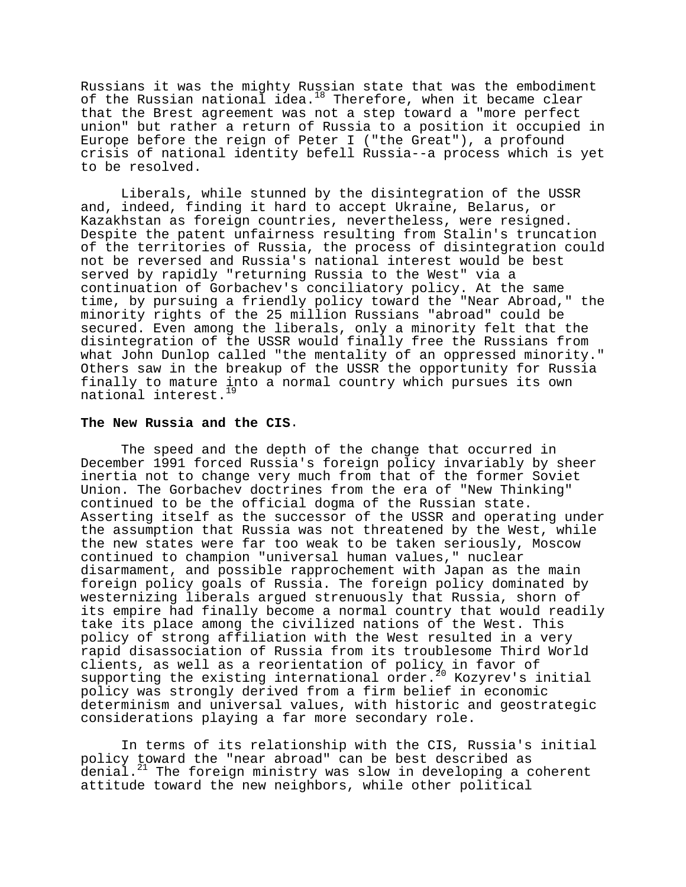Russians it was the mighty Russian state that was the embodiment of the Russian national idea.<sup>18</sup> Therefore, when it became clear that the Brest agreement was not a step toward a "more perfect union" but rather a return of Russia to a position it occupied in Europe before the reign of Peter I ("the Great"), a profound crisis of national identity befell Russia--a process which is yet to be resolved.

Liberals, while stunned by the disintegration of the USSR and, indeed, finding it hard to accept Ukraine, Belarus, or Kazakhstan as foreign countries, nevertheless, were resigned. Despite the patent unfairness resulting from Stalin's truncation of the territories of Russia, the process of disintegration could not be reversed and Russia's national interest would be best served by rapidly "returning Russia to the West" via a continuation of Gorbachev's conciliatory policy. At the same time, by pursuing a friendly policy toward the "Near Abroad," the minority rights of the 25 million Russians "abroad" could be secured. Even among the liberals, only a minority felt that the disintegration of the USSR would finally free the Russians from what John Dunlop called "the mentality of an oppressed minority." Others saw in the breakup of the USSR the opportunity for Russia finally to mature into a normal country which pursues its own national interest.<sup>19</sup>

### **The New Russia and the CIS**.

The speed and the depth of the change that occurred in December 1991 forced Russia's foreign policy invariably by sheer inertia not to change very much from that of the former Soviet Union. The Gorbachev doctrines from the era of "New Thinking" continued to be the official dogma of the Russian state. Asserting itself as the successor of the USSR and operating under the assumption that Russia was not threatened by the West, while the new states were far too weak to be taken seriously, Moscow continued to champion "universal human values," nuclear disarmament, and possible rapprochement with Japan as the main foreign policy goals of Russia. The foreign policy dominated by westernizing liberals argued strenuously that Russia, shorn of its empire had finally become a normal country that would readily take its place among the civilized nations of the West. This policy of strong affiliation with the West resulted in a very rapid disassociation of Russia from its troublesome Third World clients, as well as a reorientation of policy in favor of supporting the existing international order.<sup>20</sup> Kozyrev's initial policy was strongly derived from a firm belief in economic determinism and universal values, with historic and geostrategic considerations playing a far more secondary role.

In terms of its relationship with the CIS, Russia's initial policy toward the "near abroad" can be best described as denial.<sup>21</sup> The foreign ministry was slow in developing a coherent attitude toward the new neighbors, while other political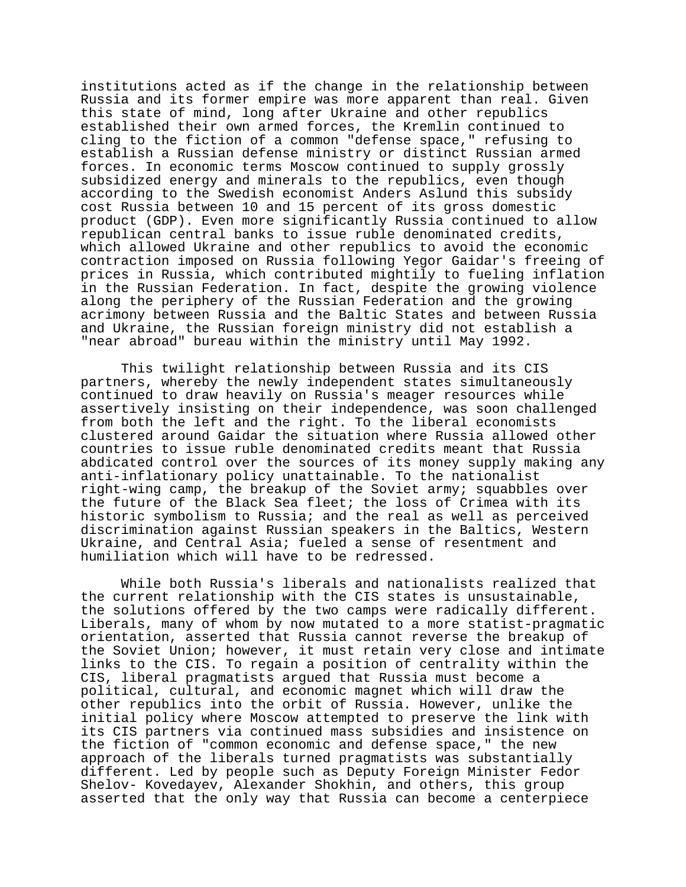institutions acted as if the change in the relationship between Russia and its former empire was more apparent than real. Given this state of mind, long after Ukraine and other republics established their own armed forces, the Kremlin continued to cling to the fiction of a common "defense space," refusing to establish a Russian defense ministry or distinct Russian armed forces. In economic terms Moscow continued to supply grossly subsidized energy and minerals to the republics, even though according to the Swedish economist Anders Aslund this subsidy cost Russia between 10 and 15 percent of its gross domestic product (GDP). Even more significantly Russia continued to allow republican central banks to issue ruble denominated credits, which allowed Ukraine and other republics to avoid the economic contraction imposed on Russia following Yegor Gaidar's freeing of prices in Russia, which contributed mightily to fueling inflation in the Russian Federation. In fact, despite the growing violence along the periphery of the Russian Federation and the growing acrimony between Russia and the Baltic States and between Russia and Ukraine, the Russian foreign ministry did not establish a "near abroad" bureau within the ministry until May 1992.

This twilight relationship between Russia and its CIS partners, whereby the newly independent states simultaneously continued to draw heavily on Russia's meager resources while assertively insisting on their independence, was soon challenged from both the left and the right. To the liberal economists clustered around Gaidar the situation where Russia allowed other countries to issue ruble denominated credits meant that Russia abdicated control over the sources of its money supply making any anti-inflationary policy unattainable. To the nationalist right-wing camp, the breakup of the Soviet army; squabbles over the future of the Black Sea fleet; the loss of Crimea with its historic symbolism to Russia; and the real as well as perceived discrimination against Russian speakers in the Baltics, Western Ukraine, and Central Asia; fueled a sense of resentment and humiliation which will have to be redressed.

While both Russia's liberals and nationalists realized that the current relationship with the CIS states is unsustainable, the solutions offered by the two camps were radically different. Liberals, many of whom by now mutated to a more statist-pragmatic orientation, asserted that Russia cannot reverse the breakup of the Soviet Union; however, it must retain very close and intimate links to the CIS. To regain a position of centrality within the CIS, liberal pragmatists argued that Russia must become a political, cultural, and economic magnet which will draw the other republics into the orbit of Russia. However, unlike the initial policy where Moscow attempted to preserve the link with its CIS partners via continued mass subsidies and insistence on the fiction of "common economic and defense space," the new approach of the liberals turned pragmatists was substantially different. Led by people such as Deputy Foreign Minister Fedor Shelov- Kovedayev, Alexander Shokhin, and others, this group asserted that the only way that Russia can become a centerpiece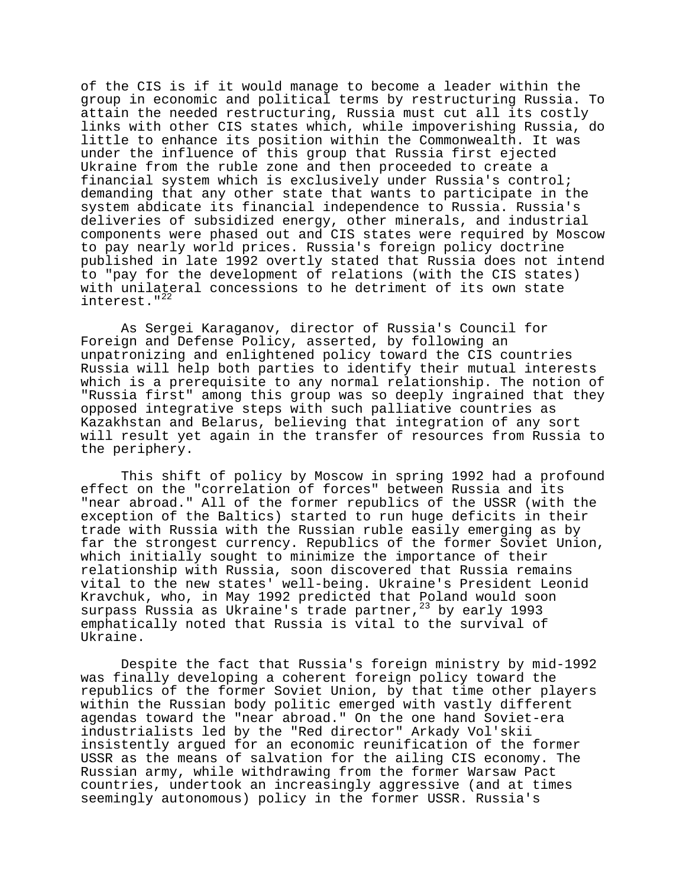of the CIS is if it would manage to become a leader within the group in economic and political terms by restructuring Russia. To attain the needed restructuring, Russia must cut all its costly links with other CIS states which, while impoverishing Russia, do little to enhance its position within the Commonwealth. It was under the influence of this group that Russia first ejected Ukraine from the ruble zone and then proceeded to create a financial system which is exclusively under Russia's control; demanding that any other state that wants to participate in the system abdicate its financial independence to Russia. Russia's deliveries of subsidized energy, other minerals, and industrial components were phased out and CIS states were required by Moscow to pay nearly world prices. Russia's foreign policy doctrine published in late 1992 overtly stated that Russia does not intend to "pay for the development of relations (with the CIS states) with unilateral concessions to he detriment of its own state interest."<sup>22</sup>

As Sergei Karaganov, director of Russia's Council for Foreign and Defense Policy, asserted, by following an unpatronizing and enlightened policy toward the CIS countries Russia will help both parties to identify their mutual interests which is a prerequisite to any normal relationship. The notion of "Russia first" among this group was so deeply ingrained that they opposed integrative steps with such palliative countries as Kazakhstan and Belarus, believing that integration of any sort will result yet again in the transfer of resources from Russia to the periphery.

This shift of policy by Moscow in spring 1992 had a profound effect on the "correlation of forces" between Russia and its "near abroad." All of the former republics of the USSR (with the exception of the Baltics) started to run huge deficits in their trade with Russia with the Russian ruble easily emerging as by far the strongest currency. Republics of the former Soviet Union, which initially sought to minimize the importance of their relationship with Russia, soon discovered that Russia remains vital to the new states' well-being. Ukraine's President Leonid Kravchuk, who, in May 1992 predicted that Poland would soon surpass Russia as Ukraine's trade partner,  $^{23}$  by early 1993 emphatically noted that Russia is vital to the survival of Ukraine.

Despite the fact that Russia's foreign ministry by mid-1992 was finally developing a coherent foreign policy toward the republics of the former Soviet Union, by that time other players within the Russian body politic emerged with vastly different agendas toward the "near abroad." On the one hand Soviet-era industrialists led by the "Red director" Arkady Vol'skii insistently argued for an economic reunification of the former USSR as the means of salvation for the ailing CIS economy. The Russian army, while withdrawing from the former Warsaw Pact countries, undertook an increasingly aggressive (and at times seemingly autonomous) policy in the former USSR. Russia's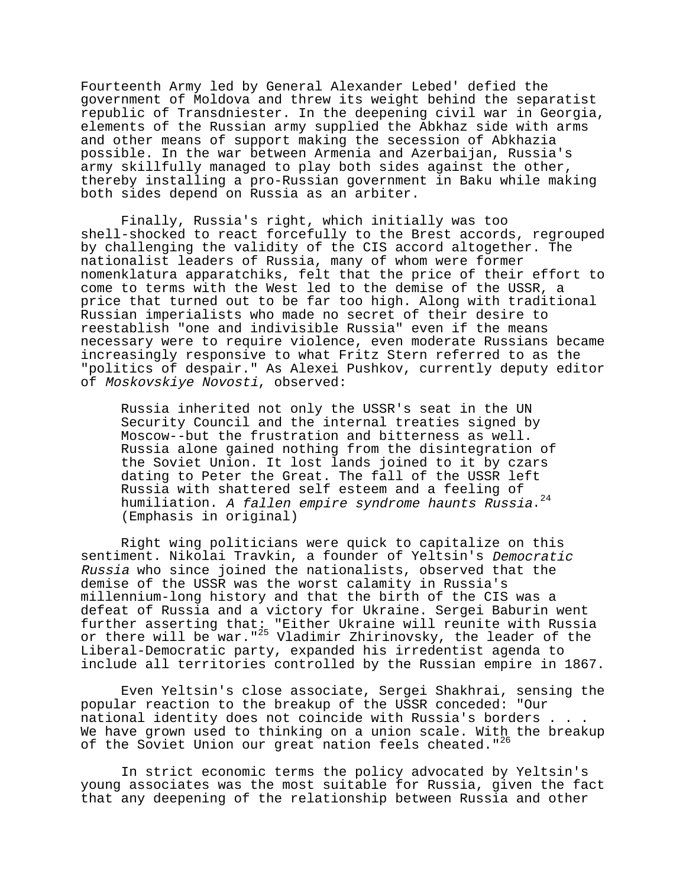Fourteenth Army led by General Alexander Lebed' defied the government of Moldova and threw its weight behind the separatist republic of Transdniester. In the deepening civil war in Georgia, elements of the Russian army supplied the Abkhaz side with arms and other means of support making the secession of Abkhazia possible. In the war between Armenia and Azerbaijan, Russia's army skillfully managed to play both sides against the other, thereby installing a pro-Russian government in Baku while making both sides depend on Russia as an arbiter.

Finally, Russia's right, which initially was too shell-shocked to react forcefully to the Brest accords, regrouped by challenging the validity of the CIS accord altogether. The nationalist leaders of Russia, many of whom were former nomenklatura apparatchiks, felt that the price of their effort to come to terms with the West led to the demise of the USSR, a price that turned out to be far too high. Along with traditional Russian imperialists who made no secret of their desire to reestablish "one and indivisible Russia" even if the means necessary were to require violence, even moderate Russians became increasingly responsive to what Fritz Stern referred to as the "politics of despair." As Alexei Pushkov, currently deputy editor of Moskovskiye Novosti, observed:

Russia inherited not only the USSR's seat in the UN Security Council and the internal treaties signed by Moscow--but the frustration and bitterness as well. Russia alone gained nothing from the disintegration of the Soviet Union. It lost lands joined to it by czars dating to Peter the Great. The fall of the USSR left Russia with shattered self esteem and a feeling of humiliation. A fallen empire syndrome haunts Russia.<sup>24</sup> (Emphasis in original)

Right wing politicians were quick to capitalize on this sentiment. Nikolai Travkin, a founder of Yeltsin's Democratic Russia who since joined the nationalists, observed that the demise of the USSR was the worst calamity in Russia's millennium-long history and that the birth of the CIS was a defeat of Russia and a victory for Ukraine. Sergei Baburin went further asserting that: "Either Ukraine will reunite with Russia or there will be war."<sup>25</sup> Vladimir Zhirinovsky, the leader of the Liberal-Democratic party, expanded his irredentist agenda to include all territories controlled by the Russian empire in 1867.

Even Yeltsin's close associate, Sergei Shakhrai, sensing the popular reaction to the breakup of the USSR conceded: "Our national identity does not coincide with Russia's borders . . . We have grown used to thinking on a union scale. With the breakup of the Soviet Union our great nation feels cheated."<sup>26</sup>

In strict economic terms the policy advocated by Yeltsin's young associates was the most suitable for Russia, given the fact that any deepening of the relationship between Russia and other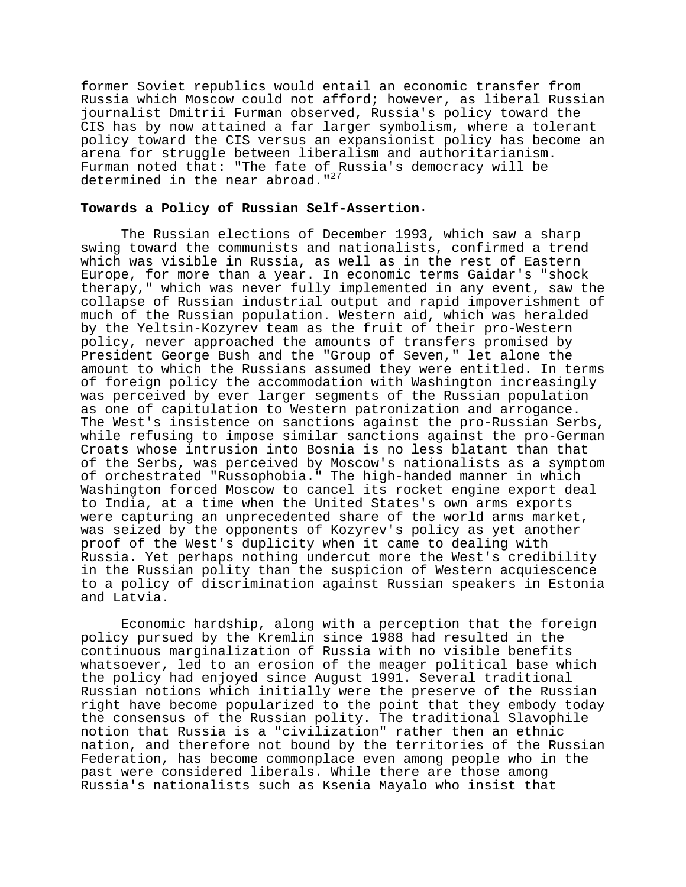former Soviet republics would entail an economic transfer from Russia which Moscow could not afford; however, as liberal Russian journalist Dmitrii Furman observed, Russia's policy toward the CIS has by now attained a far larger symbolism, where a tolerant policy toward the CIS versus an expansionist policy has become an arena for struggle between liberalism and authoritarianism. Furman noted that: "The fate of Russia's democracy will be determined in the near abroad." $27$ 

# **Towards a Policy of Russian Self-Assertion**.

The Russian elections of December 1993, which saw a sharp swing toward the communists and nationalists, confirmed a trend which was visible in Russia, as well as in the rest of Eastern Europe, for more than a year. In economic terms Gaidar's "shock therapy," which was never fully implemented in any event, saw the collapse of Russian industrial output and rapid impoverishment of much of the Russian population. Western aid, which was heralded by the Yeltsin-Kozyrev team as the fruit of their pro-Western policy, never approached the amounts of transfers promised by President George Bush and the "Group of Seven," let alone the amount to which the Russians assumed they were entitled. In terms of foreign policy the accommodation with Washington increasingly was perceived by ever larger segments of the Russian population as one of capitulation to Western patronization and arrogance. The West's insistence on sanctions against the pro-Russian Serbs, while refusing to impose similar sanctions against the pro-German Croats whose intrusion into Bosnia is no less blatant than that of the Serbs, was perceived by Moscow's nationalists as a symptom of orchestrated "Russophobia." The high-handed manner in which Washington forced Moscow to cancel its rocket engine export deal to India, at a time when the United States's own arms exports were capturing an unprecedented share of the world arms market, was seized by the opponents of Kozyrev's policy as yet another proof of the West's duplicity when it came to dealing with Russia. Yet perhaps nothing undercut more the West's credibility in the Russian polity than the suspicion of Western acquiescence to a policy of discrimination against Russian speakers in Estonia and Latvia.

Economic hardship, along with a perception that the foreign policy pursued by the Kremlin since 1988 had resulted in the continuous marginalization of Russia with no visible benefits whatsoever, led to an erosion of the meager political base which the policy had enjoyed since August 1991. Several traditional Russian notions which initially were the preserve of the Russian right have become popularized to the point that they embody today the consensus of the Russian polity. The traditional Slavophile notion that Russia is a "civilization" rather then an ethnic nation, and therefore not bound by the territories of the Russian Federation, has become commonplace even among people who in the past were considered liberals. While there are those among Russia's nationalists such as Ksenia Mayalo who insist that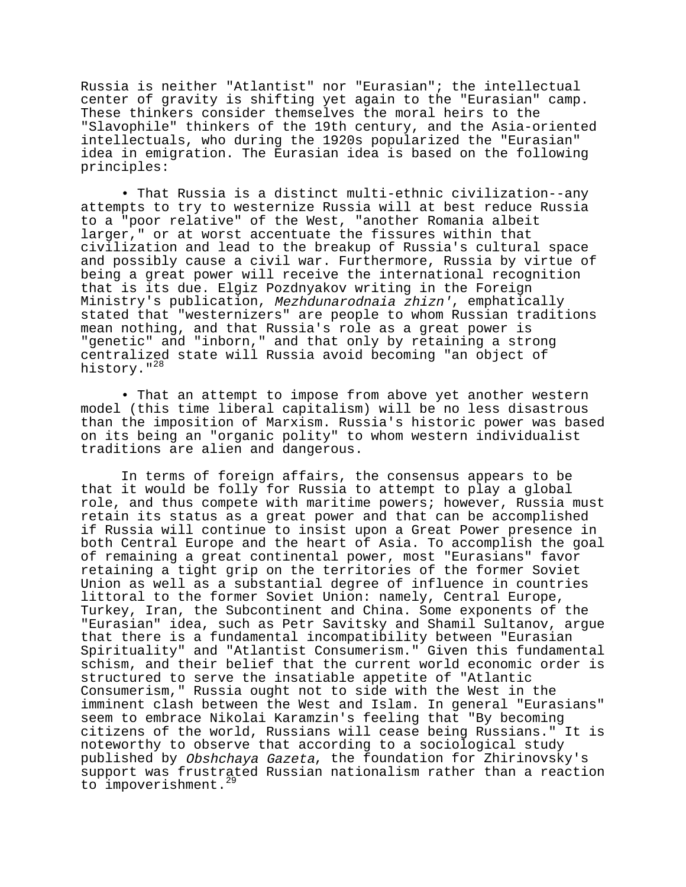Russia is neither "Atlantist" nor "Eurasian"; the intellectual center of gravity is shifting yet again to the "Eurasian" camp. These thinkers consider themselves the moral heirs to the "Slavophile" thinkers of the 19th century, and the Asia-oriented intellectuals, who during the 1920s popularized the "Eurasian" idea in emigration. The Eurasian idea is based on the following principles:

• That Russia is a distinct multi-ethnic civilization--any attempts to try to westernize Russia will at best reduce Russia to a "poor relative" of the West, "another Romania albeit larger," or at worst accentuate the fissures within that civilization and lead to the breakup of Russia's cultural space and possibly cause a civil war. Furthermore, Russia by virtue of being a great power will receive the international recognition that is its due. Elgiz Pozdnyakov writing in the Foreign Ministry's publication, Mezhdunarodnaia zhizn', emphatically stated that "westernizers" are people to whom Russian traditions mean nothing, and that Russia's role as a great power is "genetic" and "inborn," and that only by retaining a strong centralized state will Russia avoid becoming "an object of history."<sup>28</sup>

• That an attempt to impose from above yet another western model (this time liberal capitalism) will be no less disastrous than the imposition of Marxism. Russia's historic power was based on its being an "organic polity" to whom western individualist traditions are alien and dangerous.

In terms of foreign affairs, the consensus appears to be that it would be folly for Russia to attempt to play a global role, and thus compete with maritime powers; however, Russia must retain its status as a great power and that can be accomplished if Russia will continue to insist upon a Great Power presence in both Central Europe and the heart of Asia. To accomplish the goal of remaining a great continental power, most "Eurasians" favor retaining a tight grip on the territories of the former Soviet Union as well as a substantial degree of influence in countries littoral to the former Soviet Union: namely, Central Europe, Turkey, Iran, the Subcontinent and China. Some exponents of the "Eurasian" idea, such as Petr Savitsky and Shamil Sultanov, argue that there is a fundamental incompatibility between "Eurasian Spirituality" and "Atlantist Consumerism." Given this fundamental schism, and their belief that the current world economic order is structured to serve the insatiable appetite of "Atlantic Consumerism," Russia ought not to side with the West in the imminent clash between the West and Islam. In general "Eurasians" seem to embrace Nikolai Karamzin's feeling that "By becoming citizens of the world, Russians will cease being Russians." It is noteworthy to observe that according to a sociological study published by Obshchaya Gazeta, the foundation for Zhirinovsky's support was frustrated Russian nationalism rather than a reaction to impoverishment.<sup>29</sup>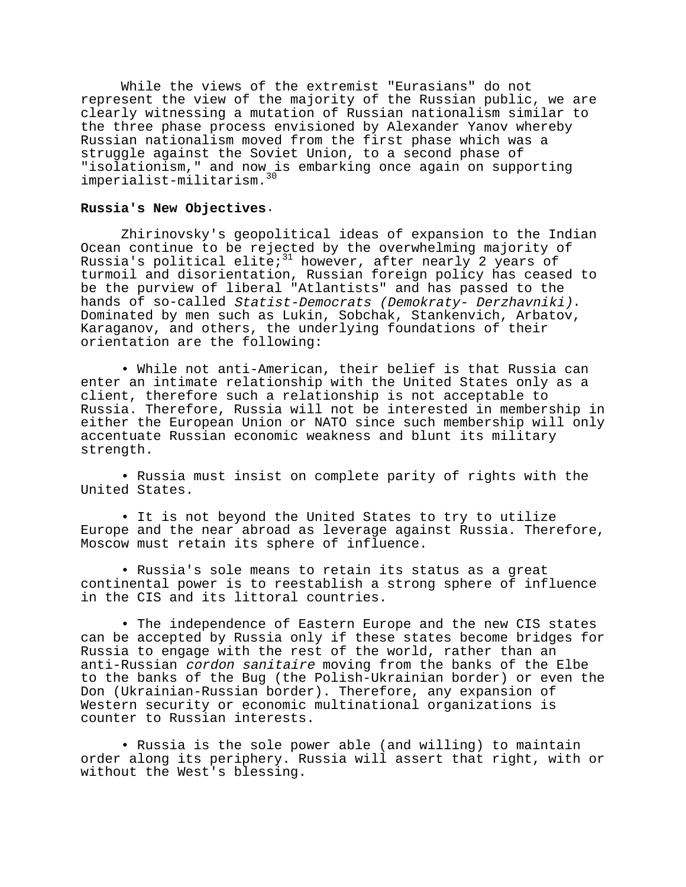While the views of the extremist "Eurasians" do not represent the view of the majority of the Russian public, we are clearly witnessing a mutation of Russian nationalism similar to the three phase process envisioned by Alexander Yanov whereby Russian nationalism moved from the first phase which was a struggle against the Soviet Union, to a second phase of "isolationism," and now is embarking once again on supporting imperialist-militarism.<sup>30</sup>

### **Russia's New Objectives**.

Zhirinovsky's geopolitical ideas of expansion to the Indian Ocean continue to be rejected by the overwhelming majority of Russia's political elite;  $31$  however, after nearly 2 years of turmoil and disorientation, Russian foreign policy has ceased to be the purview of liberal "Atlantists" and has passed to the hands of so-called *Statist-Democrats (Demokraty- Derzhavniki)*.<br>Dominated by men such as Lukin, Sobchak, Stankenvich, Arbatov, Karaganov, and others, the underlying foundations of their orientation are the following:

• While not anti-American, their belief is that Russia can enter an intimate relationship with the United States only as a client, therefore such a relationship is not acceptable to Russia. Therefore, Russia will not be interested in membership in either the European Union or NATO since such membership will only accentuate Russian economic weakness and blunt its military strength.

• Russia must insist on complete parity of rights with the United States.

• It is not beyond the United States to try to utilize Europe and the near abroad as leverage against Russia. Therefore, Moscow must retain its sphere of influence.

• Russia's sole means to retain its status as a great continental power is to reestablish a strong sphere of influence in the CIS and its littoral countries.

• The independence of Eastern Europe and the new CIS states can be accepted by Russia only if these states become bridges for Russia to engage with the rest of the world, rather than an anti-Russian cordon sanitaire moving from the banks of the Elbe to the banks of the Bug (the Polish-Ukrainian border) or even the Don (Ukrainian-Russian border). Therefore, any expansion of Western security or economic multinational organizations is counter to Russian interests.

• Russia is the sole power able (and willing) to maintain order along its periphery. Russia will assert that right, with or without the West's blessing.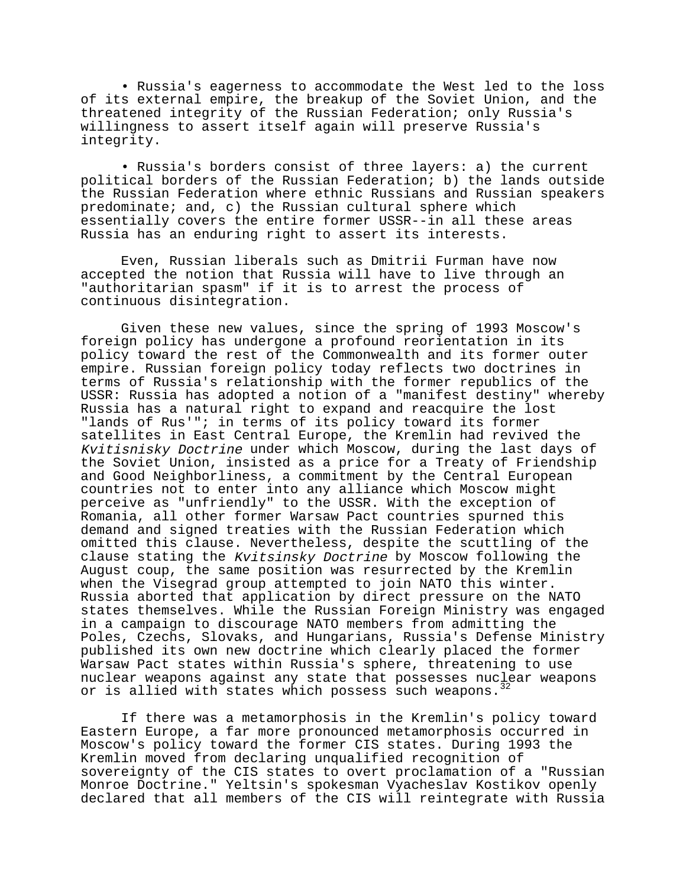• Russia's eagerness to accommodate the West led to the loss of its external empire, the breakup of the Soviet Union, and the threatened integrity of the Russian Federation; only Russia's willingness to assert itself again will preserve Russia's integrity.

• Russia's borders consist of three layers: a) the current political borders of the Russian Federation; b) the lands outside the Russian Federation where ethnic Russians and Russian speakers predominate; and, c) the Russian cultural sphere which essentially covers the entire former USSR--in all these areas Russia has an enduring right to assert its interests.

Even, Russian liberals such as Dmitrii Furman have now accepted the notion that Russia will have to live through an "authoritarian spasm" if it is to arrest the process of continuous disintegration.

Given these new values, since the spring of 1993 Moscow's foreign policy has undergone a profound reorientation in its policy toward the rest of the Commonwealth and its former outer empire. Russian foreign policy today reflects two doctrines in terms of Russia's relationship with the former republics of the USSR: Russia has adopted a notion of a "manifest destiny" whereby Russia has a natural right to expand and reacquire the lost "lands of Rus'"; in terms of its policy toward its former satellites in East Central Europe, the Kremlin had revived the Kvitisnisky Doctrine under which Moscow, during the last days of the Soviet Union, insisted as a price for a Treaty of Friendship and Good Neighborliness, a commitment by the Central European countries not to enter into any alliance which Moscow might perceive as "unfriendly" to the USSR. With the exception of Romania, all other former Warsaw Pact countries spurned this demand and signed treaties with the Russian Federation which omitted this clause. Nevertheless, despite the scuttling of the clause stating the Kvitsinsky Doctrine by Moscow following the August coup, the same position was resurrected by the Kremlin when the Visegrad group attempted to join NATO this winter. Russia aborted that application by direct pressure on the NATO states themselves. While the Russian Foreign Ministry was engaged in a campaign to discourage NATO members from admitting the Poles, Czechs, Slovaks, and Hungarians, Russia's Defense Ministry published its own new doctrine which clearly placed the former Warsaw Pact states within Russia's sphere, threatening to use nuclear weapons against any state that possesses nuclear weapons or is allied with states which possess such weapons.<sup>32</sup>

If there was a metamorphosis in the Kremlin's policy toward Eastern Europe, a far more pronounced metamorphosis occurred in Moscow's policy toward the former CIS states. During 1993 the Kremlin moved from declaring unqualified recognition of sovereignty of the CIS states to overt proclamation of a "Russian Monroe Doctrine." Yeltsin's spokesman Vyacheslav Kostikov openly declared that all members of the CIS will reintegrate with Russia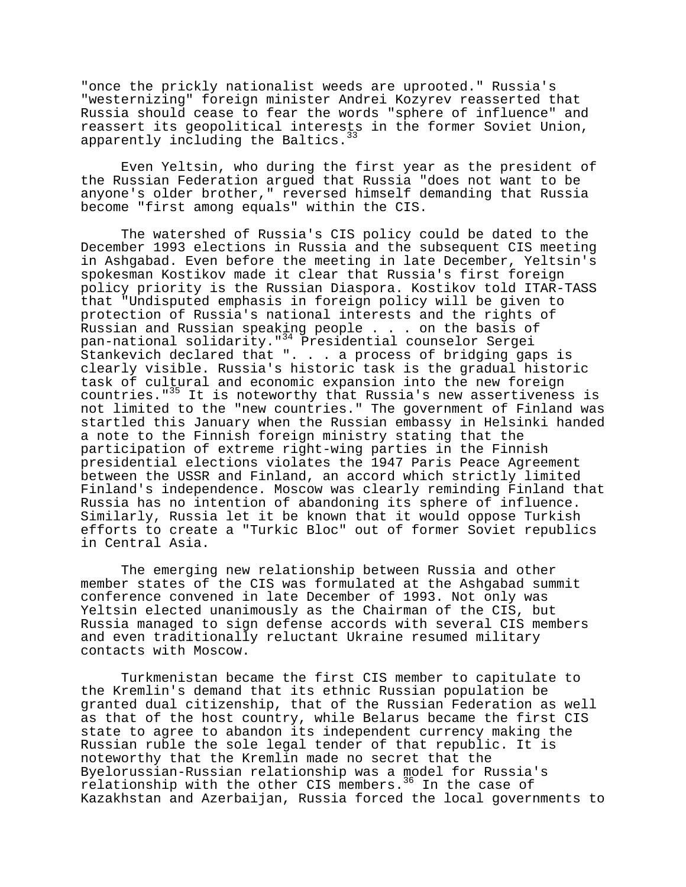"once the prickly nationalist weeds are uprooted." Russia's "westernizing" foreign minister Andrei Kozyrev reasserted that Russia should cease to fear the words "sphere of influence" and reassert its geopolitical interests in the former Soviet Union, apparently including the Baltics.<sup>33</sup>

Even Yeltsin, who during the first year as the president of the Russian Federation argued that Russia "does not want to be anyone's older brother," reversed himself demanding that Russia become "first among equals" within the CIS.

The watershed of Russia's CIS policy could be dated to the December 1993 elections in Russia and the subsequent CIS meeting in Ashgabad. Even before the meeting in late December, Yeltsin's spokesman Kostikov made it clear that Russia's first foreign policy priority is the Russian Diaspora. Kostikov told ITAR-TASS that "Undisputed emphasis in foreign policy will be given to protection of Russia's national interests and the rights of Russian and Russian speaking people . . . on the basis of pan-national solidarity."34 Presidential counselor Sergei Stankevich declared that ". . . a process of bridging gaps is clearly visible. Russia's historic task is the gradual historic task of cultural and economic expansion into the new foreign countries."35 It is noteworthy that Russia's new assertiveness is not limited to the "new countries." The government of Finland was startled this January when the Russian embassy in Helsinki handed a note to the Finnish foreign ministry stating that the participation of extreme right-wing parties in the Finnish presidential elections violates the 1947 Paris Peace Agreement between the USSR and Finland, an accord which strictly limited Finland's independence. Moscow was clearly reminding Finland that Russia has no intention of abandoning its sphere of influence. Similarly, Russia let it be known that it would oppose Turkish efforts to create a "Turkic Bloc" out of former Soviet republics in Central Asia.

The emerging new relationship between Russia and other member states of the CIS was formulated at the Ashgabad summit conference convened in late December of 1993. Not only was Yeltsin elected unanimously as the Chairman of the CIS, but Russia managed to sign defense accords with several CIS members and even traditionally reluctant Ukraine resumed military contacts with Moscow.

Turkmenistan became the first CIS member to capitulate to the Kremlin's demand that its ethnic Russian population be granted dual citizenship, that of the Russian Federation as well as that of the host country, while Belarus became the first CIS state to agree to abandon its independent currency making the Russian ruble the sole legal tender of that republic. It is noteworthy that the Kremlin made no secret that the Byelorussian-Russian relationship was a model for Russia's relationship with the other CIS members.<sup>36</sup> In the case of Kazakhstan and Azerbaijan, Russia forced the local governments to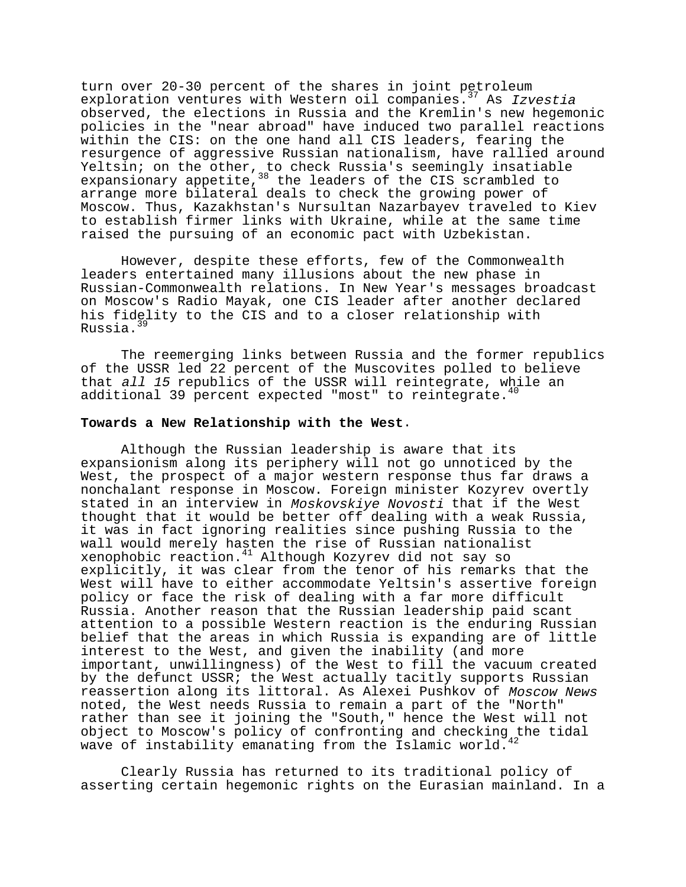turn over 20-30 percent of the shares in joint petroleum exploration ventures with Western oil companies.<sup>37</sup> As Izvestia observed, the elections in Russia and the Kremlin's new hegemonic policies in the "near abroad" have induced two parallel reactions within the CIS: on the one hand all CIS leaders, fearing the resurgence of aggressive Russian nationalism, have rallied around Yeltsin; on the other, to check Russia's seemingly insatiable expansionary appetite,<sup>38</sup> the leaders of the CIS scrambled to arrange more bilateral deals to check the growing power of Moscow. Thus, Kazakhstan's Nursultan Nazarbayev traveled to Kiev to establish firmer links with Ukraine, while at the same time raised the pursuing of an economic pact with Uzbekistan.

However, despite these efforts, few of the Commonwealth leaders entertained many illusions about the new phase in Russian-Commonwealth relations. In New Year's messages broadcast on Moscow's Radio Mayak, one CIS leader after another declared his fidelity to the CIS and to a closer relationship with Russia.<sup>39</sup>

The reemerging links between Russia and the former republics of the USSR led 22 percent of the Muscovites polled to believe that all 15 republics of the USSR will reintegrate, while an additional 39 percent expected "most" to reintegrate. $40$ 

### **Towards a New Relationship with the West**.

Although the Russian leadership is aware that its expansionism along its periphery will not go unnoticed by the West, the prospect of a major western response thus far draws a nonchalant response in Moscow. Foreign minister Kozyrev overtly stated in an interview in Moskovskiye Novosti that if the West thought that it would be better off dealing with a weak Russia, it was in fact ignoring realities since pushing Russia to the wall would merely hasten the rise of Russian nationalist xenophobic reaction.41 Although Kozyrev did not say so explicitly, it was clear from the tenor of his remarks that the West will have to either accommodate Yeltsin's assertive foreign policy or face the risk of dealing with a far more difficult Russia. Another reason that the Russian leadership paid scant attention to a possible Western reaction is the enduring Russian belief that the areas in which Russia is expanding are of little interest to the West, and given the inability (and more important, unwillingness) of the West to fill the vacuum created by the defunct USSR; the West actually tacitly supports Russian reassertion along its littoral. As Alexei Pushkov of Moscow News noted, the West needs Russia to remain a part of the "North" rather than see it joining the "South," hence the West will not object to Moscow's policy of confronting and checking the tidal wave of instability emanating from the Islamic world.

Clearly Russia has returned to its traditional policy of asserting certain hegemonic rights on the Eurasian mainland. In a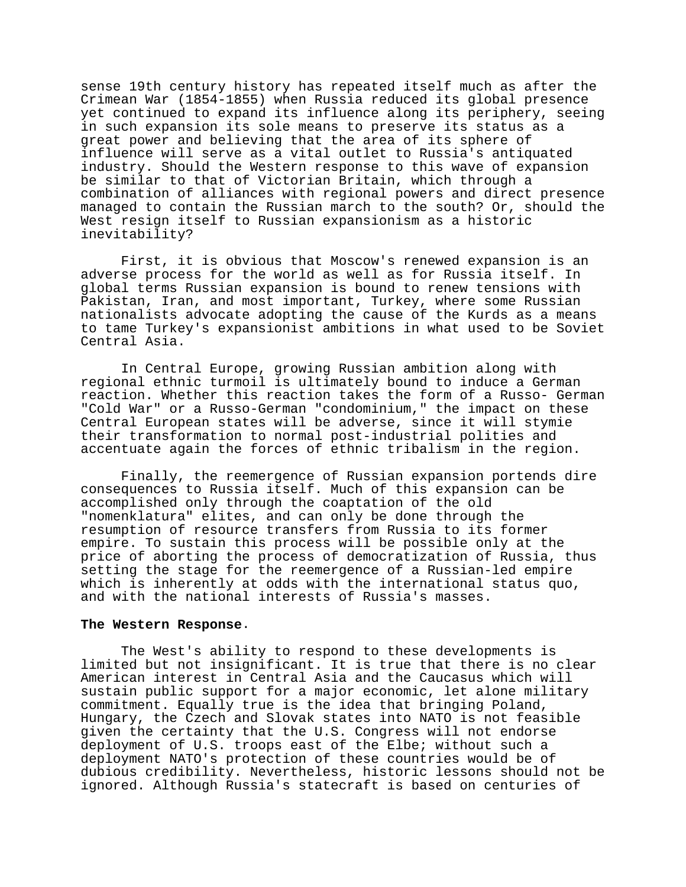sense 19th century history has repeated itself much as after the Crimean War (1854-1855) when Russia reduced its global presence yet continued to expand its influence along its periphery, seeing in such expansion its sole means to preserve its status as a great power and believing that the area of its sphere of influence will serve as a vital outlet to Russia's antiquated industry. Should the Western response to this wave of expansion be similar to that of Victorian Britain, which through a combination of alliances with regional powers and direct presence managed to contain the Russian march to the south? Or, should the West resign itself to Russian expansionism as a historic inevitability?

First, it is obvious that Moscow's renewed expansion is an adverse process for the world as well as for Russia itself. In global terms Russian expansion is bound to renew tensions with Pakistan, Iran, and most important, Turkey, where some Russian nationalists advocate adopting the cause of the Kurds as a means to tame Turkey's expansionist ambitions in what used to be Soviet Central Asia.

In Central Europe, growing Russian ambition along with regional ethnic turmoil is ultimately bound to induce a German reaction. Whether this reaction takes the form of a Russo- German "Cold War" or a Russo-German "condominium," the impact on these Central European states will be adverse, since it will stymie their transformation to normal post-industrial polities and accentuate again the forces of ethnic tribalism in the region.

Finally, the reemergence of Russian expansion portends dire consequences to Russia itself. Much of this expansion can be accomplished only through the coaptation of the old "nomenklatura" elites, and can only be done through the resumption of resource transfers from Russia to its former empire. To sustain this process will be possible only at the price of aborting the process of democratization of Russia, thus setting the stage for the reemergence of a Russian-led empire which is inherently at odds with the international status quo, and with the national interests of Russia's masses.

### **The Western Response**.

The West's ability to respond to these developments is limited but not insignificant. It is true that there is no clear American interest in Central Asia and the Caucasus which will sustain public support for a major economic, let alone military commitment. Equally true is the idea that bringing Poland, Hungary, the Czech and Slovak states into NATO is not feasible given the certainty that the U.S. Congress will not endorse deployment of U.S. troops east of the Elbe; without such a deployment NATO's protection of these countries would be of dubious credibility. Nevertheless, historic lessons should not be ignored. Although Russia's statecraft is based on centuries of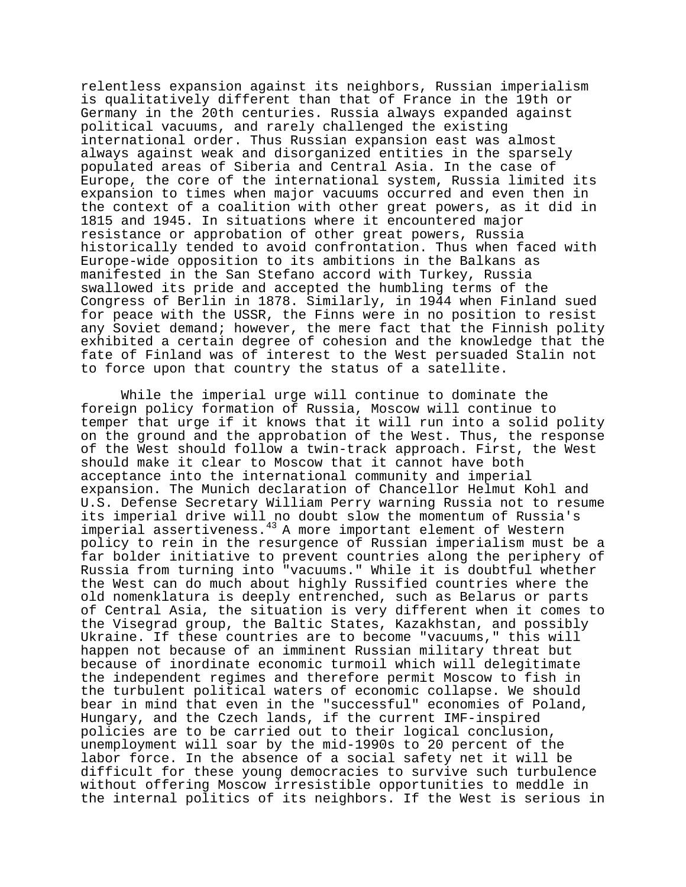relentless expansion against its neighbors, Russian imperialism is qualitatively different than that of France in the 19th or Germany in the 20th centuries. Russia always expanded against political vacuums, and rarely challenged the existing international order. Thus Russian expansion east was almost always against weak and disorganized entities in the sparsely populated areas of Siberia and Central Asia. In the case of Europe, the core of the international system, Russia limited its expansion to times when major vacuums occurred and even then in the context of a coalition with other great powers, as it did in 1815 and 1945. In situations where it encountered major resistance or approbation of other great powers, Russia historically tended to avoid confrontation. Thus when faced with Europe-wide opposition to its ambitions in the Balkans as manifested in the San Stefano accord with Turkey, Russia swallowed its pride and accepted the humbling terms of the Congress of Berlin in 1878. Similarly, in 1944 when Finland sued for peace with the USSR, the Finns were in no position to resist any Soviet demand; however, the mere fact that the Finnish polity exhibited a certain degree of cohesion and the knowledge that the fate of Finland was of interest to the West persuaded Stalin not to force upon that country the status of a satellite.

While the imperial urge will continue to dominate the foreign policy formation of Russia, Moscow will continue to temper that urge if it knows that it will run into a solid polity on the ground and the approbation of the West. Thus, the response of the West should follow a twin-track approach. First, the West should make it clear to Moscow that it cannot have both acceptance into the international community and imperial expansion. The Munich declaration of Chancellor Helmut Kohl and U.S. Defense Secretary William Perry warning Russia not to resume its imperial drive will no doubt slow the momentum of Russia's imperial assertiveness.43 A more important element of Western policy to rein in the resurgence of Russian imperialism must be a far bolder initiative to prevent countries along the periphery of Russia from turning into "vacuums." While it is doubtful whether the West can do much about highly Russified countries where the old nomenklatura is deeply entrenched, such as Belarus or parts of Central Asia, the situation is very different when it comes to the Visegrad group, the Baltic States, Kazakhstan, and possibly Ukraine. If these countries are to become "vacuums," this will happen not because of an imminent Russian military threat but because of inordinate economic turmoil which will delegitimate the independent regimes and therefore permit Moscow to fish in the turbulent political waters of economic collapse. We should bear in mind that even in the "successful" economies of Poland, Hungary, and the Czech lands, if the current IMF-inspired policies are to be carried out to their logical conclusion, unemployment will soar by the mid-1990s to 20 percent of the labor force. In the absence of a social safety net it will be difficult for these young democracies to survive such turbulence without offering Moscow irresistible opportunities to meddle in the internal politics of its neighbors. If the West is serious in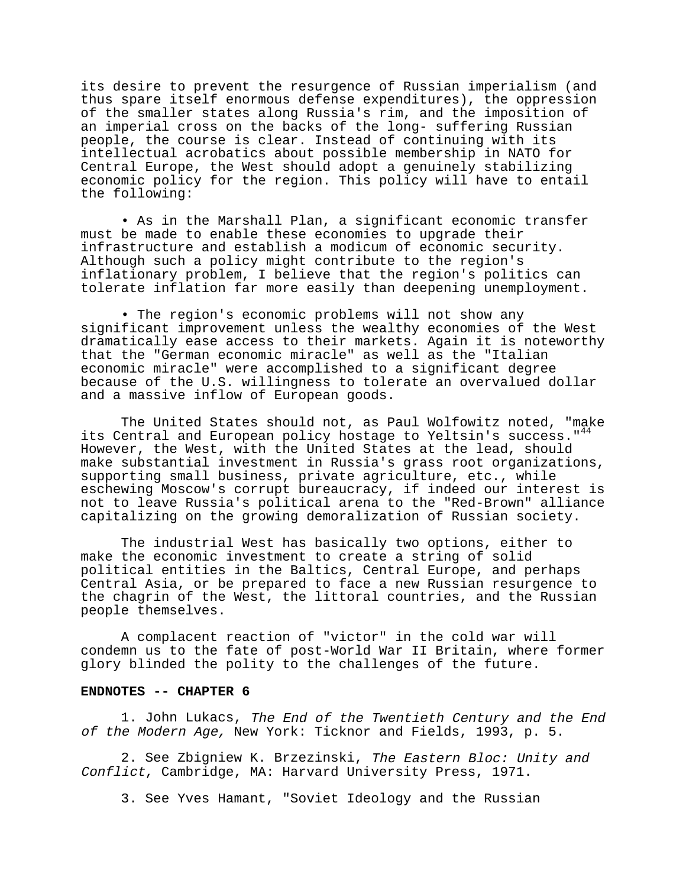its desire to prevent the resurgence of Russian imperialism (and thus spare itself enormous defense expenditures), the oppression of the smaller states along Russia's rim, and the imposition of an imperial cross on the backs of the long- suffering Russian people, the course is clear. Instead of continuing with its intellectual acrobatics about possible membership in NATO for Central Europe, the West should adopt a genuinely stabilizing economic policy for the region. This policy will have to entail the following:

• As in the Marshall Plan, a significant economic transfer must be made to enable these economies to upgrade their infrastructure and establish a modicum of economic security. Although such a policy might contribute to the region's inflationary problem, I believe that the region's politics can tolerate inflation far more easily than deepening unemployment.

• The region's economic problems will not show any significant improvement unless the wealthy economies of the West dramatically ease access to their markets. Again it is noteworthy that the "German economic miracle" as well as the "Italian economic miracle" were accomplished to a significant degree because of the U.S. willingness to tolerate an overvalued dollar and a massive inflow of European goods.

The United States should not, as Paul Wolfowitz noted, "make its Central and European policy hostage to Yeltsin's success."<sup>44</sup> However, the West, with the United States at the lead, should make substantial investment in Russia's grass root organizations, supporting small business, private agriculture, etc., while eschewing Moscow's corrupt bureaucracy, if indeed our interest is not to leave Russia's political arena to the "Red-Brown" alliance capitalizing on the growing demoralization of Russian society.

The industrial West has basically two options, either to make the economic investment to create a string of solid political entities in the Baltics, Central Europe, and perhaps Central Asia, or be prepared to face a new Russian resurgence to the chagrin of the West, the littoral countries, and the Russian people themselves.

A complacent reaction of "victor" in the cold war will condemn us to the fate of post-World War II Britain, where former glory blinded the polity to the challenges of the future.

### **ENDNOTES -- CHAPTER 6**

1. John Lukacs, The End of the Twentieth Century and the End of the Modern Age, New York: Ticknor and Fields, 1993, p. 5.

2. See Zbigniew K. Brzezinski, The Eastern Bloc: Unity and Conflict, Cambridge, MA: Harvard University Press, 1971.

3. See Yves Hamant, "Soviet Ideology and the Russian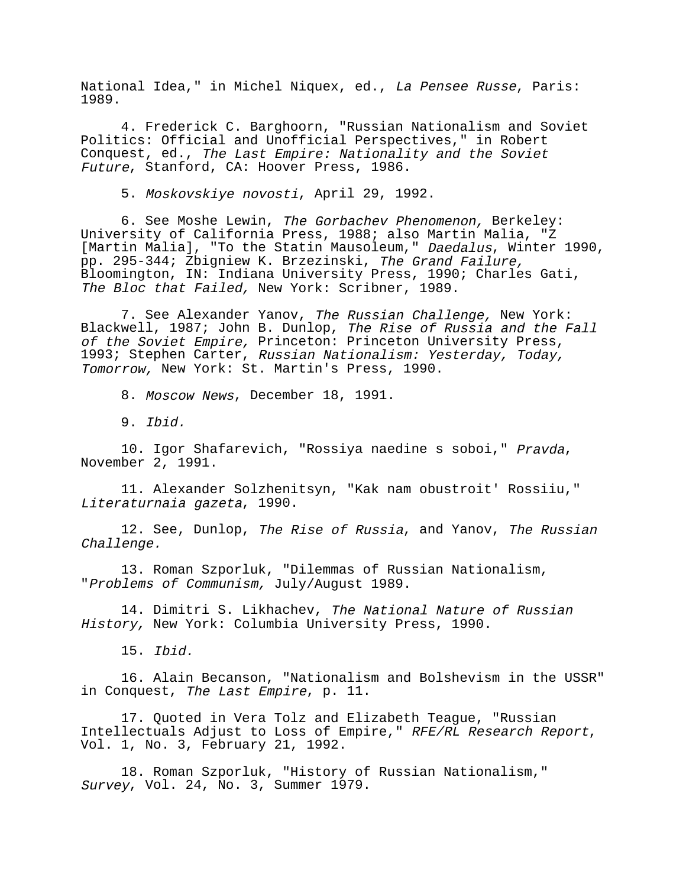National Idea," in Michel Niquex, ed., La Pensee Russe, Paris: 1989.

4. Frederick C. Barghoorn, "Russian Nationalism and Soviet Politics: Official and Unofficial Perspectives," in Robert Conquest, ed., The Last Empire: Nationality and the Soviet Future, Stanford, CA: Hoover Press, 1986.

5. Moskovskiye novosti, April 29, 1992.

6. See Moshe Lewin, The Gorbachev Phenomenon, Berkeley: University of California Press, 1988; also Martin Malia, "Z [Martin Malia], "To the Statin Mausoleum," Daedalus, Winter 1990, pp. 295-344; Zbigniew K. Brzezinski, The Grand Failure, Bloomington, IN: Indiana University Press, 1990; Charles Gati, The Bloc that Failed, New York: Scribner, 1989.

7. See Alexander Yanov, The Russian Challenge, New York: Blackwell, 1987; John B. Dunlop, The Rise of Russia and the Fall of the Soviet Empire, Princeton: Princeton University Press, 1993; Stephen Carter, Russian Nationalism: Yesterday, Today, Tomorrow, New York: St. Martin's Press, 1990.

8. Moscow News, December 18, 1991.

9. Ibid.

10. Igor Shafarevich, "Rossiya naedine s soboi," Pravda, November 2, 1991.

11. Alexander Solzhenitsyn, "Kak nam obustroit' Rossiiu," Literaturnaia gazeta, 1990.

12. See, Dunlop, The Rise of Russia, and Yanov, The Russian Challenge.

13. Roman Szporluk, "Dilemmas of Russian Nationalism, "Problems of Communism, July/August 1989.

14. Dimitri S. Likhachev, The National Nature of Russian History, New York: Columbia University Press, 1990.

15. Ibid.

16. Alain Becanson, "Nationalism and Bolshevism in the USSR" in Conquest, The Last Empire, p. 11.

17. Quoted in Vera Tolz and Elizabeth Teague, "Russian Intellectuals Adjust to Loss of Empire," RFE/RL Research Report,<br>Vol. 1, No. 3, February 21, 1992.

18. Roman Szporluk, "History of Russian Nationalism," Survey, Vol. 24, No. 3, Summer 1979.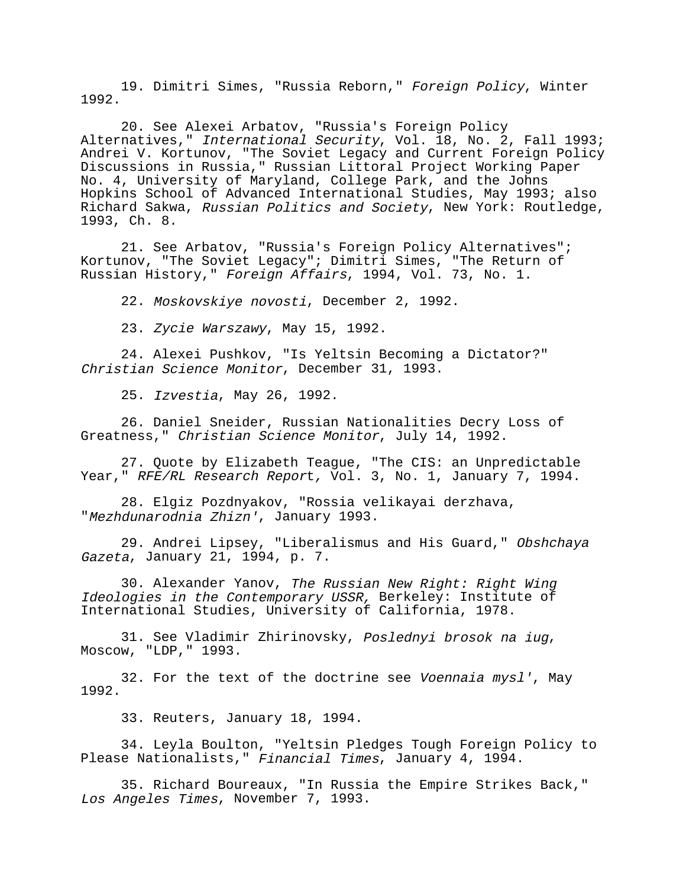19. Dimitri Simes, "Russia Reborn," Foreign Policy, Winter 1992.

20. See Alexei Arbatov, "Russia's Foreign Policy Alternatives," International Security, Vol. 18, No. 2, Fall 1993; Andrei V. Kortunov, "The Soviet Legacy and Current Foreign Policy Discussions in Russia," Russian Littoral Project Working Paper No. 4, University of Maryland, College Park, and the Johns Hopkins School of Advanced International Studies, May 1993; also Richard Sakwa, Russian Politics and Society, New York: Routledge, 1993, Ch. 8.

21. See Arbatov, "Russia's Foreign Policy Alternatives"; Kortunov, "The Soviet Legacy"; Dimitri Simes, "The Return of Russian History," Foreign Affairs, 1994, Vol. 73, No. 1.

22. Moskovskiye novosti, December 2, 1992.

23. Zycie Warszawy, May 15, 1992.

24. Alexei Pushkov, "Is Yeltsin Becoming a Dictator?" Christian Science Monitor, December 31, 1993.

25. Izvestia, May 26, 1992.

26. Daniel Sneider, Russian Nationalities Decry Loss of Greatness," Christian Science Monitor, July 14, 1992.

27. Quote by Elizabeth Teague, "The CIS: an Unpredictable Year," RFE/RL Research Report, Vol. 3, No. 1, January 7, 1994.

28. Elgiz Pozdnyakov, "Rossia velikayai derzhava, "Mezhdunarodnia Zhizn', January 1993.

29. Andrei Lipsey, "Liberalismus and His Guard," Obshchava Gazeta, January 21, 1994, p. 7.

30. Alexander Yanov, The Russian New Right: Right Wing Ideologies in the Contemporary USSR, Berkeley: Institute of International Studies, University of California, 1978.

31. See Vladimir Zhirinovsky, Poslednyi brosok na iug, Moscow, "LDP," 1993.

32. For the text of the doctrine see Voennaia mysl', May 1992.

33. Reuters, January 18, 1994.

34. Leyla Boulton, "Yeltsin Pledges Tough Foreign Policy to Please Nationalists," Financial Times, January 4, 1994.

35. Richard Boureaux, "In Russia the Empire Strikes Back," Los Angeles Times, November 7, 1993.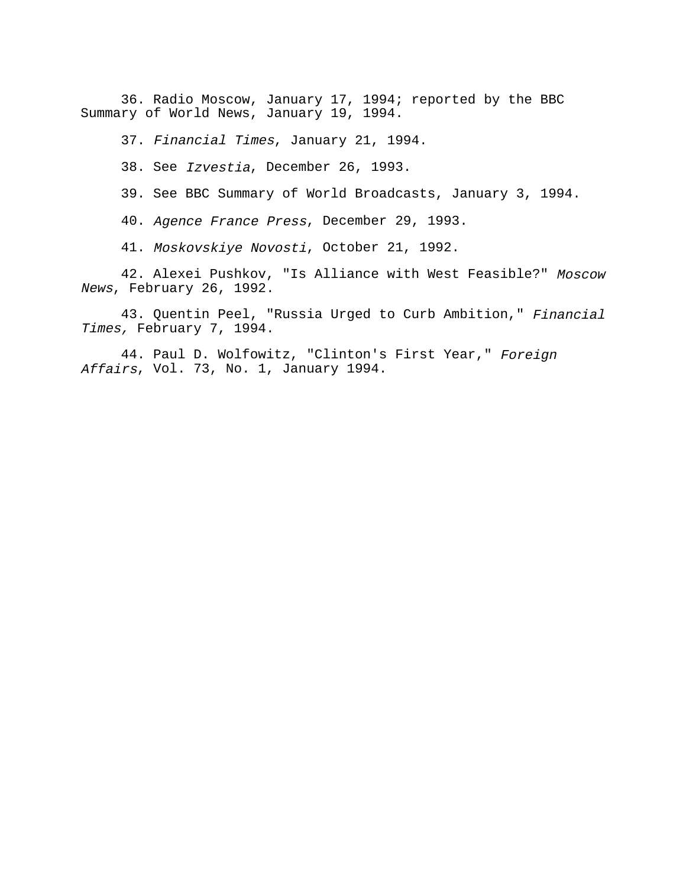36. Radio Moscow, January 17, 1994; reported by the BBC Summary of World News, January 19, 1994.

37. Financial Times, January 21, 1994.

38. See Izvestia, December 26, 1993.

39. See BBC Summary of World Broadcasts, January 3, 1994.

40. Agence France Press, December 29, 1993.

41. Moskovskiye Novosti, October 21, 1992.

42. Alexei Pushkov, "Is Alliance with West Feasible?" Moscow News, February 26, 1992.

43. Quentin Peel, "Russia Urged to Curb Ambition," Financial Times, February 7, 1994.

44. Paul D. Wolfowitz, "Clinton's First Year," Foreign Affairs, Vol. 73, No. 1, January 1994.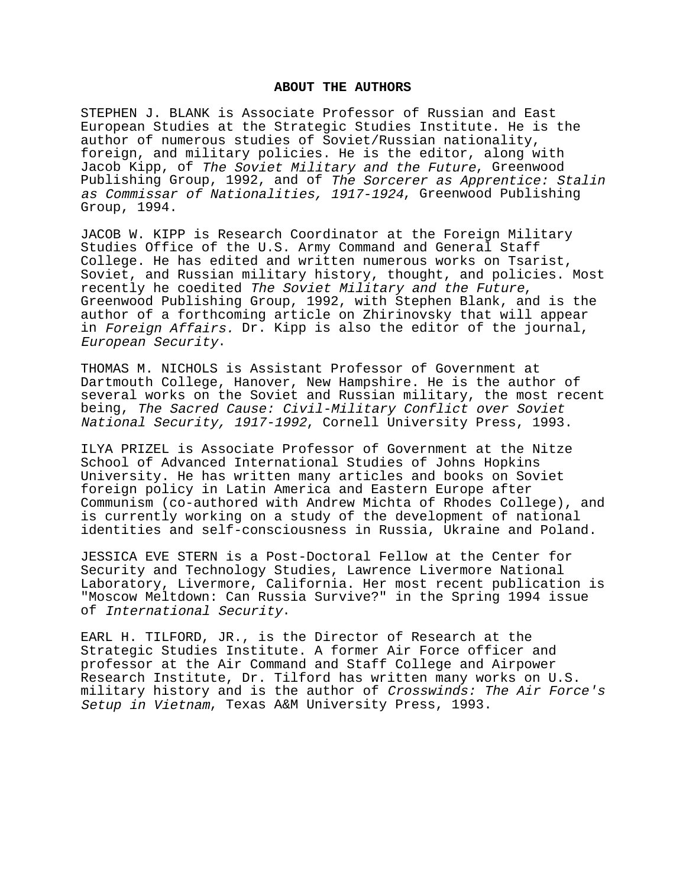## **ABOUT THE AUTHORS**

STEPHEN J. BLANK is Associate Professor of Russian and East European Studies at the Strategic Studies Institute. He is the author of numerous studies of Soviet/Russian nationality, foreign, and military policies. He is the editor, along with Jacob Kipp, of The Soviet Military and the Future, Greenwood Publishing Group, 1992, and of The Sorcerer as Apprentice: Stalin as Commissar of Nationalities, 1917-1924, Greenwood Publishing Group, 1994.

JACOB W. KIPP is Research Coordinator at the Foreign Military Studies Office of the U.S. Army Command and General Staff College. He has edited and written numerous works on Tsarist, Soviet, and Russian military history, thought, and policies. Most recently he coedited The Soviet Military and the Future, Greenwood Publishing Group, 1992, with Stephen Blank, and is the author of a forthcoming article on Zhirinovsky that will appear in Foreign Affairs. Dr. Kipp is also the editor of the journal, European Security.

THOMAS M. NICHOLS is Assistant Professor of Government at Dartmouth College, Hanover, New Hampshire. He is the author of several works on the Soviet and Russian military, the most recent being, The Sacred Cause: Civil-Military Conflict over Soviet National Security, 1917-1992, Cornell University Press, 1993.

ILYA PRIZEL is Associate Professor of Government at the Nitze School of Advanced International Studies of Johns Hopkins University. He has written many articles and books on Soviet foreign policy in Latin America and Eastern Europe after Communism (co-authored with Andrew Michta of Rhodes College), and is currently working on a study of the development of national identities and self-consciousness in Russia, Ukraine and Poland.

JESSICA EVE STERN is a Post-Doctoral Fellow at the Center for Security and Technology Studies, Lawrence Livermore National Laboratory, Livermore, California. Her most recent publication is "Moscow Meltdown: Can Russia Survive?" in the Spring 1994 issue of International Security.

EARL H. TILFORD, JR., is the Director of Research at the Strategic Studies Institute. A former Air Force officer and professor at the Air Command and Staff College and Airpower Research Institute, Dr. Tilford has written many works on U.S. military history and is the author of Crosswinds: The Air Force's Setup in Vietnam, Texas A&M University Press, 1993.